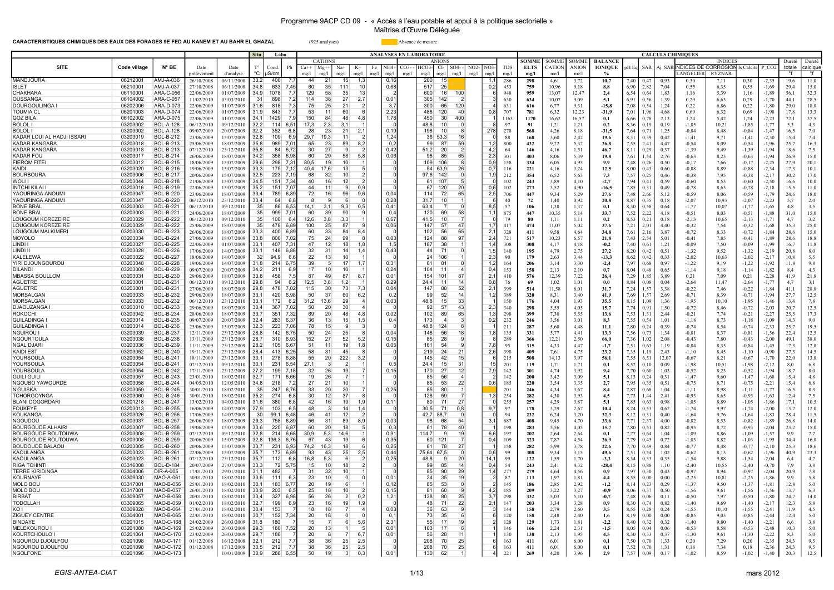#### CARACTERISTIQUES CHIMIQUES DES EAUX DES FORAGES 9E FED AU KANEM ET AU BAHR EL GHAZAL

Absence de mesure

|                                      |                      |                                      |                          |                          | <b>Situ</b>              | Labo                        |                                                          |              | <b>ANALYSES EN LABORATOIRE</b>                                                  |            |                   |              |                       |                      |                                 |              |              |              | <b>CALCULS CHIMIQUES</b> |                                                                |                    |                    |                        |                          |
|--------------------------------------|----------------------|--------------------------------------|--------------------------|--------------------------|--------------------------|-----------------------------|----------------------------------------------------------|--------------|---------------------------------------------------------------------------------|------------|-------------------|--------------|-----------------------|----------------------|---------------------------------|--------------|--------------|--------------|--------------------------|----------------------------------------------------------------|--------------------|--------------------|------------------------|--------------------------|
|                                      |                      |                                      |                          |                          |                          |                             | <b>CATIONS</b>                                           |              | ANION:                                                                          |            |                   | <b>SOMME</b> | <b>SOMME</b>          | <b>SOMME</b>         | <b>BALANCE</b>                  |              |              |              |                          | <b>INDICES</b>                                                 |                    |                    | Dureté                 | Dureté                   |
| <b>SITE</b>                          | Code village         | $N^{\circ}$ BE                       | Date<br>nrélèvemen       | Date<br>d'analyse        | $T^{\circ}$<br>°C luS/cm | Cond.<br>Ph                 | $Ca++$ $Mg++$ $Na+$ $K+$<br>mg/1<br>mg/l<br>me/l<br>mo/l | $mg/l$ mg/l  | Fe NH4+ CO3-- HCO3- Cl- SO4-- NO2- NO3-<br>me/l<br>me/l<br>mg/l<br>mg/l<br>mo/l | mg/        | <b>TDS</b><br>me/ | <b>ELTS</b>  | <b>CATION</b><br>me/l | <b>ANION</b><br>me/l | <b>IONIQUE</b><br>$\frac{0}{6}$ | pH Eq        | SAR          |              | <b>ANGELIER</b>          | Ai. SAR INDICES DE CORROSION Is Calcite P CO2<br><b>RYZNAR</b> |                    |                    | totale<br>$^{\circ}$ f | calcique<br>$^{\circ}$ f |
| MANDJOURA                            | 06212001             | AMJ-A-036                            | 26/10/2008               | 06/11/2008               | 33.2                     | 400                         | 44<br>15<br>1.3<br>-21                                   | 0.1          | 15<br>200                                                                       |            | 286               | mg/l<br>298  | 4.61                  | 3,72                 | 10,7                            | 740          | 0.47         |              |                          |                                                                | 0.30               | $-2.35$            |                        | 11,0                     |
| SI FT                                | 06210001             | AMJ-A-037                            | 27/10/2008               | 06/11/2008               | 34.8                     | 633 7,45                    | 60<br>35<br>111<br>10                                    | 0,68         | 517<br>25                                                                       | 0,2        | 453               | 759          | 10.96                 | 9.18                 | 8,8                             | 6.90         | 2,82         | 7.04         | 0.55                     | 635                                                            | 0.55               | $-1.69$            | 29.4                   | 15,0                     |
| CHAKHARA                             | 06110001             | ARA-C-056                            | 22/06/2009               | 01/07/2009               | 34.9                     | 1078<br>7,7                 | 129<br>58<br>35<br>13                                    |              | 600<br>16<br>100                                                                |            | 948               | 959          | 13,07                 | 12,47                | 2,4                             | 6,54         | 0,64         | 1.83         | 1.16                     | 5,39                                                           | 1,16               | $-1,89$            |                        | 32,3                     |
| <b>DUSSANGA</b>                      | 06104002             | <b>ARA-C-057</b>                     | 11/02/2010               | 03/03/2010               | - 31                     | 898<br>-7.2                 | 27<br>2,7<br>114<br>38                                   | 0,01         | 305<br>142                                                                      |            | 630               | 634          | 10,07                 | 9,09                 | 5.1                             | 6,91         | 0,56         | 1.39         | 0,29                     | 6,63                                                           | 0,29               | $-1,70$            | 44 1                   | 28,5                     |
| <b>DOURGOULINGA I</b>                | 06202006             | ARA-D-073                            | 22/06/2009               | 01/07/2009               | 31.6                     | 818<br>7.3                  | 75<br>25<br>21                                           | $\cdot$ 3.   | 65<br>120<br>300                                                                |            | 631               | 616          | 6,77                  | 9.31                 | $-15,8$                         | 7,08         | 0,54         | 1,24         | 0.22                     | 6,86                                                           | 0,22               | $-1,80$            | 29.0                   | 18,8                     |
| <b>TOUMIA CL</b><br><b>GOZ BILA</b>  | 06201003<br>06102002 | ARA-D-074<br>ARA-D-075               | 22/06/2009               | 01/07/2009               | 31,9<br>34,1             | 843<br>7,7<br>1429<br>7,9   | 53<br>11<br>60<br>150<br>84<br>48<br>4,8                 | 2,23<br>1,78 | 488<br>120<br>4(<br>450<br>30 <sup>°</sup><br>400                               | 0,8        | 707               | 781<br>1170  | 6.32                  | 12.23                | $-31.9$                         | 7,01         | 1.96         | 4.68         | 0.69                     | 6.32                                                           | 0.69               | $-1.98$            | 178                    | 13,3                     |
| 3OLOL I                              | 03203002             | <b>BOL-A-128</b>                     | 22/06/2009<br>06/12/2010 | 01/07/2009<br>09/12/2010 | 32.2                     | 114 6,51                    | 17,3<br>2,3<br>3.1                                       |              | 48,8<br>10                                                                      |            | 1163<br>97        | 91           | 16,62<br>1,21         | 16,57<br>1,21        | 0,1<br>0,2                      | 6,66<br>8,36 | 0,78<br>0,19 | 2,13<br>0,19 | 1,24<br>$-1,85$          | 5,42<br>10,21                                                  | 1,24<br>$-1,85$    | $-2,23$<br>$-1,77$ | 72,1<br>5,3            | 37,5<br>4,3              |
| 301.OL I                             | 03203002             | <b>BOL-A-128</b>                     | 09/07/2009               | 20/07/2009               | 32,2                     | 352<br>6.8                  | 28<br>23<br>21<br>2,1                                    | 0.19         | 198<br>10                                                                       | 278        | 278               | 568          | 4,26                  | 8.18                 | $-31,5$                         | 7,64         | 0.71         | 1,25         | $-0.84$                  | 848                                                            | $-0.84$            | $-1,47$            | 16.5                   | 7,0                      |
| <b>KADAR LOUI AL HADJI ISSARI</b>    | 03203019             | <b>BOL-B-212</b>                     | 23/06/2009               | 15/07/2009               | 32,8                     | 109<br>6.9                  | 29,7<br>19.3<br>11                                       | 1,24         | 36 53.3                                                                         |            | 88                | 168          | 3,60                  | 2,42                 | 19,6                            | 8,31         | 0,39         | 0,42         | $-1,41$                  | 9,71                                                           | $-1,41$            | $-2,30$            | 154                    | 7,4                      |
| <b>KADAR KANGARA</b>                 | 03203018             | <b>BOL-B-213</b>                     | 25/06/2009               | 18/07/2009               | 35,8                     | 989 7,01                    | 65<br>23<br>89<br>8,2                                    | 0,2          | 99<br>87<br>59                                                                  | 1,2        | 800               | 432          | 9,22                  | 5,32                 | 26,8                            | 7,55         | 2,41         | 4,47         | $-0.54$                  | 8,09                                                           | $-0.54$            | $-1,96$            | 25,7                   | 16,3                     |
| <b>KADAR KANGARA</b>                 | 03203018             | <b>BOL-B-213</b>                     | 07/12/2010               | 23/12/2010               | 35,8                     | 84 6,72                     | 30 <sup>1</sup><br>27<br>-9                              | 0,42         | 51.2<br>- 20                                                                    | 4,2        | 64                | 146          | 4,16                  | 1,51                 | 46,7                            | 8,11         | 0,29         | 0,37         | $-1.39$                  | 949                                                            | $-1,39$            | $-1,94$            | 18.6                   | 7,5                      |
| <b><i>SADAR FOU</i></b>              | 03203017             | <b>BOL-B-214</b>                     | 26/06/2009               | 18/07/2009               | 34.2                     | 358 6.98                    | 60<br>29<br>58<br>5.8                                    | 0.06         | 98<br>85<br>65                                                                  | 2,3        | 301               | 403          | 8.06                  | 5,39                 | 19.8                            | 7,61         | 1,54         | 2.76         | $-0.63$                  | 8.23                                                           | $-0.63$            | $-1,94$            | 26.9                   | 15,0                     |
| <b>IEROM FITEI</b><br><b>KAIDI</b>   | 03203012<br>03203020 | <b>BOL-B-215</b><br><b>BOL-B-216</b> | 18/06/2009<br>19/06/2009 | 15/07/2009<br>15/07/2009 | 29,6<br>33.3             | 298 7,31<br>175 7,12        | 80,5<br>19<br>10 <sup>1</sup><br>40,4<br>17,6<br>13      |              | 109<br>106<br>54 63.9<br>26                                                     | 0,9<br>0,7 | 158<br>116        | 334<br>221   | 6,05<br>4,16          | 4,95<br>3,24         | 9,9<br>12,5                     | 7,48<br>8,00 | 0,26<br>0,43 | 0,50<br>0,60 | $-0.17$<br>$-0.88$       | 7,66<br>8,89                                                   | $-0.17$<br>$-0.88$ | $-2,25$<br>$-2,34$ | 279<br>17.3            | 20,1<br>10,1             |
| 3OURBOURA                            | 03203006             | <b>BOL-B-217</b>                     | 20/06/2009               | 15/07/2009               | 32.5                     | 223 7,19                    | 32<br>10 <sup>1</sup><br>$\overline{2}$<br>68            |              | 97,6 142                                                                        | 1,9        | 212               | 354          | 6,52                  | 5,63                 | 7,3                             | 7,57         | 0,25         | 0.46         | $-0.38$                  | 7,95                                                           | $-0.38$            | $-2,17$            | 30 2                   | 17,0                     |
| NOLLI                                | 03203044             | <b>BOL-B-218</b>                     | 21/06/2009               | 15/07/2009               | 34.5                     | 151 7,34                    | 12<br>40 <sup>1</sup><br>16                              |              | 61<br>107                                                                       |            | 102               | 243          | 3,89                  | 4 1 0                | $-2,7$                          | 7,94         | 0.41         | 0.59         | $-0.60$                  | 8,53                                                           | $-0.60$            | $-2,50$            | -16.6                  | 10,0                     |
| NTCHI KILAI                          | 03203016             | <b>BOL-B-219</b>                     | 22/06/2009               | 15/07/2009               | 35.2                     | 151 7,07                    | 44<br>11<br>9<br>0,9                                     |              | 67 120<br>2 <sup>0</sup>                                                        | 0,6        | 102               | 273          | 3,52                  | 4,90                 | $-16,5$                         | 7,85         | 0,31         | 0,49         | $-0.78$                  | 8,63                                                           | $-0.78$            | $-2,18$            | 15.5                   | 11,0                     |
| YAOURINGA ANOUMI                     | 03203047             | <b>BOL-B-220</b>                     | 23/06/2009               | 18/07/2009               | 33,4                     | 789 6,89                    | 72<br>16<br>96<br>9,6                                    | 0,04         | 72<br>65<br>114                                                                 | 2,5        | 706               | 447          | 9,34                  | 5,29                 | 27,6                            | 7,48         | 2,66         | 5,12         | $-0.59$                  | 8,06                                                           | $-0.59$            | $-1,79$            | 24.6                   | 18,0                     |
| YAOURINGA ANOUMI                     | 03203047             | <b>BOL-B-220</b>                     | 06/12/2010               | 23/12/2010               | 33.4                     | $64$ 6,8                    | -9<br>- 6<br>8                                           | 0,28         | 31.7<br>-10                                                                     |            | 40                | 72           | 1,40                  | 0,92                 | 20.8                            | 8,87         | 0,35         | 0,18         | $-2.07$                  | 10,93                                                          | $-2,07$            | $-2,23$            | 5.7                    | 2,0                      |
| <b>BONE BRAL</b>                     | 03203003             | <b>BOL-B-221</b>                     | 06/12/2010               | 09/12/2010               | 35                       | 86 6,53                     | 14,1<br>3,1<br>9,3<br>0.5                                | 0,41         | 63.4<br>-7                                                                      | 8,5        | 57                | 106          | 1.38                  | 1.37                 | 0.1                             | 8,30         | 0,58         | 0,64         | $-1,77$                  | 10,07                                                          | $-1,77$            | $-1,65$            | 48                     | 3,5                      |
| <b>BONE BRAL</b><br>OUGOUM KOREZEIRE | 03203003<br>03203029 | <b>BOL-B-221</b><br><b>BOL-B-222</b> | 24/06/2009<br>06/12/2010 | 18/07/2009<br>09/12/2010 | 35<br>35                 | 999 7.0<br>100<br>6,4       | 60<br>39<br>90<br>12,6<br>3.8<br>3.3                     | 0,4<br>0.67  | 120<br>69<br>58<br>41,5<br>10                                                   | 1,1        | 875<br>79         | 447<br>-80   | 10,35<br>1,11         | 5,14<br>1,11         | 33,7<br>0,2                     | 7,52<br>8,53 | 2,22<br>0,21 | 4,18<br>0,18 | $-0.51$<br>$-2,13$       | 8,03<br>10,65                                                  | $-0.51$            | $-1,88$<br>$-1,71$ | 31,0<br>4.7            | 15,0                     |
| OUGOUM KOREZEIRE.                    | 03203029             | <b>BOL-B-222</b>                     | 25/06/2009               | 18/07/2009               | 35                       | 478 6,89                    | 87<br>100<br>25                                          | 0,06         | 147<br>$\overline{4}$<br>57                                                     | 1,7        | 417               | 474          | 11,07                 | 5,02                 | 37,6                            | 7,21         | 2,01         | 4.40         | $-0.32$                  | 7,54                                                           | $-2,13$<br>$-0,32$ | $-1,68$            | 353                    | 3,2<br>25,0              |
| OUGOUM MALKIMERI                     | 03203030             | <b>BOL-B-223</b>                     | 26/06/2009               | 18/07/2009               | 33,3                     | 400 6,89                    | 60<br>33<br>84<br>8.4                                    |              | 65<br>102<br>56                                                                 | 2,1        | 328               | 411          | 9,58                  | 4,64                 | 34.8                            | 7,61         | 2,16         | 3,87         | $-0,72$                  | 8,33                                                           | $-0,72$            | $-1,84$            | 28.6                   | 15,0                     |
| <b>MOYOLO</b>                        | 03203034             | <b>BOL-B-224</b>                     | 27/06/2009               | 18/07/2009               | 33,8                     | 800 7,02                    | 75<br>24<br>99                                           | 0,03         | 124<br>88<br>97                                                                 | 2,4        | 721               | 517          | 10,23                 | 6,57                 | 21,8                            | 7,43         | 2,54         | 5,01         | $-0.41$                  | 7,85                                                           | $-0.41$            | $-1,89$            | 28.6                   | 18,8                     |
| INDI I                               | 03203027             | <b>BOL-B-225</b>                     | 22/06/2009               | 01/07/2009               | 33,1                     | 407 7,31                    | 47<br>12<br>18<br>1.8                                    | 1.5          | 187<br>-38                                                                      | 1.4        | 308               | 308          | 4,17                  | 4,18                 | $-0,2$                          | 7,40         | 0,61         | 1,21         | $-0.09$                  | 7,50                                                           | $-0.09$            | $-1.99$            | 16.7                   | 11,8                     |
| INDI II.                             | 03203028             | <b>BOL-B-226</b>                     | 17/06/2009               | 14/07/2009               | 33,1                     | 148 6,88                    | 32<br>31<br>14<br>1,4                                    | 0,43         | 44<br>71                                                                        | 1,5        | 140               | 195          | 4,79                  | 2,75                 | 27,2                            | 8,20         | 0,42         | 0,51         | $-1,32$                  | 9,52                                                           | $-1,32$            | $-2,19$            | 20.8                   | 8,0                      |
| <b>ALELEWA</b>                       | 03203022             | <b>BOL-B-227</b>                     | 18/06/2009               | 14/07/2009               | 32                       | 94,9<br>6,6                 | 22<br>13<br>10                                           |              | 24<br>106                                                                       | 2,3        | 90                | 179          | 2,63                  | 3,44                 | $-13,3$                         | 8,62         | 0,42         | 0,33         | $-2,02$                  | 10,63                                                          | $-2,02$            | $-2,17$            | 10.8                   | 5,5                      |
| <b>TIRI DJOUNGOUROU</b><br>dilandi   | 03203048             | <b>BOL-B-228</b><br><b>BOL-B-229</b> | 19/06/2009               | 14/07/2009               | 31,8<br>34.2             | 214 6,75<br>211<br>6.9      | 39<br>$5\overline{5}$<br>17<br>17<br>10 <sup>1</sup>     | 0,31         | 61<br>-81<br>104<br>11                                                          | 1,2<br>0,4 | 164               | 206          | 3,14                  | 3,30                 | $-2,4$                          | 7,97         | 0,68         | 0,97         | $-1,22$                  | 9,19                                                           | $-1,22$            | $-1.92$            | 11.8                   | 9,8                      |
| ИBASSA BOULLOM                       | 03203009<br>03203031 | <b>BOL-B-230</b>                     | 09/07/2009<br>29/06/2009 | 20/07/2009<br>18/07/2009 | 33.8                     | 7.5<br>458                  | 10 <sup>1</sup><br>87<br>87<br>49<br>8,7                 | 0,24<br>0,01 | 101<br>154                                                                      | 2,1        | 153<br>410        | 158<br>576   | 2,13<br>12,39         | 2,10<br>7,22         | 0,7<br>26,4                     | 8,04<br>7,29 | 0,48<br>1,85 | 0,65<br>3,89 | $-1,14$<br>0,21          | 9,18<br>7.09                                                   | $-1, 14$<br>0,21   | $-1,82$<br>$-2,28$ | 419                    | 4,3<br>21,8              |
| <b>AGUETRE</b>                       | 03203001             | <b>BOL-B-231</b>                     | 06/12/2010               | 09/12/2010               | 29,8                     | 94<br>6,2                   | 12,5<br>3,8<br>1,2                                       | 0,29         | 11<br>24.4                                                                      | 0,8        | 76                | -69          | 1,02                  | 1,01                 | 0.0                             | 8,84         | 0,08         | 0,04         | $-2.64$                  | 11,47                                                          | $-2,64$            | $-1,77$            | 47                     | 3,1                      |
| <b>\GUETRE</b>                       | 03203001             | <b>BOL-B-231</b>                     | 27/06/2009               | 18/07/2009               | 29,8                     | 478 7,02                    | 30<br>73<br>115<br>7.3                                   | 0,04         | 52<br>147<br>88                                                                 | 2,1        | 399               | 514          | 11,58                 | 6,01                 | 31,7                            | 7,24         | 1,57         | 3,38         | $-0.22$                  | 7,46                                                           | $-0,22$            | $-1,84$            | 411                    | 28,8                     |
| MORSALGAN                            | 03203033             | <b>BOL-B-232</b>                     | 29/06/2009               | 18/07/2009               | 33,1                     | 420 6,98                    | 50<br>-37<br>60<br>6,2                                   | 0.2          | 14<br>99<br>52                                                                  | 1,2        | 389               | 320          | 8.31                  | 3,40                 | 41.9                            | 7,69         | 1,57         | 2,69         | $-0.71$                  | 8,39                                                           | $-0,71$            | $-1,94$            | 27.7                   | 12,5                     |
| MORSALGAN                            | 03203033             | <b>BOL-B-232</b>                     | 06/12/2010               | 23/12/2010               | 33.1                     | 172 6,2                     | 31,2<br>29<br>13.6                                       | 0,03         | 33<br>48,8<br>15                                                                |            | 150               | 176          | 4.04                  | 1,93                 | 35,5                            | 8,15         | 1,09         | 1,36         | $-1,95$                  | 10,10                                                          | $-1,95$            | $-1,46$            | 13.4                   | 7,8                      |
| <b>JJAOUZANGA</b>                    | 03203010             | <b>BOL-B-233</b>                     | 29/06/2009               | 18/07/2009               | 30,4                     | 367 7,02                    | 30<br>50<br>20                                           |              | 92<br>57<br>43                                                                  | 2,3        | 340               | 298          | 5,55                  | 4,05                 | 15,7                            | 7,74         | 0,91         | 1,50         | $-0,72$                  | 8,46                                                           | $-0,72$            | $-2,03$            | 20.7                   | 12,5                     |
| зокосні                              | 03203042             | <b>BOL-B-234</b>                     | 28/06/2009               | 18/07/2009               | 33,7                     | 351<br>7,32                 | 20<br>48<br>4,8<br>69                                    | 0,02         | 102<br>89<br>65<br>$\mathbf{A}$                                                 | 1.3        | 298               | 399          | 7,30                  | 5,55                 | 13,6                            | 7,53         | 1,31<br>0,54 | 2,44         | $-0,21$                  | 7,74                                                           | $-0,21$            | $-2,27$            | 25.5<br>143            | 17,3                     |
| GUILADINGA<br><b>GUILADINGA</b>      | 03203014<br>03203014 | <b>BOL-B-235</b><br><b>BOL-B-236</b> | 09/07/2009<br>25/06/2009 | 20/07/2009<br>15/07/2009 | 32,4<br>32.3             | 283<br>6.37<br>223 7,06     | 15<br>36<br>13<br>1,5<br>78<br>15<br>9                   | 0,4          | 173<br>48,8<br>124                                                              | 0,2        | 232<br>211        | 246<br>287   | 3,56<br>5,60          | 3,01<br>4,48         | 8,3<br>11,1                     | 7,55<br>7,80 | 0,24         | 1,01<br>0,39 | $-1,18$<br>$-0.74$       | 8,73<br>8,54                                                   | $-1,18$<br>$-0,74$ | $-1,09$<br>$-2,33$ | 25.7                   | 9,0<br>19,5              |
| <b><i>NGUIROU I</i></b>              | 03203039             | <b>BOL-B-237</b>                     | 12/11/2009               | 23/12/2009               | 28,8                     | 142 6,75                    | 50<br>24<br>25                                           | 0,04         | 148<br>56                                                                       | 1,8        | 135               | 331          | 5,77                  | 4,41                 | 13,3                            | 7,56         | 0,73         | 1,34         | $-0.81$                  | 8,37                                                           | $-0.81$            | $-1,56$            | 22.4                   | 12,5                     |
| <b><i>NGOURTOUL</i></b>              | 03203038             | <b>BOL-B-238</b>                     | 13/11/2009               | 23/12/2009               | 28,7                     | 310 6,93                    | 152<br>27<br>52<br>5,2                                   | 0.15         | 85<br>28                                                                        |            | 289               | 366          | 12,21                 | 2,50                 | 66,0                            | 7,36         | 1,02         | 2,08         | $-0.43$                  | 7,80                                                           | $-0,43$            | $-2,00$            | 49.1                   | 38,0                     |
| <b><i>NGAL DJARI</i></b>             | 03203036             | <b>BOL-B-239</b>                     | 11/11/2009               | 23/12/2009               | 28,2                     | 105 6,67                    | 51<br>11<br>19<br>1,8                                    | 0,05         | 161<br>54                                                                       | 7,8        | 95                | 315          | 4,33                  | 4,47                 | $-1,7$                          | 7,51         | 0,63         | 1,19         | $-0,84$                  | 8,35                                                           | $-0,84$            | $-1,45$            | 17.3                   | 12,8                     |
| <b><i>CAIDI</i></b> EST              | 03203052             | <b>BOL-B-240</b>                     | 19/11/2009               | 23/12/2009               | 28.4                     | 413 6,25                    | 58<br>45<br>31                                           |              | 219<br>24<br>$2^{\circ}$                                                        | 2,6        | 398               | 409          | 7,61                  | 4,75                 | 23.2                            | 7,35         | 1,19         | 2,43         | $-1.10$                  | 8,45                                                           | $-1,10$            | $-0.90$            | 273                    | 14,5                     |
| YOURSOULA                            | 03203054             | <b>BOL-B-241</b>                     | 18/11/2009               | 23/12/2009               | 30,1                     | 278 6,88                    | 55<br>20<br>222<br>3,2                                   |              | 145<br>42<br>15                                                                 |            | 215               | 508          | 14,13                 | 3,97                 | 56,1                            | 7,55         | 6,51         | 12,07        | $-0.67$                  | 8,21                                                           | $-0.67$            | $-1,70$            | 22.0                   | 13,8                     |
| YOURSOULA                            | 03203054             | <b>BOL-B-241</b>                     | 07/12/2010               | 09/12/2010               | 30,1                     | 231 6,54                    | 27,1<br>$\overline{3}$<br>$\overline{2}$<br>32           | 0,5          | 24,4<br>15<br>3'<br>170<br>27                                                   | 7,9        | 201               | 119<br>301   | 1,71                  | 1,71                 | 0.1                             | 8,52         | 0,10         | 0.09         | $-1.98$                  | 10,51                                                          | $-1,98$            | $-2,12$            | 18.7                   | 6,8                      |
| YOURSOULA<br><b>GUILI GUILI</b>      | 03203054<br>03203057 | <b>BOL-B-242</b><br><b>BOL-B-243</b> | 17/11/2009<br>23/01/2010 | 23/12/2009<br>18/02/2010 | 27,2<br>32,7             | 199 7,18<br>171 6,66        | 26<br>19<br>19<br>26<br>$\overline{7}$                   | 0, 15        | 12<br>85<br>56                                                                  |            | 142<br>142        | -200         | 4,74<br>3,42          | 3,92<br>3,09         | 9,4<br>-5,1                     | 7,70<br>8,13 | 0,60<br>0,24 | 1,03<br>0.31 | $-0,52$<br>$-1,47$       | 8,23<br>9.60                                                   | $-0,52$<br>$-1,47$ | $-1,94$<br>$-1,68$ | 15.4                   | 8,0<br>4,8               |
| <b>IGOUBO YAWOURDE</b>               | 03203058             | <b>BOL-B-244</b>                     | 04/05/2010               | 12/05/2010               | 34,8                     | 218<br>7:                   | 27<br>21<br>10 <sup>1</sup>                              |              | 53<br>22<br>85                                                                  | 0,6        | 185               | 220          | 3,54                  | 3,35                 | 2,7                             | 7,95         | 0,35         | 0,51         | $-0,75$                  | 8,71                                                           | $-0,75$            | $-2,21$            | -154                   | 6,8                      |
| <b>V'GUISKA</b>                      | 03203059             | <b>BOL-B-245</b>                     | 30/01/2010               | 18/02/2010               | 35                       | 247 6,76                    | 20 <sup>2</sup><br>20<br>33                              | 0,25         | 85<br>80                                                                        |            | 201               | 246          | 4,34                  | 3,67                 | 8,4                             | 7,87         | 0,68         | 1.04         | $-1,11$                  | 8,98                                                           | $-1,11$            | $-1,77$            |                        | 8,3                      |
| <b><i>CHORGOYNGA</i></b>             | 03203060             | <b>BOL-B-246</b>                     | 30/01/2010               | 18/02/2010               | 35,2                     | 274<br>6.8                  | 30 <sup>°</sup><br>12<br>37                              |              | 128<br>59                                                                       | 1,3        | 254               | 282          | 4,30                  | 3,93                 | 4,5                             | 7,73         | 1,44         | 2,41         | $-0,93$                  | 8,65                                                           | $-0,93$            | $-1,63$            | 12.4                   | 7,5                      |
| <b>BLANI DOGORDAR</b>                | 03201218             | <b>BOL-B-247</b>                     | 13/02/2010               | 04/03/2010               | 31,6                     | 380<br>6.8                  | 19<br>42<br>16<br>1.9                                    | 0,11         | 27<br>80<br>71                                                                  |            | 255               | 257          | 4,29                  | 3,87                 | 5,1                             | 7,85         | 0,63         | 0,98         | $-1,05$                  | 8,89                                                           | $-1,05$            | $-1,86$            | 17.1                   | 10,5                     |
| <b>OUKEYE</b>                        | 03203013             | <b>BOL-B-255</b>                     | 16/06/2009               | 14/07/2009               | 27,9                     | 103<br>6 <sup>t</sup>       | 48<br>$\overline{3}$<br>14<br>1.4                        |              | 30,5<br>71<br>0,8                                                               | 9,7        | 97                | 178          | 3,29                  | 2,67                 | 10,4                            | 8,24         | 0,53         | 0,62         | $-1,74$                  | 9,97                                                           | $-1,74$            | $-2,00$            | 13.2                   | 12,0                     |
| <b>COUKANGA</b><br><b>AGOUDOU</b>    | 03203026<br>03203037 | <b>BOL-B-256</b><br><b>BOL-B-257</b> | 17/06/2009<br>26/06/2009 | 14/07/2009<br>18/07/2009 | 30<br>29,3               | 99,1<br>6.48<br>758<br>6,89 | 12<br>46<br>41<br>56<br>31<br>89<br>8,9                  | 0,03         | 42,7<br>88.7<br>98<br>68<br>54                                                  | 3,1        | 94<br>687         | 232<br>408   | 6,24<br>9,45          | 3,20<br>4,70         | 32,3<br>33,6                    | 8,12<br>7,71 | 0.31<br>2,37 | 0.40<br>4,00 | $-1,64$<br>$-0,82$       | 9,76<br>8,53                                                   | $-1,64$<br>$-0,82$ | $-1,83$<br>$-1,89$ | 28.4<br>26.8           | 11,5<br>14,0             |
| <b>BOURGOUDE ALHAIRI</b>             | 03203007             | <b>BOL-B-258</b>                     | 19/06/2009               | 15/07/2009               | 33.6                     | 220 6,87                    | 20<br>18<br>60                                           | $\Omega$     | 61<br>78                                                                        |            | 198               | 283          | 5,56                  | 4,05                 | 15,7                            | 7,80         | 0.51         | 0,82         | $-0,93$                  | 8,72                                                           | $-0,93$            | $-2,04$            | 23,2                   | 15,0                     |
| BOURGOUDE ROUTOUWA                   | 03203008             | <b>BOL-B-259</b>                     | 07/12/2010               | 09/12/2010               | 32,8                     | 214 6,68                    | 30,9<br>5.3<br>14.6                                      | 0,91         | 114.7<br>9<br>1 <sup>c</sup>                                                    | 6,6        | 197               | 202          | 2,64                  | 2,64                 | 0.1                             | 7,77         | 0,64         | 1,04         | $-1.09$                  | 8,86                                                           | $-1,09$            | $-1,57$            | 99                     | 7,7                      |
| BOURGOUDE ROUTOUWA                   | 03203008             | <b>BOL-B-259</b>                     | 20/06/2009               | 15/07/2009               |                          | 32,8 136,3 6,76             | 67<br>43<br>19                                           | 0,35         | 60 <sup>1</sup><br>121                                                          | 0,4        | 109               | 323          | 7,87                  | 4,54                 | 26,9                            | 7,79         | 0,45         | 0,72         | $-1,03$                  | 8,82                                                           | $-1,03$            | $-1,95$            | 344                    | 16,8                     |
| 3OUDOUDE BALAOU                      | 03203005             | <b>BOL-B-260</b>                     | 20/06/2009               | 15/07/2009               | 33,7                     | 231 6,93                    | 74,2<br>18<br>16.3                                       | 0,25         | 61 78<br>-27                                                                    |            | 158               | 282          | 5,99                  | 3,78                 | 22,6                            | 7,70         | 0,49         | 0,84         | $-0,77$                  | 8,48                                                           | $-0,77$            | $-2,10$            | 253                    | 18,6                     |
| SAOULANGA                            | 03203023             | <b>BOL-B-261</b>                     | 22/06/2009               | 15/07/2009               | 35.7                     | 173 6.89                    | 93<br>25<br>2,5<br>43                                    | 0.44         | 75.64 67.5                                                                      | 0,6        | 99                | 308          | 9,34                  | 3,15                 | 49,6                            | 7,51         | 0,54         | 1,02         | $-0.62$                  | 8,13                                                           | $-0,62$            | $-1,96$            | 40.9                   | 23,3                     |
| <b><i>SAOULANGA</i></b>              | 03203023             | <b>BOL-B-261</b>                     | 07/12/2010               | 23/12/2010               | 35,7                     | $112$ 6,8                   | 16,8<br>5.3<br>6                                         | 0,25         | 20<br>48,8<br>9                                                                 | 14,7       | 99                | 122          | 1,59                  | 1,70                 | $-3,3$                          | 8,34         | 0,33         | 0,35         | $-1,54$                  | 9,88                                                           | $-1,54$            | $-2,04$            | 64                     | 4,2                      |
| RIGA TCHINTI<br>TERRE KIRIDINGA      | 03316008             | <b>BOL-D-184</b>                     | 20/07/2009               | 27/07/2009               | 33,3<br>31.1             | 72 5,75                     | $\overline{2}$<br>15<br>10<br>18<br>31                   |              | 99<br>85<br>14<br>29<br>90<br>85                                                | 0,4        | 54                | 243          | 2,41                  | 4,32                 | $-28,4$                         | 8,15         | 0,88         | 1 1 0        | $-2.40$                  | 10,55<br>894                                                   | $-2,40$            | $-0,70$            | 79<br>20.9             | 3,8                      |
| <b>COURNAYE</b>                      | 03304006<br>03309030 | DIR-A-005<br>MAO-A-061               | 17/01/2010<br>30/01/2010 | 29/01/2010<br>18/02/2010 | 33.6                     | 482<br>111<br>6.3           | 32<br>10<br>23<br>10 <sup>1</sup><br>$\Omega$            | 0.01         | 1 <sup>c</sup><br>24<br>35                                                      | 1,4        | 277<br>87         | 279<br>113   | 4,64<br>197           | 4,56<br>1,81         | 0,9<br>4,4                      | 7,97<br>8,55 | 0,30<br>0,00 | 0,43<br>0,00 | $-0,97$<br>$-2.25$       | 10,81                                                          | $-0,97$<br>$-2,25$ | $-2,04$<br>$-1,86$ | Q                      | 7,8<br>5,8               |
| <b>JOE O JON</b>                     | 03317001             | MAO-B-056                            | 25/01/2010               | 18/02/2010               | 30,1                     | 183 6,77                    | 20 <sup>1</sup><br>19<br>6                               | 0, 12        | 85<br>53                                                                        |            | 145               | 186          | 2,85                  | 2,92                 | $-1,2$                          | 8,14         | 0,23         | 0.29         | $-1,37$                  | 9,50                                                           | $-1,37$            | $-1, 81$           | 12.8                   | 5,0                      |
| <b>MOLO BOU</b>                      | 03317001             | <b>MAO-B-057</b>                     | 26/01/2010               | 18/02/2010               | 30,9                     | 203<br>6.5                  | 25<br>18<br>10                                           | 0, 15        | 81<br>60                                                                        | 4,2        | 185               | 209          | 3,22                  | 3,27                 | $-0.9$                          | 8,06         | 0,37         | 0,50         | $-1,56$                  | 9,61                                                           | $-1,56$            | $-1,56$            | 13.7                   | 6,3                      |
| <b>BIRBAT</b>                        | 03309057             | MAO-B-058                            | 20/01/2010               | 18/02/2010               | 33,4                     | 327 6,98                    | 26<br>$\overline{2}$<br>0,2<br>56                        | 1,21         | 80<br>25<br>138                                                                 | 3,7        | 298               | 332          | 5,03                  | 5,10                 | $-0.7$                          | 7,48         | 0,06         | 0,11         | $-0.50$                  | 7,97                                                           | $-0,50$            | $-1,80$            | 24.7                   | 14,0                     |
| <b>TODOLLAH</b>                      | 03309065             | MAO-B-059                            | 01/02/2010               | 18/02/2010               | 32.7                     | 199<br>6.9                  | 23<br>16<br>19<br>1,9                                    |              | 48<br>71<br>22                                                                  | 2,1        | 147               | 203          | 3.34                  | 3,28                 | 0.9                             | 8.30         | 0.74         | 0.82         | $-140$                   | 9.69                                                           | $-1,40$            | $-2,17$            | 12.3                   | 5,8                      |
| KO I                                 | 03309028             | MAO-B-064                            | 27/01/2010               | 18/02/2010               | 30,4                     | 153                         | $\overline{7}$<br>18<br>18                               | 0,03         | 36<br>63                                                                        |            | 144               | 158          | 2,79                  | 2,60                 | 3,5                             | 8,55         | 0,28         | 0,24         | $-1,55$                  | 10,10                                                          | $-1,55$            | $-2,41$            | 11.9                   | 4,5                      |
| <b>IGUEY CENTRE</b><br>3INDAYE       | 03304001             | MAO-B-065                            | 22/01/2010               | 18/02/2010               | 30,7                     | 152 7,34                    | 20<br>18<br>$\overline{0}$<br>15<br>$\overline{7}$       | 0,           | 73<br>35<br>55<br>17<br>1 <sup>c</sup>                                          |            | 120               | 158          | 2,48                  | 2,40                 | 1,6                             | 8,19         | 0,00<br>0,32 | 0,00         | $-0.85$                  | 9,03                                                           | $-0.85$            | $-2,44$            | 12,4                   | 5,0                      |
| <b>MELEKOUROU</b>                    | 03201015<br>03201080 | MAO-C-168<br>MAO-C-169               | 24/02/2009<br>25/02/2009 | 26/03/2009<br>26/03/2009 | 31.8<br>29.3             | 180<br>180 7,52             | 6<br>5,6<br>20<br>13<br>1                                | 2,31<br>0.01 | 103<br>17                                                                       |            | 128<br>146        | 129<br>166   | 1,73<br>2.24          | 1,81<br>2,31         | $-2,2$<br>$-1,5$                | 8,40<br>8,05 | 0.04         | 0,32<br>0,06 | $-1,40$<br>$-0.53$       | 9,80<br>8,58                                                   | $-1,40$<br>$-0.53$ | $-2,21$<br>$-2,48$ | 6.6<br>103             | 3,8<br>5,0               |
| <b>COURTCHOULO</b>                   | 03201061             | MAO-C-170                            | 23/02/2009               | 26/03/2009               | 29,7                     | 186                         | 20<br>8<br>$\overline{7}$<br>6,7                         | 0,01         | 56<br>28                                                                        |            | 130               | 138          | 2,13                  | 1,95                 | 4,5                             | 8,30         | 0,33         | 0,37         | $-1,30$                  | 9,61                                                           | $-1,30$            | $-2,22$            | 83                     | 5,0                      |
| <b>IGOUROU DJOULFOU</b>              | 03201098             | <b>MAO-C-171</b>                     | 01/12/2008               | 16/12/2008               | 32,1                     | 212<br>7,7                  | 38<br>36<br>25<br>2,5                                    |              | 25<br>208<br>70                                                                 |            | 163               | 411          | 6,01                  | 6,00                 | 0,1                             | 7,50         | 0,70         | 1,33         | 0,20                     | 7,29                                                           | 0,20               | $-2,35$            | 24,3                   | 9,5                      |
| <b>IGOUROU DJOULFOU</b>              | 03201098             | <b>MAO-C-172</b>                     | 01/12/2008               | 17/12/2008               | 30,5                     | 212<br>7,7                  | 38<br>25<br>36<br>2,5                                    |              | 25<br>208<br>70                                                                 |            | 163               | 411          | 6,01                  | 6,00                 | 0,1                             | 7,52         | 0,70         | 1,31         | 0,18                     | 7,34                                                           | 0,18               | $-2,36$            | 24,3                   | 9,5                      |
| <b>NGOLFONE</b>                      | 03201096             | <b>MAO-C-173</b>                     |                          | 10/01/2009 30.9          |                          | 288 6,55                    | 50 <sup>1</sup><br>19<br>0.3<br>$\mathbf{3}$             | 0.01         | 130<br>62                                                                       |            | 221               | 269          | 4.20                  | 3,96                 | 2.9                             | 7,57         | 0.09         | 0.17         | $-1.02$                  | 8.59                                                           | $-1,02$            | $-1.40$            | 20.3                   | 12,5                     |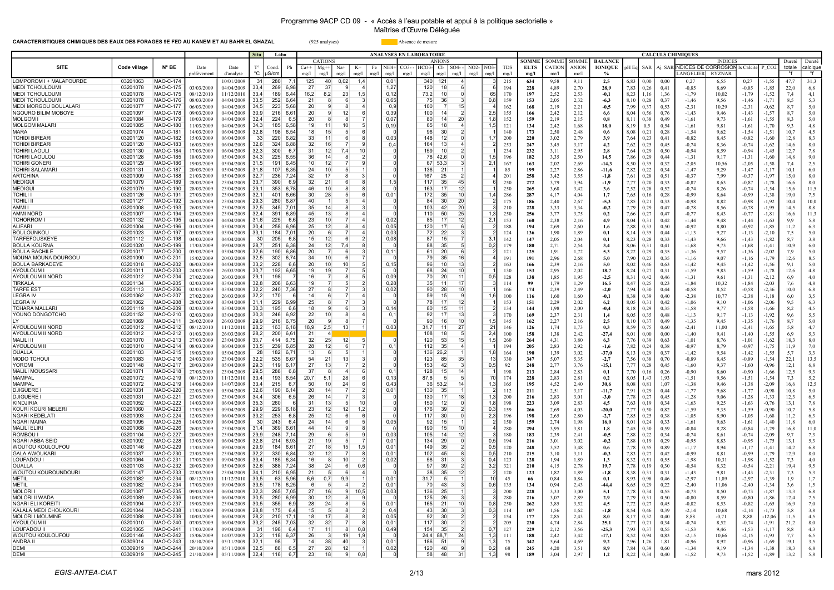#### CARACTERISTIQUES CHIMIQUES DES EAUX DES FORAGES 9E FED AU KANEM ET AU BAHR EL GHAZAL

Absence de mesure

|                                        |              |                  |                    |            | Situ I | Labo            |                                      |      | <b>ANALYSES EN LABORATOIRE</b> |                                 |                   |      |              |              |              |                     |             |                 |         | <b>CALCULS CHIMIOUES</b>             |                |         |          |              |                       |
|----------------------------------------|--------------|------------------|--------------------|------------|--------|-----------------|--------------------------------------|------|--------------------------------|---------------------------------|-------------------|------|--------------|--------------|--------------|---------------------|-------------|-----------------|---------|--------------------------------------|----------------|---------|----------|--------------|-----------------------|
|                                        |              |                  |                    |            |        |                 | <b>CATIONS</b>                       |      |                                | <b>ANIONS</b>                   |                   |      | <b>SOMME</b> | <b>SOMME</b> | <b>SOMME</b> | <b>BALANCE</b>      |             |                 |         |                                      | <b>INDICES</b> |         |          | Dureté       | Dureté                |
| <b>SITE</b>                            | Code village | N° BE            | Date               | Date       |        | Cond.<br>Ph     | $Ca++$ $Mg++$ Na+<br>$K+$            |      | $Fe$ NH4+                      | CO3-- HCO3- CI- SO4-- NO2- NO3- |                   | TDS  | <b>ELTS</b>  | CATION       | <b>ANION</b> | <b>IONIQUE</b>      | pH Eal      | SAR             | Aj. SAR | NDICES DE CORROSION Is Calcite P CO2 |                |         |          | totale       |                       |
|                                        |              |                  | <b>orélèvement</b> | d'analyse  | °C.    | uS/cm           | mg/l<br>mo/l<br>mo/l<br>$m\sigma/l$  | mod1 | me/l<br>me/                    | mg/<br>me/l<br>$m\sigma/l$      |                   | mg/l | mg/          | me/l         | me/l         | $\mathbf{0}_{\ell}$ |             |                 |         | ANGELIER                             | <b>RYZNAR</b>  |         |          | $^{\circ}$ f | calcique <sup>T</sup> |
| OMPOROM I + MALAFOURDE                 | 03201063     | <b>MAO-C-174</b> |                    | 10/01/2009 | 31     | 280<br>7,1      | 125<br>40<br>0,02<br>1.4             |      | 0.0                            | 340<br>121                      |                   | 215  | 634          | 9,58         | 9,11         | 2,5                 | $6,83$ 0.00 |                 | 0,00    | 0.27                                 | 6.55           | 0,27    | $-1,55$  | 47,7         | 31,3                  |
|                                        |              |                  |                    |            |        |                 |                                      |      |                                |                                 |                   |      |              |              |              |                     |             |                 |         |                                      |                |         |          |              |                       |
| <b>MEDI TCHOULOUMI</b>                 | 03201078     | MAO-C-175        | 03/03/2009         | 04/04/2009 | 33.4   | 269 6,98        | 27<br>37<br>9                        |      | 1.2                            | 120<br>-18                      |                   | 194  | 228          | 4,89         | 2,70         | 28,9                | 7,83        | 0,26            | 0.41    | $-0.85$                              | 8.69           | $-0,85$ | $-1,85$  | 22.0         | 6,8                   |
| MEDI TCHOULOUM                         | 03201078     | <b>MAO-C-175</b> | 08/12/2010         | 11/12/2010 | 33,4   | 189 6,44        | 23<br>8,2<br>1,5<br>16.2             |      | 0,12                           | 10<br>73.2                      | 65                | 170  | 197          | 2,52         | 2.53         | $-0.1$              | 8,23        | 110             | 1.36    | $-1.79$                              | 10,02          | $-1,79$ | $-1,52$  | 7,4          | 4,1                   |
| <b>JEDI TCHOULOUM</b>                  | 03201078     | MAO-C-176        | 08/03/2009         | 04/04/2009 | 33.5   | 252 6,64        | 8<br>21<br>6                         |      | 0.65                           | 75<br>-36                       | 0,8               | 159  | 153          | 2.05         | 2.32         | $-6.3$              | 8,10        | 0.28            | 0.37    | $-146$                               | 9.56           | $-1.46$ | $-1,71$  | 85           | 5,3                   |
| MEDI MORGOU BOULALARI                  | 03201077     | <b>MAO-C-177</b> | 06/03/2009         | 04/04/2009 | 34.5   | 223 5.68        | 20<br>-9<br>8                        |      | 0,9                            | 100                             |                   | 162  | 168          | 2.19         | 2,21         | $-0.5$              | 7,99        | 0,37            | 0,53    | $-2,31$                              | 10,29          | $-2,31$ | $-0,62$  | 8.7          | 5,0                   |
| <b>IGOURO BILIM MOBOYE</b>             | 03201097     | MAO-C-178        | 09/03/2009         | 04/04/2009 | 30,9   | $216 \quad 6.6$ | 20<br>-9<br>12                       |      | 0.39                           | 100<br>14                       | 2,5               | 155  | 166          | 2,42         | 2,12         |                     | 8,04        | 0,56            | 0,76    | $-1.43$                              | 9,46           | $-1,43$ | $-1,57$  | 8.7          | 5,0                   |
| MOLGOM I                               | 03201084     | MAO-C-179        | 10/03/2009         | 04/04/2009 | 32,4   | 224<br>6,5      | 20 <sup>1</sup><br>8<br>8            |      | 0,07                           | 14<br>20<br>80                  | 1,8               | 152  | 159          | 2,19         | 2.15         | 0.8                 | 8,11        | 0,38            | 0,49    | $-1,61$                              | 9,73           | $-1,61$ | $-1,55$  | 8.3          | 5,0                   |
| <b>JOLGOM MALAR</b>                    | 03201085     | MAO-C-180        | 11/03/2009         | 04/04/2009 | 34.3   | 185 6.58        | 19<br>10 <sup>1</sup><br>11          |      | 0, 19                          | 65<br>18                        | 1,5               | 121  | 134          | 2.42         | 1.68         | 18.0                | 8.19        | 0.5             | 0.54    | $-1.61$                              | 9.81           | $-161$  | $-1,70$  | 93           | 4,8                   |
| <b>MARA</b>                            | 03201074     | MAO-C-181        | 14/03/2009         | 06/04/2009 | 32,8   | 198 6,54        | 15<br>18<br>5                        |      |                                | 96<br>30                        |                   | 140  | 173          | 2,50         | 2,48         | 0.6                 | 8,08        | 0,21            | 0,28    | $-1,54$                              | 9,62           | $-1,54$ | $-1,51$  | 107          | 4,5                   |
| <b><i>CHIDI BIREAR</i></b>             | 03201120     | MAO-C-182        | 15/03/2009         | 06/04/2009 | 33     | 220 6,82        | 33<br>11<br>6                        |      | 0,03                           | 148<br>12                       | 1.                | 200  | 220          | 3,02         | 2,79         | 3.9                 | 7,64        | 0.23            | 0,41    | $-0,82$                              | 8,45           | $-0,82$ | $-1,60$  | 12,8         | 8,3                   |
| [CHIDI BIREARI                         | 03201120     | MAO-C-183        | 16/03/2009         | 06/04/2009 | 32,6   | 324 6,88        | 16<br>32                             |      | 0,4                            | 164<br>13                       |                   | 253  | 247          | 3,45         | 3,17         | 4.2                 | 7,62        | 0,25            | 0.45    | $-0,74$                              | 8,36           | $-0,74$ | $-1,62$  | 14,6         | 8,0                   |
| <b>CHIRI LAOUL</b>                     | 03201130     | MAO-C-184        | 17/03/2009         | 06/04/2009 | 32,3   | 300<br>6,7      | 12<br>7,4<br>31<br>10                |      |                                | 159<br>10                       |                   | 234  | 232          | 3,11         | 2,95         | 2.8                 | 7,64        | 0,29            | 0,50    | $-0.94$                              | 8,59           | $-0,94$ | $-1,45$  | 12.7         | 7,8                   |
| <b>CHIRI LAOULOL</b>                   | 03201128     | MAO-C-185        | 18/03/2009         | 05/04/2009 | 34,3   | 225 6,55        | 36<br>14<br>8                        |      |                                | 78 42.6                         | 1.5               | 196  | 182          | 3,35         | 2,50         | 14.5                | 7,86        | 0,29            | 0.44    | $-1, 31$                             | 9,17           | $-1,31$ | $-1,60$  | 14.8         | 9,0                   |
|                                        | 03201129     |                  | 19/03/2009         | 05/04/2009 |        |                 | 12                                   |      |                                |                                 |                   |      | 163          |              |              |                     | 8,50        |                 | 0.32    |                                      |                |         | $-1,58$  |              | 2,5                   |
| <b><i>TCHIRI GONERI</i></b>            |              | MAO-C-186        |                    |            | 31,5   | 191 6,45        | 10                                   |      |                                | 67 53,3                         | 2,1               | 167  | 199          | 2,02         | 2,69         | $-14,3$             |             | 0,35            |         | $-2,05$                              | 10,56          | $-2,05$ |          | 7,4          |                       |
| <b><i>TCHIRI SALAMARI</i></b>          | 03201131     | <b>MAO-C-187</b> | 20/03/2009         | 05/04/2009 | 31,8   | 107 6,35        | 10<br>24<br>5                        |      |                                | 136<br>21                       |                   | 85   |              | 2,27         | 2,86         | $-11.6$             | 7,82        | 0,22            | 0,34    | $-1.47$                              | 9,29           | $-1,47$ | $-1,17$  | 10.1         | 6,0                   |
| ARTCHINA                               | 03201009     | MAO-C-188        | 21/03/2009         | 05/04/2009 | 32,7   | 236 7,24        | 32<br>17                             |      |                                | 167<br>25                       |                   | 201  | 258          | 3,42         | 3,55         | $-1.8$              | 7,61        | 0,28            | 0, 51   | $-0.37$                              | 7,99           | $-0.37$ | $-1.97$  | 15.0         | 8,0                   |
| <b>MEDIGUI</b>                         | 03201079     | MAO-C-189        | 28/03/2009         | 23/04/2009 | 33,7   | 6,9<br>390      | 32<br>21<br>6                        |      | 1,5                            | 117<br>35<br>4 <sub>5</sub>     |                   | 250  | 272          | 3,79         | 3,94         | $-1.9$              | 7,77        | 0,20            | 0,33    | $-0.87$                              | 8,63           | $-0,87$ | $-1,78$  | 16.6         | 8,0                   |
| <b><i>MEDIGUI</i></b>                  | 03201079     | MAO-C-190        | 28/03/2009         | 23/04/2009 | 29,1   | 353 6,78        | 10<br>46                             |      |                                | 17<br>163                       |                   | 250  | 265          | 3,68         | 3,42         | 3,6                 | 7,52        | 0.28            | 0,52    | $-0,74$                              | 8,26           | $-0,74$ | $-1,54$  | 15,6         | 11,5                  |
| [CHILI I                               | 03201126     | MAO-C-191        | 27/03/2009         | 23/04/2009 | 32,1   | 401 6,66        | 30 <sup>°</sup><br>28<br>5           |      | 0,01                           | 172<br>35<br>10                 | 1.4               | 286  | 287          | 4 1 7        | 4,04         | 1.7                 | 7,65        | 016             | 0,28    | -0.99                                | 8.64           | $-0,99$ | $-1,38$  | 19.0         | 7,5                   |
| <b>TCHILI II</b>                       | 03201127     | MAO-C-192        | 26/03/2009         | 23/04/2009 | 29,3   | 280 6,87        | 40<br>1<br>5                         |      |                                | 30<br>20                        |                   | 175  | 186          | 2,40         | 2,67         | $-5.3$              | 7,85        | 0,21            | 0,33    | $-0.98$                              | 8,82           | $-0.98$ | $-1,92$  | 10.4         | 10,0                  |
| \MMI I                                 | 03201008     | MAO-C-193        | 26/03/2009         | 23/04/2009 | 32,5   | 345 7,01        | 35<br>14<br>8                        |      |                                | 103<br>42<br>20                 |                   | 210  | 228          | 3,33         | 3,34         | $-0.2$              | 7,79        | 0,29            | 0,47    | $-0.78$                              | 8.56           | $-0.78$ | $-1.95$  | 14.5         | 8,8                   |
| MMI NORD                               | 03201007     | MAO-C-194        | 25/03/2009         | 23/04/2009 | 32,4   | 391 6,89        | 13<br>45<br>8                        |      |                                | 50<br>25<br>110                 | 1,3               | 250  | 256          | 3,77         | 3,75         | 0.2                 | 7,66        | 0.27            | 0,47    | $-0,77$                              | 8,43           | $-0,77$ | $-1, 81$ | 16.6         | 11,3                  |
| <b><i>CHORROM</i></b>                  | 03201132     | MAO-C-195        | 04/03/2009         | 04/04/2009 | 31,6   | 225<br>6,6      | 23<br>10 <sup>1</sup>                |      | 0.02                           | 85<br>17                        | 2.                | 153  | 160          | 2,38         | 2,16         | 4.9                 | 8,04        | 0,31            | 0,42    | $-1.44$                              | 9.48           | $-1,44$ | $-1,63$  | 99           | 5,8                   |
| <b>\LIFARI</b>                         | 03201004     | MAO-C-196        | 01/03/2009         | 03/04/2009 | 30,4   | 258<br>6,96     | 25<br>12<br>8                        |      | 0,05                           | 120<br>17                       |                   | 188  | 194          | 2,69         | 2,60         | 1.6                 | 7,88        | 0,33            | 0,50    | $-0.92$                              | 8,80           | $-0.92$ | $-1,85$  | 11,2         | 6,3                   |
| 3OULOUNKOl                             | 03201023     | MAO-C-197        | 05/03/2009         | 03/04/2009 | 33.1   | $184$ 7,0       | 20<br>6                              |      | 0,03                           | 72<br>-22                       |                   | 124  | 136          | 1,90         | 1,89         | $_{0,1}$            | 8,14        | 0,35            | 0.44    | $-1, 13$                             | 9,27           | $-1,13$ | $-2,10$  | 7,5          | 5,0                   |
| <b>TARFEFOUSKEYE</b>                   | 03201112     | MAO-C-198        | 04/03/2009         | 04/04/2009 | 30     | 205<br>6.       | 12<br>15<br>6                        |      | 0,08                           | 87<br>15                        | 3.1               | 142  | 147          | 2,05         | 2,04         | 0.1                 | 8,23        | 0,28            | 0,33    | $-1.43$                              | 9,66           | $-1,43$ | $-1,82$  | 87           | 3,8                   |
| <b>BOULA KOURNA</b>                    | 03201020     | MAO-C-199        | 17/03/2009         | 09/04/2009 | 28,7   | 251 6,38        | 24<br>12<br>7,4                      |      |                                | 88<br>35                        | 0,2               | 179  | 180          | 2,71         | 2,54         | 3.4                 | 8,06        | 0,31            | 0,41    | $-1,68$                              | 9,73           | $-1,68$ | $-1,41$  | 10,9         | 6,0                   |
| 3OULA BACHILE                          | 03201017     | MAO-C-200        | 05/03/2009         | 03/04/2009 | 32,6   | 190 6,86        | 20<br>$\overline{7}$<br>6            |      | 0,11                           | 61<br>20                        |                   | 121  | 125          | 1.91         | 1,72         | 5.3                 | 8,22        | 0,29            | 0,35    | $-1.36$                              | 9,57           | $-1,36$ | $-2,02$  | 7,9          | 5,0                   |
| <b>MOUNA MOUNA DOURGOU</b>             | 03201090     | MAO-C-201        | 15/02/2009         | 20/03/2009 | 32,5   | 302 6,74        | 10<br>34<br>6                        |      |                                | 79<br>-35<br>16                 |                   | 191  | 191          | 2.96         | 2,68         | 5.0                 | 7,90        | 0,23            | 0,35    | $-1.16$                              | 9,07           |         | $-1,79$  | 12.6         | 8,5                   |
| <b>BOULA BARKADEYE</b>                 | 03201018     |                  |                    | 04/04/2009 | 33.2   | 6.6             | 20<br>10                             |      |                                | 96<br>10<br>13                  |                   | 163  | 166          | 2.39         | 2.16         |                     |             | 0.46            |         |                                      | 945            | $-1,16$ |          | 91           |                       |
|                                        |              | MAO-C-202        | 06/03/2009         |            |        | 228             | 10                                   |      | 0, 15                          |                                 |                   |      |              |              |              | 5.0                 | 8,02        |                 | 0,63    | $-1.42$                              |                | $-1,42$ | $-1,56$  |              | 5,0                   |
| <b>MUO IUOYA</b>                       | 03201011     | MAO-C-203        | 24/02/2009         | 26/03/2009 | 30,7   | 192 6,65        | 19<br>19                             |      |                                | 68<br>24<br>10                  |                   | 130  | 153          | 2.95         | 2,02         | 18.7                | 8,24        | 0,27            | 0.31    | $-1,59$                              | 9,83           | $-1,59$ | $-1,78$  | 12,6         | 4,8                   |
| AYOULOUM II NORD                       | 03201012     | <b>MAO-C-204</b> | 27/02/2009         | 26/03/2009 | 29,1   | 198             | 16<br>$\overline{7}$<br>8            |      | 0.09                           | 70<br>20<br>11                  | 0,5               | 128  | 138          | 1,85         | 1,95         | $-2.5$              | 8,31        | 0,42            | 0,46    | $-1.31$                              | 9,61           | $-1,31$ | $-2,12$  | 6.9          | 4,0                   |
| TIRKALA                                | 03201134     | <b>MAO-C-205</b> | 02/03/2009         | 03/04/2009 | 32,8   | 206 6,63        | $\overline{7}$<br>19<br>5            |      | 0,28                           | 17<br>35<br>11                  |                   | 114  | -99          | 1.79         | 1,29         | 16.5                | 8,47        | 0.25            | 0,23    | $-1.84$                              | 10,32          | $-1,84$ | $-2,03$  | 7.6          | 4,8                   |
| <b>TARFE EST</b>                       | 03201113     | MAO-C-206        | 02/03/2009         | 03/04/2009 | 32.2   | 240 7.36        | 27<br>-8                             |      | 0,02                           | 90 <sup>1</sup><br>28<br>10     |                   | 166  | 174          | 2.39         | 2.49         | $-2.0$              | 7.94        | 0.30            | 0.44    | $-0.58$                              | 8.52           | $-0,58$ | $-2.36$  | 100          | 6,8                   |
| EGRA IV                                | 03201062     | MAO-C-207        | 27/02/2009         | 26/03/2009 | 32,2   | 170             | 14<br>6<br>$\overline{7}$            |      |                                | 59<br>15                        | 1,6               | 100  | 116          | 1,60         | 1,60         | $-0,1$              | 8,38        | 0.39            | 0.40    | $-2,38$                              | 10,77          | $-2,38$ | $-1,18$  | 60           | 3,5                   |
| EGRA IV                                | 03201062     | MAO-C-208        | 28/02/2009         | 03/04/2009 | 31,1   | 229 6,99        | 25<br>8<br>$\overline{7}$            |      |                                | 78<br>17<br>12                  |                   | 153  | 151          | 2,29         | 2,02         | 6,2                 | 8,05        | 0,31            | 0,42    | $-1,06$                              | 9,10           | $-1,06$ | $-2,06$  | 9.5          | 6,3                   |
| <b>CHARA MALLARI</b>                   | 03201119     | MAO-C-209        | 02/03/2009         | 03/04/2009 | 30,3   | 6,6<br>195      | -9<br>6<br>18                        |      | 0, 14                          | 80 <sup>1</sup><br>15<br>11     |                   | 134  | 144          | 1,98         | 2.00         | $-0.4$              | 8,18        | 0,29            | 0,35    | $-1.58$                              | 9,77           | $-1,58$ | $-1,66$  | 82           | 4,5                   |
| YOUNO DONGOTCHO                        | 03201152     | MAO-C-210        | 02/03/2009         | 03/04/2009 | 30,3   | 246 6,92        | 22<br>10<br>$\mathbf{8}$             |      | 0,1                            | 92<br>17<br>13                  |                   | 170  | 169          | 2,37         | 2,31         | 1.4                 | 8,05        | 0,35            | 0,48    | $-113$                               | 9,17           | $-1,13$ | $-1,92$  | 96           | 5,5                   |
|                                        | 03201069     | MAO-C-211        | 26/02/2009         | 26/03/2009 | 29,9   | 216 6,75        | 20<br>8                              |      |                                | 90<br>16                        | 1.5               | 145  | 162          | 2,27         | 2,16         | 2.5                 | 8,10        | 0,37            | 0.49    | $-1.35$                              | 9,45           | $-1,35$ | $-1,76$  | 8.7          | 5,0                   |
| <b>AYOULOUM II NORD</b>                | 03201012     | MAO-C-212        | 08/12/2010         | 11/12/2010 | 28,2   | 163<br>6,18     | 18,9<br>2,5<br>13                    |      | 0,03                           | 31,7<br>27<br>11                | $\overline{2}$    | 146  | 126          | 1,74         | 1,73         | 0,3                 | 8,59        | 0.75            | 0,60    | $-2,41$                              | 11,00          | $-2,41$ | $-1,65$  | 5,8          | 4,7                   |
| <b>AYOULOUM II NORD</b>                | 03201012     | MAO-C-212        | 01/03/2009         | 26/03/2009 | 28,2   | $200 \ 6,6'$    | 21                                   |      |                                | 18<br>108                       | 2,4               | 100  | 158          | 1,38         | 2,42         | $-27,4$             | 8,01        | 0,00            | 0.00    | $-1,40$                              | 9,41           | $-1,40$ | $-1,55$  | 6.9          | 5,3                   |
| <b>AALILI II</b>                       | 03201070     | MAO-C-213        | 27/03/2009         | 23/04/2009 | 33,7   | 414 6,75        | 32<br>25<br>12                       |      |                                | 120<br>53                       | 1,5               | 260  | 264          | 4,31         | 3,80         | 6.3                 | 7,76        | 0,39            | 0.63    | $-1,01$                              | 8,76           | $-1,01$ | $-1,62$  | 18.3         | 8,0                   |
| <b>AYOULOUM</b>                        | 03201010     | MAO-C-214        | 08/03/2009         | 06/04/2009 | 33,5   | 239 6,85        | 28<br>12<br>6                        |      | 0,1                            | 112<br>- 35                     |                   | 194  | 205          | 2,83         | 2,92         | $-1.6$              | 7,82        | 0,24            | 0,38    | $-0.97$                              | 8,79           | $-0,97$ | $-1,75$  | 11.9         | 7,0                   |
| JUALLA                                 | 03201103     | MAO-C-215        | 19/03/2009         | 05/04/2009 | - 28   | 182 6,71        | 13<br>-61<br>-5                      |      |                                | 136 26.2                        | 1,8               | 164  | 190          | 1,39         | 3,02         | $-37,0$             | 8,13        | 0,29            | 0,37    | $-1,42$                              | 9,54           | $-1,42$ | $-1,55$  | 5,7          | 3,3                   |
| <b>MODO TCHOUI</b>                     | 03201083     | MAO-C-216        | 24/03/2009         | 23/04/2009 | 32,2   | 535 6,67        | 54<br>21<br>13                       |      |                                | 123<br>85<br>35                 | 13                | 330  | 347          | 5,07         | 5,35         | $-2.7$              | 7,56        | 0,38            | 0,70    | $-0.89$                              | 8,45           | $-0.89$ | $-1,54$  | 22.1         | 13,5                  |
| <b>/OROMI</b>                          | 03201148     | <b>MAO-C-217</b> | 20/03/2009         | 05/04/2009 | 29,3   | 119 6,17        | 27<br>13                             |      |                                | 153<br>42                       | 0,5               | 92   | 248          | 2,77         | 3,76         | $-15,1$             | 7,77        | 0,28            | 0,45    | $-1.60$                              | 9,37           | $-1,60$ | $-0.96$  | 12,1         | 6,8                   |
| (ALILI MOUSSARI                        | 03201071     | MAO-C-218        | 27/03/2009         | 23/04/2009 | 29,5   | 288<br>6,8      | 37<br>8<br>$\overline{a}$            |      | $\Omega$                       | 128<br>15                       |                   | 198  | 213          | 2,84         | 2,83         | 0.1                 | 7,70        | 0.16            | 0,26    | $-0.90$                              | 8,60           | $-0.90$ | $-1.66$  | 12.5         | 9,3                   |
| MAMPAI                                 | 03201072     | MAO-C-219        |                    |            | 33,4   | 193 6,54        | 28<br>20,7<br>5,1                    |      | 0.13                           | 87.8<br>-51                     | 70                | 174  | 228          | 2.83         |              | 0.2                 |             | 14 <sup>3</sup> | 1,93    | $-1.51$                              | 9.56           |         |          | 7.3          |                       |
| <b>JAMPAI</b>                          | 03201072     | MAO-C-219        | 08/12/2010         | 11/12/2010 | 33,4   | 215<br>6,7      | 10<br>24<br>50                       |      | 0,43                           | 36 53.2                         |                   |      | 195          |              | 2,81<br>2.40 |                     | 8,05        |                 | 1.07    |                                      |                | $-1,51$ | $-1,54$  |              | 5,2                   |
|                                        |              |                  | 14/06/2009         | 14/07/2009 |        |                 |                                      |      |                                |                                 | 1,3               | 165  |              | 4,52         |              | 30.6                | 8,08        | 0.8             |         | $-1.38$                              | 946            | $-1,38$ | $-2,09$  | 16.6         | 12,5                  |
| djiguere                               | 03201031     | MAO-C-220        | 22/03/2009         | 05/04/2009 | 32,6   | 190 6,14        | 20<br>14<br>$\overline{7}$           |      | 0,01                           | 130<br>-35                      |                   | 112  | 211          | 2.51         | 3,17         | $-11,7$             | 7,91        | 0,29            | 0,44    | $-1,77$                              | 9,68           | $-1,77$ | $-0.98$  | 10.8         | 5,0                   |
| <b>DJIGUERE</b>                        | 03201031     | MAO-C-221        | 23/03/2009         | 23/04/2009 | 34.4   | 306<br>- 6.     | 14<br>26                             |      |                                | 130<br>17                       | 1,3               | 200  | 216          | 2,83         | 3,01         | $-3.0$              | 7,78        | 0,27            | 0,45    | $-1,28$                              | 9,06           | $-1,28$ | $-1,33$  | 12.3         | 6,5                   |
| (INDJIRIA                              | 03201052     | <b>MAO-C-222</b> | 14/03/2009         | 06/04/2009 | 35.3   | 260             | 13<br>$5 \frac{1}{2}$<br>31<br>10    |      |                                | 150<br>12                       | 1,8               | 198  | 223          | 3,09         | 2,83         | 4.5                 | 7,63        | 0.19            | 0,34    | $-1.63$                              | 9,25           | $-1,63$ | $-0.76$  | 13.1         | 7,8                   |
| (OURI KOURI MELERI                     | 03201060     | MAO-C-223        | 17/03/2009         | 09/04/2009 | 29,9   | 229 6.18        | 23<br>12<br>12<br>1,2                |      |                                | 176<br>39                       | $0$ .             | 159  | 266          | 2,69         | 4,03         | $-20,0$             | 7,77        | 0,50            | 0,82    | $-1,59$                              | 9,35           | $-1,59$ | $-0.90$  | 10.7         | 5,8                   |
| <b>\GARI KEDELAT</b>                   | 03201093     | <b>MAO-C-224</b> | 12/03/2009         | 06/04/2009 | 33.2   | 253<br>6,8      | 25<br>12<br>6                        |      |                                | 117<br>30                       | 2,3               | 196  | 198          | 2,65         | 2,80         | $-2,7$              | 7,85        | 0,25            | 0,38    | $-1.05$                              | 8,90           | $-1,05$ | $-1,68$  | 11.2         | 6,3                   |
| √GARI MAINA                            | 03201095     | <b>MAO-C-225</b> | 14/03/2009         | 06/04/2009 | -30    | 243<br>6,4      | 14<br>24<br>6                        |      | 0,05                           | 92<br>15                        |                   | 150  | 159          | 2,74         | 1,98         | 16.0                | 8,01        | 0,24            | 0,33    | $-1,61$                              | 9,63           | $-1,61$ | $-1,40$  | 11.8         | 6,0                   |
| <b>JALILI FLIRI</b>                    | 03201068     | MAO-C-226        | 26/03/2009         | 23/04/2009 | 31.4   | 369 6,61        | 14<br>44<br>9                        |      |                                | 190<br>15<br>10                 |                   | 280  | 294          | 3.95         | 3,81         | -1.8                | 7,45        | 0.30            | 0.59    | $-0.84$                              | 8,28           | $-0.84$ | $-1,29$  | 16.8         | 11,0                  |
| <b>TUORMOS</b>                         | 03201104     | <b>MAO-C-227</b> | 20/03/2009         | 23/04/2009 | 29,9   | 248 7.14        | 29<br>6<br>$5 \frac{1}{2}$           |      | 0,03                           | 105<br>14                       |                   | 180  | 183          | 2,39         | 2,41         | $-0.5$              | 7,88        | 0,22            | 0,34    | $-0,74$                              | 8,61           | $-0,74$ | $-2,09$  | 97           | 7,3                   |
| <b>VGARI ABBA SEID</b>                 | 03201092     | <b>MAO-C-228</b> | 13/03/2009         | 06/04/2009 | 32,8   | 214 6,93        | 21<br>19<br>5                        |      | 0,01                           | 134<br>29                       | 0,5               | 194  | 216          | 3,01         | 3,02         | $-0,2$              | 7,88        | 0,19            | 0,29    | $-0.95$                              | 8,83           | $-0.95$ | $-1,75$  | 13,1         | 5,3                   |
| VOUTOU KOULOUFOL                       | 03201146     | MAO-C-229        | 17/03/2009         | 09/04/2009 | 29,9   | 184 6,61        | 18<br>27<br>15<br>1.5                |      | 0,01                           | 149<br>-35                      | 0,5               | 120  | 248          | 3,52         | 3,48         | -0.6                | 7,78        | 0,55            | 0,89    | $-1.17$                              | 894            | $-1,17$ | $-1,41$  | 142          | 6,8                   |
| <b>GALA AWOUKAR</b>                    | 03201037     | MAO-C-230        | 23/03/2009         | 23/04/2009 | 32.2   | 330 6.84        | 32<br>12<br>$\overline{7}$           |      | 0.01                           | 102<br>45                       | 0.5               | 210  | 215          | 3.10         | 3,11         | $-0.3$              | 7,83        | 0.27            | 0.42    | $-0.99$                              | 8.81           | $-0,99$ | $-1,79$  | 12.9         | 8,0                   |
| <b>OUFADOU</b>                         | 03201064     | MAO-C-231        | 17/03/2009         | 09/04/2009 | 33,4   | 185 6,34        | 16<br>8 <sup>1</sup><br>10           |      | 0,02                           | 58<br>31                        | 0.                | 123  | 128          | 194          | 1,89         | 1.3                 | 8,32        | 0.5             | 0.55    | $-1.98$                              | 10,31          | $-1,98$ | $-1,52$  | 73           | 4,0                   |
| <b>DUALLA</b>                          | 03201103     | MAO-C-232        | 20/03/2009         | 05/04/2009 | 32,6   | 388 7,24        | 38<br>24<br>6<br>0,6                 |      |                                | 97<br>39                        | 3,2               | 321  | 210          | 4,15         | 2,78         | 19,7                | 7,78        | 0.15            | 0,30    | $-0,54$                              | 8,32           | $-0,54$ | $-2,21$  | 19,4         | 9,5                   |
| VOUTOU KOUROUNDOURI                    | 03201147     | MAO-C-233        | 22/03/2009         | 23/04/2009 | 34,1   | 210 6,95        | 5<br>6<br>21                         |      |                                | 38<br>35                        |                   | 120  | 123          | 1,82         | 1,89         | $-1,8$              | 8,38        | 03              | 0,31    | $-1,43$                              | 9,81           | $-1,43$ | $-2,31$  | 73           | 5,3                   |
| JETIL.                                 | 03201082     | <b>MAO-C-234</b> | 08/12/2010         | 11/12/2010 | 33,5   | 63 5,96         | 0,7<br>9,9<br>6.6                    |      | 0.01                           | 31.7                            |                   | 45   | -66          | 0,84         | 0,84         | 0.1                 | 8,93        | 0.98            | 0.46    | $-2.97$                              | 11,89          | $-2,97$ | $-1,39$  | 19           | 1,7                   |
| <b>METIL</b>                           | 03201082     | <b>MAO-C-234</b> | 17/03/2009         | 09/04/2009 | 33,5   | 178 6,25        | 5<br>$\overline{4}$<br>6             |      | 0,01                           | 70<br>43                        | 0,6               | 135  | 134          | 0.94         | 2,43         | $-44.4$             | 8,65        | 0,29            | 0,22    | $-2.40$                              | 11,06          | $-2,40$ | $-1.34$  | 3.6          | 1,5                   |
| MOLORI I                               | 03201087     | MAO-C-235        | 09/03/2009         | 06/04/2009 | 32,3   | 265 7,05        | 27<br>16<br>9<br>10.5                |      |                                | 136<br>25                       |                   | 200  | 228          | 3,33         | 3,00         | 5,1                 | 7,78        | 0.34            | 0.55    | $-0,73$                              | 8,50           | $-0,73$ | $-1,87$  | 13.3         | 6,8                   |
| <b>JOLORI II WADA</b>                  | 03201089     |                  |                    | 06/04/2009 | 30.5   | 280 6,99        |                                      |      | 0,03                           | 26                              |                   | 280  | 216          | 3.07         | 2,89         |                     | 7,79        | 0.31            | 0,50    |                                      | 8,59           | $-0.80$ |          |              |                       |
|                                        |              | MAO-C-236        | 10/03/2009         |            |        |                 | 12<br>30<br>8                        |      |                                | 125                             | $\overline{0}$    |      |              |              |              | 2.9                 |             |                 |         | $-0.80$                              |                |         | $-1,86$  | 12.4         | 7,5                   |
| <b><i><u>NGARI ELI KOREITI</u></i></b> | 03201094     | <b>MAO-C-237</b> | 19/03/2009         | 23/04/2009 | 30,5   | 355<br>6S       | 28<br>24<br>8                        |      | 0,01                           | 165<br>21                       |                   | 250  | 262          | 3,85         | 3,52         | 4,5                 | 7,72        | 0,27            | 0,45    | $-0.82$                              | 8,53           | $-0.82$ | $-1,65$  | 16.9         | 7,0                   |
| (ALALA MEDI CHOUKOURI                  | 03201044     | MAO-C-238        | 17/03/2009         | 09/04/2009 | 28,8   | 175<br>6,4      | 15<br>-5<br>8                        |      | 0.4                            | 43<br>30                        | $0$ .             | 114  | 107          | 1,56         | 1,62         | $-1.8$              | 8,54        | 0,46            | 0,39    | $-2.14$                              | 10,68          | $-2,14$ | $-1,73$  | 5.8          | 3,8                   |
| MOLORI I MOUMINE                       | 03201088     | MAO-C-239        | 10/03/2009         | 06/04/2009 | 28,2   | 210 17,         | 17<br>18<br>8                        |      | 0,05                           | 92<br>30                        |                   | 154  | 177          | 2,85         | 2,43         | -8.0                | 8,17        | 0,32            | 0,40    | 8,88                                 | $-0,71$        | 8,88    | $-12,06$ | 11,5         | 4,5                   |
| <b>IYOULOUM II</b>                     | 03201010     | MAO-C-240        | 07/03/2009         | 06/04/2009 | 33.2   | 245 7.03        | 32<br>32                             |      | 0,01                           | 117<br>30                       |                   | 205  | 230          | 4,74         | 2,84         | 25.1                | 7,77        | 0,21            | 0,34    | $-0.74$                              | 8,52           | $-0,74$ | $-1,91$  | 21.2         | 8,0                   |
| .OUFADOU II                            | 03201065     | MAO-C-241        | 17/03/2009         | 09/04/2009 | -31    | 196<br>-6.4     | 17<br>11<br>8<br>0.8                 |      | 0,49                           | 35<br>154                       | 0,7               | 127  | 229          | 2,12         | 3,56         | $-25.3$             | 7,93        | 0,37            | 0,55    | $-1.53$                              | 9,46           | $-1,53$ | $-1,17$  | 8.8          | 4,3                   |
| VOUTOU KOULOUFOU                       | 03201146     | <b>MAO-C-242</b> | 15/06/2009         | 14/07/2009 | 33,2   | 118 6,37        | 26<br>$\lceil 3 \rceil$<br>19<br>1.9 |      |                                | 24,4 88,7<br>24                 | 1,3               | 111  | 188          | 2,42         | 3,42         | $-17,1$             | 8,52        | 0,94            | 0,83    | $-2,15$                              | 10,66          | $-2,15$ | $-1,93$  | 7,7          | 6,5                   |
| ANDRA II                               | 03309014     | MAO-C-243        | 18/10/2009         | 05/11/2009 | 32.1   | 98              | 38<br>40<br>14                       |      | 0.01                           | 186<br>51                       | $\frac{1,3}{0,2}$ | 75   | 342          | 5,64         | 4,69         | 9.2                 | 7,96        | 1,26            | 1,81    | $-0.96$                              | 8,92           | $-0,96$ | $-1,69$  | 19,1         | 3,5                   |
| DEMI                                   | 03309019     | <b>MAO-C-244</b> | 20/10/2009         | 05/11/2009 | 32.5   | 88<br>6,5       | 28<br>27<br>12                       |      | 0,02                           | 120<br>48                       |                   | 68   | 245          | 4,20         | 3,51         | 8.9                 | 7,84        | 0,39            | 0,60    | $-1,34$                              | 9,19           | $-1,34$ | $-1,38$  | 18,3         | 6,8                   |
| DEMI                                   | 03309019     | MAO-C-245        | 21/10/2009         | 05/11/2009 | 32,4   | 116<br>6,7      | 0.8<br>23<br>18<br>9                 |      |                                | 58<br>48<br>31                  | 1,3               | 98   | 189          | 3.04         | 2,97         | 1.2                 | 8,22        | 0,34            | 0,40    | $-1,52$                              | 9,73           | $-1,52$ | $-1,89$  | 13,2         | 5,8                   |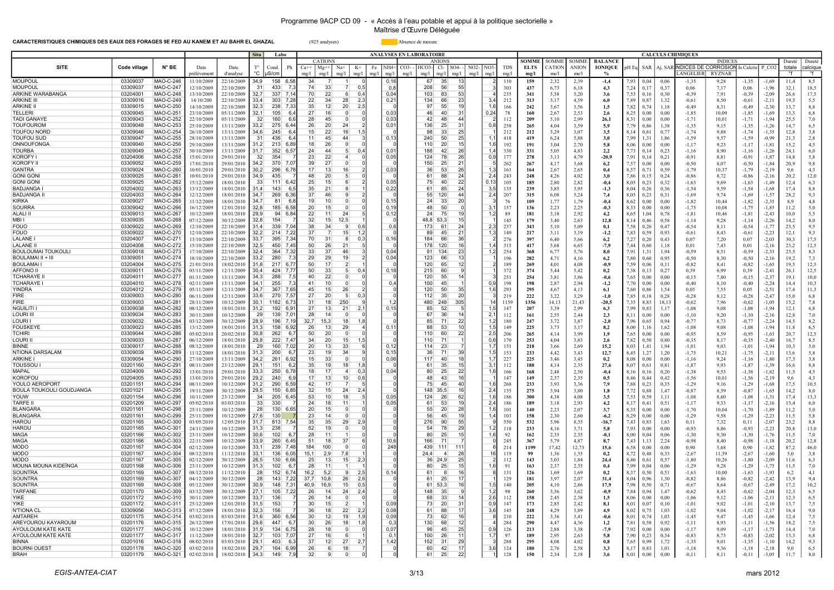|                           |              |                               |            |            | Situ     | Labo                |                   |                       |      |                     |      | <b>ANALYSES EN LABORATOIRE</b>   |                          |             |               |              |                |              |            |         | <b>CALCULS CHIMIOUES</b> |                                      |          |          |              |          |
|---------------------------|--------------|-------------------------------|------------|------------|----------|---------------------|-------------------|-----------------------|------|---------------------|------|----------------------------------|--------------------------|-------------|---------------|--------------|----------------|--------------|------------|---------|--------------------------|--------------------------------------|----------|----------|--------------|----------|
|                           |              |                               |            |            |          |                     | <b>CATIONS</b>    |                       |      |                     |      | <b>ANIONS</b>                    |                          | <b>OMME</b> | <b>SOMME</b>  | <b>SOMME</b> | <b>BALANCE</b> |              |            |         |                          | <b>INDICES</b>                       |          |          | Dureté       | Dureté   |
| <b>SITE</b>               | Code village | $N^{\circ}$ BE                | Date       | Date       |          | ${\rm Ph}$<br>Cond. | $Ca++$ $Mg++$ Na+ |                       | $K+$ | $Fe$ NH4+           |      | CO3-- HCO3- CI- SO4-- NO2- NO3-  | <b>TDS</b>               | <b>ELTS</b> | CATION        | <b>ANION</b> | <b>IONIQUE</b> | pH Eq        | <b>SAR</b> | Aj. SAF |                          | NDICES DE CORROSION Is Calcite P CO2 |          |          | totale       | calcique |
|                           |              |                               | rélèvemen  | d'analyse  | °C.      | µS/cm               | $m\sigma/l$       | $m\sigma/l$           |      | mg/                 | mg/l | mg/                              |                          | mg/l        | me/l          | me/          | $\frac{0}{2}$  |              |            |         | <b>ANGELIER</b>          | <b>RYZNAR</b>                        |          |          | $^{\circ}$ f |          |
| <b>MOUPOUL</b>            | 03309037     | <b>MAO-C-246</b>              | 11/10/2009 | 22/10/2009 | 34,9     | 158<br>6,58         | 34                | $\overline{7}$        |      | 0.16                |      | 67<br>35<br>13                   | 110                      | 159         | 2,32          | 2,39         | $-1,4$         | 7,93         | 0,04       | 0,06    | $-1.35$                  | 9.28                                 | $-1,35$  | $-1.69$  | 11,4         | 8,5      |
| MOUPOUI                   | 03309037     | <b>MAO-C-247</b>              | 12/10/2009 | 22/10/2009 | 31       | 433<br>7:           | 74                | 33<br>$\overline{7}$  | 0,5  | 0.8                 |      | 208<br>56<br>55                  | 303                      | 437         | 6,73          | 6.18         | 4,3            | 7,24         | 0,17       | 0,37    |                          | 7,17                                 | 0,06     | $-1,96$  | 32.1         | 18,5     |
| ARKINE WARABANGA          | 03204001     | MAO-C-248                     | 13/10/2009 | 22/10/2009 | 32,7     | 337<br>7,14         | 70                | 6<br>22               | 0,4  | 0,04                |      | 53<br>103<br>83                  | 235                      | 341         | 5,58          | 5,20         | 3,6            | 7,53         | 0.16       | 0,30    | $-0.39$                  | 7,91                                 | $-0,39$  | $-2,09$  | 26,6         | 17,5     |
| ARKINE III                | 03309016     | <b>MAO-C-249</b>              | 14/10/200  | 22/10/2009 | 33,4     | 303 7,28            | 22                | 34<br>28              | 2.3  | 0,21                |      | 134<br>66<br>23                  | 212<br>3.                | 313         | 5,17          | 4,59         | 6.0            | 7,89         | 0,87       | 1,32    | $-0.61$                  | 8,50                                 | $-0.61$  | $-2.11$  | 19.5         | 5,5      |
| ARKINE II                 | 03309015     | MAO-C-250                     | 14/10/2009 | 22/10/2009 | 32,3     | 238 7,33            | 35                | 12<br>20              | 2,5  |                     |      | 97<br>55<br>19                   | 1.1<br>166               | 242         | 3,67          | 3,56         | 1,5            | 7,82         | 0,74       | 1,18    | $-0.49$                  | 8,31                                 | $-0.49$  | $-2,30$  | 13,7         | 8,8      |
| TELLERI                   | 03309045     | <b>MAO-C-251</b>              | 23/10/2009 | 05/11/2009 | 32,1     | 105<br>6,4          | 27                | 16<br>$\overline{0}$  |      | 0,03                |      | 40<br>31<br>46                   | 0,24<br>78               | 160         | 2,67          | 2,53         | 2.6            | 8,25         | 0,00       | 0,00    | $-1.85$                  | 10,09                                | $-1,85$  | $-1,69$  | 13.3         | 6,8      |
| TADI GANAYE               | 03309043     | <b>MAO-C-252</b>              | 22/10/2009 | 05/11/2009 | 32       | 6,<br>160           | 28                | 45<br>$\Omega$        |      |                     |      | 48<br>42<br>44                   |                          | 209         |               | 2,99         |                |              | 0.00       | 0,00    |                          |                                      |          |          | 25.5         |          |
| TOUFOUROM                 | 03309048     | MAO-C-253                     | 25/10/2009 | 13/11/2009 |          |                     | 26                | 20                    |      | 0,03                |      | 136<br>25<br>31                  | 112                      | 265         | 5,10<br>4 0 4 | 3,59         | 26,1<br>5.9    | 8,31<br>7,79 |            |         | $-1,71$                  | 10,01                                | $-1,71$  | $-1,94$  | 147          | 7,0      |
|                           |              |                               |            |            | 33.2     | 275 6,44            |                   | 24                    |      | 0,01                |      | 98                               | 0,8<br>258               |             |               |              | 3.5            |              | 0.86       | 1,38    | $-1.35$                  | 9,15                                 | $-1,35$  | $-1.26$  |              | 6,5      |
| Toufou Nord               | 03309046     | <b>MAO-C-254</b>              | 26/10/2009 | 13/11/2009 | 34,6     | 245<br>6,4          | 15                | 22<br>16              | 1,5  |                     |      | 33                               | 212                      | 212         | 3,29          | 3,07         |                | 8,14         | 0,61       | 0,77    | $-1,74$                  | 9,88                                 | $-1,74$  | $-1,35$  | 12,8         | 3,8      |
| TOUFOU SUD                | 03309047     | <b>MAO-C-255</b>              | 28/10/2009 | 13/11/2009 | 31       | 436<br>6,4          | 11                | 45<br>44              |      | 0, 13               |      | 240<br>50<br>25                  | 418<br>-1.               | 419         | 6,24          | 5,88         | 3,0            | 7,99         | 1,31       | 1,86    | $-1,59$                  | 9,57                                 | $-1,59$  | $-0.99$  | 21,3         | 2,8      |
| ONNOUFONG/                | 03309040     | MAO-C-256                     | 29/10/2009 | 13/11/2009 | 31,2     | 213<br>6,89         | 18                | 26<br>$\Omega$        |      |                     |      | 110<br>15<br>-20                 | 192<br>1,6               | 191         | 3,04          | 2,70         | 5.8            | 8,06         | 0.00       | 0.00    | $-1,17$                  | 9,23                                 | $-1,17$  | $-1, 81$ | 15,2         | 4,5      |
| TOURBA                    | 03309049     | <b>MAO-C-257</b>              | 30/10/2009 | 13/11/2009 | 31.7     | 352 6,57            | 24                | 44<br>5 <sub>5</sub>  | 0,4  | 0.01                |      | 188<br>42<br>26                  | 330<br>1.                | 331         | 5,05          | 4.83         | 2.2            | 7,73         | 014        | 0.23    | $-1.16$                  | 8,90                                 | $-1,16$  | $-1,26$  | 24 1         | 6,0      |
| <b>KOROFY</b>             | 03204006     | <b>MAO-C-258</b>              | 15/01/2010 | 29/01/2010 | 32       | 354                 | 23                | 22<br>$\overline{4}$  |      | 0,05                |      | 124<br>78<br>26                  | 0,9<br>177               | 278         | 3,13          | 4,79         | $-20.9$        | 7,91         | 0,14       | 0,21    | $-0.91$                  | 8,81                                 | $-0.91$  | $-1,87$  | 14,8         | 5,8      |
| KOROFY II                 | 03309052     | MAO-C-259                     | 17/01/2010 | 29/01/2010 | 34,2     | 370 7,07            | 39                | 27<br>$\Omega$        |      |                     |      | 150<br>25<br>21                  | 262                      | 267         | 4,17          | 3,68         | 6.2            | 7,57         | 0,00       | 0,00    | $-0,50$                  | 8,07                                 | $-0,50$  | $-1,84$  | 20,9         | 9,8      |
| GANTRA                    | 03309024     | MAO-C-260                     | 10/01/2010 | 29/01/2010 | 30,2     | 296 6,78            | 17                | 13<br>16              |      | 0,03                |      | 36<br>53<br>26                   | 1,<br>161                | 164         | 2,67          | 2,65         | 0.4            | 8,57         | 0,71       | 0.59    | $-1.79$                  | 10,37                                | $-1,79$  | $-2,19$  | 9.6          | 4,3      |
| <b>GONI GONI</b>          | 03309025     | <b>MAO-C-261</b>              | 10/01/2010 | 29/01/2010 | 34.9     | 435                 | 48                | 20<br>-5              |      |                     |      | 61<br>88<br>24                   | 2,4<br>243               | 248         | 4.26          | 4.02         | 3.0            | 7.86         | 0.15       | 0.24    | $-0.86$                  | 8,72                                 | $-0.86$  | $-2,16$  | 20.2         | 12,0     |
| GONI GON                  | 03309025     | MAO-C-262                     | 15/12/2009 | 18/01/2010 | 33       | 111<br>6,42         | 25                | 15                    |      | 0,05                |      | 75<br>22<br>40                   | 0, 1<br>105              | 185         | 2,80          | 2,82         | $-0.4$         | 8,05         | 0,23       | 0,32    | $-1,63$                  | 9,69                                 | $-1,63$  | $-1,49$  | 12,4         | 6,3      |
| BADJANGA                  | 03204002     | MAO-C-263                     | 13/12/2009 | 18/01/2010 | 31,4     | 143<br>6.           | 35                | 21<br>8               |      | 0,22                |      | 24<br>61<br>85                   | 3,5<br>135               | 239         | 3,85          | 3,95         | $-1,3$         | 8,04         | 0,26       | 0,36    | $-1,54$                  | 9,59                                 | $-1,54$  | $-1,68$  | 17,4         | 8,8      |
| <b>BADJANGA II</b>        | 03204003     | <b>MAO-C-264</b>              | 12/12/2009 | 18/01/2010 | 34.7     | 269<br>6.36         | 37                | 46<br>9               |      |                     |      | 55<br>120<br>44                  | 2,4<br>207               | 315         | 6,08          | 5,24         | 7.4            | 8,05         | 0.23       | 0.31    | $-1.69$                  | 9,74                                 | $-1,69$  | $-1,57$  | 28.2         | 9,3      |
| KIRKA                     | 03309027     | MAO-C-265                     | 11/12/2009 | 18/01/2010 | 34,7     | 81<br>6,8           | 19                | 10<br>$\Omega$        |      | 0, 15               |      | 24<br>33<br>20                   | 76                       | 109         | 1.77          | 1.79         | $-0.4$         | 8,62         | 0.00       | 0.00    | $-182$                   | 1044                                 | $-1,82$  | $-2,35$  | 89           | 4,8      |
| SOURRA                    | 03309042     | <b>MAO-C-266</b>              | 16/12/2009 | 12/01/2010 | 32,8     | 185 6,58            | 20                | 15<br>$\overline{0}$  |      | 0, 19               |      | 48<br>50                         | 3,<br>157                | 136         | 2,23          | 2,25         | $-0.3$         | 8,33         | 0.00       | 0.00    | $-1,75$                  | 10,08                                | $-1,75$  | $-1,85$  | 112          | 5,0      |
| ALALI II                  | 03309013     | <b>MAO-C-267</b>              | 10/12/2009 | 18/01/2010 | 29,9     | 94 6,84             | 22                | 11<br>24              |      | 0,12                |      | 24<br>75                         | 1,2<br>89                | 181         | 3,18          | 2,92         | 4.2            | 8,65         | 1,04       | 0,78    | $-1, 81$                 | 10,46                                | $-1, 81$ | $-2,43$  | 100          | 5,5      |
| MBI I                     | 03309035     | MAO-C-268                     | 07/12/2009 | 30/12/2009 | 32.8     | 154                 | 32                | 15<br>12.5            |      |                     |      | 48.8 53.3                        | 145                      | 179         | 3,40          | 2,63         | 12.8           | 8,14         | 0.46       | 0.58    | $-1.14$                  | 9,28                                 | $-1,14$  | $-2,26$  | 142          | 8,0      |
| <b>FOUO</b>               | 03309022     | MAO-C-269                     | 12/10/2009 | 22/10/2009 | 31,4     | 339 7,04            | 38                | 34<br>-9              | 0.6  | 0,6                 |      | 173<br>61<br>24                  | 2,3<br>237               | 343         | 5.10          | 5.09         | 0.1            | 7.58         | 0.26       | 0.47    | $-0.54$                  | 8 1 1                                | $-0.54$  | $-1,77$  | 23.5         | 9,5      |
| <b>FOUO</b>               | 03309022     | <b>MAO-C-270</b>              | 12/10/2009 | 22/10/2009 | 32,2     | 214 7,22            | 37                | $\overline{7}$<br>15  | 1.2  |                     |      | 89<br>45<br>21                   | 1.3<br>149               | 217         | 3,11          | 3,19         | $-1,2$         | 7,83         | 0,59       | 0,93    | $-0.61$                  | 8,43                                 | $-0.61$  | $-2,23$  | 12,1         | 9,3      |
| LALANE                    | 03204007     | MAO-C-271                     | 13/10/2009 | 22/10/2009 | 33.7     | 395 7,34            | 70                | 31<br>8               | 0,3  | 0, 16               |      | 184<br>66<br>36                  | 276                      | 397         | 6,40          |              | 6.2            | 7,27         | 0,20       | 0.43    | 0.07                     | 7,20                                 | 0,07     | $-2,03$  | 303          | 17,5     |
| LALANE II                 | 03204008     | MAO-C-272                     | 15/10/2009 | 22/10/2009 | 32.5     | 450 7.45            | 50                | 26<br>21              |      |                     |      | 178<br>120                       | 1.4<br>315               | 417         | 5,68          | 5,66<br>6,65 | $-7.9$         | 7,44         | 0.60       | 1 18    | 0.01                     | 7,43                                 | 0.01     | $-2,16$  | 232          | 12,5     |
| <b>BOULOUMAI TOUKOULI</b> |              |                               |            |            |          |                     |                   | 46                    |      |                     |      | 91<br>134<br>23                  |                          | 368         |               |              | 8.0            |              | 131        | 194     | $-0.59$                  |                                      |          |          | 23.5         |          |
|                           | 03309018     | MAO-C-273                     | 17/10/2009 | 22/10/2009 | 32,4     | 364 7,32            | 33                | 37                    |      | 0,04                |      |                                  | 254<br>1,2               |             | 6,77          | 5,76         |                | 7,91         |            |         |                          | 8,51                                 | $-0,59$  | $-2,33$  |              | 8,3      |
| BOULAMAI II + III         | 03309051     | <b>MAO-C-274</b>              | 18/10/2009 | 22/10/2009 | 33,2     | 280<br>- 7,3        | 29                | 29<br>19              |      | 0,04                |      | 123<br>66<br>13                  | 196                      | 282         | 4,71          | 4,16         | 6,2            | 7,80         | 0,60       | 0.95    | $-0,50$                  | 8,30                                 | $-0,50$  | $-2,16$  | 19,2         | 7,3      |
| BOULAMAI                  | 03204004     | <b>MAO-C-275</b>              | 21/01/2010 | 18/02/2010 | 31.8     | 217 6,77            | 50                | 17<br>$\overline{2}$  |      |                     |      | 120<br>65<br>12                  | 189                      | 269         | 4,01          | 4.08         | $-0.9$         | 7,59         | 0.06       | 011     | $-0,82$                  | 8,41                                 | $-0,82$  | $-1,65$  | 19.5         | 12,5     |
| AFFONO II                 | 03309011     | MAO-C-276                     | 03/11/2009 | 12/11/2009 | 30,4     | 424 7.77            | 50                | 33<br>5 <sup>1</sup>  | 0,4  | 0, 18               |      | 215<br>60                        | 372                      | 374         | 5,44          | 5,42         | 0,2            | 7,38         | 0, 13      | 0,27    | 0.39                     | 6,99                                 | 0,39     | $-2,41$  | 261          | 12,5     |
| TCHARAYE I                | 03204011     | <b>MAO-C-277</b>              | 01/11/2009 | 13/11/2009 | 34,3     | 288<br>7,           | 40                | 22<br>$\Omega$        |      |                     |      | 120<br>55                        | 251                      | 254         | 3,81          | 3,86         | $-0.6$         | 7,65         | 0.00       | 0.00    | $-0.15$                  | 7,80                                 | $-0,15$  | $-2,37$  | 191          | 10,0     |
| TCHARAYE I                | 03204010     | MAO-C-278                     | 02/11/2009 | 13/11/2009 | 34,1     | 255<br>7,           | 41                | 10<br>$\Omega$        |      | 0,4                 |      | 100<br>45                        | 0,<br>198                | 198         | 2,87          | 2,94         | $-1,2$         | 7,70         | 0,00       | 0,00    | $-0,40$                  | 8,10                                 | $-0,40$  | $-2,24$  | 14,4         | 10,3     |
| YINDRA                    | 03204012     | MAO-C-279                     | 05/11/2009 | 12/11/2009 | 34,7     | 367<br>7,65         | 45                | 15<br>26              |      |                     |      | 35<br>120<br>50                  | 1.1<br>293               | 295         | 4,67          | 4,13         | 6,1            | 7,60         | 0.86       | 1,54    | 0.05                     | 7,55                                 | 0,05     | $-2,51$  | 174          | 11,3     |
| FIRE                      | 03309003     | MAO-C-280                     | 06/11/2009 | 12/11/2009 | 33,6     | 270 7.57            | 27                | 20<br>5 <sup>5</sup>  | 0,3  |                     |      | 112<br>35<br>20                  | 219                      | 222         | 3,22          | 3,29         | $-1.0$         | 7,85         | 0,18       | 0,28    | $-0.28$                  | 8,12                                 | $-0.28$  | $-2,47$  | 150          | 6,8      |
| FIRE                      | 03309003     | MAO-C-281                     | 28/11/2009 | 10/12/2009 | 30,1     | 1182 6.7            | 31                | 18<br>250             |      | 1,2                 |      | 480 248<br>305                   | 1159                     | 1356        | 14,13         | 21,43        | $-20,5$        | 7,35         | 8,83       | 18,13   | $-0.62$                  | 7,96                                 | $-0,62$  | $-1,05$  | 15.2         | 7,8      |
| nguiliti i                | 03309038     | MAO-C-282                     | 08/12/2009 | 18/01/2010 | 31,2     | 192   6,9           | 27                | 21<br>13              | 2,1  | 0, 15               |      | 85<br>52                         | 1,5<br>147               | 207         | 3,39          | 2,99         | 6.3            | 7,99         | 0,83       | 1,17    | $-1,08$                  | 9,08                                 | $-1,08$  | $-1,94$  | 12,1         | 6,8      |
| I OURLIII                 | 03309034     | MAO-C-283                     | 30/11/2009 | 10/12/2009 | 29       | 139 7,01            | 28                | 14<br>$\overline{0}$  |      |                     |      | 36<br>67<br>14                   | 2,<br>112                | 161         | 2,55          | 2,44         | 2.3            | 8,11         | 0.00       | 0.00    | $-1,10$                  | 9,20                                 | $-1,10$  | $-2,16$  | 12.8         | 7,0      |
| LOURI I                   | 03309032     | <b>MAO-C-284</b>              | 03/12/2009 | 30/12/2009 | 28,9     | 196 7,19            | 32,7<br>15,3      | 18                    | 1.8  |                     |      | 85<br>71<br>22                   | 1,2<br>180               | 247         | 3,72          | 3,87         | $-2,0$         | 7,96         | 0,65       | 0,94    | $-0.77$                  | 8,73                                 | $-0.77$  | $-2,24$  | 14,5         | 8,2      |
| <b>FOUSKEYE</b>           | 03309023     | MAO-C-285                     | 13/12/2009 | 18/01/2010 | 31,3     | 158<br>6,9;         | 26                | 13<br>29              |      | 0,11                |      | 88<br>53                         | 149<br>1,                | 225         | 3,73          | 3,17         | 8.2            | 8,00         | 1.16       | 1,62    | $-1.08$                  | 9,08                                 | $-1.08$  | $-1,94$  | 11.8         | 6,5      |
| <b>TCHIRI</b>             | 03309044     | MAO-C-286                     | 05/02/2010 | 20/02/2010 | 30,8     | 262<br>6,7          | 50                | 20<br>$\Omega$        |      |                     |      | 110<br>60<br>22                  | 2,5<br>206               | 265         | 4,14          | 3,99         | 1,9            | 7,65         | 0,00       | 0.00    | $-0,95$                  | 8,59                                 | $-0,95$  | $-1,63$  | 20,7         | 12,5     |
| Louri II                  | 03309033     | <b>MAO-C-287</b>              | 06/12/2009 | 18/01/2010 | 29,8     | 222<br>7,47         | 34                | 20 <sup>2</sup><br>15 | 1,5  |                     |      | 110<br>71                        | 0,6<br>170               | 253         | 4,04          | 3,83         | 2.6            | 7,82         | 0,50       | 0.80    | $-0.35$                  | 8,17                                 | $-0,35$  | $-2,40$  | 16.7         | 8,5      |
| <b>BINNE</b>              | 03309017     | MAO-C-288                     | 08/12/2009 | 18/01/2010 | 29       | 160 7,02            | 20                | 13<br>33              |      | 0, 12               |      | 114<br>23                        | 151<br>1.7               | 218         | 3,66          | 2,69         | 15,2           | 8,03         | 1,41       | 1,94    | $-1.01$                  | 9,03                                 | $-1,01$  | $-1,94$  | 10.3         | 5,0      |
| NTIONA DARSALAM           | 03309039     | MAO-C-289                     | 11/12/2009 | 18/01/2010 | 31,3     | 200<br>6,           | 23                | 19<br>34              |      | 0, 15               |      | 36<br>71<br>39                   | 1,5<br>153               | 233         | 4,42          | 3.43         | 12,7           | 8,45         | 1,27       | 1,20    | $-1,75$                  | 10,21                                | $-1,75$  | $-2,11$  | 13.6         | 5,8      |
| ARKINF                    | 03309054     | MAO-C-290                     | 27/10/2009 | 13/11/2009 | 34,2     | 261 6,92            | 15                | 33<br>$\Omega$        |      | 0,06                |      | 117<br>18<br>40                  | 1,7<br>227               | 225         | 3,46          | 3,45         | 0.2            | 8,08         | 0.00       | 0.00    | $-1,16$                  | 9,24                                 | $-1,16$  | $-1,80$  | 17.3         | 3,8      |
| TOUSSOU                   | 03201160     | MAO-C-291                     | 08/11/2009 | 23/12/2009 | 29,1     | 151<br>6.2          | 35                | 19<br>18              | 1.8  |                     |      | 61<br>35<br>15                   | 3.7<br>112               | 188         | 4,14          | 2,35         | 27,6           | 8,07         | 0.61       | 0,81    | $-1.87$                  | 9,93                                 | $-1,87$  | $-1,39$  | 16.6         | 8,8      |
| MAPAL                     | 03204009     | MAO-C-292                     | 13/01/2010 | 29/01/2010 | 33,3     | 250 6,78            | 18                | 17<br>$\vert$ 4       | 0,3  | 0,04                |      | 80<br>22<br>25                   | 1,6<br>166               | 168         | 2,48          | 2,50         | $-0,4$         | 8,16         | 0.16       | 0,20    | $-1,38$                  | 9,53                                 | $-1,38$  | $-1,82$  | 11,5         | 4,5      |
| KOROFOU                   | 03204005     | MAO-C-293                     | 13/01/2010 | 29/01/2010 | 29,2     | $240 \quad 6,9$     | 17                | 13<br>10              | 0,6  |                     |      | 48<br>43                         | 147                      | 149         | 2,37          | 2,35         | 0.5            | 8,46         | 0.44       | 0,42    | $-1.56$                  | 10,01                                | $-1,56$  | $-2,19$  | 9.6          | 4,3      |
| YOULO AEROPORT            | 03201151     | <b>MAO-C-294</b>              |            |            | 31.2     | 290 6,59            | 42                | 17<br>$\overline{7}$  |      |                     |      | 75<br>40<br>45                   | 1.1                      |             |               |              |                |              |            |         |                          |                                      |          |          |              |          |
| BOULA TOUKOULI GOUDJANGA  | 03201021     | <b>MAO-C-295</b>              | 08/11/2009 | 10/12/2009 | 29,5     | 150 6,85            | 32                | 15<br>24              | 2,4  |                     |      | 148 35,5                         | 268                      | 233         | 3,93          | 3,36         | 7,9            | 7,88<br>7,72 | 0.23       | 0.35    | $-1,29$                  | 9,16                                 | $-1,29$  | $-1,68$  | 17.5         | 10,5     |
|                           | 03201154     |                               | 19/11/2009 | 30/12/2009 |          |                     | 53                | 10<br>18              |      | 0,05                |      | 62                               | 2,4<br>135               | 275         | 3,94          | 3,80         | 1.8            |              | 0.88       | 1,47    | $-0.87$                  | 8,59                                 | $-0,87$  | $-1,65$  | 142          | 8.0      |
| Youw                      |              | MAO-C-296                     | 10/11/2009 | 23/12/2009 | 34       | 205 6,45            |                   |                       |      |                     |      | 124<br>-26                       | 1,6<br>186               | 300         | 4,38          | 4,08         | 3,5            | 7,53         | 0,59       | 1,11    | $-1,08$                  | 8,60                                 | $-1,08$  | $-1,31$  | 174          | 13,3     |
| TARFE II                  | 03201209     | MAO-C-297<br><b>MAO-C-298</b> | 05/02/2010 | 03/03/2010 | 33<br>28 | 330<br>130 6,65     | 24<br>20          | 18<br>11              |      | 0,05                |      | 53<br>61<br>19<br>55<br>20<br>28 | 2,4<br>186<br>1,6<br>101 | 189         | 3,18<br>2,23  | 2,93         | 4.2            | 8,17         | 0.41       | 0,51    | $-1.17$                  | 9,33                                 | $-1,17$  | $-2.16$  | 13.4         | 6,0      |
| BLANGARA                  | 03201161     |                               | 25/11/2009 | 10/12/2009 |          |                     |                   | 15<br>$\Omega$        |      |                     |      | 56<br>45                         |                          | 140         |               | 2,07         | 3.7            | 8.35         | 0.00       | 0,00    | $-1,70$                  | 10.04                                | $-1,70$  | $-1,89$  | 11.2         | 5,0      |
| <b>BLANGARA</b>           | 03201161     | MAO-C-299                     | 25/11/2009 | 10/12/2009 | 27,6     | 130                 | 23                | 14<br>$^{\circ}$      |      |                     |      |                                  | 1,4<br>103               | 158         | 2,30          | 2,60         | $-6,2$         | 8,29         | 0,00       | 0,00    | $-1,29$                  | 9,58                                 | $-1,29$  | $-2,23$  | 11,5         | 5,8      |
| HAROU                     | 03201165     | MAO-C-300                     | 03/05/2010 | 12/05/2010 | 31,7     | 813 7,54            | 35                | 35<br>29              | 2,9  |                     |      | 276<br>55<br>90                  | 550                      | 532         | 5,96          | 8,35         | $-16,7$        | 7,43         | 0,83       | 1,63    | 0.11                     | 7,32                                 | 0,11     | $-2,07$  | 23.2         | 8,8      |
| HAROU                     | 03201165     | MAO-C-301                     | 24/11/2009 | 10/12/2009 | 31.3     | 238                 | 52                | 19<br>$\Omega$        |      |                     |      | 54<br>78<br>-29                  | 1,2<br>118               | 233         | 4,16          | 3,71         | 5,8            | 7,93         | 0.00       | 0.00    | $-0.93$                  | 8,86                                 | $-0,93$  | $-2,23$  | 20.8         | 13,0     |
| MAGA                      | 03201166     | MAO-C-302                     | 23/11/2009 | 10/12/2009 | 30,6     | 102<br>6.           | 28                | 11                    |      |                     |      | 80<br>25                         | 1.1<br>92                | 162         | 2,35          | 2,35         | $-0.1$         | 8,00         | 0,04       | 0.06    | $-1.30$                  | 9,30                                 | $-1,30$  | $-1,76$  | 11,5         | 7,0      |
| MAGA                      | 03201166     | MAO-C-303                     | 22/11/2009 | 10/12/2009 | 33,9     | 260 6,45            | 51                | 18<br>37              |      | 10,6                |      | 166<br>71                        | 245                      | 367         | 5,79          | 4,87         | 8,7            | 7,43         | 1,13       | 2,24    | $-0.98$                  | 8,40                                 | $-0.98$  | $-1,18$  | 20,2         | 12,8     |
| MODO                      | 03201167     | MAO-C-304                     | 02/12/2009 | 10/12/2009 | 33.1     | 239 7,48            | 184               | 100<br>$^{\circ}$     |      | 248                 |      | 439<br>111<br>111                | 214                      | 1199        | 17,42         | 12,73        | 15,6           | 6,58         | 0,00       | 0,00    | 0.90                     | 5,68                                 | 0,90     | $-1,82$  | 87,2         | 46,0     |
| MODO                      | 03201167     | MAO-C-304                     | 08/12/2010 | 11/12/2010 | 33,1     | 136 6,05            | 15,1              | 2.9<br>7,8            |      |                     |      | 24.4<br>$\sim$ 4<br>-28          | 119                      | 99          | 1.36          | 1,35         | 0.2            | 8,72         | 0.48       | 0,33    | $-2,67$                  | 11,39                                | $-2,67$  | $-1,60$  | 5,0          | 3,8      |
| MODO                      | 03201167     | MAO-C-305                     | 02/12/2009 | 30/12/2009 | 26.5     | 130 6,66            | 25                | 13<br>15              | 2.3  |                     |      | 36 24.9<br>25                    | 112                      | 143         | 3,03          | 1,84         | 24.4           | 8,46         | 0,61       | 0,57    | $-1.80$                  | 10,26                                | $-1,80$  | $-2,09$  | 11.6         | 6,3      |
| MOUNA MOUNA KIDEÏNGA      | 03201168     | MAO-C-306                     | 23/11/2009 | 10/12/2009 | 31,3     | 102<br>6.           | 28                | 11                    |      |                     |      | 80<br>25                         | 91<br>1.1                | 163         | 2,37          | 2,35         | 0.4            | 7,99         | 0,04       | 0,06    | $-1,29$                  | 9,28                                 | $-1,29$  | $-1,75$  | 11,5         | 7,0      |
| SOUNTRA                   | 03201169     | MAO-C-307                     | 08/12/2010 | 11/12/2010 | 28       | 152<br>6,74         | 16,2              | 5,2<br>9              | 2,5  | 0, 14               |      | 61                               | 131                      | 126         | 1,69          | 1,69         | 0.2            | 8,37         | 0,50       | 0,51    | $-1.63$                  | 10,00                                | $-1,63$  | $-1,93$  | 6.2          | 4,1      |
| SOUNTRA                   | 03201169     | MAO-C-307                     | 04/12/2009 | 30/12/2009 | 28       | 143 7,22            | 37,7<br>10.8      | 26                    | 2,6  |                     |      | 61<br>25                         | 129                      | 181         | 3,97          | 2,07         | 31.4           | 8,04         | 0.96       | 1,30    | $-0.82$                  | 8.86                                 | $-0,82$  | $-2,42$  | 13.9         | 9,4      |
| SOUNTRA                   | 03201169     | MAO-C-308                     | 05/12/2009 | 30/12/2009 | 30,9     | 148 7,31            | 40.9<br>16.9      | 15                    | 0,5  |                     |      | 61<br>53.3                       | $-1.5$<br>140            | 205         | 4 1 0         | 2.86         | 17.9           | 7,98         | 0.50       | 0.71    | $-0.67$                  | 8,64                                 | $-0.67$  | $-2,49$  | 172          | 10,2     |
| TARFANE                   | 03201170     | MAO-C-309                     | 03/12/2009 | 30/12/2009 | 27,1     | 105 7,22            | 26                | 14<br>24              | 2,4  |                     |      | 148<br>35                        | 98                       | 260         | 3.56          | 3,62         | $-0.9$         | 7,84         | 0,94       | 1,47    | $-0.62$                  | 8,45                                 | $-0.62$  | $-2,04$  | 12,3         | 6,5      |
| YIKE                      | 03201172     | MAO-C-310                     | 30/11/2009 | 10/12/2009 | 33,7     | 136                 | 26                | 14<br>$\overline{0}$  |      |                     |      | 68<br>33<br>14                   | 2,6<br>112               | 158         | 2,45          | 2,38         | 1,5            | 8,06         | 0,00       | 0,00    | $-1.06$                  | 9,12                                 | $-1,06$  | $-2,11$  | 12,3         | 6,5      |
| YIKF                      | 03201172     | MAO-C-311                     | 25/12/2009 | 12/01/2010 | 31,5     | 153                 | 30 <sup>°</sup>   | 15<br>$\overline{2}$  |      | 0.09                |      | 73<br>- 20<br>-31                | 0,9<br>147               | 173         | 2,85          | 2,42         | 8.1            | 8,01         | 0.07       | 0,10    | $-1.01$                  | 9.02                                 | $-1,01$  | $-2.10$  | 13.7         | 7,5      |
| N'TIONA CI                | 03309056     | MAO-C-313                     | 07/12/2009 | 18/01/2010 | 32,3     | 156                 | 36                | 18<br>22              | 2,2  | 0.08                |      | 88<br>61<br>17                   | 3,6<br>145               | 248         | 4,29          | 3,89         | 4.9            | 8,02         | 0.75       | 1.03    | $-1.02$                  | 9.04                                 | $-1,02$  | $-2,17$  | 164          | 9,0      |
| AMTAREH                   | 03201175     | MAO-C-314                     | 03/02/2010 | 03/03/2010 | 31,6     | 360<br>6,56         | 30 <sup>°</sup>   | 12<br>19              | 1.9  | 0.09                |      | 73<br>62                         | 210                      | 222         | 3.36          | 3,41         | $-0.6$         | 8,01         | 0,74       | 1,03    | $-1,45$                  | 9,47                                 | $-1,45$  | $-1,66$  | 12,4         | 7,5      |
| AREYOUROU KAYAROUM        | 03201176     | MAO-C-315                     | 26/12/2009 | 17/01/2010 | 29,6     | 447<br>- 6.         | 30                | 18<br>26              | 1.8  | -0.3                |      | 130<br>68                        | 284                      | 290         | 4,47          | 4,36         | 1,2            | 7,81         | 0,58       | 0,92    | $-1.11$                  | 8,93                                 |          |          | 18.2         |          |
| AYOULOUM KATE KATE        | 03201177     | MAO-C-316                     |            |            | 31.9     | 134 6,75            | 28                | 18<br>$\Omega$        |      | 0,07                |      | 96<br>45<br>25                   | 0                        |             |               |              |                |              |            | 0.00    |                          |                                      | $-1, 11$ | $-1,56$  |              | 7,5      |
|                           |              |                               | 10/12/2009 | 18/01/2010 |          |                     |                   |                       |      |                     |      |                                  | 126                      | 213         | 2,88          | 3,38         | $-7,9$         | 7,92         | 0.00       |         | $-1,17$                  | 9,09                                 | $-1,17$  | $-1,73$  | 14.4         | 7,0      |
| AYOULOUM KATE KATE        | 03201177     | MAO-C-317                     | 11/12/2009 | 18/01/2010 | 32,7     | 103 7,07            | 27                | 16<br>6               |      | 0,1                 |      | 100<br>26                        | 1,7<br>97                | 189         | 2.95          | 2,63         | 5.8            | 7,90         | 0.23       | 0.34    | $-0.83$                  | 8,73                                 | $-0.83$  | $-2,02$  | 133          | 6,8      |
| BINNA                     | 03201016     | MAO-C-318                     | 08/02/2010 | 03/03/2010 | 29.1     | 403<br>6,3          | 37                | 12<br>27              | 2,7  | $1,42$ <sub>0</sub> |      | 152<br>31<br>29                  | 288                      | 295         | 4,08          | 4,02         | 0.8            | 7,65         | 0,99       | 1,72    | $-1,35$                  | 9,01                                 | $-1,35$  | $-1,10$  | 14,2         | 9,3      |
| <b>BOURNI OUEST</b>       | 03201178     | <b>MAO-C-320</b>              | 03/02/2010 | 18/02/2010 | 29,7     | 164 6,99            | 26                | 6<br>18               |      |                     |      | 60<br>42<br>17                   | 3,6<br>124               | 180         | 2,76          | 2,58         | 3,3            | 8,17         | 0,83       | 1,01    | $-1,18$                  | 9,36                                 | $-1,18$  | $-2,18$  | 9,0          | 6,5      |
| <b>BRAH</b>               | 03201179     | MAO-C-321                     | 02/02/2010 | 18/02/2010 | 34,3     | 149 7,9             | 32                | 9<br>$\Omega$         |      |                     |      | 61<br>25<br>22                   | 128                      | 150         | 2.34          | 2.18         | 3.6            | 8.01         | 0.00       | 0.00    | $-0.11$                  | 8.11                                 | $-0.11$  | $-3.05$  | 11.7         | 8.0      |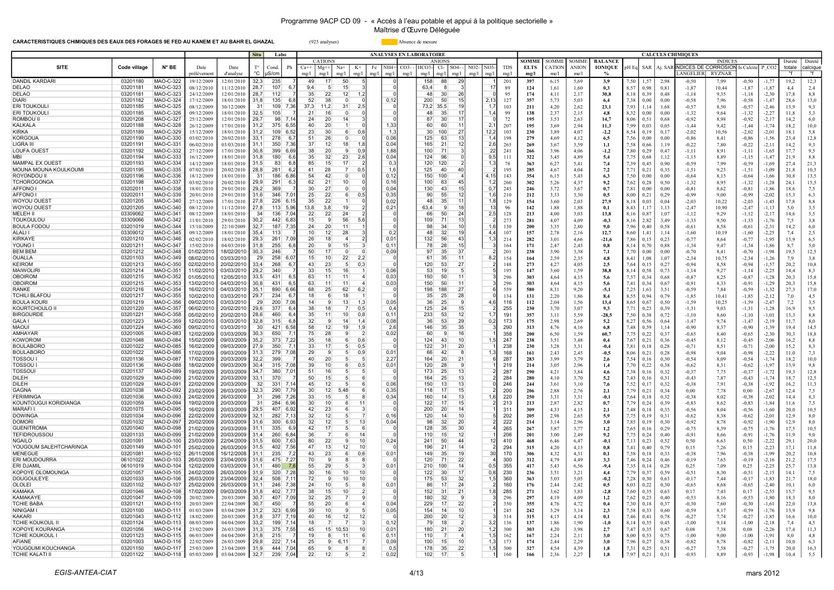|                                |                      |                               |                          |                              | Situ         | Labo                        |                       |                      |                                   |                     |               |      | <b>ANALYSES EN LABORATOIRE</b>                  |                           |             |                    |              |                |              |               |              | <b>CALCULS CHIMIQUES</b>                      |                |                     |                    |                        |             |
|--------------------------------|----------------------|-------------------------------|--------------------------|------------------------------|--------------|-----------------------------|-----------------------|----------------------|-----------------------------------|---------------------|---------------|------|-------------------------------------------------|---------------------------|-------------|--------------------|--------------|----------------|--------------|---------------|--------------|-----------------------------------------------|----------------|---------------------|--------------------|------------------------|-------------|
|                                |                      |                               |                          |                              |              |                             |                       | <b>CATIONS</b>       |                                   |                     |               |      | ANIONS                                          |                           |             | <b>SOMME</b> SOMME | <b>SOMME</b> | <b>BALANCE</b> |              |               |              |                                               | <b>INDICES</b> |                     |                    | Dureté                 | Dureté      |
| <b>SITE</b>                    | Code village         | $N^{\circ}$ BE                | Date                     | Date                         |              | Cond.<br>Ph                 |                       | $Ca++$ $Mg++$ Na+    | $K+$                              |                     | $Fe$ NH4+     |      | CO3-- HCO3- Cl- SO4-- NO2- NO3-                 | <b>TDS</b>                | <b>ELTS</b> | CATION             | <b>ANION</b> | <b>IONIQUE</b> | pH Eq        | SAR           |              | Aj. SAR INDICES DE CORROSION Is Calcite P CO2 |                |                     |                    | totale<br>$^{\circ}$ f | calcique    |
|                                |                      |                               | rélèvemen                | d'analyse                    | $^{\circ}$ C | $\mu$ S/cm                  | me/l                  | me/l                 | me/l                              |                     | me/l          | me/l | mg/1<br>mg/l<br>me/l                            | me/                       | me/l        | me/l               | me/l         | $\frac{1}{2}$  |              |               |              | ANGELIER                                      | <b>RYZNAR</b>  |                     |                    |                        | $\circ$ f   |
| <b>DANDIL KARDARI</b><br>DELAO | 03201180<br>03201181 | MAO-C-322<br>MAO-C-323        | 19/12/2009<br>08/12/2010 | 12/01/2010<br>11/12/2010     | 32.3<br>28,7 | 235<br>107<br>6,7           | 49<br>9.4             | 17<br>5 <sup>5</sup> | 50<br>15                          |                     |               |      | 158<br>88<br>29<br>63,4                         | 201<br>89                 | 397<br>124  | 6.15<br>1.61       | 5.69<br>1.60 | 3,9<br>0.3     | 7,50<br>8,57 | 1,57<br>0,98  | 0.81         | -0.50<br>$-1,87$                              | 7 99<br>10,44  | $-0.50$<br>$-1,87$  | $-1,87$            | 19.2<br>4.4            | 12,3<br>2,4 |
| DELAO                          | 03201181             | MAO-C-323                     | 24/12/2009               | 12/01/2010                   | 28,7         | 112                         | 35                    | 22                   | 12<br>1,2                         |                     |               |      | 48<br>30<br>26                                  | 95                        | 174         | 4,11               | 2,17         | 30,8           | 8,18         | 0,39          | 0.48         | $-1.18$                                       | 9,35           | $-1,18$             | $-2,30$            | 17,8                   | 8,8         |
| DIARI                          | 03201182             | MAO-C-324                     | 17/12/2009               | 18/01/2010                   | 31.8         | 6.8<br>135                  | 52                    | 38                   | $\Omega$                          |                     | 0, 12         |      | 200<br>50                                       | 2,13<br>127               | 357         | 5,73               | 5,03         | 6.4            | 7,38         | 0,00          | 0.00         | $-0.58$                                       | 7,96           | $-0,58$             | $-1,47$            | 28.6                   | 13,0        |
| <b>FRI TOUKOUL</b>             | 03201185             | MAO-C-325                     | 08/12/2009               | 30/12/2009                   | 31           | 109 7,36                    | 37.3                  | 11.2                 | 31<br>2.5                         |                     |               |      | 73.2 35.5                                       | 1.7<br>103                | 211         | 4.20               | 2.62         | 23.1           | 7,93         | 1.14          | 1.68         | $-0.57$                                       | 8.50           | $-0.57$             | $-2.46$            | 139                    | 9.3         |
| <b>FRI TOUKOUL</b>             | 03201185             | MAO-C-326                     | 09/12/2009               | 18/01/2010                   | 32,5         | 105                         | 21                    | 16                   | $\Omega$                          |                     |               |      | 35<br>17                                        | 1,4<br>99                 | 138         | 2.37               | 2,15         | 4,8            | 8,32         | 0,00          | 0.00         | $-1,32$                                       | 9,64           | $-1,32$             | $-2,27$            | 11.8                   | 5,3         |
| Rombou II                      | 03201208             | MAO-C-327                     | 25/12/2009               | 12/01/2010                   | 29,7         | $98$ 7,1                    | 24                    | 20                   | 14                                |                     |               |      | 87<br>30<br>17                                  | 72                        | 195         | 3,53               | 2,63         | 14,7           | 8,06         | 0, 51         | 0.68         | $-0,92$                                       | 8,98           | $-0,92$             | $-2,17$            | 14,2                   | 6,0         |
| KALKALA                        | 03201188             | MAO-C-328                     | 26/12/2009               | 17/01/2010                   | 31,2         | 375 6,55                    | 40 <sup>1</sup>       | 20                   |                                   |                     | 1,33          |      | 60<br>11<br>60                                  | 2,1<br>207                | 195         | 3,69               | 2,94         | 11,3           | 7,99         | 0,03          | 0,05         | $-1,44$                                       | 9,42           | $-1,44$             | $-1,74$            | 18,2                   | 10,0        |
| KIRKA                          | 03201189<br>03201190 | MAO-C-329<br>MAO-C-330        | 15/12/2009<br>03/02/2010 | 18/01/2010                   | 31,2         | 109 6,52                    | 23<br>51              | 30 <sup>°</sup>      | $6 \mid$<br>0.6<br>$\Omega$       |                     | 0,06          |      | 30 <sup>1</sup><br>100<br>27<br>125<br>63<br>13 | 12,2<br>103<br>1.4<br>198 | 230<br>279  | 3,89<br>4.69       | 4,07<br>4,12 | $-2.2$<br>6.5  | 8,54<br>7,56 | 0,19<br>0,00  | 0,17<br>0.00 | $-2.02$<br>$-0.86$                            | 10,56          | $-2,02$             | $-2,01$<br>$-1,56$ | 181                    | 5,8<br>12,8 |
| KORGOUA<br>LIGRA III           | 03201191             | MAO-C-331                     | 06/02/2010               | 20/02/2010<br>03/03/2010     | 33,1<br>31,1 | 278<br>6,7<br>350<br>7.36   | 37                    | 26<br>12             | 18<br>1.8                         |                     | 0,04          |      | 165<br>21<br>12                                 | 2,6<br>265                | 269         | 3,67               | 3,59         | 1,1            | 7,58         | 0,66          | 1.19         | $-0,22$                                       | 8,41<br>7,80   | $-0, 86$<br>$-0,22$ | $-2,11$            | 23,4<br>14.2           | 9,3         |
| LOUFA OUES <sup>-</sup>        | 03201192             | MAO-C-332                     | 27/12/2009               | 17/01/2010                   | 30.8         | 399 6,69                    | 38                    | 20                   | 9<br>$\Omega$                     |                     | 1,88          |      | 100<br>71                                       | 22<br>241                 | 266         | 3,96               | 4,06         | $-1,2$         | 7,80         | 0,29          | 0.47         | $-1, 11$                                      | 8,91           | $-1, 11$            | $-1,65$            | 17.7                   | 9,5         |
| MRI                            | 03201194             | MAO-C-333                     | 16/12/2009               | 18/01/2010                   | 31,8         | 180<br>6,6                  | 35                    | 32                   | 23<br>2,6                         |                     | 0,04          |      | 124<br>96                                       | 9,5<br>111                | 322         | 5,45               | 4,89         | 5,4            | 7,75         | 0,68          | 1,12         | $-1.15$                                       | 8,89           | $-1,15$             | $-1,47$            | 21,9                   | 8,8         |
| <b>MAMPAL EX OUEST</b>         | 03201193             | MAO-C-334                     | 14/12/2009               | 18/01/2010                   | 31.5         | 83<br>6.                    | 85                    | 15                   | 17                                |                     | 0.3           |      | 120<br>120                                      | 1,3<br>78                 | 363         | 6,27               | 5,41         | 7,4            | 7,39         | 0,45          | 0.90         | $-0.59$                                       | 7,99           | $-0,59$             | $-1,69$            | 27.4                   | 21,3        |
| MOUNA MOUNA KOULKOUMI          | 03201195             | MAO-C-335                     | 07/02/2010               | 20/02/2010                   | 28,8         | 281<br>-6.2                 | 41                    | 28                   | 0.5<br>7                          |                     | 1,6           |      | 125<br>-40<br>40                                | 195                       | 285         | 4,67               | 4,04         | 7,2            | 7,71         | 0,21          | 0.35         | $-1, 51$                                      | 9,23           | $-1, 51$            | $-1,09$            | 21.8                   | 10,3        |
| Royondou                       | 03201196             | MAO-C-336                     | 18/12/2009               | 18/01/2010                   | - 31         | 186 6,86                    | 54                    | 42                   | $\overline{0}$                    |                     | 0,12          |      | 150<br>100                                      | 4,15<br>143               | 354         | 6,15               | 5,43         | 6.3            | 7,50         | 0,00          | 0,00         | $-0.64$                                       | 8,15           | $-0,64$             | $-1,66$            | 30.8                   | 13,5        |
| TCHOROGONG/<br>AFFONO I        | 03201198             | MAO-C-337<br>MAO-C-338        | 03/02/2010               | 20/02/2010                   | 29,9         | 291<br>6,3<br>369           | 62<br>30 <sup>°</sup> | 21<br>27             | 10<br>$\overline{0}$              |                     | 0, 16         |      | 100<br>63<br>45<br>130<br>-43<br>15             | 1.3<br>260<br>0,7         | 302         | 5.26               | 4,37         | 9,2            | 7,62         | 0,28          | 0,50         | $-1,32$                                       | 8,95           | $-1,32$             | $-1,28$            | 24,1                   | 15,5        |
| AFFONO I                       | 03202011<br>03202011 | MAO-C-339                     | 18/01/2010<br>20/01/2010 | 29/01/2010<br>29/01/2010     | 29,2<br>31.6 | 346 7,01                    | 25                    | 22                   | $6 \overline{}$<br>0.5            |                     | 0,04<br>0.35  |      | 12<br>90 <sub>1</sub><br>55                     | 245<br>1,6<br>210         | 246<br>212  | 3,72<br>3.33       | 3,67<br>3,30 | 0.7<br>0.5     | 7,81<br>8,00 | 0,00<br>0,21  | 0,00<br>0.29 | $-0.81$<br>$-0.99$                            | 8,62<br>9,00   | $-0.81$<br>$-0,99$  | $-1,86$<br>$-2,02$ | 18.6<br>15.3           | 7,5<br>6,3  |
| WOYOU OUEST                    | 03201205             | MAO-C-340                     | 27/12/2009               | 17/01/2010                   | 27,8         | 226 6.1                     | 35                    | 22                   |                                   |                     | 0,02          |      | 48<br>35<br>11                                  | 1,8<br>129                | 154         | 3.60               | 2,03         | 27,9           | 8,18         | 0,03          | 0.04         | $-2.03$                                       | 10,22          | $-2,03$             | $-1,45$            | 17.8                   | 8,8         |
| WOYOU OUEST                    | 03201205             | MAO-C-340                     | 08/12/2010               | 11/12/2010                   | 27,8         | 113 5,96                    | 13,8                  | 3,8                  | 19                                |                     | 0,21          |      | 63.4<br>18                                      | 96                        | 142         | 1,88               | 1,88         | 0.1            | 8,43         | 1,17          | 1 1 3        | $-2,47$                                       | 10,90          | $-2,47$             | $-1, 13$           | -5.0                   | 3,5         |
| MELEH II                       | 03309062             | MAO-C-341                     | 08/12/2009               | 18/01/2010                   | -34          | 136 7,04                    | 22                    | 22                   | 24                                |                     |               |      | 66<br>50<br>24                                  | 2,5<br>128                | 213         | 4,00               | 3,03         | 13.8           | 8,16         | 0,87          | 1,07         | $-1.12$                                       | 9,29           | $-1, 12$            | $-2,17$            | 14.6                   | 5,5         |
| toukoul ol                     | 03309066             | <b>MAO-C-342</b>              | 11/01/2010               | 29/01/2010                   | 30,2         | 442 6,83                    | 15                    | 9                    | 56<br>5.6                         |                     |               |      | 109<br>71<br>13                                 | 273                       | 281         | 4.07               | 4,09         | $-0.3$         | 8,16         | 2,82          | 3,49         | $-1,33$                                       | 9,50           | $-1, 33$            | $-1,76$            | 7.5                    | 3,8         |
| <b>BOULA FODOU</b>             | 03201019             | <b>MAO-C-344</b>              | 15/10/2009               | 22/10/2009                   | 32,7         | 187 7,35                    | 24                    | 20                   | 11                                |                     |               |      | 98<br>34<br>10                                  | 1.6<br>130                | 200         | 335                | 2.80         | 9.0            | 7,96         | 0.40          | 0.58         | $-0.61$                                       | 8.58           | $-0.61$             | $-2.31$            | 14,2                   | 6,0         |
| ALALI I                        | 03309012             | MAO-C-345                     | 09/12/2009               | 18/01/2010                   | 35,4         | 113                         | 10 <sup>1</sup><br>26 | 12<br>18             | 28<br>$\overline{a}$              |                     | 0,2           |      | 48<br>32<br>1 <sup>c</sup>                      | 4,4<br>107                | 157         | 2,78               | 2,16         | 12,7           | 8,60         | 1.41          | 1,14         | $-1.60$                                       | 10,19          | $-1,60$             | $-2,25$            | 7.4                    | 2,5         |
| KIRKAYE<br><b>YOUNO</b> I      | 03201210<br>03201211 | MAO-C-346<br><b>MAO-C-347</b> | 02/02/2010<br>15/02/2010 | 18/02/2010<br>04/03/2010     | 29.3<br>31.8 | 261<br>7,09<br>255<br>6.8   | 20                    | 9                    | 15                                |                     | 0,01<br>0.1   |      | 132<br>56<br>43<br>78<br>28<br>15               | 1,3<br>214<br>164         | 282<br>171  | 3,01<br>2,47       | 4,66<br>2,43 | $-21,6$<br>0.8 | 7,86<br>8,14 | 0, 15<br>0.70 | 0.23<br>0.88 | $-0,77$<br>$-1, 34$                           | 8,64<br>9,47   | $-0,77$<br>$-1,34$  | $-1,95$<br>$-1,86$ | 13.9<br>87             | 6,5<br>5,0  |
| BEM BEM                        | 03201212             | MAO-C-348                     | 01/02/2010               | 18/02/2010                   | 30,3         | 246                         | 50                    | 17                   | $\Omega$                          |                     | 0,09          |      | 97<br>35<br>37                                  | 201                       | 238         | 3,90               | 3,38         | 7,1            | 7,70         | 0,00          | 0,00         | $-0,70$                                       | 8,41           | $-0,70$             | $-1.98$            | 19.5                   | 12,5        |
| OUALLA                         | 03201103             | MAO-C-349                     | 08/02/2010               | 03/03/2010                   | 29           | 258 6,07                    | 15                    | 10 <sup>1</sup>      | 22<br>2,2                         |                     |               |      | 61<br>35<br>11                                  | 8,2<br>154                | 164         | 2,59               | 2,35         | 4,8            | 8,41         | 1,08          | 1,07         | $-2,34$                                       | 10,75          | $-2,34$             | $-1,26$            | 7.9                    | 3,8         |
| KEIROM                         | 03201213             | MAO-C-350                     | 02/02/2010               | 20/02/2010                   | 33,4         | 268<br>6,7                  | 43                    | 23                   | 0,3<br>-5                         |                     |               |      | 53<br>27<br>120                                 | 148                       | 273         | 4,27               | 4,05         | 2,5            | 7,64         | 0,15          | 0,27         | $-0.94$                                       | 8,58           | $-0,94$             | $-1,57$            | 20.2                   | 10,8        |
| <b>MAIWOLIRI</b>               | 03201214             | MAO-C-351                     | 11/02/2010               | 03/03/2010                   | 29.2         | 340                         | 33                    | 15                   | 16<br>$\overline{1}$              |                     | 0.06          |      | 53<br>19<br>- 5                                 | 195                       | 147         | 3.60               | 1.59         | 38.8           | 8,14         | 0.58          | 0.73         | $-114$                                        | 9.27           | $-1, 14$            | $-2,25$            | 144                    | 8,3         |
| OBOIROM                        | 03201215             | MAO-C-352                     | 01/05/2010               | 12/05/2010                   | 33,5         | 6,5<br>431                  | 63                    | 11                   | 11                                |                     | 0,03          |      | 150<br>50<br>11                                 | 296                       | 303         | 4.64               | 4,15         | 5,6            | 7,37         | 0,34          | 0.68         | $-0.87$                                       | 8,25           | $-0,87$             | $-1,28$            | 203                    | 15,8        |
| OBOIROM                        | 03201215             | MAO-C-353                     | 13/02/2010               | 04/03/2010                   | 30,8         | 6,5<br>431                  | 63                    | 11                   | 11<br>$\overline{4}$              |                     | 0,03          |      | 150<br>11<br>.50<br>198                         | 296                       | 303<br>580  | 4,64               | 4,15         | 5.6            | 7,41         | 0,34          | 0,67         | $-0.91$                                       | 8,33           | $-0,91$             | $-1,29$            | 20,3                   | 15,8        |
| RANKE<br>TCHILI BLAFOL         | 03201216<br>03201217 | MAO-C-354<br><b>MAO-C-355</b> | 16/02/2010<br>10/02/201  | 04/03/2010<br>03/03/2010     | 35.1<br>29,7 | 890 6,66<br>234<br>6,7      | 68<br>18              | 25<br>$6 \mid$       | 62<br>6,2<br>18                   |                     |               |      | 27<br>188<br>35<br>25<br>28                     | 559<br>134                | 131         | 8,31<br>2,20       | 9,20<br>1,86 | $-5,1$<br>8.4  | 7,25<br>8,55 | 1,63<br>0,94  | 3.51<br>0,79 | $-0.59$<br>$-1.85$                            | 7,84<br>10,41  | $-0,59$<br>$-1,85$  | $-1,32$<br>$-2,12$ | 273<br>70              | 17,0<br>4,5 |
| <b>BOULA KOUR</b>              | 03201219             | MAO-C-356                     | 09/02/201                | 03/03/2010                   | 29           | 200 7,06                    | 14                    | 9                    | 13<br>1,3                         |                     | 0.05          |      | 36<br>25<br>9                                   | 4,6<br>116                | 112         | 2.04               | 1,56         | 13,4           | 8,65         | 0,67          | 0,50         | $-1,59$                                       | 10,25          | $-1,59$             | $-2,47$            | 7.2                    | 3,5         |
| KOURTCHOULO                    | 03201220             | MAO-C-357                     | 06/02/2010               | 20/02/2010                   | 29,6         | 377<br>6,4                  | 38                    | 18                   | $\overline{7}$<br>0,5             |                     | 0,4           |      | 125<br>24<br>15                                 | 255                       | 230         | 3,70               | 3,07         | 9,3            | 7,71         | 0,23          | 0.39         | $-1, 31$                                      | 9,03           | $-1, 31$            | $-1,28$            | 16.9                   | 9,5         |
| birgourde                      | 03201221             | MAO-C-358                     | 05/02/2010               | 20/02/2010                   | 28.6         | 460<br>6,4                  | 35                    | 11                   | 0,8<br>10                         |                     | $0.1^{\circ}$ |      | 53<br>12<br>233                                 | 1,7<br>191                | 357         | 3,11               | 5,59         | $-28.5$        | 7,50         | 0,38          | 0,72         | $-1.10$                                       | 8,60           | $-1,10$             | $-1,01$            | 13,3                   | 8,8         |
| <b>GALA</b> I                  | 03201223             | MAO-C-359                     | 12/02/2010               | 03/03/2010                   | 32,8         | 315<br>6,8                  | 32                    | 9                    | 14<br>1.4                         |                     | 0,08          |      | 36<br>53<br>29                                  | 0,2<br>173                | 175         | 2.98               | 2,69         | 5,2            | 8,27         | 0,56          | 0.64         | $-1,47$                                       | 9,74           | $-1,47$             | $-2,19$            | 11.7                   | 8,0         |
| MAOUI                          | 03201224             | MAO-C-360                     | 09/02/2010               | 03/03/2010                   | 30           | 421<br>6,58                 | 58                    | 12                   | 19<br>1,9                         |                     | 2,6           |      | 146<br>35<br>35                                 | 290                       | 313         | 4,76               | 4,16         | 6.8            | 7,48         | 0,59          | 1.14         | $-0.90$                                       | 8,37           | $-0,90$             | $-1,39$            | 19.4                   | 14,5        |
| AMHAYAF                        | 03201005             | MAO-D-083                     | 12/02/2009               | 03/03/2009                   | 30,3         | 650<br>7,1                  | 75                    | 28                   | 9<br>$\overline{2}$               |                     | 0,02          |      | 60<br>16<br>124<br>43                           | 358                       | 200         | 6,50               | 1,59         | 60,7           | 7,75         | 0,22          | 0.37         | $-0,65$                                       | 8,40           | $-0,65$             | $-2,30$            | 30.3                   | 18,8        |
| KOWOROM<br><b>BOULABORC</b>    | 03201048<br>03201022 | <b>MAO-D-084</b><br>MAO-D-085 | 15/02/2009<br>16/02/2009 | 09/03/2009<br>09/03/2009     | 35.2<br>27,9 | 373<br>7,22<br>350<br>$7$ . | 35 <sup>5</sup><br>33 | 18<br>17             | 6<br>0.6<br>5 <sub>5</sub><br>0.5 |                     |               |      | 10<br>122<br>31<br>20                           | 1,5<br>247<br>238         | 238<br>230  | 3,51<br>3,28       | 3,48<br>3,31 | 0,4<br>$-0.4$  | 7,67<br>7,81 | 0,21<br>0,18  | 0.36<br>0,28 | $-0.45$<br>$-0.71$                            | 8,12<br>8,51   | $-0,45$<br>$-0,71$  | $-2,06$<br>$-2,00$ | 16.2<br>15,2           | 8,8<br>8,3  |
| BOULABORO                      | 03201022             | MAO-D-086                     | 17/02/2009               | 09/03/2009                   | 31,3         | 279 7,08                    | 29                    | -9                   | 5 <sub>1</sub><br>0,9             |                     | 0,01          |      | 66<br>-42<br>- 8                                | 1,3<br>168                | 161         | 2,43               | 2,45         | $-0.5$         | 8,06         | 0,21          | 0,28         | $-0.98$                                       | 9,04           | $-0.98$             | $-2,22$            | 11.0                   | 7,3         |
| TOSSOU I                       | 03201136             | <b>MAO-D-087</b>              | 17/02/2009               | 20/03/2009                   | 32.2         | 399                         | 40                    | 20                   | -5<br>-51                         |                     | 2,27          |      | 164<br>20<br>21                                 | 287                       | 283         | 3,99               | 3,79         | 2.6            | 7,54         | 0,16          | 0,30         | $-0.54$                                       | 8,09           | $-0,54$             | $-1,74$            | 18.2                   | 10,0        |
| <b>TOSSOU I</b>                | 03201136             | MAO-D-088                     | 18/02/2009               | 09/03/2009                   | 30,4         | 315 7,08                    | 39                    | 10                   | 6<br>0.5                          |                     | 0,01          |      | 120<br>28<br>9                                  | 219                       | 214         | 3,05               | 2.96         | 1.4            | 7,70         | 0,22          | 0.38         | $-0.62$                                       | 8,31           | $-0.62$             | $-1,97$            | 13.9                   | 9,8         |
| TOSSOUI                        | 03201137             | MAO-D-089                     | 19/02/2009               | 20/03/2009                   | 34,7         | 380 7,01                    | 51                    | 16                   | 5                                 |                     |               |      | 173<br>13<br>25                                 | 287                       | 290         | 4,21               | 3,84         | 4.6            | 7,38         | 0,16          | 0,32         | $-0.37$                                       | 7,75           | $-0.37$             | $-1,72$            | 19,3                   | 12,8        |
| DILEH                          | 03201029             | MAO-D-090                     | 21/02/2009               | 20/03/2009                   | 33.1         | 370                         | 50                    | 15                   | 5<br>6                            |                     |               |      | 164<br>25<br>13                                 | 284                       | 280         | 4,10               | 3,70         | 5.2            | 7,43         | 0,16          | 0,31         | $-0.43$                                       | 7,87           | $-0.43$             | $-1,74$            | 18.7                   | 12,5        |
| DILEH                          | 03201029             | MAO-D-091                     | 22/02/2009               | 20/03/2009                   | 32           | $331$ 7.14                  | 45<br>30 <sup>1</sup> | 12<br>12             | $\sqrt{5}$                        | 6                   | 0.06          |      | 150<br>13<br>13<br>118<br>17                    | 246                       | 244         | 3,61               | 3,10         | 7,6            | 7,52         | 0,17          | 0.32         | $-0.38$                                       | 7,91           | $-0.38$             | $-1,92$            | 16.2                   | 11,3        |
| GAGNA<br><b>FERIMINGA</b>      | 03201038<br>03201036 | MAO-D-092<br>MAO-D-093        | 23/02/2009<br>24/02/2009 | 26/03/2009<br>26/03/2009     | 32.3<br>31   | 290 7,79<br>298 7,26        | 33                    | 15                   | 5,48<br>6<br>5<br>8               |                     | 0.35<br>0,34  |      | 15<br>13<br>160<br>14                           | 200<br>1.6<br>220         | 206<br>250  | 2.88<br>3.31       | 2,76<br>3,31 | 2.1<br>$-0.1$  | 7,79<br>7,64 | 0,21<br>0,18  | 0.34<br>0.32 | 0.00<br>$-0.38$                               | 7,78<br>8,02   | 0.00<br>$-0.38$     | $-2,67$<br>$-2,02$ | 12.4<br>144            | 7,5<br>8,3  |
| KOUNTOUGUI KORIDIANGA          | 03201059             | MAO-D-094                     | 19/02/2009               | 20/03/2009                   | 31           | 284 6,96                    | 30 l                  | 10 <sup>1</sup>      | 11<br>6                           |                     |               |      | 17<br>15<br>122                                 | 213                       | 213         | 2,87               | 2,82         | 0.7            | 7,79         | 0,24          | 0,39         | $-0.83$                                       | 8,62           | $-0.83$             | $-1,84$            | 11.6                   | 7,5         |
| MARAFI I                       | 03201075             | MAO-D-095                     | 16/02/2009               | 20/03/2009                   | 29.5         | 407 6.92                    | 42                    | 23                   | $\overline{\mathbf{3}}$<br>6      |                     |               |      | 200<br>20<br>14                                 | 311                       | 309         | 433                | 4,15         | 2.1            | 7,48         | 0,18          | 0.35         | $-0.56$                                       | 8.04           | $-0.56$             | $-1,60$            | 20.0                   | 10,5        |
| DOWINGA                        | 03201034             | MAO-D-096                     | 22/02/2009               | 20/03/2009                   | 32,1         | 282 7.13                    | 32                    | 12                   |                                   |                     | 0, 16         |      | 120<br>14<br>10                                 | 202                       | 205         | 2.98               | 2,65         | 5,9            | 7,75         | 0,19          | 0.31         | $-0.62$                                       | 8,38           | $-0.62$             | $-2,01$            | 12,9                   | 8,0         |
| Domori                         | 03201032             | <b>MAO-D-097</b>              | 20/02/2009               | 20/03/2009                   | 31,6         | 300 6,93                    | 32                    | 12                   | 5 <sup>1</sup><br>13              |                     | 0,04          |      | 98<br>32<br>20                                  | 222                       | 214         | 3,14               | 2,96         | 3,0            | 7,85         | 0,19          | 0,30         | $-0.92$                                       | 8,78           | $-0.92$             | $-1,90$            | 12,9                   | 8,0         |
| GUENITROM/                     | 03201040             | MAO-D-098                     | 21/02/2009               | 20/03/2009                   | 31.1         | 335<br>6,9                  | 42                    | 17<br>$\overline{7}$ | 5<br>-6                           |                     |               |      | 128<br>30<br>35                                 | 265                       | 267         | 3,87               | 3,77         | 1,2            | 7,65         | 0, 16         | 0,29         | $-0.75$                                       | 8,39           | $-0,75$             | $-1,76$            | 17.5                   | 10,5        |
| <b>TEFIDROUSSOU</b><br>NGAIL O | 03201133<br>03201091 | MAO-D-099<br>MAO-D-100        | 21/02/2009<br>23/03/2009 | 20/03/2009<br>22/04/2009     | 31.4<br>31,5 | 260 6.84<br>600 7,63        | 36<br>80              | 22                   | $6 \mid$<br>14<br>9<br>10         |                     | 0,24          |      | 110<br>15<br>12<br>241<br>50<br>44              | 206<br>12<br>410          | 201<br>468  | 3.00<br>6,46       | 2,49<br>6,47 | 9,2<br>$-0,1$  | 7,75<br>7,13 | 0.24<br>0,23  | 0.40<br>0,52 | $-0.91$<br>0,50                               | 8.66<br>6,63   | $-0,91$<br>0,50     | $-1,76$<br>$-2,22$ | 119<br>29 1            | 9,0<br>20,0 |
| YOUGOUM SALEHTCHARINGA         | 03201149             | MAO-D-101                     | 25/02/2009               | 26/03/2009                   | 31,5         | 402 7,56                    | 47                    | 13                   | 12<br>10                          |                     |               |      | 196<br>21<br>14                                 | 294                       | 315         | 4,20               | 4,13         | 0,8            | 7,41         | 0,40          | 0,79         | 0, 15                                         | 7,26           | 0,15                | $-2,23$            | 17,1                   | 11,8        |
| MENEGUE                        | 03201081             | MAO-D-102                     | 26/11/2008               | 16/12/2008                   | 31.1         | 235<br>7:                   | 43                    | 23                   | $6 \mid$<br>0.6                   |                     | 0,01          |      | 149<br>35<br>19                                 | 30<br>170                 | 306         | 4,32               | 4,31         | 0.1            | 7,58         | 0,18          | 0,33         | $-0.38$                                       | 7,96           | $-0,38$             | $-1,99$            | 202                    | 10,8        |
| ERI MOUDOURRA                  | 06101022             | MAO-D-103                     | 26/03/2009               | 23/04/2009                   | 31,6         | 475 7,27                    | 70                    | 9                    | 8<br>8                            |                     |               |      | 120<br>22<br>71                                 | 300                       | 312         | 4,79               | 4,49         | 3.3            | 7,46         | 0,24          | 0.46         | $-0.19$                                       | 7,65           | $-0,19$             | $-2,16$            | 21,2                   | 17,5        |
| ERI DJAMII                     | 06101019             | MAO-D-104                     | 12/02/2009               | 03/03/2009                   | 31,1         | 480<br>7,6                  | 55                    | 29                   | 3                                 |                     | 0,01          |      | 210<br>100<br>14                                | 0,5<br>355                | 417         | 5,43               | 6,56         | $-9.4$         | 7,35         | 0,14          | 0.28         | 0.25                                          | 7,09           | 0,25                | $-2,25$            | 25.7                   | 13,8        |
| KOPOYE OLOMOUNGA               | 03201057             | MAO-D-105                     | 24/02/2009               | 26/03/2009                   | 31,9         | 320 7,28                    | 30 <sup>°</sup>       | 16                   | 10 <sup>1</sup><br>10             |                     |               |      | 17<br>122<br>30                                 | 0,8<br>230                | 236         | 3,51               | 3,21         | 4,4            | 7,79         | 0,37          | 0.59         | $-0, 51$                                      | 8,30           | $-0, 51$            | $-2,15$            | 14.1                   | 7,5         |
| DOUGOULEYE                     | 03201033             | MAO-D-106                     | 26/03/2009               | 23/04/2009                   | 32.4         | 508 7,11                    | 72                    | $\mathbf{q}$         | 10<br>10                          |                     |               |      | 175<br>53<br>32                                 | 1,5<br>360                | 363         | 5,03               | 5,05         | $-0.2$         | 7,28         | 0,30          | 0.63         | $-0.17$                                       | 7,44           | $-0,17$             | $-1,83$            | 21.7                   | 18,0        |
| OLOLEI                         | 03201102             | MAO-D-107                     | 25/02/2009               | 26/03/2009                   | 31,1         | 246 7,38                    | 24                    | 10                   | 5<br>8<br>$\overline{2}$          |                     | 0,01          |      | 17<br>24<br>86                                  | 160                       | 176         | 2,44               | 2,42         | 0.5            | 8,03         | 0,22          | 0,30         | $-0.65$                                       | 8,68           | $-0.65$             | $-2,40$            | 10.1                   | 6,0         |
| KAMAKA                         | 03201046             | MAO-D-108                     | 17/02/2009               | 09/03/2009                   | 31.8         | 402 7,77                    | 38                    | 15                   | 10 <sup>1</sup><br>9              |                     |               |      | 21<br>152<br>31<br>180<br>-32<br>- 9            | 1,8<br>285<br>296         | 271<br>297  | 3,62               | 3,83<br>4,09 | $-2.8$         | 7,60         | 0,35          | 0.63<br>0.40 | 0.17                                          | 7,43           | 0,17                | $-2,55$<br>$-1,80$ | 15.7<br>18.3           | 9,5<br>8,0  |
| KAMAKAYE<br>TCHIE BABA         | 03201047<br>03201121 | MAO-D-109<br>MAO-D-110        | 20/02/2009<br>20/03/2009 | 20/03/2009<br>22/04/2009     | 30,7<br>30.7 | 407 7,09<br>450             | 32<br>55              | 25<br>20             | 6<br>$\overline{4}$               |                     | 0,04          |      | 17<br>22<br>229                                 | 350                       | 355         | 4,19<br>4,76       | 4,72         | 1,2<br>0.4     | 7,62<br>7,30 | 0,23<br>0,18  | 0,37         | $-0,53$<br>$-0.30$                            | 8,16<br>7,60   | $-0,53$<br>$-0,30$  | $-1,61$            | 22.0                   | 13,8        |
| NINIGAM I                      | 03201100             | MAO-D-111                     | 01/03/2009               | 03/04/2009                   | 31,2         | 323 6,99                    | 39                    | 10 <sup>1</sup>      | 9<br>5                            |                     | 0,05          |      | 154<br>14<br>10                                 | 245                       | 242         | 3,29               | 3,14         | 2,3            | 7,58         | 0,33          | 0,60         | $-0.59$                                       | 8,17           | $-0.59$             | $-1,76$            | 13,9                   | 9,8         |
| KAKARI                         | 03201043             | MAO-D-112                     | 18/02/2009               | 20/03/2009                   | 31,8         | 377<br>7.19                 | 40                    | 16                   | 12<br>12                          |                     |               |      | 200<br>12<br>20                                 | 314                       | 315         | 4,15               | 4,14         | 0.1            | 7,46         | 0.41          | 0,78         | $-0.27$                                       | 7,74           | $-0,27$             | $-1,85$            | 16.6                   | 10,0        |
| TCHIE KOUKOUL II               | 03201124             | MAO-D-113                     | 08/03/2009               | 04/04/2009                   | 33.2         | 199<br>71                   | 18                    |                      |                                   |                     | 0.12          |      | $\overline{2}$<br>79<br>18                      | 3,2<br>136                | 137         | 1,86               | 1,90         | $-1,0$         | 8,14         | 0,35          | 0.45         | $-1,00$                                       | 9,14           | $-1,00$             | $-2,18$            | 7,4                    | 4,5         |
| KOPOYE KOURANGA                | 03201056             | MAO-D-114                     | 23/02/2009               | 26/03/2009                   | 31,3         | 375 7,55                    | 45                    | 15 10,53             | 10                                |                     | 0,01          |      | 180<br>21<br>20                                 | 1,2<br>300                | 303         | 4,20               | 3,98         | 2,7            | 7,47         | 0.35          | 0,67         | 0,08                                          | 7,38           | 0,08                | $-2,26$            | 17.4                   | 11,3        |
| TCHIE KOUKOUL I                | 03201123             | MAO-D-115                     | 06/03/2009               | 04/04/2009                   | 31.8         | 215                         | 19                    | 8                    | 11                                |                     | 0,11          |      | 110<br>100                                      | 1,5<br>162                | 167         | 2,24               | 2,11         | 3,0            | 8,00         | 0,53          | 0,75         | $-1,00$                                       | 9,00           | $-1,00$             | $-1.91$            | 8.0                    | 4,8         |
| AFIANE<br>YOUGOUMI KOUCHANGA   | 03201003<br>03201150 | MAO-D-116<br><b>MAO-D-117</b> | 22/02/2009<br>25/03/2009 | 26/03/2009<br>23/04/2009     | 29.8<br>31.9 | 222 7.14<br>444 7.04        | 25<br>65              | 9<br>-91             | 6,11<br>8                         | $\overline{7}$<br>8 | 0,09<br>0,5   |      | 15<br>10<br>178<br>35<br>22                     | 1,3<br>173<br>1,5<br>300  | 174<br>327  | 2,44<br>4,54       | 2,29<br>4,39 | 3,0<br>1,8     | 7,96<br>7,31 | 0,27<br>0,25  | 0,38<br>0,51 | $-0.82$<br>$-0.27$                            | 8,78<br>7,58   | $-0,82$<br>$-0.27$  | $-2,11$<br>$-1,75$ | 10,0<br>20,0           | 6,3<br>16,3 |
| TCHIE KALATI II                | 03201122             | MAO-D-118                     |                          | $05/03/2009$ 03/04/2009 32,7 |              | 239 7,04                    | 22                    | 12                   | 5 <sup>1</sup>                    |                     | 0,02          |      | 102<br>17                                       | 160                       | 166         | 2,36               | 2,27         | 1.8            | 7,97         | 0,21          | 0.31         | $-0.93$                                       | 8.89           | $-0.93$             | $-1.98$            | 10,4                   | 5,5         |
|                                |                      |                               |                          |                              |              |                             |                       |                      |                                   |                     |               |      |                                                 |                           |             |                    |              |                |              |               |              |                                               |                |                     |                    |                        |             |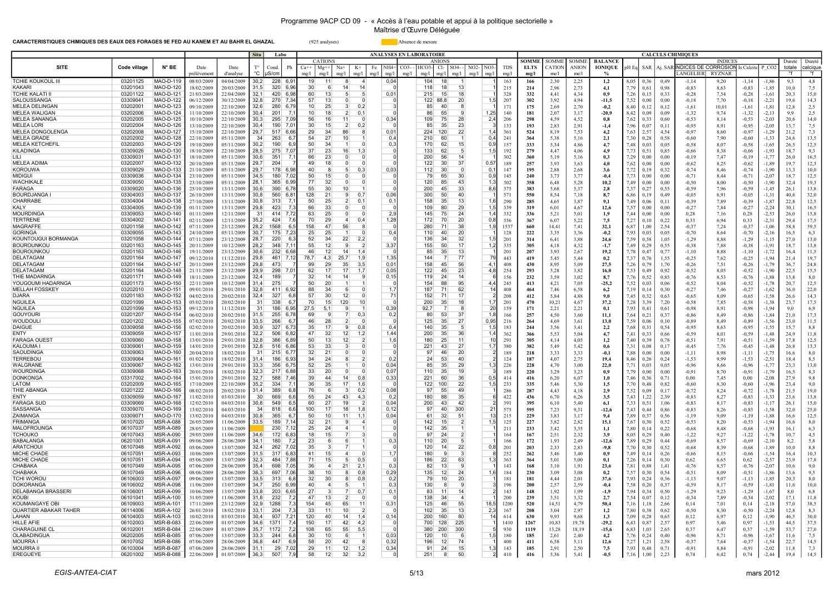#### CARACTERISTIQUES CHIMIQUES DES EAUX DES FORAGES 9E FED AU KANEM ET AU BAHR EL GHAZAL

Absence de mesure

|                                              |                      |                                      |                          |                          | Situ                    | Labo                                |      |                                                |                                    |                                   | <b>ANALYSES EN LABORATOIRE</b> |      |             |                      |                                         |             |                      |                       |                      |                                 |              |               |              | <b>CALCULS CHIMIOUES</b>                     |                |                     |                     |              |                       |
|----------------------------------------------|----------------------|--------------------------------------|--------------------------|--------------------------|-------------------------|-------------------------------------|------|------------------------------------------------|------------------------------------|-----------------------------------|--------------------------------|------|-------------|----------------------|-----------------------------------------|-------------|----------------------|-----------------------|----------------------|---------------------------------|--------------|---------------|--------------|----------------------------------------------|----------------|---------------------|---------------------|--------------|-----------------------|
| <b>SITE</b>                                  |                      | $N^{\circ}$ BE                       |                          |                          | $T^{\circ}$             |                                     |      | <b>CATIONS</b>                                 |                                    |                                   |                                |      |             | <b>ANIONS</b>        |                                         | <b>TDS</b>  | SOMME<br><b>ELTS</b> | <b>SOMME</b>          | <b>SOMME</b>         | <b>BALANCE</b>                  | $pH$ Eq SAR  |               |              | Aj. SAR NDICES DE CORROSION Is Calcite P CO2 | <b>INDICES</b> |                     |                     | Dureté       | Dureté                |
|                                              | Code village         |                                      | Date<br>nrélèvemen       | Date<br>d'analyse        | °C.                     | Cond.<br>Ph<br>uS/cm                | mg/l | $Ca++$ Mg++<br>$m\sigma$                       | $Na+$ $K+$<br>mg/1                 | mo/l                              | mg/                            | mg/l | mg/1        | mg/                  | Fe NH4+ CO3-- HCO3- Cl- SO4-- NO2- NO3- | mg/         | mg/l                 | <b>CATION</b><br>me/l | <b>ANION</b><br>me/l | <b>IONIQUE</b><br>$\frac{0}{6}$ |              |               |              | ANGELIER                                     | <b>RYZNAR</b>  |                     |                     | totale       | calcique<br>$\circ$ f |
| <b>TCHIE KOUKOUL III</b>                     | 03201125             | MAO-D-119                            | 08/03/2009               | 04/04/2009               | 30,2                    | 228   6,9                           |      | 19<br>11                                       | 8 <sup>8</sup>                     | $\overline{4}$                    | 0,04                           |      | 104         | 18                   |                                         | 163         | 166                  | 2,30                  | 2,25                 | 1,2                             | 8,05         | 0.36          | 0,49         | $-1, 14$                                     | 9,20           | $-1, 14$            | $-1,86$             | 9.3          | 4,8                   |
| <b><i>CAKARI</i></b>                         | 03201043             | MAO-D-120                            | 18/02/2009               | 20/03/2009               | 31,5                    | 320 6,96                            |      | 30 <sub>2</sub>                                | 14<br>$6 \mid$                     | 14                                |                                |      | 118         | 18                   | 13                                      | 215         | 214                  | 2,96                  | 2,73                 | 4,1                             | 7,79         | 0,61          | 0.98         | $-0.83$                                      | 8.63           | $-0,83$             | $-1, 85$            | 10.0         | 7,5                   |
| <b>CHIE KALATI II</b>                        | 03201122             | MAO-D-121                            | 21/03/2009               | 22/04/2009               | 32,1                    | 420 6,98                            |      | 60<br>13                                       | 5                                  | 5                                 | 0,01                           |      | 215         | 15                   | 18                                      | 328         | 332                  | 4.41                  | 4,34                 | 0.9                             | 7,26         | 0,15          | 0,33         | $-0.28$                                      | 7,54           | $-0.28$             | $-1,61$             | 20.3         | 15,0                  |
| SALOUSSANGA                                  | 03309041             | MAO-D-122                            | 06/12/2009               | 30/12/2009               | 32,8                    | 270 7,34                            |      | 13<br>57                                       | $\overline{0}$                     | $\mathbf 0$                       |                                |      | 122 88.8    |                      | 20<br>1,5                               | 207         | 302                  | 3,92                  | 4,94                 | $-11,5$                         | 7,52         | 0,00          | 0.00         | $-0.18$                                      | 7,70           | $-0,18$             | $-2,21$             | 19.6         | 14,3                  |
| MELEA DELINGAN                               | 03202001<br>03202006 | MAO-D-123<br>MAO-D-124               | 09/10/2009<br>11/10/2009 | 22/10/2009<br>22/10/2009 | 32,6<br>30,4            | 280 6,79<br>201<br>$\overline{7}$ . |      | 10 <sup>1</sup><br>25<br>18<br>10 <sup>1</sup> | $\mathbf{3}$                       | 0,2                               |                                |      | 85<br>86    | 40                   | 8<br>1,25<br>$\mathbf{Q}$               | 171<br>140  | 175<br>181           | 2,69<br>2,07          | 2,70<br>3,17         | $-0,2$<br>$-20.9$               | 8,40         | 0,12          | 0,12<br>0,09 | $-1,61$                                      | 10,01<br>9.74  | $-1,61$<br>$-1,32$  | $-1, 81$<br>$-2,13$ | 12,8<br>9.9  | 2,5<br>2,5            |
| (AELEA WALIGAN<br><b>JELEA SANANGA</b>       | 03202005             | MAO-D-125                            | 10/10/2009               | 22/10/2009               | 30,3                    | 295 7,09                            |      | 56<br>16                                       | $\overline{2}$<br>11               | 0,1<br>$\overline{0}$             | 0,34                           |      | 109         | 55<br>75             | 28<br>2,4                               | 206         | 298                  | 4,59                  | 4,52                 | 0.8                             | 8,42<br>7,62 | 0,09<br>0,33  | 0,60         | $-1,32$<br>$-0.53$                           | 8,14           | $-0,53$             | $-2,03$             | 20,6         | 14,0                  |
| <b>MELEA LORI</b>                            | 03202004             | MAO-D-126                            | 13/10/2009               | 22/10/2009               | 30,4                    | 190<br>7,01                         |      | 30 <sup>°</sup><br>15                          | $\mathbf{2}$                       | 0,2                               |                                |      | 85          | 35                   | 23                                      | 133         | 193                  | 2,83                  | 2,91                 | $-1,4$                          | 7,96         | 0,07          | 0.11         | $-0.95$                                      | 8,91           | $-0,95$             | $-2,05$             | 13,7         | 7,5                   |
| <b>MELEA DONGOLENGA</b>                      | 03202008             | <b>MAO-D-127</b>                     | 15/10/2009               | 22/10/2009               | 29,7                    | 517 6,66                            |      | 29<br>34                                       | 86                                 | 8                                 | 0,01                           |      | 224         | 120                  | 1,4<br>22                               | 361         | 524                  | 8,19                  | 7,53                 | 4,2                             | 7,63         | 2,57          | 4,54         | $-0,97$                                      | 8,60           | $-0,97$             | $-1,29$             | 21,2         | 7,3                   |
| MELEA GRADE                                  | 03202002             | MAO-D-128                            | 22/10/2009               | 05/11/2009               | 34                      | 263<br>6.7                          |      | 27<br>54                                       | 10 <sup>1</sup>                    |                                   | 0,4                            |      | 210         | 60                   | 0,4                                     | 241         | 364                  | 5,38                  | 5,16                 | 2,1                             | 7,30         | 0,28          | 0,58         | $-0.60$                                      | 7.90           | $-0,60$             | $-1, 33$            | 24.6         | 13,5                  |
| <b>MELEA KETCHEF</b>                         | 03202003             | MAO-D-129                            | 19/10/2009               | 05/11/2009               | 30,2                    | 190<br>6 S                          |      | 50<br>34                                       | $\vert$ 1                          | $\mathbf 0$                       | 0,3                            |      | 170         | 62                   | 15<br>0,9                               | 157         | 333                  | 5,34                  | 4,86                 | 4.7                             | 7,48         | 0,03          | 0,05         | $-0.58$                                      | 8,07           | $-0.58$             | $-1,65$             | 26.5         | 12,5                  |
| <b>(ILADINGA</b><br>.ILI                     | 03309026<br>03309031 | MAO-D-130<br>MAO-D-131               | 18/10/2009<br>18/10/2009 | 22/10/2009<br>05/11/2009 | 28,5<br>30,6            | 275 7,07<br>351<br>7,1              |      | 37<br>23<br>66<br>23                           | 16<br>$\mathbf 0$                  | 1,3<br>$\overline{0}$             |                                |      | 133<br>200  | 62<br>56             | 1,5<br>14                               | 192<br>302  | 279<br>360           | 4.47<br>5,19          | 4,06<br>5,16         | 4,9<br>0,3                      | 7,73<br>7,29 | 0.51<br>0,00  | 0.85<br>0.00 | $-0.66$<br>$-0.19$                           | 8,38<br>7,47   | $-0,66$<br>$-0,19$  | $-1,93$<br>$-1,77$  | 18.7<br>26,0 | 9,3<br>16,5           |
| MELEA ADIMA                                  | 03202007             | MAO-D-132                            | 20/10/2009               | 05/11/2009               | 29,7                    | 204                                 |      | 49                                             | $\overline{18}$<br>$\overline{0}$  | $\Omega$                          |                                |      | 122         | 30                   | 37<br>0,57                              | 189         | 257                  | 3,93                  | 3,63                 | 4.0                             | 7,62         | 0,00          | 0,00         | $-0.62$                                      | 8,25           | $-0,62$             | $-1,89$             | 19.7         | 12,3                  |
| <b>KOROUWA</b>                               | 03309029             | MAO-D-133                            | 21/10/2009               | 05/11/2009               | 29,7                    | 178 6,98                            |      | 40                                             | 5<br>8                             | 0,3                               | 0.03                           |      | 112         | 30                   | 0,1                                     | 147         | 195                  | 2,88                  | 2,68                 | 3.6                             | 7,72         | 0,19          | 0,32         | $-0,74$                                      | 8,46           | $-0,74$             | $-1,90$             | 13,3         | 10,0                  |
| <b>MIDIGUI</b>                               | 03309036             | MAO-D-134                            | 23/10/2009               | 05/11/2009               | 34,5                    | 180 7,02                            |      | 50<br>15                                       | $\mathbf 0$                        | $\overline{0}$                    |                                |      | 79          | 65                   | 0,9<br>30                               | 145         | 240                  | 3,73                  | 3,77                 | $-0.4$                          | 7,73         | 0.00          | 0.00         | $-0.71$                                      | 8,44           | $-0,71$             | $-2,07$             | 18.7         | 12,5                  |
| NACHIKALE                                    | 03309050             | MAO-D-135                            | 23/10/2009               | 05/11/2009               | 28.1                    | 365 6,99                            |      | 77<br>32                                       | $\Omega$                           | $\Omega$                          |                                |      | 120         | 85                   | 43<br>1,3                               | 302         | 358                  | 6,48                  | 5,28                 | 10,2                            | 7,49         | 0,00          | 0,00         | $-0.50$                                      | 8,00           | $-0,50$             | $-1,90$             | 32,4         | 19,3                  |
| <b>ARAGA</b>                                 | 03309020             | MAO-D-136                            | 25/10/2009               | 13/11/2009               | 30,6                    | 390 6,78                            |      | 30 <sup>°</sup><br>55                          | 10 <sup>1</sup>                    | $\overline{1}$                    |                                |      | 200         | 45                   | 33<br>8,6                               | 375         | 383                  | 5,68                  | 5,37                 | 2.8                             | 7,37         | 0,27          | 0.55         | $-0.59$                                      | 7.96           | $-0.59$             | $-1,45$             | 26,1         | 13,8                  |
| <b>BOURDJANGA</b>                            | 03304003             | MAO-D-137                            | 26/10/2009               | 13/11/2009               | 30,8                    | $560 \, 6,8$                        |      | 128<br>21                                      | 9                                  | 0,7                               | 0,06                           |      | 300         | 50                   | 40                                      | 571         | 550                  | 8,54                  | 7,18                 | 8.7                             | 6,86         | 0,19          | 0,49         | $-0.05$                                      | 6,91           | $-0.05$             | $-1,31$             | 40.6         | 32,0                  |
| CHARRABE<br>(AI Y                            | 03304004<br>03304005 | MAO-D-138<br>MAO-D-139               | 27/10/2009<br>01/11/2009 | 13/11/2009<br>13/11/2009 | 30,8<br>29,8            | 313<br>7 <sup>1</sup><br>423<br>7:  |      | 50 <sup>1</sup><br>25<br>66<br>33 <sup>3</sup> | $\overline{2}$<br>$\mathbf 0$      | 0,1<br>$\Omega$                   | 0,1                            |      | 158<br>109  | 35<br>80             | 13<br>1,6<br>29<br>1,5                  | 290         | 285                  | 4.65                  | 3,87                 | 9,1                             | 7,49         | 0,06          | 0.11<br>0.00 | $-0.39$                                      | 7,89           | $-0.39$             | $-1, 87$            | 22.8         | 12,5                  |
| <b>MOURDINGA</b>                             | 03309053             | MAO-D-140                            | 01/11/2009               | 12/11/2009               | 31                      | 414 7,72                            |      | 63<br>25                                       | $\overline{0}$                     | $\Omega$                          | 2,                             |      | 145         | 75                   | 24<br>1,4                               | 339<br>332  | 319<br>336           | 6,01<br>5,21          | 4,67<br>5,01         | 12,6<br>1.9                     | 7,57<br>7,44 | 0,00<br>0.00  | 0,00         | $-0,27$<br>0,28                              | 7,84<br>7,16   | $-0,27$<br>0,28     | $-2,24$<br>$-2,53$  | 30,1<br>26.0 | 16,5<br>15,8          |
| <b>FRTRENE</b>                               | 03304002             | MAO-D-141                            | 02/11/2009               | 12/11/2009               | 35,2                    | 424<br>7.6                          |      | 70<br>29                                       | $\overline{4}$                     | 0,4                               | 1,28                           |      | 172         | 70                   | 20<br>0,8                               | 356         | 367                  | 6,07                  | 5,22                 | 7.5                             | 7,27         | 0,10          | 0,22         | 0,33                                         | 6,94           | 0,33                | $-2,31$             | 29.4         | 17,5                  |
| MAGRAFFE                                     | 03201158             | MAO-D-142                            | 07/11/2009               | 23/12/2009               | 28,2                    | 1568<br>6.5                         |      | 158<br>47                                      | 56                                 | -8                                |                                |      | 280         | 71                   | 38<br>1,9                               | 1537        | 660                  | 14,41                 | 7,41                 | 32,1                            | 6,87         | 1,00          | 2,54         | $-0.37$                                      | 7,24           | $-0.37$             | $-1,06$             | 58.8         | 39,5                  |
| <b>GORINGA</b>                               | 03309055             | MAO-D-143                            | 24/10/2009               | 05/11/2009               | 30,7                    | 175 7,23                            |      | 25<br>25                                       | $\vert$ 1                          | $\Omega$                          | 0,4                            |      | 110         | 40                   | 20                                      | 128         | 222                  | 3,35                  | 3,36                 | $-0.2$                          | 7,93         | 0,03          | 0,05         | $-0.70$                                      | 8,64           | $-0,70$             | $-2,16$             | 16.5         | 6,3                   |
| <b>KOUNTOUGUI BORMANGA</b>                   | 03201058             | MAO-D-144                            | 07/11/2009               | 23/12/2009               | 28,7                    | 220<br>-61                          |      | 52<br>34                                       | 22                                 | 2,2                               |                                |      | 136         | 34                   | 32<br>1,5                               | 201         | 314                  | 6,41                  | 3,88                 | 24.6                            | 7,59         | 0,58          | 1,05         | $-129$                                       | 8,88           | $-1,29$             | $-1, 15$            | 27,0         | 13,0                  |
| <b>SOUROUNKOL</b>                            | 03201163             | MAO-D-145                            | 20/11/2009               | 10/12/2009               | 28,2                    | 348 7,11                            |      | 55                                             | 12<br>9                            | $\overline{2}$                    | 3,37                           |      | 155         | 50                   | 17<br>1,2                               | 335         | 305                  | 4 1 8                 | 4,32                 | $-1,7$                          | 7,49         | 0,29          | 0,55         | $-0.38$                                      | 7,88           | $-0,38$             | $-1,91$             | 187          | 13,8                  |
| 30UROUNKOl                                   | 03201163<br>03201164 | MAO-D-146<br>MAO-D-147               | 19/11/2009               | 23/12/2009               | 30,6<br>29,8            | 232 6,68                            |      | 46<br>12                                       | 14                                 | 1,4<br>1.9                        |                                |      | 85<br>144   | 35<br>$\overline{7}$ | 13<br>79<br>77                          | 201<br>443  | 207<br>419           | 3,93                  | 2,67                 | 19,2<br>0.2                     | 7,78         | 0,47          | 0,77<br>1.55 | $-1,10$<br>$-0.25$                           | 8,88           | $-1,10$             | $-1,72$<br>$-1,94$  | 16,4<br>2.14 | 11,5                  |
| DELATAGAM<br><b>DELATAGAM</b>                | 03201164             | MAO-D-147                            | 09/12/2010<br>20/11/2009 | 11/12/2010<br>23/12/2009 | 29,8                    | 461 7,12<br>473                     | 78,7 | 4,3<br>99<br>29                                | 25,7<br>35                         | 3.5                               | 1,35<br>0,01                   |      | 158         | 45                   | 56<br>4,1                               | 408         | 430                  | 5,45<br>8.95          | 5,44<br>5,09         | 27,5                            | 7,37<br>7,26 | 0,76<br>0,79  | 1,70         | $-0.26$                                      | 7,62<br>7,51   | $-0,25$<br>$-0.26$  | $-1,79$             | 367          | 19,7<br>24,8          |
| DELATAGAM                                    | 03201164             | MAO-D-148                            | 21/11/2009               | 23/12/2009               | 29,9                    | 298 7,01                            |      | 62<br>17                                       | 17                                 | 1,7                               | 0,05                           |      | 122         | 45                   | 23<br>4,8                               | 254         | 293                  | 5.28                  | 3,82                 | 16.0                            | 7,53         | 0.49          | 0.92         | $-0.52$                                      | 8,05           | $-0,52$             | $-1,90$             | 22.5         | 15,5                  |
| THIE MADARNGA                                | 03201171             | MAO-D-149                            | 18/11/2009               | 23/12/2009               | 32,4                    | 189                                 |      | 32<br>14                                       | 14                                 | 9                                 | 0, 15                          |      | 119         | 24                   | 14                                      | 156         | 232                  | 3,59                  | 3,02                 | 8,7                             | 7,76         | 0,52          | 0,85         | $-0,76$                                      | 8,53           | $-0,76$             | $-1,88$             | 13.8         | 8,0                   |
| YOUGOUMI HADARNGA                            | 03201173             | MAO-D-150                            | 22/11/2009               | 10/12/2009               | 31.4                    | 275                                 |      | 50<br>20                                       |                                    |                                   |                                |      | 154         | 88                   | 4,4<br>95                               | 245         | 413                  | 4,21                  | 7,05                 | $-25,2$                         | 7,52         | 0,03          | 0,06         | $-0.52$                                      | 8,04           | $-0,52$             | $-1,78$             | 20.7         | 12,5                  |
| <b>JELLAH FOSSKEY</b>                        | 03202010             | MAO-D-151                            | 09/01/2010               | 29/01/2010               | 32,8                    | 411 6,92                            |      | 88<br>34                                       | 6                                  | $\Omega$                          | 1,7                            |      | 187         | 71                   | 62<br>14                                | 408         | 464                  | 746                   | 6,58                 | 6.2                             | 7,19         | 0,14          | 0,30         | $-0.27$                                      | 7,46           | $-0.27$             | $-1,62$             | 36.0         | 22,0                  |
| ).JARA                                       | 03201183             | MAO-D-152                            | 04/02/2010               | 20/02/2010               | 32,4                    | 327                                 |      | 30 <sup>°</sup><br>57                          | 12                                 | $\Omega$                          | 71                             |      | 152         | 71                   | 17                                      | 208         | 412                  | 5,84                  | 488                  | 9.0                             | 7,45         | 0,32          | 0.63         | $-0.65$                                      | 8.09           | $-0,65$             | $-1,58$             | 26.6         | 14,3                  |
| √GUILEA<br><b>JGUILEA</b>                    | 03201099             | MAO-D-153<br>MAO-D-153               | 05/02/2010<br>09/12/2010 | 20/02/2010<br>11/12/2010 | 31<br>31                | 338<br>6.7<br>186 6,95              |      | 70<br>15                                       | 120<br>9                           | 10 <sup>1</sup><br>$\overline{1}$ | 0,39                           |      | 200<br>92.7 | 35<br>$\overline{7}$ | 18<br>1,7<br>20<br>$\mathbf{R}$         | 201<br>159  | 470<br>171           | 10,21                 | 4,67<br>2,21         | 37,2<br>0.1                     | 7,28<br>7,93 | 3,39          | 7,20<br>0.61 | $-0,58$<br>$-0.98$                           | 7,85           | $-0,58$             | $-1,38$<br>$-1,94$  | 23,7<br>90   | 17,5                  |
| <b>GOUYOURI</b>                              | 03201099<br>03201207 | MAO-D-154                            | 06/02/2010               | 20/02/2010               | 31,5                    | 255 6,78                            |      | 27,5<br>5,1<br>69                              | $\overline{7}$<br>-9               | 0.3                               | 0,2                            |      | 80          | 53                   | 1,8<br>37                               | 166         | 257                  | 2,21<br>4,50          | 3,60                 | 11.1                            | 7,64         | 0,41<br>0.21  | 0,37         | $-0.86$                                      | 8,91<br>8,49   | $-0,98$<br>$-0.86$  | $-1, 84$            | 21.0         | 6,9<br>17,3           |
| <b>NOUDOULI</b>                              | 03201202             | MAO-D-155                            | 07/02/2010               | 20/02/2010               | 33,5                    | 266<br>6.                           |      | 46<br>28                                       | 2                                  | $\Omega$                          |                                |      | 125         | 35                   | 0,95<br>27                              | 216         | 264                  | 4.69                  | 3,61                 | 13,0                            | 7,59         | 0,06          | 0,10         | $-0.89$                                      | 8,49           | $-0,89$             | $-1,56$             | 23.0         | 11,5                  |
| <b>DAIGUE</b>                                | 03309058             | MAO-D-156                            | 02/02/2010               | 20/02/2010               | 30,9                    | 327<br>6,73                         |      | 35<br>17                                       | 9                                  | 0,8                               | 0,4                            |      | 140         | 35                   | 1,5                                     | 183         | 244                  | 3,56                  | 3,41                 | 2,2                             | 7,68         | 0,31          | 0,54         | $-0,95$                                      | 8,63           | $-0,95$             | $-1,55$             | 15,7         | 8,8                   |
| FNTY.                                        | 03309059             | MAO-D-157                            | 11/01/2010               | 29/01/2010               | 32,2                    | 506 6,82                            |      | 47<br>32                                       | 12                                 | 1,2                               | 1,44                           |      | 200         | 35                   | 1,4<br>36                               | 362         | -366                 | 5,53                  | 5,04                 | 4,7                             | 7,41         | 0,33          | 0,66         | $-0.59$                                      | 8.01           | $-0,59$             | $-1,48$             | 24.9         | 11,8                  |
| <b>ARAGA OUEST</b>                           | 03309060             | MAO-D-158                            | 13/01/2010               | 29/01/2010               | 32,8                    | 386 6,89                            |      | 50<br>13                                       | 12                                 | $\overline{2}$                    | 1,6                            |      | 180         | 25                   | 10<br>11                                | 291         | 305                  | 4,14                  | 4,05                 | 1.2                             | 7,40         | 0,39          | 0.78         | $-0.51$                                      | 7,91           | $-0,51$             | $-1,59$             | 178          | 12,5                  |
| <b>CALOUMA</b>                               | 03309061<br>03309063 | MAO-D-159<br>MAO-D-160               | 14/01/2010               | 29/01/2010               | 32,8                    | 516 6,86                            |      | 53<br>33<br>32                                 | 3                                  | $\Omega$                          |                                |      | 221<br>97   | 43<br>46             | 27<br>1,7<br>20                         | 380         | 382                  | 5,49                  | 5,42                 | 0,6                             | 7,31         | 0,08          | 0,17         | $-0.45$                                      | 7,76           | $-0,45$             | $-1,48$             | 26.8         | 13,3                  |
| SAOUDING/<br><b><i>TERREBOU</i></b>          | 03309064             | MAO-D-161                            | 20/04/2010<br>01/02/2010 | 18/02/2010<br>18/02/2010 | 31<br>31.4              | 215 6.77<br>186 6.93                |      | 21<br>34<br>24                                 | $\overline{0}$<br>$\overline{8}$   | $\overline{2}$                    | 0.2                            |      | 24          | 53                   | 40                                      | 189<br>124  | 218<br>187           | 3,33<br>4.07          | 3,33<br>2,75         | $-0,1$<br>19,4                  | 7,88<br>8,46 | 0,00<br>0,26  | 0,00<br>0,24 | $-1,11$<br>$-1,53$                           | 898<br>999     | $-1, 11$<br>$-1,53$ | $-1,75$<br>$-2,51$  | 16,6<br>184  | 8,0<br>8,5            |
| <b><i>NALGRANE</i></b>                       | 03309067             | MAO-D-162                            | 13/01/2010               | 29/01/2010               | 33,3                    | 356 6,75                            |      | 52<br>25                                       |                                    |                                   | 0,04                           |      | 85          | 35                   | 1,3<br>29                               | 226         | 228                  | 4,70                  | 3,00                 | 22,0                            | 7,71         | 0.03          | 0,05         | $-0.96$                                      | 8,66           | $-0.96$             | $-1,77$             | 23,3         | 13,0                  |
| NOURDINGA                                    | 03309068             | MAO-D-163                            | 20/01/2010               | 18/02/2010               | 32,3                    | 217 6,88                            |      | 33<br>20                                       | $\overline{0}$                     | $\Omega$                          | 0,07                           |      | 110         | 35                   | 19                                      | 189         | 220                  | 3,29                  | 3,23                 | 0.9                             | 7,79         | 0,00          | 0.00         | $-0.91$                                      | 8,70           | $-0,91$             | $-1,79$             | 16.5         | 8,3                   |
| )ONKONGA                                     | 03317002             | MAO-D-164                            | 15/01/2010               | 29/01/2010               | 32.7                    | 588 7,46                            |      | 39<br>44                                       | 14                                 | 0,8                               | 0,33                           |      | 221         | -60                  | 0,5<br>36                               | 414         | 416                  | 6,20                  | 6,07                 | 1,0                             | 7,46         | 0,36          | 0,71         | 0,00                                         | 7,45           | 0,00                | $-2,08$             | 27,9         | 9,8                   |
| <b>ATOM</b>                                  | 03202009             | MAO-D-165                            | 17/10/2009               | 22/10/2009               | 35.2                    | 334<br>7.7                          |      | 35<br>36                                       | 17                                 | 1.6                               |                                |      | 122         | 100                  | 22<br>1,5                               | 233         | 335                  | 5,46                  | 5,30                 | 1,5                             | 7,70         | 0.48          | 0,82         | $-0.60$                                      | 8,30           | $-0,60$             | $-1,96$             | 234          | 9,0                   |
| THIE ABANGA                                  | 03201222             | MAO-D-166                            | 08/02/2010               | 20/02/2010               | 31,4                    | 389<br>6.8                          |      | 76                                             | $6 \overline{6}$<br>$\mathbf{3}$   | 0,2                               | 0,08                           |      | 97          | 55                   | 49                                      | 286         | 287                  | 4,43                  | 4 1 8                | 2.9                             | 7,52         | 0,09          | 0.17         | $-0.72$                                      | 8,24           | $-0,72$             | $-1,78$             | 21.5         | 19,0                  |
| FNTY<br>FARAGA SUL                           | 03309059<br>03309069 | MAO-D-167<br>MAO-D-168               | 11/02/2010               | 03/03/2010<br>04/03/2010 | 30 <sup>°</sup><br>30,8 | 669<br>6.6<br>549<br>6.5            |      | 55<br>24<br>27<br>60                           | 43<br>19                           | 4,3<br>$\overline{2}$             | 0,2<br>0,04                    |      | 180<br>200  | 88<br>43             | 35<br>42                                | 422         | 436<br>395           | 6.70                  | 6,26                 | 3,5                             | 7,43         | 1,22          | 2.39<br>1.06 | $-0.83$                                      | 8,27           | $-0,83$             | $-1,33$             | 23.6         | 13,8                  |
| <b>SASSANGA</b>                              | 03309070             | MAO-D-169                            | 12/02/2010<br>13/02/2010 | 04/03/2010               | 34                      | 818<br>6.6                          |      | 100<br>17                                      | 18                                 | 1.8                               | 0.12                           |      | 97          | 40                   | 300<br>21                               | 391<br>575  | 595                  | 6,10<br>7.23          | 5,40<br>9.31         | 6,1<br>$-12.6$                  | 7,33<br>7.43 | 0, 51<br>0.44 | 0.86         | $-0, 83$<br>$-0.83$                          | 8,17<br>8.26   | $-0,83$<br>$-0,83$  | $-1,17$<br>$-1,58$  | 26,1<br>32.0 | 15,0<br>25,0          |
| <b>AIMANGA</b>                               | 03309071             | MAO-D-170                            | 13/02/2010               | 04/03/2010               | 30,8                    | 365<br>6.                           |      | 50<br>10 <sup>1</sup>                          | 11                                 | 1,1                               | 0,04                           |      | 61          | 32                   | 51<br>13                                | 215         | 229                  | 3,83                  | 3,17                 | 9,4                             | 7,89         | 0.37          | 0,56         | $-1,19$                                      | 9,09           | $-1, 19$            | $-1,88$             | 16,6         | 12,5                  |
| FRIMANGA                                     | 06107020             | <b>MSR-A-088</b>                     | 26/05/2009               | 11/06/2009               | 33,5                    | 189<br>7.1                          |      | 32<br>21                                       | 9                                  | $\overline{4}$                    |                                |      | 142         | 15                   | 1,5<br>$\overline{2}$                   | 125         | 227                  | 3,82                  | 2,82                 | 15,1                            | 7,67         | 0,30          | 0,52         | $-0,53$                                      | 8,20           | $-0,53$             | $-1,94$             | 16.6         | 8,0                   |
| <b>JALOFROUNGA</b>                           | 06107037             | <b>MSR-A-089</b>                     | 28/05/2009               | 11/06/2009               |                         | 230 7,12                            |      | 25<br>24                                       | $\overline{4}$                     |                                   |                                |      | 142         | 35                   |                                         | 211         | 233                  | 3,42                  | 3,35                 | 1.1                             | 7,80         | 0,14          | 0,22         | $-0.68$                                      | 8,48           | $-0,68$             | $-1,93$             | 16.1         | 6,3                   |
| <b>LCHOUKO</b>                               | 06107043             | <b>MSR-A-090</b>                     | 29/05/2009               | 11/06/2009               | 34.6                    | 172 6,83                            |      | 18                                             | 15<br>$\overline{7}$               | $\mathbf{3}$                      |                                |      | 97          | 24                   | $\overline{2}$                          | 164         | 167                  | 2,51                  | 2,32                 | 3,9                             | 8.05         | 0.29          | 0.40         | $-1,22$                                      | 9.27           | $-1,22$             | $-1,78$             | 10.7         | 4,5                   |
| <b>BABALANGA</b>                             | 06201001             | <b>MSR-A-091</b>                     | 09/06/2009               | 28/06/2009               | 34,1                    | 180<br>-7.2                         |      | 23                                             | 6 <sup>1</sup><br>6                |                                   | 0,3                            |      | 110         | 20                   |                                         | 166         | 172                  | 1,93                  | 2,49                 | $-12,6$                         | 7,89         | 0,29          | 0,44         | $-0,69$                                      | 8,57           | $-0,69$             | $-2,10$             | 82           | 5,8                   |
| <b>\RATCHOU</b><br><i><b>JICHE CHADI</b></i> | 06107048<br>06107051 | <b>MSR-A-092</b><br><b>MSR-A-093</b> | 05/06/2009<br>10/06/2009 | 13/07/2009<br>13/07/2009 | 32,4<br>31,5            | 262 7,02<br>317 6,83                |      | 35<br>41                                       | $\mathbf{3}$<br>$\vert$            | $\mathbf{1}$<br>$\Omega$          |                                |      | 120<br>180  | 14<br><b>q</b>       | 22<br>0,8<br>-3                         | 201<br>252  | 203<br>262           | 2,33<br>3.46          | 2,83<br>3,40         | $-9,8$<br>0.9                   | 7,70<br>7,49 | 0,30<br>0,14  | 0,52<br>0,26 | $-0,68$<br>$-0.66$                           | 8,39<br>8,15   | $-0,68$<br>$-0.66$  | $-1,89$<br>$-1,54$  | 10,0<br>16.4 | 8,8<br>10,3           |
| <b>MICHE CHADE</b>                           | 06107051             | <b>MSR-A-094</b>                     | 05/06/2009               | 13/07/2009               | 32.3                    | 484 7.88                            |      | 15<br>71                                       | 15<br>5 <sub>5</sub>               | 0.5                               | 1,7                            |      | 186         | 22                   | 63<br>1,3                               | 363         | 364                  | 5.01                  | 5.00                 | 0.1                             | 7,26         | 0.14          | 0.30         | 0.62                                         | 6.65           | 0,62                | $-2.57$             | 23.9         | 17,8                  |
| <b>HABAKA</b>                                | 06107049             | <b>MSR-A-095</b>                     | 07/06/2009               | 28/06/2009               | 35,4                    | 698 7,05                            |      | 36                                             | $\overline{4}$<br>21               | 2,1                               | 0,3                            |      | 82          | 13                   |                                         | 143         | 168                  | 3,10                  | 1,91                 | 23,6                            | 7,81         | 0,88          | 141          | $-0.76$                                      | 8.57           | $-0,76$             | $-2,07$             | 10,6         | 9,0                   |
| СНАВАКА                                      | 06107049             | <b>MSR-A-096</b>                     | 08/06/2009               | 28/06/2009               | 36,3                    | 697 7,06                            |      | 38                                             | 10 <sup>1</sup><br>8               | 0,8                               | 0,29                           |      | 135         | 12                   | 24<br>1,6                               | 184         | 230                  | 3,09                  | 3,08                 | 0,2                             | 7,57         | 0,30          | 0,54         | $-0.51$                                      | 8,09           | $-0, 51$            | $-1, 86$            | 13.6         | 9,5                   |
| tchi worol                                   | 06106003             | <b>MSR-A-097</b>                     | 09/06/2009               | 13/07/2009               | 33,5                    | 313<br>6 <sup>8</sup>               |      | 32<br>30 <sup>°</sup>                          | 8                                  | 0,8                               | 0,2                            |      | 79          | 10 <sup>1</sup>      | 20                                      | 181         | 181                  | 444                   | 2.01                 | 37.6                            | 7,93         | 0,24          | 0.36         | $-1.13$                                      | 9,07           | $-1, 13$            | $-1,85$             | 20.3         | 8,0                   |
| <b>OKORANGA</b>                              | 06106002             | <b>MSR-A-098</b>                     | 11/06/2009               | 13/07/2009               | 34.7                    | 250 6.99                            |      | 40                                             | $\overline{4}$<br>$5 \overline{5}$ | $\overline{1}$                    | 0,3                            |      | 130         | $\mathbf{R}$         | $\mathbf{Q}$                            | 196         | 200                  | 2.57                  | 2.59                 | $-0.4$                          | 7.58         | 0.20          | 0.37         | $-0.59$                                      | 8 1 7          | $-0.59$             | $-1, 81$            | 11.6         | 10,0                  |
| <b>DELABANGA BRASSERI</b>                    | 06106001             | <b>MSR-A-099</b>                     | 10/06/2009               | 13/07/2009               | 33,8                    | 203 6,65                            |      | 27                                             | $\mathbf{3}$<br>$\overline{7}$     | 0,7                               | 0,1                            |      | 83          | 11                   | 14                                      | 143         | 148                  | 1,92                  | 199                  | $-1,9$                          | 7,94         | 0.34          | 0.50         | $-1,29$                                      | 9,23           | $-1,29$             | $-1,67$             | 80           | 6,8                   |
| <b>COUBI</b>                                 | 06101041             | <b>MSR-A-100</b>                     | 31/05/2009               | 11/06/2009               | 31,8                    | 232<br>7,2                          |      | 13<br>47                                       | $\overline{2}$                     | $\overline{0}$                    |                                |      | 138<br>125  | 34<br>46             | $\overline{a}$                          | 200         | 239                  | 3,51                  | 3,32                 | 2,7                             | 7,54         | 0,07<br>1.18  | 0,12         | $-0.34$                                      | 7,89           | $-0,34$             | $-2,02$             | 17,1         | 11,8                  |
| (OUMANGAYE OBI<br>QUARTIER ABAKAR TAHER      | 06109003<br>06114006 | <b>MSR-A-101</b><br><b>MSR-A-102</b> | 17/11/2009<br>26/01/2010 | 23/12/2009<br>18/02/2010 | 32,9<br>33.1            | 7,3<br>1288<br>204<br>7.3           |      | 45<br>154<br>33<br>11                          | 65<br>10 <sup>1</sup>              | 11<br>$\overline{2}$              | 0,31                           |      | 102         | 35                   | 18,5<br>55<br>13<br>2.3                 | 1200<br>167 | 520<br>208           | 14,51<br>3.04         | 4,79<br>2.97         | 50.4<br>1.2                     | 7,16<br>7.80 | 0.38          | 2.66<br>0.62 | 0.14<br>$-0.50$                              | 7,01<br>8.30   | 0,14<br>$-0.50$     | $-2,18$<br>$-2,24$  | 57.0<br>12.8 | 38,5<br>8,3           |
| AHAN                                         | 06104003             | <b>MSR-A-103</b>                     | 10/02/2010               | 03/03/2010               | 30,4                    | 937<br>7,21                         |      | 120<br>40                                      | 14                                 | 1,4                               | 0,14                           |      | 200         | 160                  | 80<br>14                                | 614         | 630                  | 993                   | 9,68                 | 1.3                             | 7,09         | 0,28          | 0,65         | 0,12                                         | 6,97           | 0,12                | $-1,90$             | 46.5         | 30,0                  |
| HILLE AFIE                                   | 06102003             | <b>MSR-B-083</b>                     | 22/06/2009               | 01/07/2009               | 34.6                    | 7 <sub>4</sub><br>1371              | 150  | 17                                             | 42                                 | 4,2                               |                                |      | 700         | 128                  | 225                                     | 1410        | 1267                 | 10,83                 | 19,78                | $-29,2$                         | 6,43         | 0,87          | 2,57         | 0,97                                         | 5,46           | 0,97                | $-1,53$             | 44,5         | 37,5                  |
| CHARAGUINE CL                                | 06102001             | <b>MSR-B-084</b>                     | 22/06/2009               | 01/07/2009               | 35.7                    | 1172<br>-7.2                        |      | 108<br>65                                      | 55                                 | 5,5                               |                                |      | 380         | 200                  | 300                                     | 930         | 1119                 | 13,28                 | 18,19                | $-15,6$                         | 6,83         | 1.03          | 2,65         | 0.37                                         | 6,47           | 0,37                | $-1,59$             | 53,7         | 27,0                  |
| <b>DLABADINGUA</b>                           | 06202005             | <b>MSR-B-085</b>                     | 07/06/2009               | 13/07/2009               | 33,3                    | 244<br>6.8                          |      | 30 <sup>°</sup>                                | 10 <sup>1</sup><br>6               |                                   | 0,03                           |      | 120         | 10                   | 1,5                                     | 180         | 185                  | 2.61                  | 2,40                 | 4.2                             | 7.76         | 0,24          | 0,40         | $-0.96$                                      | 8.71           | $-0.96$             | $-1,67$             | 11.6         | 7,5                   |
| <b>MOURRA I</b>                              | 06107052             | <b>MSR-B-086</b>                     | 07/06/2009               | 28/06/2009               | 36,8                    | 447<br>6,9                          |      | 58<br>20                                       | 42                                 | -8                                | 0.32                           |      | 196         | 12                   | 74                                      | 400         | 411                  | 6,58                  | 5,11                 | 12,6                            | 7,27         | 1,21          | 2,58         | $-0,37$                                      | 7,64           | $-0,37$             | $-1,54$             | 22,7         | 14,5                  |
| <b>MOURRA II</b>                             | 06103004             | <b>MSR-B-087</b>                     | 07/06/2009               | 28/06/2009               | 31.1                    | 29 7,02                             |      | 29<br>11                                       | 12                                 | 1,2                               | 0,34                           |      | 91          | 24                   | 1,3<br>15                               | 143         | 185                  | 2,91                  | 2,50                 | 7,5                             | 7,93         | 0,48          | 0,71         | $-0,91$                                      | 8,84           | $-0,91$             | $-2,02$             | 11,8         | 7,3                   |
| EREGUEYE                                     | 06201002             | <b>MSR-B-088</b>                     | 22/06/2009               | 01/07/2009               | 36,3                    | 507<br>7,9                          |      | 58                                             | 12<br>32                           | 3,2                               |                                |      | 251         | 8                    | 50                                      | 410         | 416                  | 5.36                  | 5.41                 | $-0.5$                          | 7.16         | 1.00          | 2.23         | 0.74                                         | 6.42           | 0.74                | $-2.44$             | 19.4         | 14.5                  |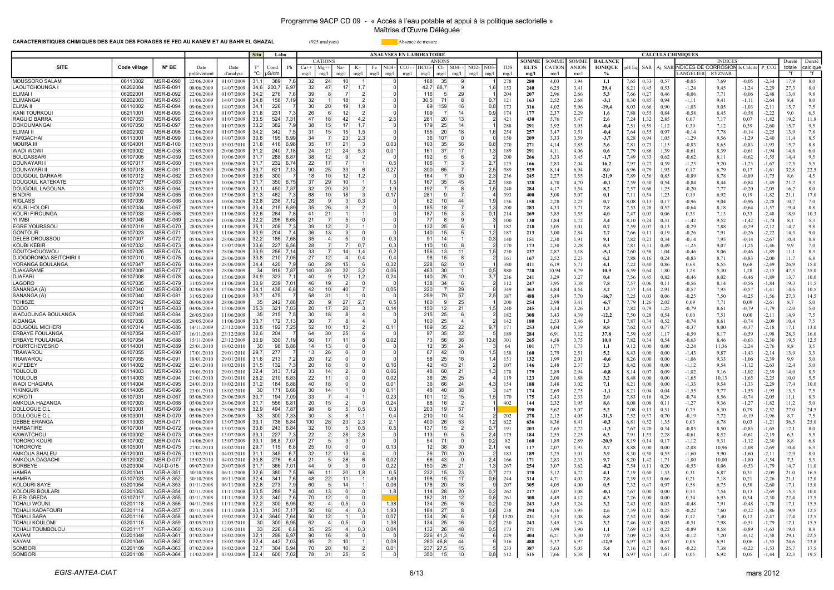|                         |                      |                                      |                          |                          | <b>Situ</b>     | Labo                  |                 |                  |                                              |               |      | <b>ANALYSES EN LABORATOIRE</b>                   |      |            |             |              |              |                |              |              |              | <b>CALCULS CHIMIOUES</b>                               |                |                    |                    |             |            |
|-------------------------|----------------------|--------------------------------------|--------------------------|--------------------------|-----------------|-----------------------|-----------------|------------------|----------------------------------------------|---------------|------|--------------------------------------------------|------|------------|-------------|--------------|--------------|----------------|--------------|--------------|--------------|--------------------------------------------------------|----------------|--------------------|--------------------|-------------|------------|
|                         |                      |                                      |                          |                          |                 |                       |                 | <b>CATIONS</b>   |                                              |               |      | ANION:                                           |      |            | SOMME       | <b>SOMME</b> | <b>SOMME</b> | <b>BALANCE</b> |              |              |              |                                                        | <b>INDICES</b> |                    |                    | Dureté      | Dureté     |
| <b>SITE</b>             | Code village         | $N^{\circ}$ BE                       | Date                     | Date                     | $T^{\circ}$     | Cond.<br>Ph           | $Ca++$ $Mg++$   |                  | $Na+$<br>$K+$                                |               |      | Fe NH4+ CO3-- HCO3- Cl- SO4-- NO2- NO3-          |      | <b>TDS</b> | <b>ELTS</b> | CATION       | <b>ANION</b> | <b>IONIQUE</b> |              |              |              | pH Eq SAR Aj. SAR NDICES DE CORROSION Is Calcite P_CO2 |                |                    |                    | totale      | alciqu     |
|                         |                      |                                      | rélèvemen                | d'analyse                |                 | $\mu$ S/cm            |                 |                  | mo/l<br>mo/l                                 | me/l<br>me/   | mg/l | mg/1<br>mg/l<br>mg/                              |      | me/        | mg/         | me/l         | me/l         |                |              |              |              | <b>ANGELIER</b>                                        | <b>RYZNAR</b>  |                    |                    |             | $\circ$ f  |
| MOUSSORO SALAM          | 06113002             | <b>MSR-B-090</b>                     | 22/06/2009               | 01/07/2009               | 31,1            | 389                   | 32              | 24               | 10                                           |               |      | 168<br>35                                        |      | 278        | 280         | 4,03         | 3,94         | 1,1            | 7,65         | 0.33         | 0.57         | $-0.05$                                                | 7.69           | $-0,05$            | $-2,34$            | 17,9        | 8,0        |
| LAOUTCHOUNGA I          | 06202004             | <b>MSR-B-091</b>                     | 08/06/2009               | 14/07/2009               |                 | 34,6 200,7 6,97       | 32              | 47               | 17<br>1,7                                    |               |      | 427<br>88,7<br>$\mathsf{Q}$                      | 1,6  | 153        | 240         | 6.25         | 3,41         | 29,4           | 8,21         | 0,45         | 0,53         | $-1,24$                                                | 9.45           | $-1,24$            | $-2,29$            | 27.3        | 8.0        |
| ELIMAI I                | 06202001             | <b>MSR-B-092</b>                     | 22/06/2009               | 01/07/2009               | 34.2            | 276 7.6               | 39              | 8                | $\overline{7}$<br>$\overline{2}$             |               |      | 29<br>116<br>-5                                  |      | 204        | 207         | 2.96         | 2.66         | 5.3            | 7,66         | 0,27         | 0,46         | $-0.06$                                                | 7,71           | $-0.06$            | $-2,48$            | 13,0        | 9,8        |
| ELIMANGA                | 06202003             | <b>MSR-B-093</b>                     | 11/06/2009               | 14/07/2009               | 34.8            | 158 7.1               | 32              | $\vert$ 1        | 18<br>$\overline{2}$                         |               |      | 30.5<br>71<br>8                                  | 0,7  | 121        | 163         | 2,52         | 2.68         | $-3,1$         | 8,30         | 0,85         | 0,94         | $-1, 11$                                               | 9,41           | $-1, 11$           | $-2.64$            | 8.4         | 8.0        |
| ELIMA II                | 06110002             | <b>MSR-B-094</b>                     | 09/06/2009               | 14/07/2009               | 34,1            | 226                   | 30 <sup>°</sup> | 20               | 19<br>1,9                                    |               |      | 159<br>16<br>69                                  | 0,8  | 173        | 316         | 4,02         | 5,96         | $-19,4$        | 8,03         | 0,66         | 0,90         | $-1,03$                                                | 9,05           | $-1,03$            | $-2,11$            | 15,7        | 7,5        |
| KANI TOURKOU            | 06211001             | <b>MSR-B-095</b>                     | 22/06/2009               | 01/07/2009               | 31.8            | 231<br>- 7.           | 26              | $6 \overline{6}$ | 12<br>$\overline{2}$                         |               |      | 14<br>109<br>$\overline{7}$                      | 0,9  | 174        | 177         | 2,37         | 2,29         | 1.6            | 7,88         | 0,55         | 0,84         | $-0.58$                                                | 8,45           | $-0.58$            | $-2,22$            | 9.0         | 6,5        |
| RAGUID BARRA            | 06107053             | <b>MSR-B-096</b>                     | 22/06/2009               | 01/07/2009               | 33,5            | $524$ 7.3             | 47              | 18               | 42<br>4,2                                    | 2,5           |      | 281<br>20<br>13                                  |      | 421        | 430         | 5,76         | 5,47         | 2.6            | 7,24         | 1,32         | 2,85         | 0,07                                                   | 7,17           | 0,07               | $-1,82$            | 19,2        | 11,8       |
| DOKOUMANGA              | 06107050             | <b>MSR-B-097</b>                     | 22/06/2009               | 01/07/2009               | 33,2            | 7 <sub>5</sub><br>382 | 38              | 15               | 17<br>1,7                                    |               |      | 14<br>179<br>25                                  |      | 288        | 291         | 3,92         | 3,95         | $-0,4$         | 7,51         | 0,59         | 1,12         | 0.39                                                   | 7,12           | 0.39               | $-2,60$            | 15,7        | 9,5        |
| ELIMAI II               | 06202002             | <b>MSR-B-098</b>                     | 22/06/2009               | 01/07/2009               | 34,2            | 342<br>- 7,5          | 31              | 15               | 15<br>1,5                                    |               |      | 155<br>20<br>18                                  | 1,6  | 254        | 257         | 3,47         | 3,51         | $-0,4$         | 7,64         | 0,55         | 0,97         | $-0,14$                                                | 7,78           | $-0,14$            | $-2,25$            | 13,9        | 7,8        |
| <b>FARGACHA</b>         | 06113001             | <b>MSR-B-099</b>                     | 11/06/2009               | 14/07/2009               | 30,8            | 195 6,99              | 34              | $\overline{7}$   | 23<br>2,3                                    |               |      | $\Omega$<br>36<br>107                            |      | 150        | 209         | 3,33         | 3,59         | $-3,7$         | 8,28         | 0.94         | 1,05         | $-1,29$                                                | 9,56           | $-1,29$            | $-2,40$            | 11.4        | 8,5        |
| MOURA III               | 06104001             | <b>MSR-B-100</b>                     | 12/02/2010               | 03/03/2010               | 31,8            | 416 6,98              | 35              | 17               | 21<br>$\mathbf{3}$                           | 0,03          |      | 103<br>56<br>35                                  | 0,8  | 270        | 271         | 4,14         | 3,85         | 3.6            | 7,81         | 0,73         | 1,15         | $-0.83$                                                | 8,65           | $-0.83$            | $-1,93$            | 15,7        | 8,8        |
| WADI WOW                | 06109002             | <b>MSR-C-058</b>                     | 19/05/2009               | 20/06/2009               | 31,2            | 240 7,18              | 24              | 21               | 24<br>5,3                                    | 0,01          |      | 17<br>161<br>37                                  | 1,3  | 189        | 291         | 4.11         | 4.06         | 0.6            | 7,79         | 0,86         | 1,39         | $-0,61$                                                | 8,39           | $-0,61$            | $-1,94$            | 14.6        | 6,0        |
| BOUDASSAR               | 06107005             | <b>MSR-C-059</b>                     | 22/05/2009               | 10/06/2009               | 31,7            | 288 6,87              | 38              | 12               | 9<br>$\overline{2}$                          |               |      | 192<br>6<br>5                                    |      | 200        | 266         | 3,33         | 3,45         | $-1,7$         | 7,49         | 0,33         | 0,62         | $-0,62$                                                | 8,11           | $-0,62$            | $-1,55$            | 14,4        | 9,5        |
| DOUNAYARI               | 06107017             | <b>MSR-C-060</b>                     | 21/05/2009               | 10/06/2009               | 31.7            | 232 6,74              | 22              | 17               | $\overline{7}$                               | 0,5           |      | 106<br>3                                         | 2,7  | 125        | 166         | 2,83         | 2,04         | 16.2           | 7,97         | 0,27         | 0,39         | $-1.23$                                                | 9,20           | $-1,23$            | $-1,67$            | 12,5        | 5,5        |
| DOUNAYARI I             | 06107018             | <b>MSR-C-061</b>                     | 20/05/2009               | 20/06/2009               | 33,7            | 621 7.13              | 90              | 25               | 33<br>6                                      | 0,27          |      | 300<br>65                                        | 2,5  | 589        | 529         | 8,14         | 6,94         | 80             | 6,96         | 0,79         | 1,93         | 0.17                                                   | 6,79           | 0,17               | $-1,61$            | 32,8        | 22,5       |
| DOUGOUL DARKAR          | 06107012             | <b>MSR-C-062</b>                     | 23/05/2009               | 10/06/2009               | 30,6            | 300                   | 18              | 10               | 12<br>1,2                                    |               |      | 30<br>164                                        | 2,3  | 236        | 245         | 2,27         | 3,55         | $-21,9$        | 7,89         | 0.56         | 0,85         | $-0.89$                                                | 8,78           | $-0, 89$           | $-1,75$            | 8.6         | 4,5        |
| DOUGOUL KATEKATE        | 06107027             | <b>MSR-C-063</b>                     | 24/05/2009               | 10/06/2009               | 317             | 350 6,75              | 37              | 29               | 10<br>$\overline{1}$                         | 1,5           |      | 167<br>35<br>45                                  | 2,5  | 180        | 328         | 4,70         | 4,70         | $-0,1$         | 7,59         | 0.30         | 0,54         | $-0.84$                                                | 8,44           | $-0,84$            | $-1,49$            | 21,2        | 9,3        |
| DOUGOUL LAGOUNA         | 06107013             | <b>MSR-C-064</b>                     | 25/05/2009               | 10/06/2009               | 32,1            | 450 7,37              | 32              | 20               | 20<br>$\overline{2}$                         | 1,9           |      | $\overline{\mathbf{8}}$<br>192<br>$\overline{7}$ | 1,5  | 240        | 284         | 4.17         | 3,54         | 8.2            | 7,57         | 0.68         | 1,25         | $-0.20$                                                | 7,77           | $-0,20$            | $-2.05$            | 16.2        | 8.0        |
| <b>BINDIRI</b>          | 06107004             | <b>MSR-C-065</b>                     | 03/06/2009               | 15/06/2009               | 31.3            | 462<br>- 7.3          | 68              | 10 <sup>1</sup>  | 18<br>$\mathbf{3}$                           | 0,17          |      | 281<br>9                                         |      | 393        | 400         | 5.08         | 5,07         | 0.1            | 7,11         | 0,54         | 1,23         | 0.19                                                   | 6,92           | 0,19               | $-1,82$            | 21.1        | 17,0       |
| RIGLASS                 | 06107039             | <b>MSR-C-066</b>                     | 24/05/2009               | 10/06/2009               | 32,8            | 238 7,12              | 28              | 9                | $\mathbf{3}$<br>0,3                          |               |      | 62<br>10<br>44                                   | 1,9  | 156        | 158         | 2,28         | 2,25         | 0.7            | 8,08         | 0,13         | 0,17         | $-0.96$                                                | 9,04           | $-0,96$            | $-2,28$            | 10.7        | 7,0        |
| KOURI HOLOFI            | 06107034             | <b>MSR-C-067</b>                     | 26/05/2009               | 11/06/2009               | 33,4            | 215 6.89              | 35              | 26               | $\overline{2}$<br>9                          |               |      | $\overline{7}$<br>185<br>18                      | 1,3  | 200        | 283         | 4,33         | 3,71         | 7.8            | 7,53         | 0,28         | 0,52         | $-0,64$                                                | 8,18           | $-0,64$            | $-1,57$            | 19.4        | 8,8        |
| KOURI FIROUNGA          | 06107033             | <b>MSR-C-068</b>                     | 29/05/2009               | 11/06/2009               | 32,6            | 7.8<br>264            | 41              | 21               |                                              |               |      | 187<br>3<br>15                                   | 0,1  | 214        | 269         | 3,85         | 3,55         | 4.0            | 7,47         | 0,03         | 0,06         | 0.33                                                   | 7,13           | 0,33               | $-2,48$            | 18.9        | 10,3       |
| YI IMBI                 | 06107046             | <b>MSR-C-069</b>                     | 25/05/2009               | 10/06/2009               | 32,2            | 296 6,68              | 21              |                  | $\Omega$                                     |               |      | 9<br>77                                          |      | 100        | 130         | 1,84         | 1,72         | 3.4            | 8,10         | 0,24         | 0,31         | $-1.42$                                                | 9,52           | $-1,42$            | $-1,74$            | 8.1         | 5,3        |
| EGRE YOURSSOL           | 06107019             | <b>MSR-C-070</b>                     | 28/05/2009               | 11/06/2009               | 35,1            | 208<br>7,3            | 39              | 12               | $\overline{2}$                               |               |      | 132<br>25<br>6                                   |      | 182        | 218         | 3,05         | 3,01         | 0.7            | 7,59         | 0,07         | 0, 13        | $-0.29$                                                | 7,88           | $-0,29$            | $-2,12$            | 14.7        | 9,8        |
| GONTOUR                 | 06107023             | <b>MSR-C-071</b>                     | 30/05/2009               | 11/06/2009               | 30,9            | 7 <sub>1</sub><br>204 | 36              | 13               | $\mathbf{3}$<br>$\Omega$                     |               |      | 140<br>5<br>15                                   | 1,2  | 187        | 213         | 3,00         | 2,84         | 2,7            | 7,66         | 011          | 0,19         | $-0,26$                                                | 7,91           | $-0,26$            | $-2,22$            | 143         | 9,0        |
| DELEB DROUSSOL          | 06107007             | <b>MSR-C-072</b>                     | 05/06/2009               | 28/06/2009               | 32,2            | 186 7,68              | 35              | $\overline{4}$   | 5 <sup>1</sup><br>$\Omega$                   | 0,3           |      | 91<br>14                                         | 0,3  | 140        | 151         | 2,30         | 1,91         | 9.1            | 7,82         | 0,21         | 0,34         | $-0.14$                                                | 7,95           | $-0,14$            | $-2,67$            | 10,4        | 8,8        |
| KOUBI KEBIF             | 06107032             | <b>MSR-C-073</b>                     | 08/06/2009               | 13/07/2009               | 33,6            | 227 6,56              | 28              |                  | 7 <sup>1</sup><br>0,7                        | 0,3           |      | 110<br>10                                        |      | 170        | 173         | 2,30         | 2,28         | 0.3            | 7,81         | 0.31         | 0.49         | $-1,25$                                                | 9,07           | $-1,25$            | $-1,46$            | 99          | 7,0        |
| GOUTCHOUOWOL            | 06107025             | <b>MSR-C-074</b>                     | 01/06/2009               | 28/06/2009               | 33,9            | 256 7,14              | 33              | $\overline{7}$   | 14<br>1,4                                    | 0,2           |      | 156<br>13<br>11                                  | 1,5  | 230        | 237         | 2,87         | 3,18         | $-5,1$         | 7,60         | 0,58         | 1,04         | $-0,46$                                                | 8,06           | $-0,46$            | $-1,89$            | 11,1        | 8,3        |
| DJOGORONGA SEITCHIRI II | 06107010             | <b>MSR-C-075</b>                     | 02/06/2009               | 28/06/2009               | 33,8            | 210 7,05              | 27              | 12               | 0.4<br>$\overline{4}$                        | 0,4           |      | 98<br>$\mathsf{R}$<br>15                         |      | 161        | 167         | 2,52         | 2,23         | 6.2            | 7,88         | 0,16         | 0,24         | $-0.83$                                                | 8,71           | $-0,83$            | $-2,00$            | 117         | 6,8        |
| YORANGA BOULANGA        | 06107047             | <b>MSR-C-076</b>                     | 03/06/2009               | 28/06/2009               | 34,4            | 420<br>7.5            | 60              | 29               | 15<br>6                                      | 0,32          |      | 228<br>62<br>10                                  |      | 380        | 411         | 6,19         | 5,71         | 4.1            | 7,22         | 0,40         | 0,86         | 0.68                                                   | 6,55           | 0,68               | $-2,49$            | 26.9        | 15,0       |
| <b>DJAKARAM</b>         | 06107009             | <b>MSR-C-077</b>                     | 04/06/2009               | 28/06/2009               | 34              | 918 7,87              | 140             | 30 <sup>°</sup>  | 32<br>3,2                                    | 0,06          |      | 483<br>30                                        | 0,5  | 880        | 720         | 10,94        | 8,79         | 10.9           | 6,59         | 0.64         | 1.80         | 1.28                                                   | 5,30           | 1,28               | $-2,15$            | 47,3        | 35,0       |
| DJAFARI                 | 06107008             | MSR-C-078                            | 03/06/2009               | 15/06/2009               | 34.9            | 323<br>7,             | 40              | 9                | 12<br>1,2                                    | 0,24          |      | 140<br>25<br>10                                  | 3,7  | 236        | 241         | 3,29         | 3,27         | 0,4            | 7,56         | 0.45         | 0,82         | $-0,46$                                                | 8,02           | $-0,46$            | $-1,89$            | 13,7        | 10,0       |
| LAGORO                  | 06107035             | <b>MSR-C-079</b>                     | 31/05/2009               | 11/06/2009               | 30.9            | $239$ 7,0             | 46              | 19               | $\overline{2}$<br>$\Omega$                   |               |      | 6<br>138<br>34                                   |      | 112        | 247         | 3,95         | 3,38         | 7.8            | 7,57         | 0.06         | 0,11         | $-0.56$                                                | 8,14           | $-0,56$            | $-1,84$            | 193         | 11,5       |
| SANANGA (A              | 06107040             | <b>MSR-C-080</b>                     | 02/06/2009               | 15/06/2009               | 34.1            | 438<br>6,8            | 42              | 10 <sup>1</sup>  | 40                                           | 0,05          |      | 29<br>220<br>$\overline{7}$                      |      | 349        | 363         | 4,84         | 4,54         | 3.2            | 7,37         | 1,44         | 2,91         | $-0.57$                                                | 7,95           | $-0.57$            | $-141$             | 146         | 10,5       |
| SANANGA (A)             | 06107040             | <b>MSR-C-081</b>                     | 31/05/2009               | 11/06/2009               | 30,7            | 475                   | 58              | 31               | $\vert$ 1<br>$\Omega$                        |               |      | 57<br>259<br>79                                  | 2,5  | 387        | 488         | 5,49         | 7,70         | $-16,7$        | 7,25         | 0.03         | 0.06         | $-0.25$                                                | 7,50           | $-0,25$            | $-1,56$            | 27,3        | 14,5       |
| TCHISZE                 | 06107042             | <b>MSR-C-082</b>                     | 06/06/2009               | 28/06/2009               | 35              | 242 7,88              | 20              | 9                | 27<br>2,7                                    | 0,5           |      | 160<br>9<br>25                                   |      | 200        | 254         | 2,98         | 3,41         | $-6,7$         | 7,79         | 1,26         | 2,02         | 0,09                                                   | 7,71           | 0,09               | $-2,61$            | 87          | 5,0        |
| DODO                    | 06107011             | MSR-C-083                            | 04/06/2009               | 15/06/2009               | 35,3            | $321 \ 7,03$          | 20 <sup>1</sup> | 17               | 20<br>-3                                     | 0,14          |      | 21<br>150<br>12                                  | 1,5  | 240        | 245         | 3,34         | 3,26         | 1.3            | 7,82         | 0,79         | 1,25         | $-0.79$                                                | 8,61           | $-0,79$            | $-1,79$            | 12.0        | 5,0        |
| WADJOUNGA BOULANGA      | 06107045             | <b>MSR-C-084</b>                     | 26/05/2009               | 11/06/2009               | 35              | 215<br>$\overline{7}$ | 30 <sup>°</sup> | 18               | 8<br>$\overline{4}$                          |               |      | 215<br>6<br>25                                   |      | 182        | 308         | 3,43         | 4,39         | $-12,2$        | 7,50         | 0,28         | 0,54         | 0.00                                                   | 7,51           | 0.00               | $-2,11$            | 149         | 7,5        |
| KIDANGA                 | 06107030             | <b>MSR-C-085</b>                     | 29/05/2009               | 11/06/2009               | 30,7            | 172<br>7.1            | 30              |                  | $\overline{4}$<br>8                          |               |      | 100<br>25                                        |      | 142        | 180         | 2,53         | 2,46         | 1.3            | 7,87         | 034          | 0,52         | $-0.74$                                                | 8,61           | $-0,74$            | $-2,09$            | 104         | 7,5        |
| DOUGOUL MICHER          | 06107014             | <b>MSR-C-086</b>                     | 14/11/2009               | 23/12/2009               | 30,8            | 192 7,25              | 52              | 10 <sup>1</sup>  | 13<br>$\overline{2}$                         | 0,11          |      | 22<br>109<br>35                                  | 9,7  | 171        | 253         | 4,04         | 3,39         | 8.8            | 7,62         | 0,43         | 0,77         | $-0,37$                                                | 8,00           | $-0,37$            | $-2,18$            | 17,1        | 13,0       |
| <b>ERBAYE FOULANGA</b>  | 06107054             | <b>MSR-C-087</b>                     | 16/11/2009               | 23/12/2009               | 32,6            | 204                   | 64              | 30               | 25<br><b>6</b>                               |               |      | 97<br>22<br>35                                   |      | 189        | 284         | 6,91         | 3,12         | 37,8           | 7,59         | 0,65         | 1 1 7        | $-0.59$                                                | 8,17           | $-0,59$            | $-1,98$            | 283         | 16,0       |
| ERBAYE FOULANGA         | 06107054             | <b>MSR-C-088</b>                     | 15/11/2009               | 23/12/2009               | 30,9            | 330 7.19              | 50              | 17               | 11                                           | 0,02          |      | 73<br>36<br>56                                   | 13,8 | 301        | 265         | 4,58         | 3,75         | 10.0           | 7,82         | 0,34         | 0,54         | $-0.63$                                                | 846            | $-0.63$            | $-2,30$            | 19,5        | 12,5       |
| <b>FOURTCHEYESKO</b>    | 06114001             | <b>MSR-C-089</b>                     | 25/01/2010               | 18/02/2010               | 30              | 98 6,88               | 14              | 13               | $\Omega$                                     |               |      | 12<br>35<br>24                                   |      | 64         | 101         | 1,77         | 1,73         | 1,1            | 9,12         | 0,00         | 0,00         | $-2.24$                                                | 11,36          | $-2,24$            | $-2,76$            | 88          | 3,5        |
| TRAWAROL<br>TRAWAROL    | 06107055<br>06107055 | <b>MSR-C-090</b><br><b>MSR-C-091</b> | 17/01/2010               | 29/01/2010               | 29,7<br>31.6    | 277<br>213<br>7.2     | 13<br>20        | 26<br>12         | $\Omega$<br>$\Omega$<br>$\Omega$<br>$\Omega$ |               |      | 10<br>67<br>42<br>58<br>25<br>16                 | 1,5  | 158        | 160         | 2,79         | 2,51         | 5,2            | 8,43         | 0.00         | 0,00         | $-1,43$                                                | 9,87           | $-1,43$            | $-2,14$            | 13,9        | 3,3        |
|                         |                      |                                      | 18/01/2010               | 29/01/2010               |                 | $\overline{7}$        |                 |                  | $\Omega$                                     |               |      | 42<br>43                                         | 1,4  | 151        | 132         | 1,99         | 2,01         | $-0.6$         | 8,26         | 0.00         | 0,00         | $-1.06$                                                | 9,33           | $-1,06$            | $-2,39$            | Q           | 5,0        |
| KILFEDEY<br>TOULOUB     | 06114002<br>06114003 | <b>MSR-C-092</b><br><b>MSR-C-093</b> | 22/01/2010               | 18/02/2010               | 31,5<br>32,4    | 132<br>313<br>7,12    | 20<br>33        | 18<br>14         | $\overline{2}$<br>$\Omega$                   | 0, 16<br>0,06 |      | 21<br>48<br>60<br>21                             | 1,3  | 107<br>178 | 146<br>179  | 2,48<br>2,89 | 2,37         | 2,3<br>$-0.8$  | 8,42         | 0.00<br>0.01 | 0,00<br>0.09 | $-112$                                                 | 9,54<br>9,16   | $-1,12$            | $-2,63$            | 12.4<br>140 | 5,0        |
| TOULOUB                 | 06114003             | <b>MSR-C-094</b>                     | 19/01/2010               | 29/01/2010               | 28,2            | $210 \mid 6,83$       | 22              | 11               | $\Omega$<br>$\Omega$                         | 0,02          |      | 36<br>25<br>25                                   |      |            | 123         |              | 2,94         |                | 8,14<br>8,48 | 0.00         |              | $-1,02$                                                |                | $-1,02$            | $-2,39$<br>$-2,25$ |             | 8,3<br>5,5 |
| WADI CHAGARA            | 06114004             | <b>MSR-C-095</b>                     | 21/01/2010<br>24/01/2010 | 29/01/2010<br>18/02/2010 | 31.2            | 184 6.88              | 40              | 18               | $\Omega$<br>$\Omega$                         | 0,01          |      | 36<br>24<br>66                                   | 4.3  | 119<br>154 | 188         | 2,00<br>3,48 | 1,88<br>3,02 | 3,2<br>7,1     | 8,21         | 0.00         | 0,00<br>0.00 | $-1,65$<br>$-1,33$                                     | 10,13<br>9.54  | $-1,65$<br>$-1,33$ | $-2,29$            | 10,0<br>174 | 10,0       |
| Yikinguir               | 06114005             | <b>MSR-C-096</b>                     | 23/01/2010               | 18/02/2010               | 30 <sup>°</sup> | 171 6,66              | 30              | 14               |                                              | 0, 11         |      | 38<br>48<br>40                                   |      | 147        | 174         | 2.69         | 2,75         | $-1,1$         | 8,21         | 0.04         | 0,04         | $-1.55$                                                | 9,77           | $-1,55$            | $-1.95$            | 133         | 7,5        |
| KOROTI                  | 06107031             | MSR-D-067                            | 05/06/2009               | 28/06/2009               | 30,7            | 194 7,09              | 33              | $\overline{7}$   | $\vert$                                      | 0,23          |      | 101<br>12<br>15                                  | 1,5  | 170        | 175         |              | 2,33         | 2.0            | 7,83         | 0.16         | 0.26         | $-0.74$                                                | 8,56           |                    | $-2,05$            | 111         | 8,3        |
| AMKOUA HAZANGA          | 06107003             | <b>MSR-D-068</b>                     | 05/06/2009               | 28/06/2009               | 31.7            | $556 \ 6,8$           | 20              | 15               | $\overline{2}$<br>$\Omega$                   | 0,24          |      | 16<br>$\overline{2}$<br>88                       |      | 402        | 144         | 2,43<br>2,32 | 1,95         | 8.6            | 8,08         | 0.08         | 0,11         | $-1, 27$                                               | 9,36           | $-0,74$<br>$-1,27$ | $-1,82$            | 11,2        | 5,0        |
| DOLLOGUE C.L            | 06103001             | <b>MSR-D-069</b>                     | 06/06/2009               | 28/06/2009               | 32.9            | 494 7.87              | 98              | $6\overline{6}$  | 0.5<br>5 <sup>1</sup>                        | 0.3           |      | 203<br>57<br>19                                  |      |            | 390         | 5.62         | 5,07         | 5.2            | 7,08         | 0.13         | 0.31         | 0.79                                                   | 6.30           | 0.79               | $-2.52$            | 27.0        | 24,5       |
| DOLLOGUE C.L            | 06103001             | <b>MSR-D-070</b>                     | 05/06/2009               | 28/06/2009               | 33              | $300$ 7,3             | 30              | 3                | 8                                            | 0,4           |      | 210<br>10<br>14                                  |      | 202        | 278         | 2,12         | 4,05         | $-31,3$        | 7,52         | 0.37         | 0,70         | $-0.19$                                                | 7,72           | $-0,19$            | $-1,96$            | 8,7         | 7,5        |
| DEBBE ERANG/            | 06113003             | <b>MSR-D-071</b>                     | 10/06/2009               | 13/07/2009               | 33,1            | 738 6,84              | 100             | 28               | 23<br>2,3                                    | 2,1           |      | 400<br>26<br>53                                  | 1,2  | 622        | 636         | 8,36         | 8,41         | $-0,3$         | 6,81         | 0,52         | 1,35         | 0,03                                                   | 6,78           | 0,03               | $-1,21$            | 36.5        | 25,0       |
| HARBATIRF               | 06107001             | <b>MSR-D-072</b>                     | 09/06/2009               | 13/07/2009               | 33,6            | 243 6,84              | 32              | 10 <sup>1</sup>  | 0,5<br>5 <sup>1</sup>                        | 0,5           |      | 137<br>$\overline{2}$<br>15                      | 0,7  | 191        | 203         | 2,65         | 2,72         | $-1,3$         | 7,67         | 0.20         | 0,34         | $-0, 83$                                               | 8,50           | $-0,83$            | $-1,65$            | 12,1        | 8,0        |
| KAWATCHOL               | 06103002             | <b>MSR-D-073</b>                     | 07/06/2009               | 13/07/2009               | 33.1            | 227<br>$\overline{7}$ | 22              | $\overline{2}$   | 28<br>2,8                                    |               |      | 113<br>$\mathbf{q}$<br>5                         | 2,4  | 175        | 184         | 2,55         | 2,25         | 6.3            | 7,91         | 1.53         | 2.28         | $-0.61$                                                | 8,52           | $-0,61$            | $-2,19$            | 63          | 5,5        |
| TORORO KOUF             | 06107002             | <b>MSR-D-074</b>                     | 14/06/2009               | 15/07/2009               | 30,1            | 98,8 7,07             | 27              | $5 \frac{1}{2}$  | $\overline{3}$                               |               |      | 54<br>71                                         | 0,2  | 82         | 160         | 1,89         | 2,89         | $-20,9$        | 8,19         | 014          | 0.17         | $-1, 12$                                               | 9,31           | $-1, 12$           | $-2,30$            | 88          | 6,8        |
| TOROROYE                | 06105001             | <b>MSR-D-075</b>                     | 27/01/2010               | 18/02/2010               | 29,7            | 115<br>6,8            | 25              | 10 <sup>1</sup>  | $\Omega$<br>$\Omega$                         | 0, 13         |      | 12<br>-38<br>30                                  | 2,1  | 98         | 117         | 2,07         | 1,93         | 3,7            | 8,88         | 0,00         | 0,00         | $-2,08$                                                | 10,96          | $-2,08$            | $-2,69$            | 10,4        | 6,3        |
| AMKOUA SHALEL           | 06120001             | <b>MSR-D-076</b>                     | 13/02/2010               | 04/03/2010               | 31,1            | 6,7<br>345            | 32              | 12               | 13<br>$\overline{a}$                         |               |      | 70<br>20<br>36                                   |      | 183        | 189         | 3,25         | 3,01         | 3.9            | 8,30         | 0.50         | 0,55         | $-1.60$                                                | 9.90           | $-1,60$            | $-2,11$            | 12.9        | 8,0        |
| AMKOUA DAGACH           | 06120002             | <b>MSR-D-077</b>                     | 15/02/2010               | 04/03/2010               | 30.8            | 276<br>6.4            | 21              | 5                | 28<br><b>6</b>                               | 0.02          |      | 66<br>$\Omega$<br>43                             | 2,4  | 166        | 171         | 2.83         | 2.33         | 9.7            | 8,20         | 1,42         | 1.71         | $-1.80$                                                | 10.00          | $-1,80$            | $-1,54$            | 7.3         | 5,3        |
| <b>BORBEYE</b>          | 03203004             | <b>NGI-D-015</b>                     | 09/07/2009               | 20/07/2009               | 31,7            | 366<br>$7,0^{\circ}$  | 44              |                  | 3                                            | 0,22          |      | 150<br>25<br>21                                  | 1,3  | 267        | 254         | 3,07         | 3,62         | $-8.2$         | 7,54         | 011          | 0,20         | $-0.53$                                                | 8,06           | $-0,53$            | $-1,79$            | 147         | 11,0       |
| HAMRA                   | 03201041             | <b>NGR-A-351</b>                     | 30/10/2008               | 06/11/2008               | 32,6            | 380<br>7,5            | 66              | 11               | 20<br>1,8                                    | 0,5           |      | 232<br>15<br>23                                  | 0,7  | 273        | 370         | 5,12         | 4,72         | 4.1            | 7,19         | 0.60         | 1,33         | 0.31                                                   | 6,87           | 0,31               | $-2,09$            | 21,0        | 16,5       |
| HAMRA                   | 03107023             | <b>NGR-A-352</b>                     | 30/10/2008               | 06/11/2008               | 32,4            | 341<br>7,6            | 48              | 22               | 11                                           | 1,49          |      | 17<br>198<br>15                                  | 0,6  | 244        | 314         | 4.71         | 4,03         | 7.8            | 7,39         | 0.33         | 0,66         | 0.21                                                   | 7,18           | 0.21               | $-2,26$            | 21.1        | 12,0       |
| KOLOURI SAYE            | 03201054             | <b>NGR-A-353</b>                     | 01/11/2008               | 06/11/2008               | 32.8            | 273<br>7.9            | 60              | $\sqrt{5}$       | 14                                           | 0,06          |      | 18<br>178<br>20                                  |      | 207        | 305         | 4.05         | 4.00         | 0.5            | 7,32         | 0.47         | 0.97         | 0.58                                                   | 6.75           | 0,58               | $-2.60$            | 171         | 15,0       |
| KOLOURI BOULAR          | 03201053             | <b>NGR-A-354</b>                     | 02/11/2008               | 11/11/2008               | 33,5            | 289<br>7.3            | 40              | 13               | $\overline{0}$<br>$\Omega$                   | 1,8           |      | 114<br>28<br>20                                  | 0,2  | 262        | 217         | 3,07         | 3,08         | $-0.1$         | 7,67         | 0.00         | 0.00         | 0,13                                                   | 7,54           | 0,13               | $-2,69$            | 153         | 10,0       |
| ELERI GREDA             | 03107017             | <b>NGR-A-355</b>                     | 03/11/2008               | 11/11/2008               | 32,3            | 340<br>7,6            | 70              | 12               | $\overline{0}$<br>$\Omega$                   |               |      | 182<br>31<br>12                                  | 0,8  | 261        | 308         | 4,49         | 4,12         | 4.3            | 7,26         | 0,00         | 0,00         | 0,34                                                   | 6,93           | 0,34               | $-2,30$            | 22,4        | 17,5       |
| TCHALI WOUN             | 03201118             | <b>NGR-A-356</b>                     | 04/11/2008               | 11/11/2008               | 32,2            | 300 6,95              | 62              | $\sim$ 4         | 0,5<br>$\Omega$                              | 1,38          |      | 16<br>134<br>-25                                 | 0,2  | 230        | 243         | 3,45         | 3,24         | 3.2            | 7,43         | 0.02         | 0,03         | $-0.48$                                                | 7,91           | $-0,48$            | $-1,78$            | 17.1        | 15,5       |
| TCHALI KADAFOUR         | 03201114             | <b>NGR-A-357</b>                     | 05/11/2008               | 11/11/2008               | 33.1            | $310$ 7.1             | 50              | 18               | 0.3<br>$\vert$ 4                             | 1.93          |      | 184<br>27<br>8                                   | 0.6  | 238        | 294         | 4 1 6        | 3.95         | 2.6            | 7.39         | 0.12         | 0,25         | $-0.22$                                                | 7.60           | $-0,22$            | $-1.86$            | 199         | 12,5       |
| TCHALL SARA             | 03201116             | <b>NGR-A-358</b>                     | 04/02/2009               | 19/02/2009               | 32,4            | 3640<br>7.6           | 50              | 12               |                                              | 0,07          |      | 134<br>26<br>6                                   | 1,8  | 1520       | 231         | 3,53         | 3,08         | 6.8            | 7,52         | 0.03         | 0,06         | 0,12                                                   | 7,40           | 0,12               | $-2,47$            | 17,4        | 12,5       |
| TCHALI KOULOM           | 03201115             | <b>NGR-A-359</b>                     | 03/05/2010               | 12/05/2010               | -30             | 300<br>6,95           | 62              | $\overline{4}$   | 0,5<br>$\Omega$                              | 1,38          |      | 16<br>134<br>25                                  | 0,2  | 230        | 243         | 3,45         | 3,24         | 3,2            | 7,46         | 0,02         | 0,03         | $-0, 51$                                               | 7,98           | $-0, 51$           | $-1,79$            | 17,1        | 15,5       |
| TCHALI TOUMBOLOU        | 03201117             | <b>NGR-A-360</b>                     | 02/05/2010               | 12/05/2010               | 33              | 226<br>6.8            | 35              | 25               | 0,3<br>$\overline{4}$                        | 0,04          |      | 132<br>48<br>26                                  | 0,5  | 173        | 271         | 3,99         | 3,90         | 1.1            | 7,69         | 0.13         | 0,22         | $-0, 89$                                               | 8,58           | $-0, 89$           | $-1,63$            | 19,0        | 8,8        |
| KAYAM                   | 03201049             | <b>NGR-A-361</b>                     | 07/02/2009               | 18/02/2009               | 32,1            | 298 6,97              | 90              | 16               | -9<br>$\Omega$                               |               |      | 226 41.3<br>16                                   |      | 229        | 404         | 6,21         | 5,30         | 7.9            | 7,09         | 0.23         | 0,53         | $-0,12$                                                | 7,20           | $-0,12$            | $-1,58$            | 29 1        | 22,5       |
| KAYAM                   | 03201049             | <b>NGR-A-362</b>                     | 07/02/2009               | 18/02/2009               | 32,4            | 442 7,03              | 95              | $\overline{2}$   | 10 <sup>1</sup>                              | 0.08          |      | 280 46,8<br>44                                   |      | 316        | 488         | 5,37         | 6,97         | $-12,9$        | 6,97         | 0,28         | 0,67         | 0,06                                                   | 6,91           | 0,06               | $-1,55$            | 24,6        | 23,8       |
| SOMBORI                 | 03201109             | <b>NGR-A-363</b>                     | 07/02/2009               | 18/02/2009               | 32,7            | 304 6,94              | 70              | 20               | 10 <sup>1</sup><br>$\overline{2}$            | 0,01          |      | 15<br>237 27.5                                   |      | 233        | 387         | 5,63         | 5,05         | 5,4            | 7,16         | 0,27         | 0,61         | $-0,22$                                                | 7,38           | $-0,22$            | $-1,53$            | 25,7        | 17,5       |
| <b>SOMBORI</b>          | 03201109             | <b>NGR-A-364</b>                     | 11/02/2009               | $03/03/2009$ 32.4        |                 | 600 7,02              | 78              | 31               | 25                                           |               |      | 350<br>10 <sup>1</sup><br>15                     | 0.8  | 512        | 515         | 7.66         | 6.38         | 9.1            | 6.97         | 0.61         | 1.47         | 0.05                                                   | 6.92           | 0.05               | $-1.44$            | 32.3        | 19.5       |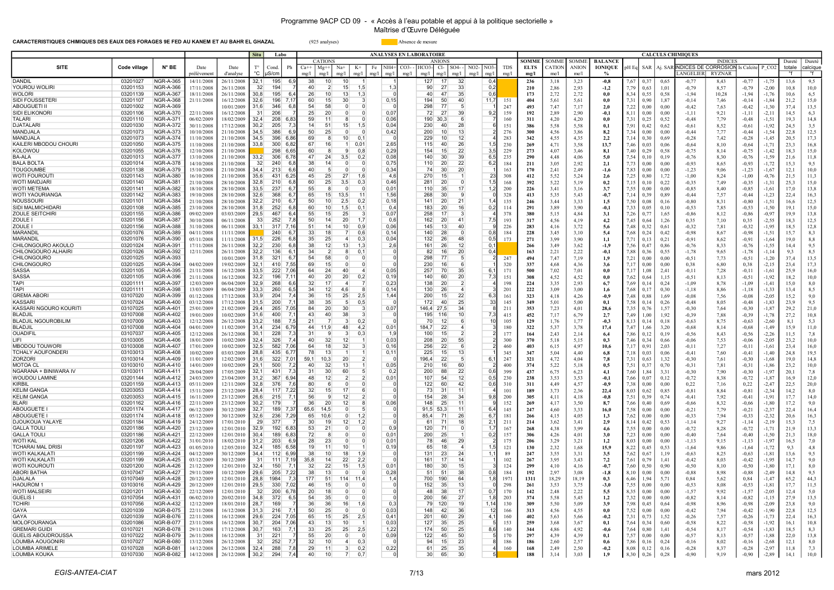|                                      |                      |                                      |                          |                          | Situ         | Labo                     |                       |                 |                                          |                            |               | <b>ANALYSES EN LABORATOIRE</b>                                                             |                          |                     |                    |                              |                                 |              |              |              | <b>CALCULS CHIMIOUES</b> |                                                        |                     |                     |                        |                            |
|--------------------------------------|----------------------|--------------------------------------|--------------------------|--------------------------|--------------|--------------------------|-----------------------|-----------------|------------------------------------------|----------------------------|---------------|--------------------------------------------------------------------------------------------|--------------------------|---------------------|--------------------|------------------------------|---------------------------------|--------------|--------------|--------------|--------------------------|--------------------------------------------------------|---------------------|---------------------|------------------------|----------------------------|
| <b>SITE</b>                          |                      | $N^{\circ}$ BE                       |                          |                          |              |                          |                       | CATIONS         |                                          |                            |               | ANION:                                                                                     |                          |                     | <b>SOMME</b> SOMME | <b>SOMME</b><br><b>ANION</b> | <b>BALANCE</b>                  |              |              |              |                          | <b>INDICES</b><br>NDICES DE CORROSION Is Calcite P CO2 |                     |                     | Dureté                 | Dureté                     |
|                                      | Code village         |                                      | Date<br>rélèvemen        | Date<br>d'analyse        | °C.          | Cond.<br>Ph<br>uS/cm     | mg/l                  | mg/l            | $Ca++$ $Mg++$ $Na+$ $K+$<br>mg/l<br>mg/1 | mg/l                       | me/l          | Fe   NH4+ CO3--   HCO3-   Cl-   SO4--   NO2-   NO3-<br>mg/l<br>mg/l<br>mg/l<br>mg/l<br>mg/ | <b>TDS</b><br>mg/        | <b>ELTS</b><br>me/l | CATION<br>me/l     | me/l                         | <b>IONIQUE</b><br>$\frac{0}{6}$ | pH Ec        | SAR          | Aj. SAR      | <b>ANGELIER</b>          | <b>RYZNAR</b>                                          |                     |                     | totale<br>$^{\circ}$ f | calcique<br>$\overline{f}$ |
| DANDIL                               | 03201027             | <b>NGR-A-365</b>                     | 14/11/2008               | 26/11/2008               | 32,1         | 195<br>6.                | 38                    | 10 <sup>1</sup> | 10 <sup>1</sup>                          |                            |               | 127<br>17<br>32                                                                            | 0,4                      | 236                 | 3,18               | 3,23                         | $-0.8$                          | 7,67         | 0.37         |              |                          |                                                        |                     |                     |                        | 9,5                        |
| yourou woliri                        | 03201153             | <b>NGR-A-366</b>                     | 17/11/2008               | 26/11/2008               | 32           | 194                      | 40                    | $\overline{2}$  | 15                                       | 1,5                        |               | 90<br>27<br>33                                                                             | 0,2                      | 210                 | 2.86               | 2,93                         | $-1,2$                          | 7,79         | 0,63         | 1,01         | $-0,79$                  | 8.57                                                   | $-0,79$             | $-2,00$             | 10,8                   | 10,0                       |
| WOLORI                               | 03201139             | <b>NGR-A-367</b>                     | 18/11/2008               | 26/11/2008               | 30,8         | 195<br>6.4               | 26                    | 10 <sup>1</sup> | 13                                       | 1,3                        |               | 47<br>35<br>40 <sup>1</sup>                                                                | 0,6                      | 173                 | 2,72               | 2,72                         | 0.0                             | 8,34         | 0,55         | 0,58         | $-1.94$                  | 10,28                                                  | $-1,94$             | $-1.76$             | 10.6                   | 6,5                        |
| SIDI FOUSSETER                       | 03201107             | <b>NGR-A-368</b>                     | 21/11/2008               | 16/12/2008               | 32,6         | 196 7,17                 | 60                    | 15              | 30                                       | -3                         | 0, 15         | 50<br>40<br>194                                                                            | 11,7<br>151              | 404                 | 5.61               | 5,61                         | 0.0                             | 7,31         | 0,90         | 1,87         | $-0.14$                  | 7,46                                                   | $-0,14$             | $-1,84$             | 21.2                   | 15,0                       |
| ABOUGUETI                            | 03201002             | <b>NGR-A-369</b>                     |                          | 10/01/2009               | 31.6         | 346<br>6.                | 54                    | 58              | $\overline{0}$                           | 0                          |               | 77<br>5<br>298                                                                             | 247                      | 493                 | 7,47               | 7,17                         | 2.0                             | 7,22         | 0,00         | 0,00         | $-0.42$                  | 7,63                                                   | $-0,42$             | $-1,30$             | 37.4                   | 13,5                       |
| SIDI ELIKONOR<br>TAL ARI             | 03201106<br>03201110 | <b>NGR-A-370</b><br><b>NGR-A-371</b> | 22/11/2008<br>06/02/2009 | 16/12/2008<br>18/02/2009 | -31<br>32.4  | 206<br>208 6,83          | 25<br>59              | 20<br>11        | $\overline{0}$<br>8                      | $\overline{0}$<br>$\Omega$ | 0,07<br>0,06  | 27<br>72<br>39<br>6<br>190 30.3                                                            | 9,2<br>159<br>160        | 192<br>311          | 2.89<br>4,20       | 2,90<br>4,20                 | $-0,1$<br>0.0                   | 8,11         | 0,00<br>0,25 | 0,00<br>0,52 | $-1,11$<br>$-0.48$       | 9,21<br>7,79                                           | $-1, 11$<br>$-0.48$ | $-2,11$<br>$-1, 51$ | 14.5<br>19.3           | 6,3<br>14,8                |
| <b>DJATALARI</b>                     | 03201030             | <b>NGR-A-372</b>                     | 30/11/2008               | 17/12/2008               | 30,2         | 205<br>-7.3              | 14                    | 51              | 15                                       | 1.5                        | 0,04          | 230<br>40<br>28                                                                            | 151                      | 386                 | 5,58               | 5,58                         | 0,1                             | 7,31<br>7,91 | 0,42         | 0,62         | $-0.61$                  | 8,52                                                   | $-0.61$             | $-1,92$             | 24,5                   | 3,5                        |
| MANDJALA                             | 03201073             | <b>NGR-A-373</b>                     | 10/10/2008               | 21/10/2008               | 34.5         | 386<br>6, 9              | 50                    | 25              | $\mathbf{0}$                             | 0                          | 0,42          | 200<br>13<br>10                                                                            | 276                      | 300                 | 4,56               | 3,86                         | 8,2                             | 7,34         | 0,00         | 0,00         | $-0.44$                  | 7,77                                                   | $-0,44$             | $-1,54$             | 22,8                   | 12,5                       |
| MANDJALA                             | 03201073             | <b>NGR-A-374</b>                     | 11/10/2008               | 21/10/2008               | 34.5         | 396 6,86                 | 69                    | -8              | 10 <sup>1</sup><br>0,1                   |                            |               | 12<br>229<br>10 <sup>1</sup>                                                               | 283                      | 342                 | 4,55               | 4,35                         | 2,2                             | 7,14         | 0.30         | 0.69         | $-0,28$                  | 7,42                                                   | $-0,28$             | $-1,45$             | 20.5                   | 17,3                       |
| KAILERI MBODOU CHOUR                 | 03201050             | <b>NGR-A-375</b>                     | 11/10/2008               | 21/10/2008               | 33,8         | 300 6,82                 | 67                    | 16              | 1<br>0.01                                |                            | 2,65          | 115<br>40<br>26                                                                            | 1,5<br>230               | 269                 | 4,71               | 3,58                         | 13,7                            | 7,46         | 0,03         | 0.06         | $-0.64$                  | 8,10                                                   | $-0,64$             | $-1,71$             | 233                    | 16,8                       |
| KOLOWOU                              | 03201055             | <b>NGR-A-376</b>                     | 12/10/2008               | 21/10/2008               |              | 298 6,65                 | 60                    | 8               | 9<br>0.8                                 |                            | 0.29          | 154<br>15<br>22                                                                            | 3,5<br>229               | 273                 | 4,07               | 3,46                         | 8.1                             | 7,40         | 0,29         | 0,58         | $-0,75$                  | 8,14                                                   | $-0,75$             | $-1,42$             | 18,3                   | 15,0                       |
| BA-ALA<br>BALA BOLTA                 | 03201013<br>03201014 | <b>NGR-A-377</b><br><b>NGR-A-378</b> | 13/10/2008<br>14/10/2008 | 21/10/2008<br>21/10/2008 | 33,2<br>32   | 306 6,78<br>240<br>6,8   | 47<br>38              | 24<br>14        | 3,5<br>0,2<br>$\overline{0}$             | $\Omega$                   | 0,08<br>0,75  | 140<br>30<br>39<br>110<br>20<br>22                                                         | 6,5<br>235<br>6,2<br>184 | 290<br>211          | 4,48<br>3,05       | 4,06<br>2,92                 | 5.0<br>2,1                      | 7,54<br>7,73 | 0,10<br>0,00 | 0,19<br>0,00 | $-0.76$<br>$-0,93$       | 8,30<br>8,65                                           | $-0,76$<br>$-0,93$  | $-1,59$<br>$-1,72$  | 21.6<br>15.3           | 11,8<br>9,5                |
| TOUGOUMBE                            | 03201138             | <b>NGR-A-379</b>                     | 15/10/2008               | 21/10/2008               | 34,4         | 213<br>6.6               | 40                    | 5               | $\Omega$                                 | $\Omega$                   | 0,34          | 74<br>30<br>20                                                                             | 163                      | 170                 | 2,41               | 2,49                         | $-1.6$                          | 7,83         | 0,00         | 0,00         | $-1,23$                  | 9,06                                                   | $-1,23$             | $-1,67$             | 12.1                   | 10,0                       |
| WOTI FOUROUT                         | 03201143             | <b>NGR-A-380</b>                     | 16/10/2008               | 21/10/2008               | 35,6         | 431<br>6,25              | 45                    | 25              | 27                                       | 1,6                        | 4,6           | 270<br>15                                                                                  | 23<br>308                | 412                 | 5,52               | 5,24                         | 2,6                             | 7,25         | 0,80         | 1,72         | $-1,00$                  | 8,24                                                   | $-1,00$             | $-0,76$             | 21,5                   | 11,3                       |
| WOTI MAIDJARI                        | 03201140             | <b>NGR-A-381</b>                     | 21/10/2008               | 28/10/2008               | 32.8         | 6,8<br>210               | 60                    | 25              | 3,5<br>0.3                               |                            | 0.46          | 281<br>-20<br>$\Omega$                                                                     | 1.5<br>168               | 392                 | 5,22               | 5,19                         | 0.2                             | 7,15         | 0,10         | 0,22         | $-0.35$                  | 7,49                                                   | $-0.35$             | $-1, 31$            | 25.3                   | 15,0                       |
| WOTI METEMA                          | 03201141             | <b>NGR-A-382</b>                     | 18/10/2008               | 28/10/2008               | 33.5         | 237<br>6,7               | 55                    | -8              | $\Omega$                                 | $\Omega$                   | 0,01          | 17<br>110<br>35                                                                            | 1,2<br>200               | 226                 | 3,41               | 3,16                         | 3.7                             | 7,55         | 0,00         | 0.00         | $-0.85$                  | 8,40                                                   | $-0,85$             | $-1,61$             | 17,0                   | 13,8                       |
| WOTI YAOURIANGA                      | 03201142             | <b>NGR-A-383</b>                     | 19/10/2008               | 28/10/2008               | 32,6         | 368<br>6,7               | 65                    | 15              | 13,5                                     | 11                         | 1,56          | 268<br>30<br>9                                                                             | 328                      | 413                 | 5,35               | 5,43                         | $-0.7$                          | 7,14         | 0.39         | 0,89         | $-0.44$                  | 7.57                                                   | $-0,44$             | $-1,23$             | 22.4                   | 16,3                       |
| NOUSSOUR                             | 03201101             | <b>NGR-A-384</b>                     | 21/10/2008               | 28/10/2008               | 32,2         | 210<br>6,7               | 50                    | 10              | 2,5<br>0,2                               |                            | 0, 18         | 20<br>21<br>141                                                                            | 1,4<br>135               | 246                 | 3,44               | 3,33                         | 1.5                             | 7,50         | 0,08         | 0,16         | $-0.80$                  | 8,31                                                   | $-0.80$             | $-1,51$             | 16.6                   | 12,5                       |
| SIDI MALMICHIDARI<br>ZOULE SEITCHIRI | 03201108<br>03201155 | <b>NGR-A-385</b><br><b>NGR-A-386</b> | 23/10/2008               | 28/10/2008<br>03/03/2009 | 31.8<br>29,5 | 252<br>6,8<br>467<br>6.4 | 60<br>55              | 10<br>15        | 1,5<br>0,1<br>25                         | $\overline{3}$             | 0,4<br>0,07   | 20<br>16<br>183<br>258<br>17<br>$\overline{\mathbf{3}}$                                    | 0,2<br>114               | 291<br>380          | 3,89               | 3,90<br>4,84                 | $-0.1$                          | 7,33         | 0,05         | 0,10<br>1.65 | $-0.53$<br>$-0.86$       | 7,85                                                   | $-0.53$             | $-1,50$<br>$-0.97$  | 19.1<br>19.9           | 15,0                       |
| ZOULE I                              | 03201156             | <b>NGR-A-387</b>                     | 09/02/2009<br>30/10/2008 | 06/11/2008               | 33           | 252<br>7.8               | 50                    | 14              | 20                                       | 1,7                        | 0,6           | 162<br>20<br>41                                                                            | 378<br>7,5<br>193        | 317                 | 5,15<br>4,56       | 4,19                         | 3,1<br>4.2                      | 7,26<br>7,45 | 0,77<br>0,64 | 1,26         | 0.35                     | 8,12<br>7,10                                           | $-0,86$<br>0,35     | $-2,55$             | 18.3                   | 13,8<br>12,5               |
| ZOULE                                | 03201156             | <b>NGR-A-388</b>                     | 31/10/2008               | 06/11/2008               | 33,1         | 317<br>7,16              | 51                    | 14              | 10 <sup>1</sup><br>0,9                   |                            | 0,06          | 145<br>13<br>40                                                                            | 226                      | 283                 | 4,16               | 3,72                         | 5.6                             | 7,48         | 0,32         | 0,61         | $-0.32$                  | 7,81                                                   | $-0.32$             | $-1,95$             | 18,5                   | 12,8                       |
| Marandii                             | 03201076             | <b>NGR-A-389</b>                     | 04/11/2008               | 11/11/2008               |              | 6,7<br>240               | 33                    | 18              | $\overline{7}$<br>0,6                    | 0,14                       |               | 140<br>-28<br>$\Omega$                                                                     | 0,8<br>184               | 228                 | 3,45               | 3,10                         | 5,4                             | 7,68         | 0,24         | 0.42         | $-0.98$                  | 8,67                                                   | $-0,98$             | $-1, 51$            | 15.7                   | 8,3                        |
| <b>MARANDIL</b>                      | 03201076             | <b>NGR-A-390</b>                     | 05/11/2008               | 11/11/2008               | 31.5         | 226<br>6.8               | 35 <sup>1</sup>       | 25              | $\overline{4}$<br>0,3                    |                            | 0,04          | 132<br>48<br>26                                                                            | 0,5<br>173               | 271                 | 3.99               | 3,90                         | 1,1                             | 7,71         | 0,13         | 0,21         | $-0.91$                  | 8,62                                                   | $-0,91$             | $-1,64$             | 190                    | 8,8                        |
| CHILONGOURO AKOULO                   | 03201024             | <b>NGR-A-391</b>                     | 17/11/2008               | 26/11/2008               | 32,2         | 230<br>6,8               | 38                    | 12              | 13<br>1,3                                |                            | 2,6           | 161<br>26<br>12                                                                            | 0,1                      | 266                 | 3,49               | 3,62                         | $-1.9$                          | 7,56         | 0,47         | 0,86         | $-0.76$                  | 8,33                                                   | $-0,76$             | $-1,55$             | 14,4                   | 9,5                        |
| CHILONGOURO ALHAIRI                  | 03201026             | <b>NGR-A-392</b>                     | 12/11/2008               | 26/11/2008               | 32.2         | 136<br>6.1               | 34                    | $\overline{2}$  | 8<br>0,1                                 |                            |               | 82<br>16<br>20                                                                             | 0,4                      | 163                 | 2,21               | 2,22                         | $-0.1$                          | 7,88         | 0,36         | 0,55         | $-1.78$                  | 9,65                                                   | $-1,78$             | $-1,14$             | 9.3                    | 8,5                        |
| CHILONGOURO<br>CHILONGOURO           | 03201025<br>03201025 | <b>NGR-A-393</b><br><b>NGR-A-394</b> | 04/02/2009               | 10/01/2009<br>19/02/2009 | 31.8<br>32,1 | 321<br>6.7<br>410 7,55   | 54<br>69              | 58<br>15        | $\overline{0}$<br>$\Omega$               | $\Omega$<br>$\Omega$       |               | 77<br>298<br>5<br>230<br>6<br>16                                                           | 247<br>320               | 494<br>337          | 7,47<br>4.68       | 7,19<br>4,36                 | 1.9                             | 7,21         | 0,00<br>0,00 | 0,00<br>0,00 | $-0,51$<br>0.38          | 7,73<br>6,80                                           | $-0,51$<br>0,38     | $-1,20$<br>$-2,15$  | 37.4<br>23.4           | 13,5<br>17,3               |
| SASSA                                | 03201105             | <b>NGR-A-395</b>                     | 21/11/2008               | 16/12/2008               | 33.5         | 222 7,06                 | 64                    | 24              | 40                                       | $\overline{4}$             | 0,05          | 257<br>70<br>35                                                                            | 6,1<br>171               | 500                 | 7,02               | 7,01                         | 3.6<br>0,0                      | 7,17<br>7,17 | 1,08         | 2,41         | $-0,11$                  | 7,28                                                   | $-0.11$             | $-1,61$             | 25,9                   | 16,0                       |
| SASSA                                | 03201105             | <b>NGR-A-396</b>                     | 21/11/2008               | 16/12/2008               | 32,2         | 196<br>7,11              | 40                    | 20              | 20                                       | 0.2                        | 0,19          | 140<br>20<br>60                                                                            | 7,3<br>151               | 308                 | 4,52               | 4,52                         | 0.0                             | 7,62         | 0,64         | 1.15         | $-0.51$                  | 8,13                                                   | $-0.51$             | $-1,92$             | 18,2                   | 10,0                       |
| TAPI                                 | 03201111             | <b>NGR-A-397</b>                     | 12/03/2009               | 06/04/2009               | 32.9         | 6,6<br>268               | 32                    | 17              | $\overline{4}$                           | $\overline{7}$             | 0,23          | $\vert$ 2<br>138<br>20                                                                     | 198                      | 224                 | 3,35               | 2,93                         | 6,7                             | 7,69         | 0.14         | 0.24         | $-1.09$                  | 8,78                                                   | $-1,09$             | $-1,41$             | 15.0                   | 8,0                        |
| TAPI                                 | 03201111             | <b>NGR-A-398</b>                     | 13/03/2009               | 06/04/2009               | 33.3         | 260<br>6,5               | 34                    | 12              | 4,6                                      | 8                          | 0,14          | 130<br>$\overline{4}$<br>26                                                                | 201                      | 222                 | 3,09               | 3,00                         | 1,6                             | 7,68         | 0,17         | 0.30         | $-1.18$                  | 8,86                                                   | $-1,18$             | $-1,33$             | 134                    | 8,5                        |
| <b>GREMA ABOR</b>                    | 03107020             | <b>NGR-A-399</b>                     | 01/12/2008               | 17/12/2008               | 33,9         | 204<br>7,4               | 36                    | 15              | 25<br>2,5                                |                            | 1,44          | 22<br>200<br>15                                                                            | 6,3<br>161               | 323                 | 4,18               | 4,26                         | $-0.9$                          | 7,48         | 0,88         | 1,69         | $-0.08$                  | 7,56                                                   | $-0.08$             | $-2,05$             | 152                    | 9,0                        |
| KASSARI                              | 03107024             | <b>NGR-A-400</b>                     | 03/12/2008               | 17/12/2008               | 31,5         | 200<br>7,1               | 38                    | 35              | 5 <sup>5</sup><br>0,5                    |                            |               | 40<br>25<br>172                                                                            | 33<br>145                | 349                 | 5.01               | 5,00                         | 0.1                             | 7,58         | 0,14         | 0,26         | $-0.48$                  | 8,05                                                   | $-0.48$             | $-1,83$             | 23.9                   | 9,5                        |
| KASSARI NGOURO KOURITI<br>BLADJIL    | 03107025<br>03107008 | <b>NGR-A-401</b><br><b>NGR-A-402</b> | 25/01/2009<br>19/01/2009 | 21/02/2009<br>10/02/2009 | 29,4<br>31.6 | 265 7,05<br>400<br>7,1   | 84<br>43              | 20<br>40        | 30<br>38                                 | 3<br>3                     | 0,07          | 146,4 27,5<br>34<br>10 <sup>1</sup><br>195<br>116                                          | 211<br>7,3<br>415        | 353<br>452          | 7,23<br>7,17       | 4,01<br>6,79                 | 28.6<br>2.7                     | 7,35<br>7,49 | 0.76<br>1.00 | 1,57<br>1,92 | $-0.30$<br>$-0.39$       | 7,64<br>7,88                                           | $-0.30$<br>$-0.39$  | $-1,87$<br>$-1,78$  | 29.2<br>27,2           | 21,0<br>10,8               |
| BLADJIL NGOUROBILIM                  | 03107009             | <b>NGR-A-403</b>                     | 12/12/2008               | 26/12/2008               | 33.2         | 188<br>-7.               | 21                    |                 | 3<br>0,2                                 |                            |               | 70<br>12<br>6                                                                              | 105                      | 129                 | 1,76               | 1,77                         | $-0.3$                          | 8,13         | 0,14         | 0,18         | $-0.63$                  | 8,75                                                   | $-0.63$             | $-2,60$             | 8.1                    | 5,3                        |
| BLADJIL                              | 03107008             | <b>NGR-A-404</b>                     | 04/01/2009               | 11/02/2009               | 31,4         | 234<br>6,79              | 44                    | 11.9            | 48<br>4,2                                |                            | 0,01          | 184,7<br>$\overline{4}$<br>-22                                                             | 180                      | 322                 | 5,37               | 3,78                         | 17,4                            | 7,47         | 1,66         | 3,20         | $-0.68$                  | 8,14                                                   | $-0,68$             | $-1,49$             | 15,9                   | 11,0                       |
| OUADIFII                             | 03107037             | <b>NGR-A-405</b>                     | 12/12/2008               | 26/12/2008               | 30.1         | 228<br>-7.3              | 31                    | -9              | $\lceil 3 \rceil$<br>0,3                 |                            | 1.9           | 100<br>$\overline{2}$<br>15                                                                | 177                      | 164                 | 2,43               | 2,14                         | 6,4                             | 7,86         | 0,12         | 0.19         | $-0.56$                  | 8,43                                                   | $-0,56$             | $-2,26$             | 11.5                   | 7,8                        |
| LIFI                                 | 03103005             | <b>NGR-A-406</b>                     | 18/01/2009               | 10/02/2009               | 32.4         | 326<br>7 <sub>4</sub>    | 40                    | 32              | 12                                       |                            | 0,03          | 208<br>20<br>55                                                                            | 300                      | 370                 | 5,18               | 5,15                         | 0.3                             | 7,46         | 0.34         | 0.66         | $-0.06$                  | 7.53                                                   | $-0,06$             | $-2,05$             | 23 2                   | 10,0                       |
| <b>MBODOU TOUWORI</b>                | 03103008             | <b>NGR-A-407</b>                     | 17/01/2009               | 10/02/2009               | 32.5         | 582 7,06                 | 64                    | 18              | 32                                       | 3                          | 0, 16         | 256<br>22                                                                                  | 460                      | 403                 | 6,15               | 4,97                         | 10,6                            | 7,17         | 0,91         | 2,03         | $-0.11$                  | 7,27                                                   | $-0,11$             | $-1,61$             | 234                    | 16,0                       |
| TCHALY AOUFONDER<br>ZORZORI          | 03103013<br>03103014 | <b>NGR-A-408</b><br><b>NGR-A-409</b> | 10/02/2009               | 03/03/2009<br>12/02/2009 | 28,8<br>31.6 | 435 6.77<br>322 7,01     | 78<br>59,1            | 13<br>10.3      | 20                                       | $\overline{2}$             | 0,11          | 225<br>15<br>13<br>196.4<br>22<br>- 5                                                      | 345<br>6,1               | 347                 | 5,04               | 4,40                         | 6.8                             | 7,18         | 0,03         | 0,06         | $-0.41$                  | 7,60                                                   | $-0.41$             | $-1,40$             | 24,8                   | 19,5                       |
| MOTOA CL                             | 03103010             | <b>NGR-A-410</b>                     | 11/01/2009<br>14/01/2009 | 10/02/2009               | 29,1         | 500<br>-7.2              | 40                    | 32              | 13                                       |                            | 0,05          | 210<br>16<br>60                                                                            | 247<br>400               | 321<br>374          | 4,72<br>5,22       | 4,04<br>5,18                 | 7,8<br>0.5                      | 7,31<br>7,51 | 0,63<br>0,37 | 1,32<br>0.70 | $-0.30$<br>$-0.31$       | 7,61<br>7,81                                           | $-0.30$<br>$-0.31$  | $-1,68$<br>$-1,86$  | 19.0<br>23 2           | 14,8<br>10,0               |
| NGARANA + BINIWARA IV                | 03103011             | <b>NGR-A-411</b>                     | 28/04/2009               | 17/05/2009               | 32,1         | 431<br>-7,3              | 31                    | 30              | 60                                       | 5                          | 0,2           | 22<br>200<br>88                                                                            | 0,6<br>399               | 437                 | 6,75               | 6,23                         | 4,1                             | 7,60         | 1,84         | 331          | $-0.30$                  | 7,90                                                   | $-0.30$             | $-1,97$             | 20,1                   | 7,8                        |
| WOUDOU LAMINE                        | 03201144             | <b>NGR-A-412</b>                     | 24/03/2009               | 23/04/2009               | 31,2         | 367 6,94                 | 48                    | 12              | $\overline{2}$                           | $\overline{2}$             | 0,01          | 12<br>107<br>54                                                                            | 0,5<br>230               | 238                 | 3,53               | 3,53                         | $-0.1$                          | 7,66         | 0,07         | 0,12         | $-0.72$                  | 8,38                                                   | $-0,72$             | $-1,87$             | 16.9                   | 12,0                       |
| KIRBIL                               | 03201159             | <b>NGR-A-413</b>                     | 05/11/2009               | 12/11/2009               | 32.8         | 376<br>7.6               | 80                    | 6               | $\Omega$                                 | $\Omega$                   |               | 42<br>122<br>60                                                                            | 0,6<br>310               | 311                 | 4,49               | 4,57                         | $-0.9$                          | 7,38         | 0,00         | 0.00         | 0.22                     | 7,16                                                   | 0,22                | $-2,47$             | 22.5                   | 20,0                       |
| KELIM GANGA                          | 03203053             | <b>NGR-A-414</b>                     | 15/11/2009               | 23/12/2009               | 28,4         | 117 7,22                 | 32                    | 15              | 17                                       | 6                          |               | 73<br>-31<br>11                                                                            | 101                      | 189                 | 3.73               | 2,36                         | 22.4                            | 8,03         | 0.62         | 0.85         | $-0.81$                  | 8 8 4                                                  | $-0.81$             | $-2.34$             | 142                    | 8,0                        |
| KELIM GANGA                          | 03203053             | <b>NGR-A-415</b>                     | 16/11/2009               | 23/12/2009               | 26,6         | 215<br>7,1               | 56                    | 9               | 12                                       | $\overline{2}$             |               | 28<br>34<br>154                                                                            | 9,8<br>200               | 305                 | 4,11               | 4,18                         | $-0.8$                          | 7,51         | 0,39         | 0.74         | $-0.41$                  | 7,92                                                   | $-0.41$             | $-1.91$             | 177                    | 14,0                       |
| BLARI<br>ABOUGUETE                   | 03201162<br>03201174 | <b>NGR-A-416</b><br><b>NGR-A-417</b> | 22/11/2009<br>06/12/2009 | 23/12/2009<br>30/12/2009 | 30.2<br>32.7 | 179<br>189 7,37          | 36<br>65,6            | 20<br>14.5      | 12<br>$\overline{0}$                     | 8<br>$-5$                  | 0,06          | 25<br>11<br>148<br>91,5 53,3<br>11                                                         | 152<br>6,4<br>145        | 269<br>247          | 4,17<br>4.60       | 3,50<br>3,33                 | 8,7<br>16.0                     | 7,66<br>7,58 | 0,40<br>0.00 | 0.69<br>0.00 | $-0.66$<br>$-0.21$       | 8,32<br>7,79                                           | $-0.66$<br>$-0,21$  | $-1,80$<br>$-2,37$  | 17,2<br>22,4           | 9,0<br>16,4                |
| <b>ABOUGUETE</b>                     | 03201174             | <b>NGR-A-418</b>                     | 05/12/2009               | 30/12/2009               | 32,6         | 236 7,29                 | 65                    | 10,6            | $\overline{0}$                           | 1,2                        |               | 85,4<br>71<br>26                                                                           | 6,7<br>181               | 266                 | 4,15               | 4,05                         | 1,3                             | 7,62         | 0,00         | 0,00         | $-0.33$                  | 7,94                                                   | $-0.33$             | $-2,32$             | 20,6                   | 16,3                       |
| DJOUKOUA YALAYE                      | 03201184             | <b>NGR-A-419</b>                     | 24/12/2009               | 17/01/2010               | 29           | 377                      | 30 <sup>°</sup>       | 19              | 12                                       | 1,2                        |               | 71<br>18<br>61                                                                             | 2,1<br>211               | 214                 | 3,62               | 3,41                         | 2,9                             | 8,14         | 0,42         | 0,53         | $-1.14$                  | 9,27                                                   | $-1,14$             | $-2,19$             | 15,3                   | 7,5                        |
| GALLA TOULI                          | 03201186             | <b>NGR-A-420</b>                     | 23/12/2009               | 12/01/2010               | 32,9         | 192 6,83                 | 53                    | 21              | $\Omega$                                 | $\Omega$                   | 0.9           | 120<br>71<br>0                                                                             | 1,7<br>167               | 268                 | 4,38               | 3,99                         | 4,6                             | 7,55         | 0,00         | 0,00         | $-0,72$                  | 8,28                                                   | $-0,72$             | $-1,71$             | 21.9                   | 13,3                       |
| GALLA TOUL                           | 03201186             | <b>NGR-A-421</b>                     | 22/12/2009               | 12/01/2010               | 30.4         | 189 6,83                 | 72                    | -8              | $\Omega$                                 | $\Omega$                   | 0.01          | 200<br>25                                                                                  | 0,2<br>157               | 306                 | 4,26               | 4,01                         | 3.0                             | 7,23         | 0.00         | 0.00         | $-0.40$                  | 7,64                                                   | $-0,40$             | $-1,50$             | 213                    | 18,0                       |
| WOTI KAL                             | 03201206             | <b>NGR-A-422</b>                     | 31/01/2010               | 18/02/2010               | 31,2         | 203<br>6.9               | 28                    | 23              | $\Omega$                                 | $\Omega$                   | 0,01          | 78<br>46<br>29                                                                             | 175                      | 206                 | 3,29               | 3,21                         | 1,2                             | 8,03         | 0,00         | 0,00         | $-1,13$                  | 9,15                                                   | $-1,13$             | $-1.97$             | 16.5                   | 7,0                        |
| TCHARAI MAL DRISI<br>WOTI KALKALATI  | 03201197<br>03201199 | <b>NGR-A-423</b><br><b>NGR-A-424</b> | 01/05/2010               | 12/05/2010<br>30/12/2009 | 32,4<br>34,4 | 185 6,58<br>112 6,99     | 19<br>38 <sup>1</sup> | 11<br>10        | 10 <sup>1</sup><br>1.9                   |                            | 0, 19         | 65<br>18<br>$\overline{4}$<br>24<br>131<br>23                                              | 1,5<br>121<br>89         | 130<br>247          | 2,32<br>3,55       | 1,68                         | 15.9                            | 8,22<br>7,62 | 0,45         | 0,53<br>1,19 | $-1.64$<br>$-0.63$       | 9,86<br>8,25                                           | $-1,64$             | $-1,72$<br>$-1, 81$ | 9.3<br>13.6            | 4,8<br>9,5                 |
| WOTI KALKALAT                        | 03201199             | <b>NGR-A-425</b>                     | 04/12/2009<br>03/12/2009 | 30/12/2009               | 31           | $111$ 7,19               | 35,8                  | 14              | 18<br>22<br>2.2                          |                            |               | 161<br>17<br>14                                                                            | 1,1<br>102               | 267                 | 3.95               | 3,31<br>3,43                 | 3,5<br>7.2                      | 7,61         | 0,67<br>0.79 | 141          | $-0.42$                  | 8.03                                                   | $-0,63$<br>$-0,42$  | $-1,95$             | 147                    | 9,0                        |
| WOTI KOUROUTI                        | 03201200             | <b>NGR-A-426</b>                     | 21/12/2009               | 12/01/2010               | 32,4         | 150<br>$7$ .             | 32                    | 22              | 15                                       | 1,5                        | $0,0^{\circ}$ | 180<br>30<br>15                                                                            | 124                      | 299                 | 4,10               | 4,16                         | $-0,7$                          | 7,60         | 0,50         | 0.90         | $-0.50$                  | 8,10                                                   | $-0,50$             | $-1,80$             | 17,1                   | 8,0                        |
| ABORI BATHA                          | 03107047             | <b>NGR-A-427</b>                     | 29/11/2009               | 10/12/2009               | 29,6         | 205<br>7,22              | 38 <sup>1</sup>       | 13              | $\Omega$                                 | $\Omega$                   | 0,28          | 51<br>38<br>-51                                                                            | 0,8<br>184               | 192                 | 2.97               | 3,08                         | $-1.8$                          | 8,10         | 0,00         | 0,00         | $-0.88$                  | 8,98                                                   | $-0.88$             | $-2,49$             | 14,8                   | 9,5                        |
| DJALALA                              | 03107049             | <b>NGR-A-428</b>                     | 20/12/2009               | 12/01/2010               | 28.8         | -7.3<br>1984             | 177                   | 51              | 114<br>11.4                              |                            | 1,4           | 700<br>64<br>190                                                                           | 1,8<br>1971              | 1311                | 18,29              | 18,19                        | 0.3                             | 6,46         | 1,94         | 5.71         | 0.84                     | 5,62                                                   | 0,84                | $-1,47$             | 65.2                   | 44,3                       |
| HAOUROM                              | 03103016             | <b>NGR-A-429</b>                     | 20/12/2009               | 12/01/2010               | 29.5         | 330 7.02                 | 46                    | 15              | $\Omega$                                 | $\Omega$                   |               | 152<br>35<br>13                                                                            | 298                      | 261                 | 3.53               | 3,75                         | $-3.0$                          | 7,55         | 0.00         | 0.00         | $-0.53$                  | 8.08                                                   | $-0.53$             | $-1, 81$            | 177                    | 11,5                       |
| WOTI MALSEIR                         | 03201201             | <b>NGR-A-430</b>                     | 22/12/2009               | 12/01/2010               | 32           | 200 6,78                 | 20                    | 18              | $\Omega$                                 | $\Omega$                   |               | 48<br>38<br>17                                                                             | 0,7<br>170               | 142                 | 2,48               | 2,22                         | 5,5                             | 8,35         | 0,00         | 0.00         | $-1,57$                  | 9,92                                                   | $-1,57$             | $-2,05$             | 12.4                   | 5,0                        |
| GUELIS I                             | 03107054             | <b>NGR-A-431</b>                     | 06/02/2010               | 20/02/2010               | 34.8         | 372<br>6,5               | 54                    | 35              | $\overline{0}$                           | $\Omega$                   |               | 200<br>56<br>27                                                                            | 1,8<br>203               | 374                 | 5,58               | 5,45                         | 1,2                             | 7,32         | 0,00         | 0,00         | $-0.82$                  | 8,14                                                   | $-0.82$             | $-1, 15$            | 27,9                   | 13,5                       |
| TCHIRI<br>GAYA                       | 03107056<br>03201039 | <b>NGR-A-432</b><br><b>NGR-B-075</b> | 12/12/2009<br>22/11/2008 | 18/01/2010<br>16/12/2008 | 28.7<br>31.3 | 169<br>216<br>$7$ .      | 36<br>50              | 36<br>25        | 16<br>$\Omega$                           | 1,6<br>$\Omega$            | 0.3<br>0,03   | 120<br>19<br>79<br>42<br>36<br>148                                                         | 1,14<br>130<br>12<br>166 | 309<br>313          | 5,50<br>4.56       | 5,09<br>4.55                 | 3.9<br>0.0                      | 7,98<br>7,52 | 0.45<br>0.00 | 0.64<br>0.00 | $-0.98$<br>$-0.42$       | 8,96<br>7.94                                           | $-0.98$<br>$-0,42$  | $-2,09$<br>$-1,90$  | 23.8<br>22.8           | 9,0<br>12,5                |
| GAYA                                 | 03201039             | <b>NGR-B-076</b>                     | 22/11/2008               | 16/12/2008               | 29,6         | 224<br>7.05              | 65                    | 15              | 25<br>2,5                                |                            | 0,4'          | 201<br>29<br>60                                                                            | 4,1<br>160               | 402                 | 5.63               | 5,66                         | $-0,2$                          | 7,31         | 0,73         | 1,52         | $-0.26$                  | 7,57                                                   | $-0.26$             | $-1,73$             | 22,4                   | 16,3                       |
| MOLOFOURANGA                         | 03201086             | <b>NGR-B-077</b>                     | 23/11/2008               | 16/12/2008               | 30.7         | 7,06<br>204              | 43                    | 13              | 10                                       |                            | 0,03          | 127<br>25<br>35                                                                            | 153                      | 259                 | 3,68               | 3,67                         | 0,1                             | 7,64         | 0,34         | 0,60         | $-0.58$                  | 8,22                                                   | $-0.58$             | $-1,92$             | 16,1                   | 10,8                       |
| <b>GREMARI GUIDI</b>                 | 03107021             | <b>NGR-B-078</b>                     | 29/11/2008               | 17/12/2008               | 30.7         | 7.1<br>163               | 33                    | 25              | 25<br>2.5                                |                            | 1,22          | 174<br>50<br>25                                                                            | 8,6<br>140               | 344                 | 4.86               | 4,92                         | $-0.6$                          | 7,64         | 0,80         | 1,41         | $-0.54$                  | 8,17                                                   | $-0,54$             | $-1,83$             | 18.5                   | 8,3                        |
| GUELIS ABOUDROUSSA                   | 03107022             | <b>NGR-B-079</b>                     | 26/11/2008               | 16/12/2008               | 31           | 221                      | 55                    | 20              | $\overline{0}$                           | $\Omega$                   | 0,09          | 122<br>45<br>50                                                                            | 170                      | 297                 | 4.39               | 4,39                         | 0,1                             | 7,57         | 0.00         | 0,00         | $-0.57$                  | 8.13                                                   | $-0.57$             | $-1,88$             | 22.0                   | 13,8                       |
| LOUMBA AOUGONIRI                     | 03107027             | <b>NGR-B-080</b>                     | 13/12/2008               | 26/12/2008               | 32           | 252<br>7,7               | 32                    | 10              | $\vert$ 4<br>0,3                         |                            |               | 23<br>94<br>15                                                                             | 186                      | 186                 | 2,60               | 2,57                         | 0,6                             | 7,86         | 0,16         | 0,24         | $-0.16$                  | 8,02                                                   | $-0.16$             | $-2,68$             | 12,1                   | 8,0                        |
| LOUMBA ARIMELE                       | 03107028             | <b>NGR-B-081</b>                     | 14/12/2008               | 26/12/2008               | 32,4         | 288<br>7,8               | 29                    | 11              | 0,2<br>$\lceil 3 \rceil$                 |                            | 0,22          | 25<br>35<br>61                                                                             | 160                      | 168                 | 2,49               | 2,50                         | $-0,2$                          | 8,08         | 0,12         | 0,16         | $-0.28$                  | 8,37                                                   | $-0.28$             | $-2,97$             | 11,8                   | 7,3                        |
| LOUMBA KOUKA                         | 03107030             | <b>NGR-B-082</b>                     |                          | 14/12/2008 26/12/2008    | 30.2         | 294<br>7,4               | 40                    | 10              | 0.7<br>7 <sup>1</sup>                    |                            |               | 30 <sup>°</sup><br>65<br>30                                                                |                          | 188                 | 3.14               | 3.03                         | 1.9                             | 8.30         | 0.26         | 0.28         | $-0.90$                  | 9.19                                                   | $-0.90$             | $-2.89$             | 14.1                   | 10.0                       |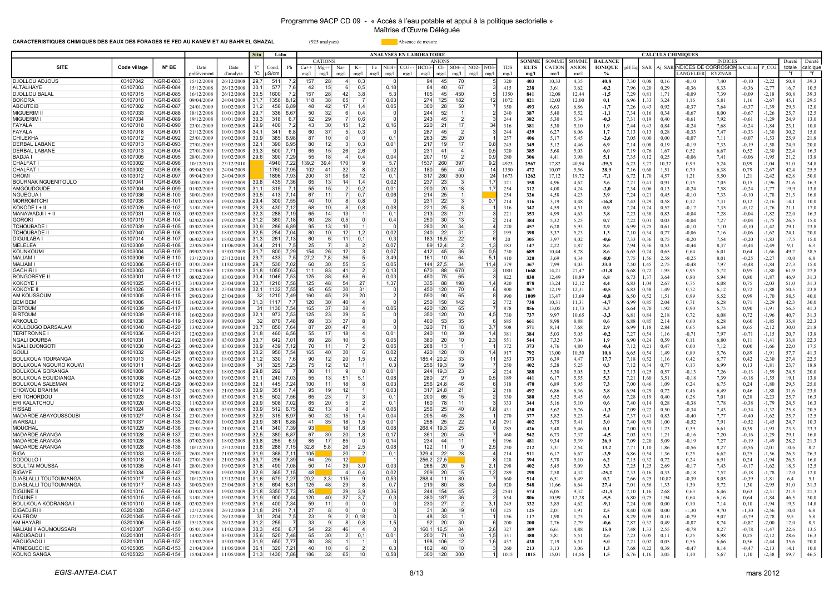|                                           |                      |                                      |                          |                          | Situ         | Labo                            |                       |                            |                                    |              | <b>ANALYSES EN LABORATOIRE</b>                                               |                   |                   |             |                |                     |                  |              |              |               | <b>CALCULS CHIMIOUES</b> |                                                       |                    |                     |              |                       |
|-------------------------------------------|----------------------|--------------------------------------|--------------------------|--------------------------|--------------|---------------------------------|-----------------------|----------------------------|------------------------------------|--------------|------------------------------------------------------------------------------|-------------------|-------------------|-------------|----------------|---------------------|------------------|--------------|--------------|---------------|--------------------------|-------------------------------------------------------|--------------------|---------------------|--------------|-----------------------|
|                                           |                      |                                      |                          |                          |              |                                 |                       | <b>CATIONS</b>             |                                    |              | ANIONS                                                                       |                   |                   | SOMME       | <b>SOMME</b>   | <b>SOMMI</b>        | <b>BALANCE</b>   |              |              |               |                          | <b>INDICES</b>                                        |                    |                     |              | Dureté Dureté         |
| <b>SITE</b>                               | Code village         | $N^{\circ}$ BE                       | Date<br>rélèvemen        | Date<br>d'analyse        | $T^{\circ}$  | Ph<br>Cond.<br>uS/cm            | $Ca++$ $Mg++$ Na+     | $m\sigma/l$<br>$m\sigma/l$ | $K+$                               |              | Fe   NH4+ CO3-- HCO3- CI-   SO4--   NO2-   NO3<br>mg/l<br>mg/<br>$m\sigma/l$ |                   | <b>TDS</b><br>mg/ | <b>ELTS</b> | CATION<br>me/l | <b>ANION</b><br>me/ | <b>IONIQUE</b>   | pH Eq        |              | SAR Aj. SAR   | ANGELIER                 | NDICES DE CORROSION Is Calcite P_CO2<br><b>RYZNAR</b> |                    |                     | totale       | calcique<br>$\circ$ f |
| DJOLLOU ADJOUS                            | 03107042             | <b>NGR-B-083</b>                     | 15/12/2008               | 26/12/2008               | 29,7         | 511<br>7:                       | 157                   |                            | $\vert$ 4                          |              | 94                                                                           |                   |                   | mg/<br>403  | 10,33          | 4,35                | 40,8             |              |              | 0.16          |                          | 7.40                                                  |                    |                     | 50.8         | 39,3                  |
| ALTALHAYE                                 | 03107003             | <b>NGR-B-084</b>                     | 15/12/2008               | 26/12/2008               | 301          | 577<br>$\overline{7}$           | 42                    | 28<br>15                   | 0,3<br>6<br>0,5                    | 0,18         | 45<br>70<br>64<br>67<br>40                                                   |                   | 320<br>415        | 238         | 3,61           | 3,62                | $-0.2$           | 7,30<br>7,96 | 0,08<br>0,20 | 0.29          | $-0,10$<br>$-0.36$       | 8.33                                                  | $-0,10$<br>$-0,36$ | $-2,22$<br>$-2,77$  | 16.7         | 10,5                  |
| DJOLLOU BALAL                             | 03107015             | <b>NGR-B-085</b>                     | 16/12/2008               | 26/12/2008               | 30,5         | 1600<br>7:                      | 157                   | 28                         | 42<br>3,8                          | 5.3          | 105<br>45<br>450                                                             |                   | 1350              | 841         | 12,08          | 12,44               | $-1,5$           | 7,29         | 0,81         | 1,71          | $-0.09$                  | 7,39                                                  | $-0.09$            | $-2,18$             | 50.8         | 39,3                  |
| <b>BOKORA</b>                             | 03107010             | <b>NGR-B-086</b>                     | 09/04/2009               | 24/04/2009               |              | 31,7 1356<br>8.1                | 118                   | 38                         | 65                                 | 0,03         | 274<br>125<br>182                                                            |                   | 1072              | 821         | 12,03          | 12,00               | 0.1              | 6,96         | 1.33         | 3,24          | 1.16                     | 5,81                                                  | 1.16               | $-2,67$             | 45.1         | 29,5                  |
| <b>ABOUTEIE</b>                           | 03107002             | <b>NGR-B-087</b>                     | 24/01/2009               | 10/02/2009               | 31,2         | 456 6,89                        | 48                    | 42                         | 17<br>1,4                          | 0,05         | 300<br>-28<br>50                                                             |                   | 350               | 493         | 6,63           | 6,86                | $-1,7$           | 7,26         | 0,43         | 0,92          | $-0,37$                  | 7,64                                                  | $-0,37$            | $-1,39$             | 29.3         | 12,0                  |
| MIGUERIM I                                | 03107033             | <b>NGR-B-088</b>                     | 18/12/2008               | 10/01/2009               | 29,7         | 336 6,67                        | 50                    | 32                         | 0.4<br>6                           |              | 52<br>244<br>$\overline{1}$                                                  |                   | 240               | 387         | 5,40           | 5,52                | $-1.1$           | 7,34         | 0,16         | 0,34          | $-0.67$                  | 8.00                                                  | $-0.67$            | $-1,26$             | 25.7         | 12,5                  |
| MIGUERIM I<br>FAYALA                      | 03107034<br>03107018 | <b>NGR-B-089</b><br><b>NGR-B-090</b> | 19/12/2008<br>23/01/2009 | 10/01/2009<br>10/02/2009 | 30,3<br>29,9 | 318<br>$6$ .<br>400<br>7.3      | 52<br>43              | 29<br>30 <sup>°</sup>      | 0,6<br>$\overline{7}$<br>15<br>1,2 | 0, 16        | 243<br>45<br>$\overline{2}$<br>17<br>220<br>21                               | 3                 | 244<br>316        | 382<br>381  | 5,30<br>5,30   | 5,34<br>5,10        | $-0.3$<br>1.9    | 7,31<br>7,44 | 0.19<br>0.43 | 0,40<br>0,84  | $-0.61$<br>$-0.24$       | 7,92<br>7,68                                          | $-0,61$<br>$-0,24$ | $-1,29$<br>$-1,84$  | 24,9<br>23,1 | 13,0<br>10,8          |
| FAYALA                                    | 03107018             | <b>NGR-B-091</b>                     | 21/12/2008               | 10/01/2009               | 34,1         | 341<br>6,8                      | 60                    | 37                         | 5 <sub>5</sub><br>0,3              |              | 287<br>45<br>$\overline{2}$                                                  |                   | 244               | 439         | 6,27           | 6,06                | 1,7              | 7,13         | 0,13         | 0,28          | $-0,33$                  | 7,47                                                  | $-0,33$            | $-1,30$             | 30,2         | 15,0                  |
| CHILEKHA                                  | 03107012             | <b>NGR-B-092</b>                     | 25/01/2009               | 19/02/2009               | 30.9         | 385<br>6,98                     | 87                    | 10                         | $\overline{0}$<br>$\Omega$         | 0,1          | 263<br>25<br>20                                                              |                   | 257               | 406         | 5,17           | 5,45                | $-2,6$           | 7,05         | 0.00         | 0.00          | $-0.07$                  | 7,11                                                  | $-0,07$            | $-1,53$             | 25.9         | 21,8                  |
| DERBAL LABANE                             | 03107013             | <b>NGR-B-093</b>                     | 27/01/2009               | 19/02/2009               | 32,1         | 390<br>6,95                     | 80                    | 12                         | 3 <sup>l</sup><br>0,3              | 0,01         | 217<br>19<br>17                                                              | 0,8               | 245               | 349         | 5,12           | 4.46                | 6.9              | 7,14         | 0,08         | 0,19          | $-0.19$                  | 7,33                                                  | $-0,19$            | $-1,58$             | 24,9         | 20,0                  |
| <b>DERBAL LABANE</b>                      | 03107013             | <b>NGR-B-094</b>                     | 27/01/2009               | 19/02/2009               | 33.3         | 7,7<br>500                      | 65                    | 15                         | 26<br>2,6                          |              | 231<br>41<br>$\overline{4}$                                                  | 0,5               | 320               | 385         | 5,68           | 5,03                | 6.0              | 7,19         | 0.76         | 1.67          | 0.52                     | 6,67                                                  | 0,52               | $-2,30$             | 22,4         | 16,3                  |
| BADJA I                                   | 03107005             | <b>NGR-B-095</b>                     | 28/01/2009               | 19/02/2009               | 29,6         | 390 7,29                        | 55                    | 18                         | $\overline{4}$<br>0,4              | 0,04         | 207<br>19<br>$\overline{2}$                                                  | 0,9               | 280               | 306         | 4,41           | 3,98                | 5,1              | 7,35         | 0,12         | 0.25          | $-0,06$<br>0.99          | 7,41                                                  | $-0,06$            | $-1,95$             | 21,2         | 13,8                  |
| CHALFAT<br>CHALFAT I                      | 03103002<br>03103002 | <b>NGR-B-096</b><br><b>NGR-B-096</b> | 10/12/2010<br>09/04/2009 | 23/12/2010<br>24/04/2009 |              | 4940 7,22<br>1760 7,95          | 139.2<br>102          | 39.4<br>41                 | 170<br>32                          | 5,7<br>0,02  | 1537<br>260<br>397<br>180<br>55<br>40                                        | 9,2<br>$\ddagger$ | 4923<br>1350      | 2567<br>472 | 17,82<br>10,07 | 40,94<br>5,56       | $-39,3$<br>28,9  | 6,23<br>7,16 | 3,27<br>0.68 | 10,37<br>1.51 | 0,79                     | 5,24<br>6,38                                          | 0,99<br>0,79       | $-1,04$<br>$-2,67$  | 51,0<br>42,4 | 34,8<br>25,5          |
| OROMI                                     | 03103012             | <b>NGR-B-097</b>                     | 09/04/2009               | 24/04/2009               |              | 1896<br>7,9                     | 200                   | 31                         | 98<br>12                           | 0.2          | 317<br>280<br>300                                                            | $\overline{2}$    | 1673              | 1262        | 17,12          | 19,72               | $-7.1$           | 6,72         | 1.70         | 4.57          | 1.21                     | 5,50                                                  | 1.21               | $-2,42$             | 62.8         | 50,0                  |
| BOURNAK NGUENITOULO                       | 03107041             | <b>NGR-B-098</b>                     | 30/01/2009               | 19/02/2009               | 30,8         | 435 7,36                        | 65                    | 13                         | 14<br>1.4                          | 0,02         | 237<br>23<br>-3                                                              | $\overline{1}$    | 321               | 358         | 4,96           | 4,62                | 3,6              | 7,21         | 0.41         | 0,91          | 0,15                     | 7,05                                                  | 0,15               | $-1,96$             | 21,6         | 16,3                  |
| AMGOUDOUDE                                | 03107004             | <b>NGR-B-099</b>                     | 01/02/2009               | 19/02/2009               | 31,1         | 315<br>$\overline{7}$           | 55                    | 15                         | $\overline{2}$<br>0,2              | 0.01         | 18<br>200<br>20                                                              | 1,7               | 254               | 312         | 4,08           | 4,24                | $-2.0$           | 7,34         | 0.06         | 0.13          | $-0.24$                  | 7.58                                                  | $-0,24$            | $-1,77$             | 19.9         | 13,8                  |
| NGUFOUA                                   | 03107036             | <b>NGR-B-100</b>                     | 30/01/2009               | 19/02/2009               | 30,5         | $413 \quad 7.1$                 | 67                    | 11                         | 7 <sup>1</sup><br>0,7              | 0,06         | 214<br>25                                                                    |                   | 254               | 326         | 4,58           | 4,23                | 3.9              | 7,24         | 0,21         | 0,45          | $-0.10$                  | 7,33                                                  | $-0,10$            | $-1,78$             | 21.3         | 16,8                  |
| MORROMTCH<br>KOKODE I + I                 | 03107035<br>03107026 | <b>NGR-B-101</b><br><b>NGR-B-102</b> | 02/02/2009               | 19/02/2009               | 29,4<br>29,3 | 300 7,55<br>430 7.12            | 40 <sup>1</sup><br>68 | 10<br>10                   | 0.8<br>8<br>0.8<br>-8              | 0,08         | 231<br>22<br>3<br>221<br>25<br>$\overline{\mathbf{8}}$                       | 0,7               | 214               | 316<br>342  | 3,19           | 4,48                | $-16,8$<br>0.9   | 7,43         | 0.29         | 0.58          | 0.12                     | 7,31                                                  | 0.12               | $-2,16$             | 14.1         | 10,0<br>17,0          |
| MANAWAD.II I + II                         | 03107031             | <b>NGR-B-103</b>                     | 31/01/2009<br>05/02/2009 | 19/02/2009<br>18/02/2009 | 32,3         | 288 7.19                        | 65                    | 14                         | 13                                 | 0.1          | 213<br>23<br>21                                                              |                   | 316<br>221        | 353         | 4,59<br>4,99   | 4,51<br>4,63        | 3.8              | 7,24<br>7,23 | 0,24<br>0.38 | 0,52<br>0,83  | $-0,12$<br>$-0.04$       | 7,35<br>7,28                                          | $-0,12$<br>$-0.04$ | $-1,76$<br>$-1,82$  | 21,1<br>22.0 | 16,3                  |
| GOROKI                                    | 03107019             | <b>NGR-B-104</b>                     | 02/02/2009               | 19/02/2009               | 31,2         | 360<br>7.1                      | 60                    | 28                         | 0,5                                | 0,4          | 13<br>250<br>30                                                              |                   | 214               | 384         | 5,32           | 5,25                | 0,7              | 7,22         | 0.01         | 0,03          | $-0.04$                  | 7,27                                                  | $-0.04$            | $-1,75$             | 26,5         | 15,0                  |
| TCHOUBADE                                 | 03107039             | <b>NGR-B-105</b>                     | 05/02/2009               | 18/02/2009               | 30,9         | 286 6,89                        | 95                    | 13                         | 10                                 |              | 280<br>20<br>34                                                              |                   | 220               | 457         | 6,28           | 5,93                | 2.9              | 6,99         | 0,25         | 0.61          | $-0.10$                  | 7,10                                                  | $-0.10$            | $-1,42$             | 29.1         | 23,8                  |
| TCHOUBADE                                 | 03107040             | <b>NGR-B-106</b>                     | 05/02/2009               | 18/02/2009               | 32,5         | 254<br>7,04                     | 80                    | 10                         | 12<br>1,2                          | 0,02         | 240<br>22<br>31                                                              |                   | 195               | 398         | 5,37           | 5,23                | 1,3              | 7,10         | 0.34         | 0.77          | $-0.06$                  | 7,16                                                  | $-0.06$            | $-1,62$             | 24 1         | 20,0                  |
| DIGUILABA<br>MFI FI FA                    | 03107014             | <b>NGR-B-107</b>                     | 06/02/2009               | 18/02/2009               | 31,3         | 261<br>7,13<br>211<br>7.5       | 60<br>25              | 6<br>$\overline{7}$        | 11<br>0,1                          | 0.3          | 183<br>22<br>16.5<br>89 12.4<br>$\overline{2}$                               |                   | 20                | 305<br>147  | 3.97           | 4,02                | $-0.6$<br>8.6    | 7,33         | 0,36<br>0.36 | 0.75<br>0.53  | $-0.20$                  | 7,54                                                  | $-0,20$            | $-1,83$             | 17.5<br>91   | 15,0                  |
| KOUNKOUM                                  | 03103009<br>03103004 | <b>NGR-B-108</b><br><b>NGR-B-109</b> | 23/05/2009<br>09/02/2009 | 11/06/2009<br>03/03/2009 | 34,4<br>31.7 | 800 7,29                        | 154                   | 26                         | 8<br>12                            | 0,07<br>0,07 | 412<br>45<br>36                                                              | 1,3<br>0,5        | 183<br>730        | 689         | 2,22<br>10,44  | 1,87<br>8,78        | 8,6              | 7,94<br>6,65 | 0,24         | 0,65          | $-0,44$<br>0,64          | 8,37<br>6,01                                          | $-0,44$<br>0,64    | $-2,49$<br>$-1,66$  | 49,2         | 6,3<br>38,5           |
| MAI IAM I                                 | 03103006             | <b>NGR-B-110</b>                     | 13/12/2010               | 23/12/2010               | 29,7         | 7,5<br>433                      | 27,2                  | 7,8                        | 36                                 | 3.49         | 161<br>10<br>64                                                              | 5,1               | 410               | 320         | 3,69           | 4,34                | $-8.0$           | 7,75         | 1.56         | 2,58          | $-0.25$                  | 8,01                                                  | $-0,25$            | $-2,27$             | 100          | 6,8                   |
| MALIAM I                                  | 03103006             | <b>NGR-B-110</b>                     | 07/01/2009               | 11/02/2009               | 29,7         | 530 7.02                        | 60                    | 30                         | 55                                 | 0.05         | 144 27,5<br>34                                                               | 11,4              | 379               | 367         | 7,99           | 4,03                | 33,0             | 7,50         | 145          | 2,75          | $-0.48$                  | 7,97                                                  | $-0.48$            | $-1,84$             | 273          | 15,0                  |
| <b>GACHIRI</b>                            | 03103003             | <b>NGR-B-111</b>                     | 27/04/2009               | 17/05/2009               | 31,8         | 1050 7,63                       | 111                   | 83                         | 41                                 | 0, 13        | 670<br>88<br>670                                                             |                   | 1001              | 1668        | 14,21          | 27,47               | $-31,8$          | 6,68         | 0,72         | 1,95          | 0.95                     | 5,72                                                  | 0.95               | $-1,80$             | 619          | 27,8                  |
| BONGOREYE                                 | 03103001             | <b>NGR-B-112</b>                     | 08/02/2009               | 03/03/2009               | 30,4         | 1046 7,53                       | 125                   | 38                         | 68                                 | 0,03         | 450<br>75<br>65                                                              |                   | 822               | 830         | 12,49          | 10,89               | 6,8              | 6,73         | 137          | 3,64          | 0, 80                    | 5,94                                                  | 0, 80              | $-1,87$             | 46,9         | 31,3                  |
| KOKOYE  <br>KOKOYE I                      | 06101025<br>06101026 | <b>NGR-B-113</b><br><b>NGR-B-114</b> | 31/03/2009<br>28/03/2009 | 23/04/2009<br>23/04/2009 |              | 33,7 1210 7,58<br>32,1 1132 7,5 | 125<br>95             | 48<br>65                   | 54<br>27<br>30 <sup>°</sup><br>31  | 1,37         | 198<br>335<br>88<br>450<br>120<br>70                                         | 1,4               | 920<br>800        | 878<br>867  | 13,24<br>12,19 | 12,12<br>12,31      | 4,4<br>$-0.5$    | 6,83<br>6,83 | 1.04<br>0,58 | 2,67<br>1,49  | 0.75<br>0.72             | 6,08<br>6.12                                          | 0,75<br>0.72       | $-2,03$<br>$-1,88$  | 51,0<br>50.5 | 31,3<br>23,8          |
| AM KOUSSOUN                               | 06101005             | NGR-B-115                            | 29/03/2009               | 23/04/2009               |              | 32 1210 7,49                    | 160                   | 45                         | 29<br>20                           |              | 590<br>90<br>65                                                              |                   | 990               | 1009        | 13,47          | 13,69               | $-0.8$           | 6,50         | 0.52         | 1,51          | 0.99                     | 5,52                                                  | 0.99               | $-1,70$             | 58.5         | 40,0                  |
| BEM BEM                                   | 06101006             | NGR-B-116                            | 16/02/2009               | 09/03/2009               |              | $31,3$ 1117<br>7,               | 120                   | 30                         | 40<br>$\overline{4}$               |              | 250<br>150<br>142                                                            |                   | 772               | 738         | 10,31          | 11,31               | $-4,7$           | 6,99         | 0,85         | 2,04          | 0,71                     | 6,28                                                  | 0,71               | $-2,29$             | 42,3         | 30,0                  |
| BIRTOUM                                   | 06101039             | <b>NGR-B-117</b>                     | 16/02/2009               | 09/03/2009               |              | 31 1130 7,54                    | 165                   | 37                         | 38<br>$\overline{a}$               | 0,05         | 65<br>420<br>120                                                             |                   | 878               | 856         | 13,05          | 11,73               | 5.3              | 6,64         | 0.70         | 1,92          | 0.90                     | 5,75                                                  | 0.90               | $-1,91$             | 56.5         | 41,3                  |
| <b>BIRTOUM</b>                            | 06101039             | <b>NGR-B-118</b>                     | 16/02/2009               | 09/03/2009               | 32,1         | 973 7,53                        | 125                   | 23                         | 39<br>$\sqrt{5}$                   |              | 350<br>120<br>70                                                             | 4,5               | 730               | 737         | 9,97           | 10,65               | $-3,3$           | 6,81         | 0.84         | 2,18          | 0.72                     | 6,08                                                  | 0,72               | $-1,96$             | 407          | 31,3                  |
| ARKOULC                                   | 06101038             | NGR-B-119                            | 15/02/2009               | 09/03/2009               | 32           | 870<br>7.4                      | 89<br>87              | 33                         | 37<br>47                           |              | 400<br>53<br>35<br>71                                                        |                   | 685               | 661         | 8,98           | 8,88                | 0.6              | 6,88         | 0,85         | 2,14          | 0.60                     | 6,28                                                  | 0,60               | $-1,85$             | 35.8         | 22,3                  |
| KOULOUGO DARSALAM<br>TERITRONNE I         | 06101040<br>06101036 | <b>NGR-B-120</b><br><b>NGR-B-121</b> | 13/02/2009<br>12/02/2009 | 09/03/2009<br>03/03/2009 | 30,7<br>31.8 | 850<br>7,64<br>460 6,56         | 55                    | 20<br>17                   | 18                                 | 0,01         | 320<br>18<br>240<br>10<br>39                                                 | 3,7<br>1,4        | 508<br>381        | 571<br>384  | 8,14<br>5,03   | 7,68<br>5,05        | 2,9<br>$-0,2$    | 6,99<br>7,27 | 1,18<br>0.54 | 2,84<br>1,16  | 0,65<br>$-0,71$          | 6,34<br>7,97                                          | 0,65<br>$-0,71$    | $-2,12$<br>$-1,15$  | 30,0<br>20.7 | 21,8<br>13,8          |
| NGALI DOURBA                              | 06101031             | <b>NGR-B-122</b>                     | 10/02/2009               | 03/03/2009               | 30,7         | 642 7.0                         | 89                    | 28                         | 10                                 | 0.05         | 380<br>10<br>20                                                              | 2,3               | 551               | 544         | 7,32           | 7,04                | 1.9              | 6,90         | 0,24         | 0,59          | 011                      | 6,80                                                  | 0,11               | $-1,41$             | 33,8         | 22,3                  |
| NGALI DJONGOT                             | 06101030             | <b>NGR-B-123</b>                     | 09/02/2009               | 03/03/2009               | 30,9         | 439 7.12                        | 70                    | 11                         |                                    | 0,05         | 268<br>13                                                                    |                   | 372               | 373         | 4,76           | 4,80                | $-0.4$           | 7,12         | 0.21         | 0.47          | 0.00                     | 7,12                                                  | 0,00               | $-1,66$             | 22.0         | 17,5                  |
| gouli                                     | 06101032             | <b>NGR-B-124</b>                     | 08/02/2009               | 03/03/2009               | 30.2         | 950 7,54                        | 165                   | 40                         | 30                                 | 0,02         | 10<br>420<br>120                                                             | 1,4               | 917               | 792         | 13,00          | 10,50               | 10,6             | 6,65         | 0,54         | 1,49          | 0,89                     | 5,76                                                  | 0,89               | $-1,91$             | 57,7         | 41,3                  |
| <b>BOULKOUA TOURANGA</b>                  | 06101013             | <b>NGR-B-125</b>                     | 07/02/2009               | 18/02/2009               | 31.2         | 330<br>7.6                      | 90                    | 12                         | 20<br>1.5                          | 0.2          | 185.4 20.2<br>33                                                             | $\overline{1}$    | 253               | 373         | 6,39           | 447                 | 17,7             | 7,18         | 0,52         | 1,16          | 0.42                     | 6,77                                                  | 0,42               | $-2,30$             | 274          | 22,5                  |
| BOULKOUA NGOURO KOUWI<br>BOULKOUA GORANGA | 06101011<br>06101009 | <b>NGR-B-126</b><br><b>NGR-B-127</b> | 06/02/2009<br>04/02/2009 | 18/02/2009<br>18/02/2009 | 31<br>29,8   | 325 7,25<br>292                 | 75<br>80              | 12<br>11                   | 12<br>9                            | 0,3<br>0,01  | 256 19,3<br>19<br>244 19,3<br>23                                             |                   | 250<br>224        | 402<br>388  | 5,28<br>5,30   | 5,25<br>5,05        | 0.3<br>2.3       | 7,12<br>7,13 | 0,34<br>0.25 | 0,77<br>0.57  | 0.13<br>$-0.13$          | 6,99<br>7,26                                          | 0,13               | $-1, 81$<br>$-1,59$ | 23,7<br>24.5 | 18,8<br>20,0          |
| BOULKOUA EGUIDIANGA                       | 06101008             | <b>NGR-B-128</b>                     | 04/02/2009               | 19/02/2009               | 31.1         | 240 7,03                        | 55                    | 13                         | 51<br>5,1                          | 0,08         | - 27<br>-9<br>280                                                            | 0,5               | 189               | 441         | 6,17           | 5,55                | 5,3              | 7,21         | 1,60         | 3,51          | $-0,18$                  | 7,39                                                  | $-0,13$<br>$-0,18$ | $-1,55$             | 19,1         | 13,8                  |
| BOULKOUA SALEMAN                          | 06101012             | <b>NGR-B-129</b>                     | 06/02/2009               | 18/02/2009               | 32.1         | 445 7,24                        | 100                   | 11                         | 18                                 | 0.03         | 46<br>256 24.8                                                               |                   | 318               | 470         | 6,89           | 5,95                | 7.3              | 7,00         | 0.46         | 1.09          | 0,24                     | 6,75                                                  | 0,24               | $-1,80$             | 29.5         | 25,0                  |
| CHOWOU BRAHIM                             | 06101014             | <b>NGR-B-130</b>                     | 24/01/2009               | 21/02/2009               | 30,9         | 351<br>7.                       | 95                    | 19                         | 12                                 | 0,03         | 317 24.8<br>21                                                               |                   | 218               | 492         | 686            | 6,36                | 3.8              | 6,94         | 0.29         | 0,72          | 0.46                     | 6.49                                                  | 0.46               | $-1,88$             | 31.6         | 23,8                  |
| ERI TCHORDOU                              | 06101023             | <b>NGR-B-131</b>                     | 09/02/2009               | 03/03/2009               | 31,5         | 502 7,56                        | 65                    | 23                         | $\overline{7}$                     | 0,1          | 200<br>65<br>15                                                              |                   | 330               | 380         | 5,52           | 5,45                | 0.6              | 7,28         | 0.19         | 0.40          | 0.28                     | 7,01                                                  | 0.28               | $-2,23$             | 25.7         | 16,3                  |
| ERI KALATCHOU<br><b>HISSAB</b>            | 06101020<br>06101024 | <b>NGR-B-132</b><br><b>NGR-B-133</b> | 11/02/2009<br>08/02/2009 | 03/03/2009<br>03/03/2009 | 29,9<br>30.9 | 508 7,02<br>512 6.7             | 65<br>82              | 20<br>13                   | 5 <sup>5</sup><br>-8               | 0.1<br>0.05  | 160<br>78<br>11<br>256<br>25<br>40                                           | 1.5               | 333<br>431        | 344<br>430  | 5,16<br>5.62   | 5,10<br>5,76        | 0.6<br>$-1.3$    | 7,40<br>7.09 | 0,14<br>0.22 | 0,28<br>0.50  | $-0.38$<br>$-0.34$       | 7,78<br>7,43                                          | $-0,38$<br>$-0.34$ | $-1,79$<br>$-1,32$  | 24,5<br>25.8 | 16,3<br>20.5          |
| MADARDE ABAYOUSSOUBI                      | 06101027             | <b>NGR-B-134</b>                     | 23/01/2009               | 10/02/2009               | 32,9         | 315   6,9                       | 50 <sup>1</sup>       | 32                         | 15<br>1,4                          | 0,04         | 205<br>45<br>28                                                              |                   | 270               | 377         | 5,82           | 5,23                | 5.4              | 7,37         | 0,41         | 0,83          | $-0.40$                  | 7,77                                                  | $-0,40$            | $-1,62$             | 25,7         | 12,5                  |
| WARSALI                                   | 06101037             | <b>NGR-B-135</b>                     | 23/01/2009               | 10/02/2009               | 29,9         | 361<br>6,88                     | 41                    | 35                         | 18<br>1,5                          | 0,01         | 258<br>25<br>22                                                              | $\overline{1}$    | 291               | 402         | 5,75           | 5,41                | 3,0              | 7,40         | 0,50         | 1,00          | $-0,52$                  | 7,91                                                  | $-0,52$            | $-1,45$             | 24,7         | 10,3                  |
| MOUCHAL                                   | 06101029             | <b>NGR-B-136</b>                     | 25/01/2009               | 21/02/2009               | 31.4         | 340 7,39                        | 93                    |                            | 18<br>1,8                          | 0,08         | 268,4<br>19.3<br>25                                                          |                   | 285               | 426         | 5,48           | 5,46                | 0.1              | 7,00         | 0.51         | 1,23          | 0.39                     | 6,61                                                  | 0,39               | $-1,93$             | 233          | 23,3                  |
| <b>MADARDE ARANGA</b>                     | 06101028             | <b>NGR-B-137</b>                     | 22/01/2009               | 10/02/2009               | 32.5         | 380 6.87                        | 67                    | 30 <sup>1</sup>            | 20<br>1.8                          | 0,17         | 45<br>351<br>20                                                              |                   | 460               | 542         | 6.73           | 7.37                | $-4.5$           | 7,03         | 0.51         | 1.21          | $-0.16$                  | 7 20                                                  | $-0,16$            | $-1,29$             | 29 1         | 16,8                  |
| MADARDE ARANGA                            | 06101028             | <b>NGR-B-138</b>                     | 07/02/2009               | 18/02/2009               | 33,8         | 255<br>6.                       | 85                    | 17                         | 85                                 | 0, 14        | 234<br>44<br>11                                                              |                   | 196               | 481         | 9,34           | 5,39                | 26,9             | 7,09         | 2,20         | 5.09          | $-0,19$                  | 7,27                                                  | $-0,19$            | $-1,49$             | 28,2         | 21,3                  |
| MADARDE ARANGA<br>RIGA                    | 06101028<br>06101033 | <b>NGR-B-138</b><br>NGR-B-139        | 10/12/2010<br>26/01/2009 | 23/12/2010<br>21/02/2009 | 33,8<br>31.9 | 288 7,15<br>368 7,11            | 32,8<br>105           | 5,8                        | 26<br>2,5<br>20<br>$\overline{2}$  | 0,08         | 122<br>11<br>9<br>329.4<br>-22<br>-28                                        | 2,5               | 250<br>214        | 212<br>511  | 3,31<br>6,17   | 2,54<br>6,67        | 13,2<br>$-3.9$   | 7,71<br>6,86 | 1,10<br>0,54 | 1,86<br>1,36  | $-0,56$<br>0.25          | 8,27                                                  | $-0,56$<br>0,25    | $-2,01$<br>$-1,56$  | 10,6<br>263  | 8,2<br>26,3           |
| DODOULO                                   | 06101018             | <b>NGR-B-140</b>                     | 27/01/2009               | 21/02/2009               | 33.7         | 296 7.39                        | 64                    | 25                         | 12                                 | 0,1          | 256.2 27.5                                                                   |                   | 128               | 394         | 5.78           | 5.10                | 6.2              | 7,15         | 0.32         | 0.72          | 0.24                     | 6,62<br>6.91                                          | 0.24               | $-1,94$             | 263          | 16,0                  |
| SOULTAI MOUSSA                            | 06101035             | <b>NGR-B-141</b>                     | 28/01/2009               | 19/02/2009               | 31,8         | 490 7,08                        | 50 <sup>1</sup>       | 14                         | 3,9<br>39                          | 0,03         | 5<br>268<br>20                                                               | 2,7               | 298               | 402         | 5,45           | 5,09                | 3.3              | 7,25         | 125          | 2,69          | $-0.17$                  | 7,43                                                  | $-0,17$            | $-1,62$             | 183          | 12,5                  |
| RIGAYE                                    | 06101034             | <b>NGR-B-142</b>                     | 29/01/2009               | 19/02/2009               | 32,9         | $365$ 7,1                       | 48                    |                            | $\overline{4}$<br>0,4              | 0,02         | 209<br>20<br>15                                                              | 1,2               | 289               | 298         | 2,58           | 4,32                | $-25,2$          | 7,33         | 0.16         | 0,33          | $-0.18$                  | 7,52                                                  | $-0,18$            | $-1,78$             | 12,0         | 12,0                  |
| DJASLALLI TOUTOUMANGA                     | 06101017             | <b>NGR-B-143</b>                     | 10/12/2010               | 13/12/2010               | 31,6         | 679 7,27                        | 20.2                  | 3,3                        | 115                                | 0,53         | 80<br>268.4<br>11                                                            |                   | 660               | 514         | 6,51           | 6,49                | 0.2              | 7,66         | 6,25         | 10,87         | $-0.39$                  | 8,05                                                  | $-0.39$            | $-1, 81$            | 6.4          | 5.1                   |
| DJASLALLI TOUTOUMANGA                     | 06101017             | <b>NGR-B-143</b>                     | 30/03/2009               | 23/04/2009               | 31.6         | 694 8.31                        | 125                   | 48                         | 29                                 | 0.7          | 38<br>219<br>80                                                              | 0,4               | 920               | 548         | 11.66          | 6,64                | 27.4             | 7.01         | 0.56         | 133           | 1 30                     | 5.72                                                  | 1 30               | $-2.95$             | 51.0         | 31.3                  |
| DIGUINE II                                | 06101016             | <b>NGR-B-144</b>                     | 01/02/2009               | 19/02/2009               | 31,8         | 3350 7,73                       | 85                    |                            | 39<br>3,9<br>37                    | 0,36         | 244<br>154<br>45<br>380                                                      |                   | 2541<br>654       | 574<br>806  | 6,05           | 9.32                | $-21,3$          | 7,10         | 1 16         | 2,68<br>194   | 0.63<br>0.64             | 6,46                                                  | 0,63               | $-2,31$             | 213<br>46.5  | 21,3                  |
| DIGUINE I<br>BOULKOUA KODRANGA I          | 06101015<br>06101010 | <b>NGR-B-145</b><br><b>NGR-B-146</b> | 31/01/2009<br>02/02/2009 | 19/02/2009<br>19/02/2009 | 31,9<br>31,6 | 900 7,44<br>400 7,34            | 120<br>59             | 40<br>11                   | 3,7<br>$\Omega$<br>$\Omega$        | 0,3          | 187<br>36<br>230<br>- 27<br>$\overline{2}$                                   | 3.                | 245               | 332         | 10,99<br>3,85  | 12,28<br>4,62       | $-5,5$<br>$-9.1$ | 6,80<br>7,24 | 0,75<br>0.00 | 0.00          | 010                      | 6,16<br>7,14                                          | 0,64<br>0.10       | $-1,84$<br>$-1,94$  | 193          | 30,0<br>14,8          |
| DIGADJIRI.                                | 03201028             | <b>NGR-B-147</b>                     | 12/12/2008               | 26/12/2008               | 31.8         | 219<br>7.                       | 27                    | -8                         | $\Omega$<br>$\Omega$               |              | 30<br>19<br>31                                                               | $\mathbf{1}$      | 125               | 125         | 2.01           | 1.91                | 2.5              | 8.40         | 0.00         | 0.00          | $-1,30$                  | 9,70                                                  | $-1.30$            | $-2,56$             | 100          | 6,8                   |
| <b>KALEROM</b>                            | 03201045             | <b>NGR-B-148</b>                     | 12/12/2008               | 26/12/2008               | 31           | 204<br>7,                       | 23                    |                            | $\overline{2}$<br>0,18             |              | 48<br>33                                                                     |                   | 156               | 117         | 1,98           | 1,75                | 6.1              | 8,29         | 0.09         | 0,10          | $-0,79$                  | 9,07                                                  | $-0,79$            | $-2,78$             | 9.5          | 5,8                   |
| AM HAYARI                                 | 03201006             | <b>NGR-B-149</b>                     | 15/12/2008               | 26/12/2008               | 31,2         | 255                             | 33                    | <b>q</b>                   | $8 \overline{8}$<br>0.8            | 1,5          | 92<br>20<br>30                                                               |                   | 200               | 200         | 2,76           | 2,79                | $-0.6$           | 7,87         | 0,32         | 0,49          | $-0,87$                  | 8,74                                                  | $-0,87$            | $-2,00$             | 12,0         | 8,3                   |
| MALIAM II AOUMOUSSARI                     | 03103007             | <b>NGR-B-150</b>                     | 05/01/2009               | 11/02/2009               | 30.3         | 458<br>6.                       | 54                    | 22                         | 46                                 |              | 160.1<br>84<br>16.5                                                          | 2.6               | 327               | 389         | 6,61           | 4,88                | 15,0             | 7,48         | 133          | 2,55          | $-0.78$                  | 8,27                                                  | $-0,78$            | $-1,47$             | 22.6         | 13,5                  |
| ABOUGAOU I<br><b>ABOUGAOU</b>             | 03201001<br>03201001 | <b>NGR-B-151</b><br><b>NGR-B-152</b> | 14/02/2009<br>13/02/2009 | 03/03/2009<br>03/03/2009 | 35,6<br>31,9 | 520 7,48<br>650 7,77            | 65<br>80              | 30<br>38                   | $2 \vert$<br>0,1                   | 0,01         | 200<br>71<br>10 <sup>1</sup><br>198<br>106<br>12                             | 1,5<br>1,6        | 331<br>437        | 380<br>438  | 5,81<br>7,19   | 5,51<br>6,51        | 2.6              | 7,23<br>7,21 | 0.05         | 0.11          | 0.25                     | 6,98                                                  | 0.25               | $-2,12$             | 28.6         | 16,3<br>20,0          |
| ATINEGUECHE                               | 03105005             | <b>NGR-B-153</b>                     | 21/04/2009               | 11/05/2009               | 36,1         | 320 7,21                        | 40                    | 10                         | -61<br>$\mathcal{P}$               | 0.3          | 102<br>40<br>10                                                              |                   | 260               | 213         | 3,13           | 3,06                | 5,0<br>1,3       | 7,68         | 0,02<br>0,22 | 0,05<br>0,38  | 0,56<br>$-0,47$          | 6,66<br>8,14                                          | 0,56<br>$-0,47$    | $-2,44$<br>$-2,13$  | 35,6<br>14,1 | 10,0                  |
| KOUNO SANGA                               | 03105023             | <b>NGR-B-154</b>                     | 15/04/2009               | 11/05/2009               |              | 31,3 1430 7,86                  | 186                   | 32                         | 10<br>65                           | 0.58         | 300 120<br>300                                                               |                   | 1015              | 1015        | 15.01          | 14.56               | 1.5              | 6.76         | 1.16         | 3.05          | 1.10                     | 5.67                                                  | 1.10               | $-2.38$             | 59.7         | 46.5                  |
|                                           |                      |                                      |                          |                          |              |                                 |                       |                            |                                    |              |                                                                              |                   |                   |             |                |                     |                  |              |              |               |                          |                                                       |                    |                     |              |                       |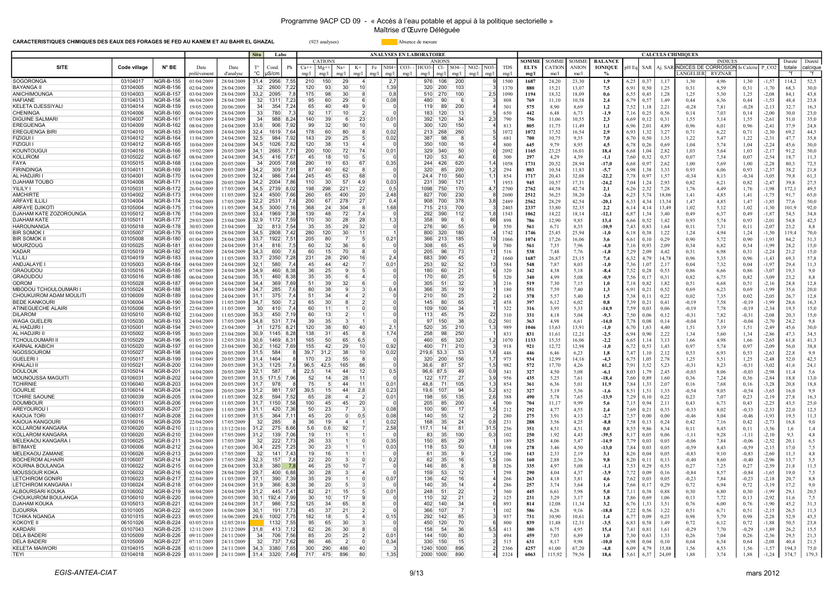#### CARACTERISTIQUES CHIMIQUES DES EAUX DES FORAGES 9E FED AU KANEM ET AU BAHR EL GHAZAL

Absence de mesure

|                                |              |                  |                   |                          | Situ. | Labo                      |                 |                                      |                         |       | <b>ANALYSES EN LABORATOIRE</b>          |                   |                |                 |             |              |              |               |                |              |               |              | <b>CALCULS CHIMIOUES</b> |                                      |                 |                    |              |                |
|--------------------------------|--------------|------------------|-------------------|--------------------------|-------|---------------------------|-----------------|--------------------------------------|-------------------------|-------|-----------------------------------------|-------------------|----------------|-----------------|-------------|--------------|--------------|---------------|----------------|--------------|---------------|--------------|--------------------------|--------------------------------------|-----------------|--------------------|--------------|----------------|
|                                |              |                  |                   |                          |       |                           |                 | <b>CATIONS</b>                       |                         |       |                                         | <b>ANIONS</b>     |                |                 |             | <b>SOMME</b> | <b>SOMME</b> | <b>SOMME</b>  | <b>BALANCE</b> |              |               |              |                          | <b>INDICES</b>                       |                 |                    | Dureté       | Dureté         |
| <b>SITE</b>                    | Code village | N° BE            | Date              | Date                     |       | Cond.<br>Ph               |                 | $Ca++$ Mg++ Na+ K+                   |                         |       | Fe NH4+ CO3-- HCO3- Cl- SO4-- NO2- NO3- |                   |                |                 | <b>TDS</b>  | <b>ELTS</b>  | CATION       | <b>ANION</b>  | <b>IONIQUE</b> | pH Eq        | SAR   Aj. SAR |              |                          | NDICES DE CORROSION Is Calcite P CO2 |                 |                    | totale       | calcique<br>°f |
|                                |              |                  | <b>orélèvemen</b> | d'analyse                | °C.   | uS/cm                     | mg/l            | mg/l<br>mg/                          | mg/l<br>mo/l            | mg/l  | mg/l<br>mg/l                            |                   |                |                 |             | mg/l         | me/l         | me/l          | $\frac{6}{6}$  |              |               |              | <b>ANGELIER</b>          | <b>RYZNAR</b>                        |                 |                    | $^{\circ}$ f |                |
| <b>SOGORONGA</b>               | 03104017     | <b>NGR-B-155</b> | 01/04/2009        | 28/04/2009               |       | 31,4 2956 7,55            | 210             | 150<br>29                            |                         | 2,    |                                         | 976<br>106        | 200            |                 | 1500        | 1687         | 24,20        | 23,30         | 1,9            | 6,25         | 0,37          |              | 130                      | 4.96                                 | 1,30            | $-1,57$            | 114,2        | 52,5           |
| <b>BAYANGA II</b>              | 03104005     | <b>NGR-B-156</b> | 02/04/2009        | 28/04/2009               |       | 32 2600 7,22              | 120             | 93<br>30 <sup>°</sup>                | 10                      | 1,39  |                                         | 320 200           | 103            |                 | 1370        | 880          | 15.21        | 13,07         | 7,5            | 6,91         | 0,50          | 1.25         | 0.31                     | 6,59                                 | 0,31            | $-1,70$            | 68.3         | 30,0           |
| <b>\NICHIMOUNGA</b>            | 03104003     | <b>NGR-B-157</b> | 03/04/2009        | 28/04/2009               |       | 33,2 2095<br>7.8          | 175             | 30<br>98                             | 8                       | 0,8   |                                         | 510 270           | 100            | 2,5             | 1090        | 1194         | 18,32        | 18,09         | 0,6            | 6,55         | 0,45          | 1,28         | 1.25                     | 5,30                                 | 1,25            | $-2.08$            | 84.1         | 43,8           |
| <b>HAFIANE</b>                 | 03104013     | <b>NGR-B-158</b> | 06/04/2009        | 28/04/2009               |       | 32 1311 7,23              | 95              | 29<br>60                             | 6                       | 0,08  |                                         | 480<br>90         | - 6            |                 | -808        | 769          | 11,10        | 10,58         | 2,4            | 6,79         | 0,57          | 1,49         | 0.44                     | 6.36                                 | 0.44            | $-1,53$            | 484          | 23,8           |
| (ELETA DJESSIYALI              | 03104014     | <b>NGR-B-159</b> | 19/05/2009        | 20/06/2009               | 34    | 354 7,24                  | 65              | 40<br>49                             | 9                       |       |                                         | 119<br>89         | 200            |                 | 301         | 575          | 8,90         | 8,69          | 1.2            | 7,52         | 1,18          | 2,21         | $-0.28$                  | 7,81                                 | $-0.28$         | $-2,13$            | 32.7         | 16,3           |
| CHENINGA                       | 03104006     | <b>NGR-B-160</b> | 06/04/2009        | 28/04/2009               | 33    | 780<br>$\overline{7}$     | 92              | 17<br>10                             | $\overline{2}$          |       |                                         | 120<br>183        | 13             |                 | 650         | 442          | 6,48         | 6,73          | $-1.9$         | 7,16         | 0,25          | 0,56         | 0.14                     | 7,03                                 | 0,14            | $-2,00$            | 30.0         | 23,0           |
| DIGUINE SALMAR                 | 03104007     | <b>NGR-B-161</b> | 07/04/2009        | 24/04/2009               | 34    | 988<br>8.24               | 140             | $6 \overline{6}$<br>39               | 23                      | 0,01  |                                         | 392<br>120        | 34             | 2,3             | 790         | 756          | 11.06        | 10,55         | 2.3            | 6,69         | 0,12          | 0,31         | 1,55                     | 5,14                                 | 1,55            | $-2,61$            | 51.0         | 35,0           |
| FREGUENGA                      | 03104009     | <b>NGR-B-162</b> | 08/04/2009        | 24/04/2009               | 33.6  | 906 7.92                  | 99              | 32<br>90                             | 10                      |       |                                         | 300<br>120        | 150            |                 | 813         | 805          | 11,75        | 11,49         | 1,1            | 6,96         | 2,01          | 489          | 0.96                     | 6,01                                 | 0,96            | $-2,41$            | 379          | 24,8           |
| EREGUENGA BIRI                 | 03104010     | <b>NGR-B-163</b> | 09/04/2009        | 24/04/2009               | 32,4  | 1619<br>7.64              | 178             | 60<br>80                             | 8                       | 0,02  |                                         | 213<br>268        | 260            |                 | 1072        | 1072         | 17,52        | 16,54         | 2,9            | 6,93         | 1,32          | 3,27         | 0,71                     | 6,22                                 | 0,71            | $-2,30$            | 69,2         | 44,5           |
| Fizigui i                      | 03104012     | <b>NGR-B-164</b> | 11/04/2009        | 24/04/2009               | 32.5  | 984<br>7,92               | 143             | 29<br>25                             | 5                       | 0,02  |                                         | 387<br>98         |                |                 | 681         | 700          | 10,75        | 9,35          | 7,0            | 6,70         | 0,50          | 1,35         | 1,22                     | 5,47                                 | 1,22            | $-2,31$            | 47,7         | 35,8           |
| Fizigui i                      | 03104012     | <b>NGR-B-165</b> | 10/04/2009        | 24/04/2009               | 34.5  |                           | 120             | 38                                   | $\overline{4}$          |       |                                         | 350<br>100        | 16             |                 | 800         | 645          | 9,79         |               | 4.5            |              |               | 0.69         | 1.04                     |                                      | 1,04            |                    | 45.6         |                |
| <b>COUNTOUGU</b>               | 03104016     | <b>NGR-B-166</b> | 19/02/2009        | 20/05/2009               | 34.1  | 1026 7,82<br>7.71<br>2665 | 200             | 13<br>100<br>72                      | 74                      |       |                                         | 329<br>340        | 50             |                 | 2092        | 1165         | 23,25        | 8,95<br>16,01 | 18,4           | 6,78<br>6,68 | 0,26<br>1.04  | 2,82         | 1.03                     | 5,74<br>5.64                         | 1.03            | $-2,24$<br>$-2,17$ | 912          | 30,0<br>50,0   |
|                                |              | <b>NGR-B-167</b> |                   | 24/04/2009               |       |                           | 45              |                                      | 5                       | 0,01  |                                         | 53                | 40             |                 |             | 297          |              | 4 3 9         |                |              |               |              |                          |                                      |                 | $-2,54$            | 187          |                |
| <b>KOLLIROM</b>                | 03105022     |                  | 08/04/2009        |                          | 34.5  | 416 7,67                  |                 | 18<br>10                             |                         |       |                                         | 120               |                |                 | 300         |              | 4,29         |               | $-1,1$         | 7,60         | 0,32          | 0,57         | 0,07                     | 7,54                                 | 0,07            |                    |              | 11,3           |
| FAYA                           | 03105015     | <b>NGR-B-168</b> | 13/04/2009        | 20/05/2009               | 34    | 2005 7,68                 | 290<br>87       | 19<br>63                             | 67                      | 0,35  |                                         | 244<br>426<br>320 | 620<br>200     | 1,4             | 1058<br>294 | 1731<br>803  | 20,52        | 28,94         | $-17,0$        | 6,68         | 0,97          | 2,62         | 1.00                     | 5,69                                 | 1,00            | $-2,28$            | 80,3         | 72,5           |
| Firindinga                     | 03104011     | <b>NGR-B-169</b> | 14/04/2009        | 20/05/2009               | 34,2  | 309 7,91                  |                 | 62<br>40                             | 8                       |       |                                         | 85                |                | 1,2             |             |              | 10,54        | 11,83         | $-5,7$         | 6,98         | 1,38          | 3,33         | 0.93                     | 6,06                                 | 0,93            | $-2,37$            | 38.2         | 21,8           |
| AL HADJIRI                     | 03104001     | <b>NGR-B-170</b> | 16/04/2009        | 20/05/2009               | 32.4  | 986 7.44                  | 245             | 63<br>45                             | 68                      |       |                                         | 24.4<br>710       | 560            | 1,1             | 854         | 1717         | 20.43        | 32.08         | $-22.2$        | 7,78         | 0,97          | 1.57         | $-0.34$                  | 8,13                                 | $-0.34$         | $-3,05$            | 798          | 61,3           |
| )JAHAM TOUBC                   | 03104008     | <b>NGR-B-171</b> | 15/04/2009        | 20/05/2009               | 34,2  | 2004 7,86                 | 110             | 30<br>57                             | 4,9                     | 0,03  |                                         | 231<br>390        | 121            |                 | 1953        | 945          | 10,57        | 17,31         | $-24,2$        | 7,04         | 1,24          | 2,93         | 0,82                     | 6,21                                 | 0,82            | $-2,47$            | 39.8         | 27,5           |
| /ILILY I                       | 03105031     | <b>NGR-B-172</b> | 26/04/2009        | 17/05/2009               |       | 34,5 2739 8,02            | 198             | 298<br>221                           | 22                      | 0,5   |                                         | 1098<br>750       | 170            | 4,7             | 2700        | 2762         | 44,58        | 42,74         | 2,1            | 6,26         | 2,32          | 7,28         | 1,76                     | 4,49                                 | 1,76            | $-1.98$            | 172,1        | 49,5           |
| <b>MCHIRTE</b>                 | 03104002     | <b>NGR-B-173</b> | 19/04/2009        | 11/05/2009               |       | 32,4 4500 7,66            | 260             | 65<br>400                            | 20                      | 2,48  |                                         | 827<br>700        | 230            |                 | 2600        | 2512         | 36.25        | 38,20         | $-2.6$         | 6,25         | 5,74          | 18,06        | 1.41                     | 485                                  | 1.41            | $-1,75$            | 917          | 65,0           |
| ARFAYE ILLIL                   | 03104004     | <b>NGR-B-174</b> | 25/04/2009        | 17/05/2009               |       | 32,2 2531<br>7.8          | 200             | 67<br>278                            | 27                      | 0,4   |                                         | 908<br>700        | 378            | 3,8             | 2489        | 2562         | 28.29        | 42.54         | $-20.1$        | 6,33         | 4.34          | 13.34        | 147                      | 4.85                                 | 1.47            | $-1,85$            | 77.6         | 50.0           |
| <b><i>ARFAYE DJIKOT</i></b>    | 03105004     | <b>NGR-B-175</b> | 17/04/2009        | 11/05/2009               |       | 34,5 3000 7,16            | 368             | 24<br>304                            | 8                       | 1,68  |                                         | 715 213           | 700            |                 | 2403        | 2337         | 33,80        | 32.35         | 2,2            | 6,14         | 4,14          | 13 49        | 1,02                     | 5,12                                 | 1,02            | $-1,30$            | 101,9        | 92,0           |
| <b>DJAHAM KATE ZOZOROUNGA</b>  | 03105012     | <b>NGR-B-176</b> | 17/04/2009        | 20/05/2009               |       | 33,4 1969 7,36            | 139             | 72<br>48                             | 7,4                     |       |                                         | 292 390           | 112            | 1,8             | 1543        | 1062         | 14,22        | 18,14         | $-12,1$        | 6,87         | 1,34          | 3,40         | 0.49                     | 6,37                                 | 0,49            | $-1,87$            | 54.5         | 34,8           |
| <b>JJAHAM KATF</b>             | 03105011     | <b>NGR-B-177</b> | 29/03/2009        | 23/04/2009               |       | 32,9 1172 7,59            | 170             | 30 <sup>°</sup><br>28                | 28                      | 1.3   |                                         | 358<br>99         | - 6            | 66              | 898         | 786          | 12,90        | 9,85          | 13,4           | 6,66         | 0,52          | 1,42         | 0.93                     | 5,74                                 | 0.93            | $-2,01$            | 54.8         | 42,5           |
| <b>HAROUNANGA</b>              | 03105018     | <b>NGR-B-178</b> | 30/03/2009        | 23/04/2009               | 32    | 813 7,54                  | 35              | 35<br>29                             | 32                      |       |                                         | 276<br>90         | 55             |                 | 550         | 561          | 6.71         | 8.35          | $-10.9$        | 7.43         | 0.83          | 1.64         | 011                      | 7.31                                 | 011             | $-2.07$            | 23.2         | 8,8            |
| <b>BIR SOMOK I</b>             | 03105007     | <b>NGR-B-179</b> | 01/04/2009        | 28/04/2009               | 34.5  | 2808<br>7,42              | 280             | 120<br>30                            | 11                      |       |                                         | 800<br>320        | 180            |                 | 1742        | 1746         | 25,45        | 25,94         | $-1.0$         | 6,18         | 0,38          | 1,22         | 1.24                     | 4,94                                 | 1,24            | $-1,50$            | 119,4        | 70,0           |
| bir Somok II                   | 03105008     | <b>NGR-B-180</b> | 01/04/2009        | 28/04/2009               | 33.7  | 1922 7,51                 | 205             | $\overline{7}$<br>80                 | 5                       | 0,21  |                                         | 366<br>213        | 185            | 13              | 1066        | 1074         | 17,26        | 16,06         | 3,6            | 6,61         | 0,10          | 0,29         | 0.90                     | 5,72                                 | 0.90            | $-1,93$            | 84 2         | 51,3           |
| <b>MOURZOUG</b>                | 03105025     | <b>NGR-B-181</b> | 03/04/2009        | 24/04/2009               | 31.4  | 816<br>7 <sup>t</sup>     | 60              | 32<br>36                             | 6                       |       |                                         | 308<br>65         | 45             |                 | 780         | 561          | 7.35         | 7.96          | $-4.0$         | 7,16         | 0.93          | 2.09         | 0.34                     | 6,82                                 | 0.34            | $-1,99$            | 28.2         | 15,0           |
| <b>CADAR</b>                   | 03105019     | <b>NGR-B-182</b> | 05/04/2009        | 24/04/2009               | 34,3  | 600<br>7.6                | 60              | 15<br>70                             | 8                       |       |                                         | 205<br>96         | 73             | 11              | 516         | 538          | 7,48         | 7,76          | $-1,8$         | 7,29         | 2,09          | 4,42         | 0,31                     | 6,98                                 | 0,31            | $-2,24$            | 212          | 15,0           |
| <b>/LLILI</b>                  | 03104019     | <b>NGR-B-183</b> | 19/04/2009        | 11/05/2009               |       | 33,7 2350 7,28            | 231             | 28<br>290                            | 16                      | 2.4   |                                         | 683<br>390        | 45             |                 | 1660        | 1687         | 26,87        | 23,15         | 7,4            | 6,32         | 4,79          | 14,78        | 0,96                     | 5,35                                 | 0,96            | $-1,43$            | 693          | 57,8           |
| ANDJALAYE                      | 03105003     | <b>NGR-B-184</b> | 04/04/2009        | 24/04/2009               | 32,1  | 580<br>74                 | 45              | 44<br>42                             | $\overline{7}$          | 0,01  |                                         | 253<br>92         | 52             | 13              | 584         | 548          | 7,87         | 8,03          | $-1.0$         | 7,36         | 1,07          | 2.17         | 0.04                     | 7,32                                 | 0.04            | $-1,97$            | 294          | 11,3           |
| <b>GRAQUDOL</b>                | 03105016     | <b>NGR-B-185</b> | 07/04/2009        | 24/04/2009               | 34,9  | 460 8,38                  | 36              | 25<br>9                              | 5                       |       |                                         | 180<br>60         | 21             |                 | 320         | 342          | 4,38         | 5,18          | $-8.4$         | 7,52         | 0,28          | 0,53         | 0.86                     | 6,66                                 | 0,86            | $-3,07$            | 193          | 9,0            |
| <b>GRAQUDOL</b>                | 03105016     | <b>NGR-B-186</b> | 06/04/2009        | 24/04/2009               | 35,1  | 460 8,38                  | 35              | 35<br>6                              | $\overline{4}$          |       |                                         | 170<br>60         | 25             |                 | 320         | 340          | 4,99         | 5,08          | $-0.9$         | 7,56         | 0.17          | 0.31         | 0.82                     | 6,75                                 | 0,82            | $-3,09$            | 232          | 8,8            |
| <b>DDROM</b>                   | 03105028     | <b>NGR-B-187</b> | 09/04/2009        | 24/04/2009               | 34,4  | 369 7,69                  | 51              | 39<br>32                             | 6                       |       |                                         | 305<br>51         | 32             |                 | 216         | 519          | 7,30         | 7,15          | 1,0            | 7,18         | 0,82          | 1,82         | 0, 51                    | 6,68                                 | 0, 51           | $-2,16$            | 28,8         | 12,8           |
| <b>MBODOU TCHOULOUMARI I</b>   | 03105024     | <b>NGR-B-188</b> | 10/04/2009        | 24/04/2009               | 34.7  | 7.6<br>285                | 80              | 9<br>38                              | 3                       | 0,4   |                                         | 366<br>35         | 19             |                 | 180         | 551          | 7.59         | 7,40          | 1,3            | 6,91         | 0.21          | 0.52         | 0.69                     | 6,23                                 | 0.69            | $-1,99$            | 35.6         | 20,0           |
| <b>CHOUKUIROM ADAM MOULITI</b> | 03106009     | <b>NGR-B-189</b> | 10/04/2009        | 24/04/2009               | 31,1  | 375<br>7,4                | 51              | 34<br>$\overline{4}$                 | $\overline{2}$          |       |                                         | 210<br>50         | 25             |                 | 145         | 378          | 5,57         | 5,40          | 1.5            | 7,38         | 011           | 0,22         | 0.02                     | 7,35                                 | 0,02            | $-2,05$            | 26.7         | 12,8           |
| <b>BEDE KANKOUR</b>            | 03106004     | <b>NGR-B-190</b> | 20/04/2009        | 11/05/2009               | 34,7  | 7,2<br>500                | 65              | 30 <sup>°</sup><br>8                 | $\overline{2}$          |       |                                         | 145<br>80         | 65             |                 | 458         | 397          | 6.12         | 6.02          | 0.8            | 7,39         | 0,21          | 0.41         | $-0.19$                  | 7,58                                 | $-0,19$         | $-1,99$            | 28.6         | 16,3           |
| <b>ITINEGUECHE ALAIR</b>       | 03105006     | <b>NGR-B-191</b> | 22/04/2009        | 11/05/2009               | 30    | 410<br>7.4                | 60              | 11<br>$\mathbf{1}$                   | 0                       |       |                                         | 109<br>100        | 34             |                 | 322         | 316          | 3,95         | 5,33          | $-14,9$        | 7,59         | 0,03          | 0.06         | $-0,19$                  | 7,78                                 | $-0,19$         | $-2,34$            | 19.5         | 15,0           |
| <b>DILAROM</b>                 | 03105010     | <b>NGR-B-192</b> | 23/04/2009        | 11/05/2009               | 35,3  | 450 7,19                  | 60              | 13<br>$\overline{2}$                 | $\overline{1}$          |       |                                         | 113<br>45         | 75             | $\overline{22}$ | 310         | 331          | 4,18         | 5,04          | $-9.3$         | 7,50         | 0.06          | 0,12         | $-0.31$                  | 7,82                                 | $-0,31$         | $-2,08$            | 20.3         | 15,0           |
| <b>NAGA GUELER</b>             | 03105030     | <b>NGR-B-193</b> | 24/04/2009        | 17/05/2009               | 34,8  | 531 7,74                  | 39              | 35<br>3                              |                         |       |                                         | 97<br>150         | 38             | 0,2             | 501         | 363          | 4.98         | 6,61          | $-14,0$        | 7,78         | 0,08          | 0,14         | $-0.04$                  | 7,81                                 | $-0.04$         | $-2,70$            | 24,2         | 9,8            |
| AL HADJIRI I                   | 03105001     | <b>NGR-B-194</b> | 29/03/2009        | 23/04/2009               | 31    | 1275 8,21                 | 120             | 38<br>80                             | 40                      | 2,    |                                         | 520<br>35         | 210            | 1,3             | 989         | 1046         | 13,63        | 13,91         | $-1,0$         | 6,70         | 1,63          | 4.40         | 1.51                     | 5,19                                 | 1,51            | $-2,49$            | 45.6         | 30,0           |
| AL HADJIRI I                   | 03105002     | <b>NGR-B-195</b> | 30/03/2009        | 23/04/2009               | 30.9  | 1145 8,28                 | 138             | 31<br>45                             | 8                       | 1,74  |                                         | 258<br>98         | 250            |                 | 833         | 831          | 11,61        | 12,21         | $-2,5$         | 6,94         | 0,90          | 2,22         | 1,34                     | 5,60                                 | 1,34            | $-2,86$            | 47,3         | 34,5           |
| <b><i>TCHOULOUMARI I</i></b>   | 03105029     | <b>NGR-B-196</b> | 01/05/2010        | 12/05/2010               | 30,6  | 1469 8,31                 | 165             | 50<br>65                             | 6,5                     |       |                                         | 460<br>65         | 320            | 1,2             | 1070        | 1133         | 15,35        | 16,06         | $-2,2$         | 6,65         | 1,14          | 3,13         | 1,66                     | 4,98                                 | 1,66            | $-2,65$            | 61.8         | 41,3           |
| <b>KARNAL KABICH</b>           | 03105020     | <b>NGR-B-197</b> | 01/04/2009        | 23/04/2009               |       | 30,2 1162 7,69            | 155             | 42<br>29                             | 10                      | 0.92  |                                         | 400<br>71         | 210            |                 | 918         | 921          | 12,72        | 12,98         | $-1.0$         | 6,72         | 0,53          | 1,43         | 0.97                     | 5,74                                 | 0,97            | $-2,09$            | 56.0         | 38,8           |
| <b>NGOSSOUROM</b>              | 03105027     | <b>NGR-B-198</b> | 10/04/2009        | 20/05/2009               | 31,5  | 584                       | 39,7            | 31,2<br>38                           | 10                      | 0,02  |                                         | 219,6 53,3        | 53             | 1,6             | 446         | 446          | 6.46         | 6,23          | 1.8            | 7,47         | 1,10          | 2,12         | 0.53                     | 6,93                                 | 0,53            | $-2,63$            | 22.8         | 9,9            |
| 3UELERI I                      | 03105017     | <b>NGR-B-199</b> | 11/04/2009        | 20/05/2009               |       | 31,4 1464                 | 170             | 55<br>23                             | $\overline{\mathbf{a}}$ |       |                                         | 320 200           | 156            | 1,7             | 975         | 934          | 12,99        | 14,16         | $-4,3$         | 6,75         | 1,05          | 2.78         | 1,25                     | 5,51                                 | 1,25            | $-2,48$            | 52,0         | 42,5           |
| <b>CHALALI II</b>              | 03105021     | <b>NGR-B-200</b> | 12/04/2009        | 20/05/2009               | 31,3  | 1125<br>7.6               | 96,5            | 42,5<br>165                          | 86                      |       |                                         | 36,6<br>87        | 57             | 1,5             | 982         | 572          | 17,70        | 4,26          | 61,2           | 7,91         | 3,52          | 5,23         | $-0,31$                  | 8,23                                 | $-0,31$         | $-3,02$            | 41.6         | 24,1           |
| <b>DOULOUK</b>                 | 03105014     | <b>NGR-B-201</b> | 14/04/2009        | 20/05/2009               | 32,1  | 587                       | 22,5            | 44<br>14                             | 12                      | 0,5   |                                         | 96,6 87,5         | 49             | 0,9             | 341         | 327          | 4,50         | 5,08          | $-6.1$         | 8,03         | 1,79          | 2,45         | $-0.03$                  | 8,06                                 | $-0.03$         | $-2.98$            | 11.4         | 5,6            |
| <b>MOUNOUSSA MAGUITI</b>       | 03106031     | <b>NGR-B-202</b> | 14/04/2009        | 20/05/2009               |       | 31,5 171,5 7,96           | 52              | 28<br>14                             | 11                      |       |                                         | 122<br>177        | 27             | 3,9             | 956         | 435          | 5,25         | 7,61          | $-18.4$        | 7,60         | 0,89          | 1.60         | 0.36                     | 7,24                                 | 0,36            | $-2,84$            | 18.8         | 13,0           |
| <b>CHIRNIE</b>                 | 03106040     | <b>NGR-B-203</b> | 16/04/2009        | 20/05/2009               |       | 31,7 978                  | 75              | 44<br>$-5$                           | 11                      | 0,01  |                                         | 71<br>48.8        | 105            | 1,3             | 854         | 361          | 6,36         | 5,01          | 11,9           | 7,84         | 1,33          | 2.07         | 0,16                     | 7,68                                 | 0,16            | $-3,28$            | 20.8         | 18,8           |
| <b>GOURLIE</b>                 | 03106014     | <b>NGR-B-204</b> | 17/04/2009        | 20/05/2009               | 31,2  | 981 7,97                  | 39,5            | 15<br>44                             | 2,8                     | 0,23  |                                         | 19,6<br>107       | 94             | 5,2             | 852         | 327          | 5.19         | 5.36          | $-1.6$         | 8,51         | 1,51          | 1,35         | $-0.54$                  | 9,05                                 | $-0.54$         | $-3.65$            | 16.0         | 9,9            |
| <b>TCHIRE SAOUNE</b>           | 03106039     | <b>NGR-B-205</b> | 18/04/2009        | 11/05/2009               | 32.8  | 594 7,52                  | 65              | 28<br>$\overline{4}$                 | $\overline{2}$          | 0,01  |                                         | 55<br>198         | 135            | 2,6             | 388         | 490          | 5,78         | 7,65          | $-13.9$        | 7,29         | 0,10          | 0,22         | 0,23                     | 7,07                                 | 0,23            | $-2,19$            | 278          | 16,3           |
| )Oumbour                       | 03106011     | <b>NGR-B-206</b> | 19/04/2009        | 11/05/2009               |       | 31,7 1150 7,58            | 100             | 45<br>45                             | 20                      |       |                                         | 205<br>85         | 200            |                 | 700         | 704          | 11,17        | 9,99          | 5,6            | 7,15         | 0,94          | 2,11         | 0.43                     | 6,73                                 | 0,43            | $-2,25$            | 43.5         | 25,0           |
| <i><b>\REYOUROU</b></i>        | 03106003     | <b>NGR-B-207</b> | 21/04/2009        | 11/05/2009               | 31,1  | 420 7,36                  | 50              | 23<br>7                              | $\overline{\mathbf{3}}$ | 0.08  |                                         | 100<br>90         | 17             | 1,5             | 212         | 292          | 4,77         | 4.55          | 2.4            | 7,69         | 0.21          | 0.35         | $-0.33$                  | 8,02                                 | $-0, 33$        | $-2,33$            | 22.0         | 12,5           |
| <b><i>CAIOUA TORI</i></b>      | 03106017     | <b>NGR-B-208</b> | 21/04/2009        | 11/05/2009               | 31,5  | 364 7,11                  | 45              | 20<br>$\overline{0}$                 | 0,5                     | 0,08  |                                         | 140<br>55         | 12             |                 | 280         | 275          | 3,91         | 4, 13         | $-2,7$         | 7,57         | 0,00          | 0,00         | $-0.46$                  | 8,04                                 | $-0,46$         | $-1,93$            | 19,5         | 11,3           |
| KAIOUA KANGOUR                 | 03106016     | <b>NGR-B-209</b> | 22/04/2009        | 17/05/2009               | 32    | 285                       | 36              | 19                                   |                         | 0,02  |                                         | 168<br>35         | 24             | 0,8             | 231         | 288          | 3,56         | 4,25          | $-8.8$         | 7,58         | 0, 13         | 0,24         | 0.42                     | 7,16                                 | 0,42            | $-2,73$            | 16.8         | 9,0            |
| KOLLAROM KANGARA               | 03106020     | <b>NGR-B-210</b> | 11/12/2010        | 13/12/2010               | 31,2  | 275 8,66                  | 5,6             | 92<br>0.6                            |                         | 2,58  | 117,1                                   | 14                | -81            | 31,5            | 256         | 351          | 4,51         | 4,51          | 0,0            | 8,55         | 9,86          | 8.34         | 0,11                     | 8,45                                 | 0,11            | $-3,56$            | 1,6          | 1,4            |
| KOLLAROM KANGARA               | 03106020     | <b>NGR-B-210</b> | 23/04/2009        | 17/05/2009               | 31,2  | 139 7,06                  | 19              | 11<br>$\vert$ 1                      |                         |       |                                         | 83<br>35          | 100            | 0,3             | 102         | 250          | 1,92         | 4,43          | $-39.5$        | 8,17         | 0,05          | 0,06         | $-1.11$                  | 9,28                                 | $-1, 11$        | $-2,10$            | 93           | 4,8            |
| <b>MELEKAOU KANGARA</b>        | 03106025     | <b>NGR-B-211</b> | 26/04/2009        | 17/05/2009               | 32    | 222 7,73                  | 26              | 33<br>1 <sup>1</sup>                 | $\mathbf 0$             | 0.35  |                                         | 150<br>85         | 29             |                 | 189         | 325          | 4,06         | 5,47          | $-14,9$        | 7,79         | 0,03          | 0,05         | $-0.06$                  | 7,84                                 | $-0.06$         | $-2,52$            | 20,1         | 6,5            |
| <b>BITIMAYE</b>                | 03106006     | <b>NGR-B-212</b> | 25/04/2009        | 17/05/2009               | 30,4  | 225 7,25                  | 30 <sup>°</sup> | 23                                   |                         | 0,03  |                                         | 53<br>118         | 50             | 1,8             | 198         | 278          | 3,46         | 4,50          | $-13,0$        | 7,84         | 0,03          | 0,05         | $-0.59$                  | 8,43                                 | $-0.59$         | $-2,15$            | 17,0         | 7,5            |
| MELEKAOU ZAMANE                | 03106026     | <b>NGR-B-213</b> | 26/04/2009        | 17/05/2009               | 32    | 141 7,43                  | 19              | 16                                   |                         |       |                                         | 61<br>35          | -9             | 1,2             | 106         | 143          | 2,33         | 2,19          | 3,1            | 8,26         | 0,04          | 0,05         | $-0.83$                  | 9,10                                 | $-0,83$         | $-2,60$            | 11.3         | 4,8            |
| <b>BOCHEROM ALHAIR</b>         | 03106007     | <b>NGR-B-214</b> | 26/04/2009        | 17/05/2009               | 32,3  | $157 - 7.8$               | 22              | $\lceil 3 \rceil$<br>20 <sup>1</sup> | $\Omega$                | 0,2   |                                         | 62<br>35          | 16             | 1,5             | 106         | -160         | 2.88         | 2.36          | 9.8            | 8,20         | 0,11          | 0.13         | $-0.40$                  | 8,60                                 | $-0,40$         | $-2.96$            | 13,7         | 5,5            |
| <b>(OURNA BOULANGA</b>         | 03106022     | <b>NGR-B-215</b> | 01/04/2009        | 28/04/2009               | 33.8  | 380<br>7,8                | 46              | 25<br>10 <sup>1</sup>                |                         |       |                                         | 146<br>85         |                |                 | 326         | 335          | 4,97         | 5,08          | $-1,1$         | 7,53         | 0,29          | 0,55         | 0,27                     | 7,25                                 | 0,27            | $-2,59$            | 21,8         | 11,5           |
| (AOUSSOUR KOKA                 | 03106032     | <b>NGR-B-216</b> | 02/04/2009        | 28/04/2009               | 29,7  | 400 6,88                  | 30 <sup>°</sup> | 28<br>3                              | $\overline{4}$          |       |                                         | 159<br>53         | 12             |                 | 298         | 290          | 4,04         | 4,37          | $-3.9$         | 7,72         | 0,09          | 0.16         | $-0.84$                  | 8,57                                 | $-0.84$         | $-1,65$            | 19,0         | 7,5            |
| ETCHIROM GONIRI                | 03106023     | <b>NGR-B-217</b> | 22/04/2009        | 11/05/2009               | 37,1  | 390 7,39                  | 35              | 29                                   | 0                       | 0,07  |                                         | 136<br>42         | 16             |                 | 266         | 263          | 4.18         | 3,81          | 4,6            | 7,62         | 0,03          | 0.05         | $-0.23$                  | 7,84                                 | $-0,23$         | $-2,18$            | 20.7         | 8,8            |
| <b>FTCHIROM KANGARA</b>        | 03106024     | <b>NGR-B-218</b> | 07/04/2009        | 24/04/2009               | 31.9  | 366 8,38                  | 36              | 20 <sup>1</sup><br>5                 | 3                       |       |                                         | 140<br>35         | 14             |                 | 286         | 257          | 3.74         | 3,64          | 1.4            | 7,66         | 0.17          | 0.29         | 0.72                     | 6,94                                 | 0.72            | $-3,19$            | 172          | 9,0            |
| ALBOURSARI KOUKA               | 03106002     | <b>NGR-B-219</b> | 08/04/2009        | 24/04/2009               | 31,2  | 445 7,41                  | 82              | 21<br>15                             | 5                       | 0,01  |                                         | 248<br>51         | 22             |                 | 360         | 445          | 6,61         | 5,98          | 5.0            | 7,11         | 0,38          | 0,88         | 0,30                     | 6,80                                 | 0.30            | $-1,99$            | 29 1         | 20,5           |
| CHOUKUIROM BOULANGA            | 03106010     | <b>NGR-B-220</b> | 10/04/2009        | 20/05/2009               |       | 30,1 192,4 7,99           | 30 <sup>1</sup> | 10 <sup>1</sup><br>17                | 9                       |       |                                         | 32<br>110         | 21             |                 | 125         | 231          | 3,29         | 3,17          | 1,8            | 7,86         | 0,69          | 1,06         | 0,13                     | 7,72                                 | 0,13            | $-2.92$            | 11.6         | 7,5            |
| )JAHAM KOUKA                   | 03105013     | <b>NGR-B-221</b> | 02/04/2009        | 24/04/2009               | 31.7  | 986 7,52                  | 125             | 65<br>34                             | 8                       |       |                                         | 402<br>140        | 34             |                 | 893         | 814          | 12,08        | 11,34         | 3.2            | 6,76         | 1,33          | 3,51         | 0.76                     | 6,00                                 | 0.76            | $-1,90$            | 45.2         | 31,3           |
| ).IOURRA                       | 03101005     | <b>NGR-B-222</b> | 08/05/2009        | 16/06/2009               | 30.1  | 191 7.73                  | 45              | 37<br>21                             | $\overline{2}$          |       |                                         | 366<br>107        | $\overline{7}$ |                 | 102         | 586          | 6.26         | 916           | $-18,8$        | 7,22         | 0,56          | 1,22         | 0.51                     | 6,71                                 | 0,51            | $-2,15$            | 26.5         | 11,3           |
| <b><i>TCHIKA NGANGA</i></b>    | 03101015     | <b>NGR-B-223</b> | 09/05/2009        | 16/06/2009               | 29,6  | 1002<br>7.7               | 182             | 18<br>5                              |                         | 0, 15 |                                         | 292<br>142        | 85             |                 | 937         | 731          | 10,90        | 10,61         | 1,4            | 6,77         | 0,09          | 0,25         | 0,98                     | 5,79                                 | 0,98            | $-2,28$            | 52,9         | 45,5           |
| (OKOYE II                      | 06101026     | <b>NGR-B-224</b> | 03/05/2010        | 12/05/2010               |       | 1132<br>7.55              | 95              | 30<br>65                             | 3                       |       |                                         | 450<br>120        | 70             |                 | 800         | 839          | 11,48        | 12,31         | $-3.5$         |              | 0,58          | 1,49         | 0,72                     | 6,12                                 | 0,72            | $-1,88$            | 50,5         |                |
| <b><i>KARDARI</i></b>          | 03107043     | <b>NGR-B-225</b> | 12/11/2009        |                          | 31.8  | 413 7.12                  | 62              | 30<br>26                             | 8                       |       |                                         | 158<br>54         | 36             | 5,5             | 413         | 380          |              |               |                | 6,83         | 0,81          |              |                          | 7,70                                 |                 |                    | 26.2         | 23,8           |
| <b>DELA BADER</b>              | 03105009     | <b>NGR-B-226</b> | 09/11/2009        | 23/12/2009<br>24/11/2009 | 34    | 706 7,56                  | 85              | 20<br>25                             | $\overline{2}$          | 0,01  |                                         | 144<br>100        | 80             |                 | 494         | 459          | 6,75         | 4,95          | 15,4<br>1.0    | 7,41<br>7,30 | 0.63          | 1,61<br>1,33 | $-0,29$                  | 7,04                                 | $-0,29$<br>0.26 | $-1,89$<br>$-2.36$ | 29.5         | 15,5<br>21,3   |
| <b>DELA BADERI</b>             | 03105009     | <b>NGR-B-227</b> |                   |                          | 32    | 737 7,62                  | 86              | 46<br>$\overline{2}$                 | $\mathbf 0$             |       |                                         | 330 150           | 15             |                 |             |              | 7,03         | 6,89          |                |              |               |              | 0,26                     |                                      |                 |                    | 404          |                |
| <b>KELETA MAIWORI</b>          | 03104015     | <b>NGR-B-228</b> | 07/11/2009        | 24/11/2009               |       | 34,3 3380 7,65            | 300             | 290<br>486                           | 40                      | 0,34  |                                         | 1240 1000         | 896            |                 | 515         | 631          | 8,17         | 9,98          | $-10,0$        | 6,98         | 0,04          | 0,10         | 0,64                     | 6,34                                 | 0,64            | $-2,08$            |              | 21,5           |
|                                | 03104018     |                  | 02/11/2009        | 24/11/2009               |       |                           |                 | 896                                  | 80                      | 1.35  |                                         | 2000 1000         | 890            |                 | 2366        | 4257         | 61,00        | 67,20         | $-4,8$         | 6,09         | 4,79          | 15,88        | 1,56                     | 4,53                                 | 1,56            | $-1,57$            | 194,3        | 75,0           |
| [FYI                           |              | <b>NGR-B-229</b> | 03/11/2009        | 24/11/2009               |       | 31,4 3320 7,49            | 717             | 475                                  |                         |       |                                         |                   |                |                 | 2324        | 6063         | 115.92       | 79.56         | 18.6           | 5.61         | 6.37          | 24.09        | 1.88                     | 3.74                                 | 1.88            | $-1.24$            | 374.7        | 179.3          |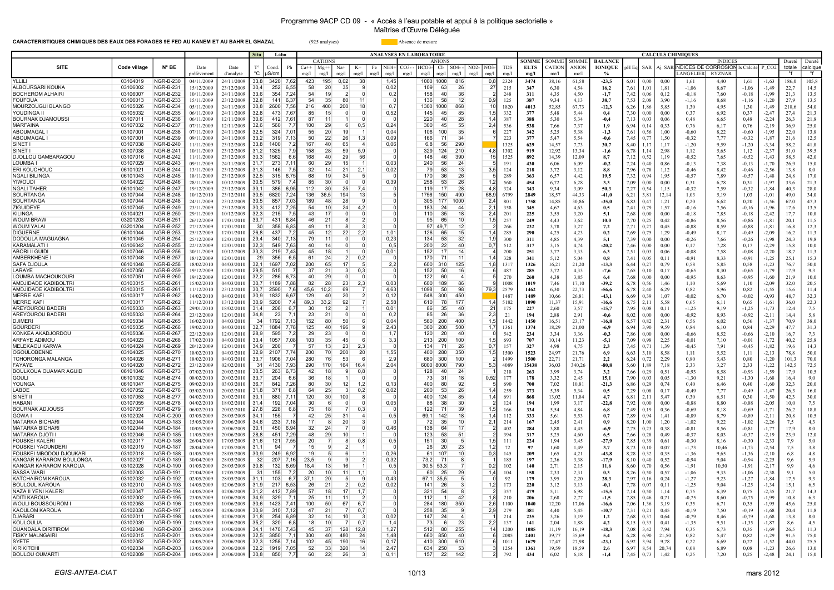|                                                    |                      |                                      |                          |                              | Situ.        | Labo                               |                       |                           |                 |                       |                | <b>ANALYSES EN LABORATOIRE</b>                         |            |              |                    |                      |                      |                    |              |              |               | <b>CALCULS CHIMIOUES</b> |                                                                |                    |                    |               |                       |
|----------------------------------------------------|----------------------|--------------------------------------|--------------------------|------------------------------|--------------|------------------------------------|-----------------------|---------------------------|-----------------|-----------------------|----------------|--------------------------------------------------------|------------|--------------|--------------------|----------------------|----------------------|--------------------|--------------|--------------|---------------|--------------------------|----------------------------------------------------------------|--------------------|--------------------|---------------|-----------------------|
|                                                    |                      |                                      |                          |                              |              |                                    |                       | <b>CATIONS</b>            |                 |                       |                | ANION                                                  |            |              | <b>SOMME</b> I     | <b>SOMME</b>         | <b>SOMME</b>         | <b>BALANCE</b>     |              |              |               |                          | <b>INDICES</b>                                                 |                    |                    | Dureté Dureté |                       |
| <b>SITE</b>                                        | Code village         | $N^{\circ}$ BE                       | Date<br>rélèvemen        | Date<br>d'analyse            | $T^{\circ}$  | Cond.<br>Ph<br>uS/cm               | mg/                   | $Ca++$ $Mg++$ Na+<br>mp/1 | mg/             | $K+$                  |                | Fe NH4+ CO3-- HCO3- Cl- SO4-- NO2- NO3-<br>mg/l<br>mg/ |            | <b>TDS</b>   | <b>ELTS</b><br>me/ | <b>ATION</b><br>me/l | <b>ANION</b><br>me/l | <b>IONIQUE</b>     | pH Ec        | SAR          |               | ANGELIER                 | Aj. SAR INDICES DE CORROSION Is Calcite P_CO2<br><b>RYZNAF</b> |                    |                    | totale        | calcique<br>$\circ$ f |
| YLLILI                                             | 03104019             | <b>NGR-B-230</b>                     | 04/11/2009               | 24/11/2009                   |              | 33,8 3420<br>7.62                  | 423                   | 195                       | 0,02            | 38                    |                | 1000 1000<br>816                                       | 0,         | 2324         | 3474               | 38,16                | 61,58                | $-23,5$            | 6,01         | 0,00         |               | 1,61                     | 4.40                                                           | 1,61               | $-1,6$             | 186.0         | 105,8                 |
| ALBOURSARI KOUKA                                   | 03106002             | <b>NGR-B-231</b>                     | 15/12/2009               | 23/12/2009                   | 30.4         | 252 6,55                           | 58                    | 20                        | 35              | $\mathbf{Q}$          | 0.02           | 109<br>63<br>26                                        | 27         | 215          | 347                | 6.30                 | 4,54                 | 16,2               | 7,61         | 1,01         | 1.81          | $-1.06$                  | 8.67                                                           | $-1,06$            | $-1,49$            | 227           | 14,5                  |
| <b>BOCHEROM ALHAIRI</b>                            | 03106007             | <b>NGR-B-232</b>                     | 10/11/2009               | 24/11/2009                   | 33,6         | 354 7,24                           | 54                    | 19                        | $\overline{2}$  | $\overline{0}$        | 0,2            | 158<br>40<br>36                                        |            | 248          | 311                | 4,35                 | 4,50                 | $-1.7$             | 7,42         | 0,06         | 0,12          | $-0.18$                  | 7.60                                                           | $-0.18$            | $-1,99$            | 21,3          | 13,5                  |
| <b>FOUFOUA</b>                                     | 03106013             | <b>NGR-B-233</b>                     | 15/11/2009               | 23/12/2009                   | 32.8         | 141 6,37                           | 54                    | 35                        | 80              | 11                    |                | 12<br>136<br>58                                        | 0,9        | 125          | 387                | 9.34                 | 4,13                 | 38.7               | 7,53         | 2,08         | 3,90          | $-1,16$                  | 8.68                                                           | $-1,16$            | $-1,20$            | 27.9          | 13,5                  |
| MOURZOUGUI BLANGC                                  | 03105026             | <b>NGR-B-234</b>                     | 05/11/2009               | 24/11/2009                   |              | 30,8 2600 7,56                     | 216                   | 400                       | 200             | 18                    | 0,7            | 1300 1000<br>868                                       | 10         | 1820         | 4013               | 52,85                | 67,73                | $-12,3$            | 6,26         | 1,86         | 5,85          | 1,30                     | 4,95                                                           | 1,30               | $-1,49$            | 218,6         | 54,0                  |
| YOUDINGA II                                        | 03105032             | <b>NGR-B-235</b>                     | 06/11/2009               | 24/11/2009                   | 32.8         | 473 7,67                           | 85                    | 15                        | $\Omega$        | $\Omega$<br>$\Omega$  | 0,52           | 85<br>145<br>45                                        | 1,5<br>1.4 | 332          | 377                | 5.48                 | 5,44                 | 0.4                | 7,30         | 0,00         | 0,00          | 0.37                     | 6,92                                                           | 0,37               | $-2,47$            | 27,4          | 21,3                  |
| BOURNAK DJAMOUSSI<br>MARFAINA                      | 03107011<br>03107032 | <b>NGR-B-236</b><br><b>NGR-B-237</b> | 06/11/2009<br>07/11/2009 | 12/11/2009<br>12/11/2009     | 30,6<br>32,6 | 412 7,61<br>560<br>7.              | 87<br>100             | 11<br>29                  | $6 \mid$        | 0,5                   | 0,24           | 220<br>40<br>28<br>55<br>300<br>45                     | 2,4        | 387<br>536   | 388<br>538         | 5,30<br>7,66         | 5,34<br>7,37         | $-0.4$<br>1.9      | 7,13<br>6,94 | 0,03<br>0.14 | 0,06<br>0.33  | 0.48<br>0.76             | 6,65<br>6,17                                                   | 0,48<br>0,76       | $-2,24$<br>$-2,19$ | 26.3<br>36.9  | 21,8<br>25,0          |
| ABOUMAGAL                                          | 03107001             | <b>NGR-B-238</b>                     | 07/11/2009               | 24/11/2009                   | 32,5         | 324 7,01                           | 55                    | 20                        | 19              |                       | 0,04           | 106<br>100<br>35                                       |            | 227          | 342                | 5,25                 | 5,38                 | $-1,3$             | 7,61         | 0,56         | 1,00          | $-0,60$                  | 8,22                                                           | $-0,60$            | $-1,95$            | 22,0          | 13,8                  |
| ABOUMAGAL                                          | 03107001             | <b>NGR-B-239</b>                     | 09/11/2009               | 24/11/2009                   | 33.2         | 319 7,13                           | 50                    | 22                        | 26              | 1,3                   | 0,09           | 71<br>34<br>166                                        |            | 223          | 377                | 5,47                 | 5,54                 | $-0.6$             | 7,45         | 0,77         | 1.50          | $-0.32$                  | 7,77                                                           | $-0,32$            | $-1, 87$           | 21.6          | 12,5                  |
| SINET I                                            | 03107038             | <b>NGR-B-240</b>                     | 11/11/2009               | 23/12/2009                   | 33,8         | 1400<br>7,2                        | 167                   | 40                        | 65              | $\overline{4}$        | 0,06           | 6,8<br>56<br>290                                       |            | 1325         | 629                | 14,57                | 7,73                 | 30,7               | 8,40         | 1,17         | 1,17          | $-1,20$                  | 9,59                                                           | $-1,20$            | $-3,34$            | 58.2          | 41,8                  |
| SINET                                              | 03107038             | <b>NGR-B-241</b>                     | 10/11/2009               | 23/12/2009                   | 31.2         | 1325<br>7.9                        | 158                   | 28                        | 59              | 5,9                   |                | 329<br>124<br>210                                      | 4,8        | 1302         | 919                | 12,92                | 13,34                | $-1,6$             | 6,78         | 1,14         | 2,98          | 1.12                     | 5,65                                                           | 1,12               | $-2,37$            | 51.0          | 39,5                  |
| DJOLLOU GAMBARAGOU<br>LOUMBA I                     | 03107016<br>03107029 | <b>NGR-B-242</b><br><b>NGR-B-243</b> | 11/11/2009               | 23/12/2009<br>24/11/2009     | 30,3<br>31.7 | 1562<br>6.6<br>273 7,11            | 168<br>60             | 40<br>29                  | 29              | 56<br>$\overline{1}$  | 0.03           | 148<br>46<br>390<br>240<br>24<br>56                    | 15         | 1525<br>191  | 892<br>430         | 14,39<br>6.06        | 12,09                | 8,7<br>$-0.2$      | 7,12         | 0,52<br>0,40 | 1.19<br>0.86  | $-0,52$                  | 7,65                                                           | $-0,52$            | $-1,43$            | 58.5<br>26.9  | 42,0                  |
| ERI KOUCHOUC                                       | 06101021             | <b>NGR-B-244</b>                     | 09/11/2009<br>13/11/2009 | 23/12/2009                   | 31,3         | 146<br>7.                          | 32                    | 14                        | 15<br>21        | 2,1                   | 0,02           | 79<br>53<br>13                                         | 3,5        | 124          | 218                | 3,72                 | 6,09<br>3,12         | 8.8                | 7,24<br>7,96 | 0,78         | 1,12          | $-0,13$<br>$-0.46$       | 7,38<br>8,42                                                   | $-0,13$<br>$-0,46$ | $-1,70$<br>$-2,56$ | 13.8          | 15,0<br>8,0           |
| NGALI BILINGA                                      | 06101043             | <b>NGR-B-245</b>                     | 18/11/2009               | 23/12/2009                   | 32,5         | 315<br>6,75                        | 68                    | 19                        | 34              |                       |                | 170<br>36<br>26                                        |            | 289          | 363                | 6,57                 | 4,42                 | 19.5               | 7,32         | 0,94         | 1.95          | $-0.57$                  | 7,89                                                           | $-0,57$            | $-1,48$            | 24.8          | 17,0                  |
| Yiwoudi                                            | 03104022             | <b>NGR-B-246</b>                     | 28/11/2009               | 10/12/2009                   | 30.5         | 579<br>7 <sub>z</sub>              | 85                    | 30                        | $\Omega$        | $\Omega$              | 0,39           | 26<br>258<br>53                                        | 1,2        | 560          | 454                | 6,72                 | 6,28                 | 3,3                | 7,09         | 0,00         | 0.00          | 0.31                     | 6,78                                                           | 0,31               | $-1,97$            | 33,6          | 21,3                  |
| NGALI TAHEF                                        | 06101042             | <b>NGR-B-247</b>                     | 19/12/2009               | 23/12/2009                   | 33,1         | 386 6,95                           | 112                   | 30                        | 25              | 7,4                   |                | 17<br>119<br>28                                        | 4,8        | 324          | 343                | 9.34                 | 3,09                 | 50.3               | 7,27         | 0.54         | 1.15          | $-0.32$                  | 7.59                                                           | $-0,32$            | $-1,84$            | 403           | 28,0                  |
| SOURTANGA                                          | 03107044             | <b>NGR-B-248</b>                     | 10/12/2010               | 23/12/2010                   | 30,5         | 6820 7,24                          | 136                   | 36.5                      | 194             | 13                    |                | 1756<br>150<br>490                                     | 68,9       | 6799         | 2849               | 18,57                | 44,33                | $-41.0$            | 6,21         | 3,81         | 12,14         | 1.03                     | 5,19                                                           | 1,03               | $-1,01$            | 49.0          | 34,0                  |
| SOURTANGA<br>ZIGUIDEYE                             | 03107044<br>03107045 | <b>NGR-B-248</b><br><b>NGR-B-249</b> | 24/11/2009<br>23/11/2009 | 23/12/2009<br>23/12/2009     | 30,5<br>30.3 | 857 7,03<br>412 7,25               | 189<br>54             | 48<br>10                  | 28<br>24        | 9<br>4,2              |                | 305<br>177<br>1000<br>183<br>24<br>44                  | 2,4<br>2,1 | 801<br>358   | 1758<br>345        | 14.85<br>4,67        | 30.86<br>4,63        | $-35.0$<br>0,5     | 6,83<br>7,41 | 0,47<br>0,79 | 1.21<br>1,57  | 0.20<br>$-0.16$          | 6.62<br>7,56                                                   | 0,20<br>$-0,16$    | $-1,56$<br>$-1,96$ | 67.0<br>17,6  | 47,3<br>13,5          |
| KILINGA                                            | 03104021             | <b>NGR-B-250</b>                     | 29/11/2009               | 10/12/2009                   | 32,3         | 215<br>7,5                         | 43                    | 17                        | $\Omega$        | $\Omega$              |                | 110<br>35<br>18                                        | 2,4        | 201          | 225                | 3,55                 | 3,20                 | 5,1                | 7,68         | 0.00         | 0,00          | $-0.18$                  | 7,85                                                           | $-0,18$            | $-2,42$            | 17,7          | 10,8                  |
| WOUM BRAW                                          | 03201203             | <b>NGR-B-251</b>                     | 26/12/2009               | 17/01/2010                   | 33,7         | 431<br>6.84                        | 46                    | 21                        | 8               | $\overline{2}$        |                | 95<br>65<br>10                                         | 1,5        | 257          | 249                | 4,43                 | 3,62                 | 10.0               | 7,70         | 0,25         | 0,42          | $-0.86$                  | 8,56                                                           | $-0.86$            | $-1, 81$           | 20.1          | 11,5                  |
| WOUM YALAI                                         | 03201204             | <b>NGR-B-252</b>                     | 27/12/2009               | 17/01/2010                   | 30           | 358 6,83                           | 49                    | 11                        | 8               | ঽ                     |                | 97<br>49.7<br>12                                       |            | 266          | 232                | 3,78                 | 3,27                 | 7,2                | 7,71         | 0,27         | 0.45          | $-0.88$                  | 8,59                                                           | $-0,88$            | $-1, 81$           | 16.8          | 12,3                  |
| DIGUERNE                                           | 06101044             | <b>NGR-B-253</b>                     | 25/12/2009               | 17/01/2010                   | 26,8         | 437<br>7:                          | 45                    | 12                        | 22              | 2,2                   | 1,01           | 126<br>15<br>65                                        | 1,4        | 285          | 290                | 4,25                 | 4,23                 | 0,2                | 7,69         | 0.75         | 1,29          | $-0.49$                  | 8,17                                                           | $-0,49$            | $-2,09$            | 162           | 11,3                  |
| DODOULA MAGUAGNA                                   | 06101045             | <b>NGR-B-254</b>                     | 25/12/2009               | 12/01/2010                   | 29.4         | 340 7.13                           | 79                    | 11                        | $\Omega$        | $\Omega$              | 0,23           | 134<br>53<br>32                                        | 1,9        | 300          | 311                | 4,85                 | 4,39                 | 5,1                | 7,39         | 0,00         | 0,00          | $-0.26$                  | 7.66                                                           | $-0.26$            | $-1,98$            | 24,3          | 19,8                  |
| KARAMALATI<br>abori II guid                        | 03106042<br>03107046 | <b>NGR-B-255</b><br><b>NGR-B-256</b> | 22/12/2009<br>30/11/2009 | 12/01/2010<br>10/12/2009     | 32,3<br>33,3 | 549 7,63<br>219 7,43               | 40 <sup>1</sup><br>45 | 14<br>18                  | $\Omega$        | $\Omega$              | 0.5<br>0,01    | 200<br>22<br>40<br>152<br>17<br>14                     | 0,7        | 512<br>200   | 317<br>251         | 3,15<br>3,77         | 4,74<br>3,33         | $-20,2$<br>6,3     | 7,46<br>7,51 | 0,00<br>0,03 | 0.00<br>0,06  | 0.17<br>$-0,08$          | 7,28<br>7,58                                                   | 0,17<br>$-0,08$    | $-2,29$<br>$-2,20$ | 15.8<br>18,7  | 10,0<br>11,3          |
| AMBERKHENE                                         | 03107048             | <b>NGR-B-257</b>                     | 18/12/2009               | 12/01/2010                   | 29           | 356<br>6.                          | 61                    | 24                        | $\overline{2}$  | 0,2                   |                | 170<br>71<br>11                                        | 1,4        | 328          | 341                | 5,12                 | 5,04                 | 0.8                | 7,41         | 0,05         | 011           | $-0.91$                  | 8,33                                                           | $-0,91$            | $-1,25$            | 25.1          | 15,3                  |
| SAFA DJOULA                                        | 06101048             | <b>NGR-B-258</b>                     | 18/02/2010               | 04/03/2010                   | 32,1         | 1697 7,02                          | 200                   | 65                        | 17              | 5                     | 2,2            | 600 310<br>125                                         | 1,8        | 1317         | 1326               | 16,21                | 21,20                | $-13,3$            | 6,44         | 0,27         | 0,79          | 0.58                     | 5,85                                                           | 0,58               | $-1,23$            | 767           | 50,0                  |
| LARAYE                                             | 03107050             | <b>NGR-B-259</b>                     | 19/12/2009               | 12/01/2010                   | 29,5         | 515                                | 37                    | 21                        | $\mathbf{3}$    | 0,3                   |                | 152<br>50<br>16                                        |            | 487          | 285                | 3,72                 | 4,33                 | $-7,6$             | 7,65         | 0,10         | 0.17          | $-0.65$                  | 8,30                                                           | $-0,65$            | $-1,79$            | 179           | 9,3                   |
| LOUMBA MACHOUKOURI                                 | 03107051             | <b>NGR-B-260</b>                     | 19/12/2009               | 12/01/2010                   | 32,2         | 286 6,73                           | 40 <sup>1</sup>       | 29                        | $\Omega$        | $\Omega$              |                | 122<br>60<br>$\overline{4}$                            |            | 270          | 260                | 4,38                 | 3,85                 | 6,4                | 7,68         | 0,00         | 0,00          | $-0,95$                  | 8,63                                                           | $-0,95$            | $-1,60$            | 21,9          | 10,0                  |
| AMDJIDADE KADIBOLTRI<br>AMDJIDADE KADIBOLTRI       | 03103015             | NGR-B-261                            | 15/02/2010               | 04/03/2010                   |              | 30,7 1189 7,88                     | 82<br>45.6            | 28                        | 23              | 2,3<br>$\overline{7}$ | 0.03           | 86<br>189<br>600                                       |            | 1008         | 1019<br>1462       | 7,46                 | 17,10                | $-39,2$<br>$-56.6$ | 6,78         | 0.56         | 146           | 1 1 0<br>0.82            | 5,69<br>5.96                                                   | 1,10               | $-2,09$            | 32.0<br>15.6  | 20,5                  |
| <b>MERRE KAF</b>                                   | 03103015<br>03103017 | NGR-B-261<br><b>NGR-B-262</b>        | 11/12/2010<br>14/02/2010 | 23/12/2010<br>04/03/2010     |              | 30,7 2590<br>7,6<br>30,9 1832 6,67 | 129                   | 10,2<br>40                | 69<br>20        | $\overline{2}$        | 4,63<br>0, 12  | 1098<br>50<br>98<br>548 300<br>450                     | 79,3       | 2579<br>1487 | 1489               | 6,30<br>10.66        | 22,73<br>26.81       | $-43.1$            | 6,78<br>6,69 | 2,40<br>0,39 | 6,29<br>1.07  | $-0,02$                  | 6,70                                                           | 0,82<br>$-0,02$    | $-1,55$<br>$-0.93$ | 487           | 11,4<br>32,3          |
| <b>MERRE KAF</b>                                   | 03103017             | <b>NGR-B-262</b>                     | 11/12/2010               | 13/12/2010                   |              | 30,9 5200<br>7,4                   | 89,3                  | 33,2                      | 92              | $\overline{7}$        | 2,58           | 610<br>78<br>177                                       | 1,4        | 5182         | 1090               | 11,37                | 15,91                | $-16,6$            | 6,75         | 2,11         | 5,58          | 0,65                     | 6,11                                                           | 0,65               | $-1,61$            | 36,0          | 22,3                  |
| AREYOUROU BADERI                                   | 03105033             | <b>NGR-B-263</b>                     | 29/01/2010               | 18/02/2010                   | 31.4         | 206<br>6,7                         | 30 l                  | 12                        | $\overline{2}$  |                       | 0,01           | 35<br>40<br>86                                         | 21         | 175          | 227                | 2.60                 | 3,57                 | $-15.7$            | 7,95         | 0,08         | 0,11          | $-1,25$                  | 9,19                                                           | $-1,25$            | $-1,73$            | 12,4          | 7,5                   |
| <b>AREYOUROU BADERI</b>                            | 03105033             | <b>NGR-B-264</b>                     | 23/12/2009               | 12/01/2010                   | 34.8         | 23<br>$\overline{7}$               | 23                    | 21                        | $\Omega$        | $\Omega$              | 0,2            | 85<br>26<br>36                                         | 2,3        | 21           | 194                | 2,88                 | 2,91                 | $-0.6$             | 8,02         | 0,00         | 0.00          | $-0.92$                  | 8,93                                                           | $-0.92$            | $-2,11$            | 144           | 5,8                   |
| <b>DJIMERI</b>                                     | 03105034             | <b>NGR-B-265</b>                     | 16/02/2010               | 04/03/2010                   | 34           | 1792                               | 152                   | 80                        | 50              | 6                     | 0,04           | 560<br>200<br>400                                      | 1,5        | 1442         | 1450               | 16.51                | 23,17                | $-16,8$            | 6,57         | 0,82         | 2.31          | 0.56                     | 6,02                                                           | 0.56               | $-1,37$            | 70.9          | 38,0                  |
| <b>GOURDER</b><br>KONKEA AKADJORDOU                | 03105035<br>03105036 | <b>NGR-B-266</b><br><b>NGR-B-267</b> | 19/02/2010<br>22/12/2009 | 04/03/2010<br>12/01/2010     | 32,7<br>28.9 | 1884<br>7,78<br>595<br>7:          | 125<br>29             | 40<br>23                  | 196<br>$\Omega$ | 9<br>$\Omega$         | 2,43<br>$\sim$ | 300<br>200<br>500<br>120<br>20<br>40                   | 1,7        | 1361<br>542  | 1374<br>234        | 18,29<br>3,34        | 21,00<br>3,36        | $-6,9$<br>$-0.3$   | 6,94<br>7,86 | 3,90<br>0.00 | 9,59<br>0.00  | 0,84<br>$-0.66$          | 6,10<br>8,52                                                   | 0,84               | $-2,29$<br>$-2,10$ | 47,7<br>16.7  | 31,3<br>7,3           |
| ARFAYE ADIMOU                                      | 03104023             | <b>NGR-B-268</b>                     | 17/02/2010               | 04/03/2010                   |              | 33,4 1057 7,08                     | 103                   | 35                        | 45              | 6                     | 3,3            | 213<br>200<br>100                                      | 1,5        | 693          | 707                | 10,14                | 11,23                | $-5,1$             | 7,09         | 0,98         | 2,25          | $-0.01$                  | 7,10                                                           | $-0,66$<br>$-0,01$ | $-1,72$            | 402           | 25,8                  |
| <b>MELEKAOU KARW</b>                               | 03104024             | <b>NGR-B-269</b>                     | 20/12/2009               | 12/01/2010                   | 34,9         | 200                                | 57                    | 13                        | 23              | 2,3                   |                | 134<br>71<br>26                                        | 0,7        | 157          | 327                | 498                  | 4,75                 | 2,3                | 7,45         | 0.71         | 1,39          | $-0,45$                  | 7,91                                                           | $-0,45$            | $-1,82$            | 19.6          | 14,3                  |
| OGOULOBENNE                                        | 03104025             | <b>NGR-B-270</b>                     | 18/02/2010               | 04/03/2010                   |              | 32,9 2107 7,74                     | 200                   | 70                        | 200             | 20                    | 1,55           | 400<br>280<br>350                                      | 1,5        | 1500         | 1523               | 24,97                | 21,76                | 6,9                | 6,63         | 3,10         | 8,58          | 1,11                     | 5,52                                                           | 1,11               | $-2,13$            | 78.8          | 50,0                  |
| TCHORONGA MALANGA                                  | 03104026             | <b>NGR-B-271</b>                     | 18/02/2010               | 04/03/2010                   | 33.7         | 1906 7.04                          | 280                   | 76                        | 53              | 6                     | 2.9            | 680 300<br>100                                         |            | 1499         | 1500               | 22,71                | 21,71                | 2,2                | 6,24         | 0,72         | 2,29          | 0.80                     | 5,43                                                           | 0.80               | $-1,20$            | 1013          | 70,0                  |
| FAYAYF                                             | 03104020             | <b>NGR-B-272</b>                     | 23/12/2009               | 02/02/2010                   | 31           | 4130 7,93                          | 290                   | 170                       | 164<br>9        | 16.4                  | 2,04           | 6000 8000<br>790<br>40                                 | 5,3        | 4089         | 15438              | 36,03                | 340,26               | $-80.8$            | 5,60         | 1,89         | 7,18          | 2,33                     | 3,27                                                           | 2,33               | $-1,22$            | 142,5         | 72,5                  |
| BOULKOUA OUAMAR AGUID<br>GOULI                     | 06101046<br>06101032 | <b>NGR-B-273</b><br><b>NGR-B-274</b> | 07/02/2010<br>08/02/2010 | 20/02/2010<br>20/02/2010     | 30,5<br>33,7 | 263 6,73<br>204<br>6,6             | 42<br>36              | 18<br>18                  |                 | 0,8<br>$\Omega$       |                | 128<br>24<br>73<br>18<br>-31                           | 0,52       | 218<br>177   | 263<br>178         | 3.99<br>3,32         | 3,74<br>2,45         | 3.2<br>15,1        | 7,66<br>7,90 | 0,29<br>0,03 | 0.51<br>0,05  | $-0.93$<br>$-1,30$       | 8,58<br>9,21                                                   | $-0,93$<br>$-1,30$ | $-1,59$<br>$-1,68$ | 179<br>16,4   | 10,5<br>9,0           |
| YOUNGA                                             | 06101047             | <b>NGR-B-275</b>                     | 09/02/2010               | 03/03/2010                   | 36.7         | 842 7.26                           | 80                    | 30                        | 12              | 1.2                   | 0.13           | 92<br>400<br>80                                        |            | 690          | 700                | 7,02                 | 10,81                | $-21,3$            | 6,86         | 0.29         | 0.74          | 0.40                     | 6.46                                                           | 0.40               | $-1,60$            | 323           | 20,0                  |
| LABDE                                              | 03107052             | <b>NGR-B-276</b>                     | 05/02/2010               | 20/02/2010                   | 31.8         | 371<br>6,8                         | 64                    | 25                        | $\mathbf{3}$    | 0,2                   | 0,02           | 200<br>53<br>26                                        | 1,4        | 259          | 373                | 5,39                 | 5 3 4                | 0.5                | 7,29         | 0,08         | 0,17          | $-0.49$                  | 7,77                                                           | $-0,49$            | $-1,47$            | 263           | 16,0                  |
| SINET I                                            | 03107053             | <b>NGR-B-277</b>                     | 04/02/2010               | 20/02/2010                   | 30,1         | 880 7,11                           | 120                   | 30                        | 100             | 8                     |                | 400<br>124<br>85                                       | 1,4        | 691          | 868                | 13,02                | 11,84                | 4.7                | 6,81         | 2.11         | 547           | 0.30                     | 6,51                                                           | 0.30               | $-1,50$            | 42.3          | 30,0                  |
| HARANI                                             | 03107055             | <b>NGR-B-278</b>                     | 04/02/2010               | 18/02/2010                   | 31.4         | 192 7,04                           | 30 l                  | - 6                       | $\Omega$        | $\Omega$              | 0,05           | 38<br>30<br>88                                         |            | 124          | 194                | 1,99                 | 3,17                 | $-22,8$            | 7,92         | 0,00         | 0.00          | $-0,88$                  | 8,80                                                           | $-0,88$            | $-2,05$            | 100           | 7,5                   |
| <b>BOURNAK ADJOUSS</b><br>GOWA I                   | 03107057<br>03102024 | <b>NGR-B-279</b><br><b>NGR-C-200</b> | 06/02/2010<br>03/05/2009 | 20/02/2010<br>28/05/2009     | 27.8<br>34,1 | 228<br>6.8<br>155                  | 75<br>42              | 18<br>25                  | 7<br>31         | 0.3<br>$\overline{4}$ | 0,5            | 122<br>71<br>39<br>69,1<br>142<br>18                   | 1.5<br>1.4 | 166<br>112   | 334<br>333         | 5.54<br>5,61         | 4 8 4<br>5,53        | 6.8<br>0,7         | 7.49<br>7,89 | 0.19<br>0,94 | 0.36<br>1,41  | $-0.69$<br>$-0.89$       | 8.18<br>8,79                                                   | $-0.69$<br>$-0,89$ | $-1,71$<br>$-2,11$ | 26,2<br>20,8  | 18,8<br>10,5          |
| MATARKA BICHAR                                     | 03102044             | <b>NGR-D-183</b>                     | 15/05/2009               | 20/06/2009                   | 34,6         | 233<br>7.1                         | 17                    | 8                         | 20              | 3                     |                | 72<br>35<br>10                                         | 2,1        | 214          | 167                | 2,45                 | 2,41                 | 0,9                | 8,20         | 1,00         | 1,20          | $-1,02$                  | 9,22                                                           | $-1,02$            | $-2,26$            | 7,5           | 4,3                   |
| MATARKA BICHARI                                    | 03102044             | <b>NGR-D-184</b>                     | 10/05/2009               | 20/06/2009                   | 30.1         | 450 6,94                           | 32                    | 24                        | $\overline{7}$  | $\Omega$              | 0,46           | 17<br>138<br>64                                        |            | 402          | 284                | 3,88                 | 4,45                 | $-6.9$             | 7,75         | 0,23         | 0,38          | $-0.81$                  | 8,56                                                           | $-0, 81$           | $-1,77$            | 179           | 8,0                   |
| <b>MATARKA DJOTI</b>                               | 03102046             | <b>NGR-D-185</b>                     | 11/05/2009               | 20/06/2009                   | 28.8         | 451 7.29                           | 48                    | 29                        | 10 <sup>1</sup> |                       |                | 123<br>53<br>51                                        |            | 394          | 317                | 5,25                 | 4.60                 | 6.5                | 7,66         | 0.28         | 0.49          | $-0.37$                  | 8.03                                                           | $-0,37$            | $-2.19$            | 23.9          | 12,0                  |
| FOUSKEI KALERI                                     | 03102017             | <b>NGR-D-186</b>                     | 26/04/2009               | 17/05/2009                   | 31,6         | 121 7,55                           | 20                    | $\overline{7}$            | 8               | 0,8                   | 0,5            | 151<br>30<br>5                                         | 1,5        | 111          | 224                | 1,94                 | 3,45                 | $-27,9$            | 7,85         | 0,39         | 0,61          | $-0,30$                  | 8,16                                                           | $-0,30$            | $-2, 33$           | 79            | 5,0                   |
| FOUSKEI YAOUNDER                                   | 03102019<br>03102018 | <b>NGR-D-187</b>                     | 28/04/2009               | 17/05/2009                   | 31,1         | 94                                 | 15<br>19              | -9                        | $\overline{2}$  |                       |                | 26<br>20<br>23<br>107<br>10<br>61                      | 1,2        | 72           | 97                 | 1,60                 | 1,49                 | 3,7                | 8,73         | 0,10         | 0,07          | $-1,73$                  | 10,46                                                          | $-1,73$            | $-2,54$            | 7,5           | 3,8                   |
| FOUSKEI MBODOU DJOUKARI<br>KANGAR KARAROM BOULONGA | 03102027             | <b>NGR-D-188</b><br><b>NGR-D-189</b> | 01/05/2009<br>30/04/2009 | 28/05/2009<br>28/05/2009     | 30,9<br>32   | 249 6,92<br>207 7.16               | 23.5                  | -5<br>9                   | 6<br>9          | $\overline{2}$        | 0,26<br>0,32   | 73.2<br>71                                             | 0,3        | 145<br>185   | 209<br>197         | 1,65<br>2.36         | 4,21<br>3.38         | $-43,8$<br>$-17.9$ | 8,28<br>8,10 | 0,32<br>0.40 | 0,35<br>0.52  | $-1.36$<br>$-0.94$       | 9,65<br>9.04                                                   | $-1,36$<br>$-0,94$ | $-2,10$<br>$-2,25$ | 6.8<br>96     | 4,8<br>5,9            |
| KANGAR KARAROM KAROUA                              | 03102028             | <b>NGR-D-190</b>                     | 01/05/2009               | 28/05/2009                   | 30,8         | 132 6,69                           | 18,4                  | 13                        | 16              |                       | 0,5            | $30,5$ 53,3                                            | 0,2        | 102          | 140                | 2,71                 | 2,15                 | 11.6               | 8,60         | 0,70         | 0.56          | $-1,91$                  | 10,50                                                          | $-1,91$            | $-2,17$            | 99            | 4,6                   |
| BASSA WARI                                         | 03102003             | <b>NGR-D-191</b>                     | 27/04/2009               | 17/05/2009                   | 31           | 155<br>7,2                         | 20                    | 10                        | 11              | 1,1                   |                | 60<br>25<br>29                                         | 1.4        | 104          | 158                | 2,33                 | 2,31                 | 0.3                | 8,26         | 0,50         | 0,57          | $-1.06$                  | 9,33                                                           | $-1,06$            | $-2,38$            | 9.1           | 5,0                   |
| KATCHAIROM KAROU/                                  | 03102032             | <b>NGR-D-192</b>                     | 02/05/2009               | 28/05/2009                   | 31.1         | 6,7<br>103                         | 37,1                  | 20                        | $5 \frac{1}{2}$ | $\mathbf{q}$          | 0.43           | 67,1 35,5<br>-5                                        |            | 92           | 179                | 3,95                 | 2,20                 | 28,3               | 7,97         | 0.16         | 0,24          | $-1,27$                  | 9,23                                                           | $-1,27$            | $-1,84$            | 17.5          | 9,3                   |
| BOULOUL KAROUA                                     | 03102010             | <b>NGR-D-193</b>                     | 14/05/2009               | 02/06/2009                   | 31.9         | 217 6,53                           | 26                    | 21                        | $2^{\circ}$     | 0,2                   | 0,02           | 141<br>26<br>3                                         | 1,2        | 173          | 220                | 3,12                 | 3,13                 | $-0.1$             | 7.78         | 0.07         | 011           | $-1,25$                  | 9.04                                                           | $-1.25$            | $-1.34$            | 15.1          | 6,5                   |
| NAZA II YENI KALER                                 | 03102047             | <b>NGR-D-194</b>                     | 14/05/2009               | 02/06/2009                   | 31.2         | 412 7,89                           | 57                    | 18                        | 17              | 1,7<br>$\overline{2}$ |                | 321<br>54                                              |            | 357          | 479<br>206         | 5,11                 | 6,98                 | $-15,5$            | 7,14         | 0,50         | 1 1 4<br>0.71 | 0.75                     | 6,39                                                           | 0,75               | $-2,35$            | 21.7          | 14,3                  |
| ADITI KAROUA<br>WOULI BOUSSOUROM                   | 03102002<br>03102053 | <b>NGR-D-195</b><br>NGR-D-196        | 23/05/2009<br>21/05/2009 | 10/06/2009<br>10/06/2009     | 34,9<br>30.6 | 329<br>7,1<br>1423 7,41            | 25<br>100             | 11<br>50                  | 11<br>67        | 6,7                   |                | 42<br>112<br>$\vert$ 1<br>284<br>180<br>350            | 1,8<br>2,6 | 210<br>1100  | 1040               | 2,68<br>12,20        | 2,77<br>17,06        | $-1.5$<br>$-16.6$  | 7,85<br>7,06 | 0,46<br>1,36 | 3.19          | $-0,75$<br>0.35          | 8,60<br>6,71                                                   | $-0,75$<br>0,35    | $-1,99$<br>$-1,95$ | 10.8<br>45.6  | 6,3<br>25,0           |
| KAOULOM KAROUA                                     | 03102030             | <b>NGR-D-197</b>                     | 14/05/2009               | 02/06/2009                   | 30.9         | 310 7.12                           | 47                    | 21                        | 7               | 0.7                   |                | 258<br>35<br>9                                         | 2,9        | 279          | 381                | 4.40                 | 5,45                 | $-10.7$            | 7,31         | 0.21         | 0.45          | $-0.19$                  | 7.50                                                           | $-0,19$            | $-1,68$            | 204           | 11,8                  |
| DJABARI                                            | 03102011             | <b>NGR-D-198</b>                     | 14/05/2009               | 02/06/2009                   | 31.8         | 254<br>6,89                        | 32                    | 14                        | 10              |                       | 0,02           | 147<br>24                                              |            | 214          | 235                | 3,26                 | 3,19                 | 1,2                | 7,68         | 0.37         | 0.64          | $-0,79$                  | 8,46                                                           | $-0,79$            | $-1,68$            | 13.8          | 8,0                   |
| KOULOULIA                                          | 03102039             | NGR-D-199                            | 21/05/2009               | 10/06/2009                   | 35.2         | 6,8<br>320                         | 18                    | 10                        | 7               | 0.7                   |                | 73<br>23<br>-61                                        | 2,2        | 137          | 141                | 2,04                 | 1,88                 | 4,2                | 8,15         | 0,33         | 0,41          | $-1,35$                  | 9,51                                                           | $-1,35$            | $-1,87$            | 8.6           | 4,5                   |
| <b>OUANDALA DIRITIROM</b>                          | 03102048             | <b>NGR-D-200</b>                     | 20/05/2009               | 10/06/2009                   | 34.1         | 1470 7,43                          | 45                    | 37                        | 128             | 12.8                  | 1,27           | 512<br>80<br>255                                       | 14         | 1200         | 1085               | 11,19                | 16,19                | $-18,3$            | 7,08         | 3,42         | 794           | 0,35                     | 6,73                                                           | 0,35               | $-1,69$            | 26.5          | 11,3                  |
| <b>FISKY MALNGAIRI</b><br>SYETE                    | 03102015<br>03102052 | <b>NGR-D-201</b><br><b>NGR-D-202</b> | 15/05/2009<br>14/05/2009 | 20/06/2009                   | 32.5         | 3850<br>7.1<br>32,3 1258 7,14      | 300<br>102            | 40<br>45                  | 480<br>190      | 24<br>16              | 1,48<br>0,17   | 660<br>850<br>40<br>410 300<br>610                     |            | 2085         | 2401<br>1679       | 39.77                | 35,69<br>27,98       | 5,4                | 6,28<br>6,92 | 6.90<br>3,94 | 21,50         | 0,82<br>0,22             | 5,47                                                           | 0,82<br>0,22       | $-1,29$<br>$-1,52$ | 91.5<br>440   | 75,0<br>25,5          |
| KIRIKITCHI                                         | 03102034             | <b>NGR-D-203</b>                     | 13/05/2009               | 20/06/2009<br>20/06/2009     |              | 32,2 1919 7,05                     | 52                    | 33                        | 320             | 14                    | 2,47           | 634 250<br>53                                          |            | 1011<br>1254 | 1361               | 17,47<br>19,59       | 18,59                | $-23,1$<br>2,6     | 6,97         | 8,54         | 9,78<br>20,74 | 0,08                     | 6,69<br>6,89                                                   | 0,08               | $-1,23$            | 26,6          | 13,0                  |
| <b>BOULOU OUMARTI</b>                              | 03102009             | <b>NGR-D-204</b>                     |                          | $10/05/2009$ 20/06/2009 30.8 |              | 850<br>7,7                         | 60                    | 22                        | 26              | 3                     | 0.11           | 157 22<br>142                                          |            | 792          | 434                | 6.02                 | 6.18                 | $-1.4$             | 7.45         | 0.73         | 1.42          | 0.25                     | 7.20                                                           | 0.25               | $-2.48$            | 24.1          | 15.0                  |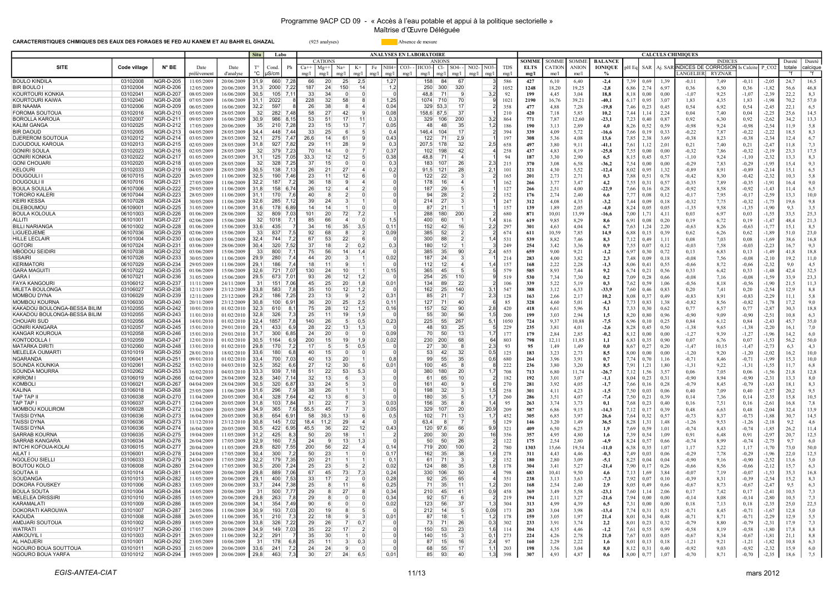|                                               |                      |                                      |                          |                          | <b>Situ</b>  | Labo                               |                               |                                              |                              |      | <b>ANALYSES EN LABORATOIRE</b>                                           |                          |                   |                     |                |                      |                                         |              |                 |              | <b>CALCULS CHIMIQUES</b>                                         |                |                    |                     |                        |                      |
|-----------------------------------------------|----------------------|--------------------------------------|--------------------------|--------------------------|--------------|------------------------------------|-------------------------------|----------------------------------------------|------------------------------|------|--------------------------------------------------------------------------|--------------------------|-------------------|---------------------|----------------|----------------------|-----------------------------------------|--------------|-----------------|--------------|------------------------------------------------------------------|----------------|--------------------|---------------------|------------------------|----------------------|
|                                               |                      |                                      |                          |                          |              |                                    | CATIONS                       |                                              |                              |      | ANION:                                                                   |                          |                   | <b>SOMME</b>        | <b>SOMME</b>   | <b>SOMME</b>         | <b>BALANCE</b>                          |              |                 |              |                                                                  | <b>INDICES</b> |                    |                     | Dureté                 | Dureté               |
| <b>SITE</b>                                   | Code village         | $N^{\circ}$ BE                       | Date<br>rélèvemer        | Date<br>d'analyse        | °C.          | Cond.<br>Ph<br>1.5/cm              | $Ca++$ $Mg++$<br>mg/l<br>mo/l | $Na+$<br>$K+$<br>modl<br>mp/1                | $m\sigma/l$<br>me/l          | mg/l | Fe   NH4+ CO3--   HCO3- Cl-   SO4--   NO2-   NO3-<br>mg/1<br>mg/l<br>mg/ | $m\sigma/l$<br>$m\sigma$ | <b>TDS</b><br>mg/ | <b>ELTS</b><br>me/l | CATION<br>me/l | <b>ANION</b><br>me/l | <b>IONIQUE</b><br>$\mathbf{0}_{\alpha}$ | pH Eq        | SAR             |              | Aj. SAR INDICES DE CORROSION Is Calcite P CO2<br><b>ANGELIER</b> | <b>RYZNAR</b>  |                    |                     | totale<br>$^{\circ}$ f | alcique<br>$\circ$ f |
| <b>BOULO KINDILA</b>                          | 03102008             | <b>NGR-D-205</b>                     | 11/05/200                | 20/06/2009               | 31,9         | 660 7,2                            | 66                            | 20<br>25                                     | 2,5<br>1,2                   |      | 84<br>67<br>158                                                          |                          |                   | 427                 | 6.10           | 6.40                 | $-2,4$                                  | 7,39         | 0,69            |              | $-0.11$                                                          | 7.49           | $-0,11$            | $-2,05$             | 24.7                   | 16,5                 |
| bir Boulo I                                   | 03102004             | <b>NGR-D-206</b>                     | 12/05/2009               | 20/06/2009               |              | 31,3 2000 7,22                     | 187                           | 24<br>150                                    | 14<br>1.2                    |      | 250<br>300<br>320                                                        |                          | 1052              | 1248                | 18,20          | 19,25                | $-2,8$                                  | 6,86         | 2,74            | 6,97         | 0.36                                                             | 6,50           | 0,36               | $-1,82$             | 56,6                   | 46,8                 |
| KOURTOURI KONKIA                              | 03102041             | <b>NGR-D-207</b>                     | 08/05/2009               | 16/06/2009               | 30,5         | 105 7,11                           | 33                            | 34<br>$\Omega$                               | $\Omega$                     |      | 71<br>48.8<br>-9                                                         | 3,2                      | 92                | 199                 | 4.45           | 3.04                 | 18.8                                    | 8,18         | 0.00            | 0,00         | $-1.07$                                                          | 9,25           | $-1,07$            | $-2,39$             | 22.2                   | 83                   |
| KOURTOURI KAIWA                               | 03102040             | <b>NGR-D-208</b>                     | 07/05/2009               | 16/06/2009               |              | 31,1 2022                          | 228                           | 32<br>58                                     | 1,25<br>-8                   |      | 1074 710<br>70                                                           |                          | 1021              | 2190                | 16,76          | 39,21                | $-40.1$                                 | 6,17         | 0,95            | 3,07         | 1.83                                                             | 4,35           | 1,83               | $-1.98$             | 70,2                   | 57,0                 |
| BIR NAAMA                                     | 03102006             | <b>NGR-D-209</b>                     | 06/05/2009               | 16/06/2009               | 32,2         | 597                                | 26                            | 38<br>8                                      | 0,04<br>$\overline{4}$       |      | 329 53,3<br>17                                                           |                          | 358               | 477                 | 4,88           | 7,28                 | $-19.8$                                 | 7,46         | 0,23            | 0,45         | 0.54                                                             | 6,92           | 0,54               | $-2,45$             | 22.1                   | 6,5                  |
| FOROMA SOUTOUA<br>BOROLLA KAROUA              | 03102016<br>03102007 | <b>NGR-D-210</b><br>NGR-D-21         | 05/05/2009<br>09/05/2009 | 28/05/2009<br>16/06/2009 | 32<br>30,9   | 282 7.4<br>986 8.15                | 58<br>53                      | 27<br>42<br>51<br>17                         | 0,08<br>-9<br>11<br>0.3      |      | 158.6 87.5<br>-37<br>200<br>329 106                                      | 3,2                      | 210<br>864        | 420<br>771          | 7,18<br>7,87   | 5,85<br>12,60        | 10.2<br>$-23,1$                         | 7,44<br>7,23 | 1,14<br>0,40    | 2,24<br>0,87 | 0.04<br>0,92                                                     | 7,40<br>6,30   | 0,04<br>0,92       | $-2.25$<br>$-2,62$  | 25.6<br>34.2           | 14,5<br>13,3         |
| KALIM GANGA                                   | 03102025             | <b>NGR-D-212</b>                     | 17/05/2009               | 20/06/2009               | 35           | 210 7,28                           | 23                            | 15<br>13                                     | 0,05                         |      | 48<br>48<br>35                                                           | 1,2                      | 186               | 190                 | 3,13           | 2,89                 | 4.0                                     | 8,26         | 0,52            | 0,59         | $-0.98$                                                          | 9,24           | $-0.98$            | $-2,54$             | 11,9                   | 5,8                  |
| BIR DAOUD                                     | 03102005             | NGR-D-213                            | 04/05/2009               | 28/05/2009               | 34,4         | 448 7,44                           | 33                            | 25<br>-6                                     | 0,4                          |      | 17<br>146.4<br>104                                                       |                          | 394               | 339                 | 4,09           | 5,72                 | $-16.6$                                 | 7,66         | 0,19            | 0,33         | $-0.22$                                                          | 7,87           | $-0.22$            | $-2,22$             | 18,5                   | 8,3                  |
| DJEREROM SOUTOUA                              | 03102012             | <b>NGR-D-214</b>                     | 03/05/2009               | 28/05/2009               | 32,1         | 275 7,47                           | 26,6                          | 14<br>61                                     | 0,43                         |      | 122<br>71<br>2.9                                                         |                          | 197               | 308                 | 5,36           | 4,08                 | 13.6                                    | 7,85         | 2,38            | 3,69         | $-0.38$                                                          | 8,23           | $-0,38$            | $-2,34$             | 12,4                   | 6,7                  |
| DJOUDOUL KAROUA                               | 03102013             | <b>NGR-D-215</b>                     | 02/05/2009               | 28/05/2009               | 31.8         | 927 7,82                           | 29                            | 11<br>28                                     | 0.3<br>-9                    |      | 207,5<br>178<br>32                                                       | 2,5                      | 658               | 497                 | 3,80           | 9,11                 | $-41.1$                                 | 7,61         | 1,12            | 2,01         | 0.21                                                             | 7,40           | 0,21               | $-2,47$             | 11.8                   | 7,3                  |
| <b>GONIRI SOULA</b>                           | 03102023             | NGR-D-216                            | 02/05/2009               | 28/05/2009               | 32           | 379 7,23                           | 70                            | 14<br>$\Omega$                               | 0,37                         |      | 102<br>198<br>42                                                         |                          | 258               | 437                 | 4,83           | 8,19                 | $-25,8$                                 | 7,55         | 0,00            | 0,00         | $-0.32$                                                          | 7,86           | $-0.32$            | $-2,19$             | 23,3                   | 17,5                 |
| GONIRI KONKI                                  | 03102022             | <b>NGR-D-217</b>                     | 01/05/2009               | 28/05/2009               | 31,1         | 125 7,05                           | 33,3                          | 12<br>12<br>$\Omega$                         | 0,38<br>$\Omega$             |      | 71<br>48.8                                                               |                          | 94                | 187                 | 3,30           | 2,90                 | 6.5                                     | 8,15         | 0,45            | 0,57         | $-1.10$                                                          | 9,24           | $-1,10$            | $-2,32$             | 13,3                   | 8,3                  |
| GONI CHOUARI<br>KELOURI                       | 03102020<br>03102033 | <b>NGR-D-218</b><br><b>NGR-D-219</b> | 03/05/2009<br>04/05/2009 | 28/05/2009<br>28/05/2009 | -32<br>30,5  | 328 7,25<br>$138$ 7.13             | 37<br>26                      | 15<br>21<br>27                               | 0,3<br>0,2<br>$\overline{4}$ |      | 183<br>107<br>26<br>91,5 121<br>28                                       | 2,3<br>2,1               | 215<br>101        | 370<br>321          | 3,08<br>4,30   | 6,58<br>5,52         | $-36,2$<br>$-12,4$                      | 7,54<br>8,02 | 0,00<br>0,95    | 0,00<br>1,32 | $-0.29$<br>$-0.89$                                               | 7,83<br>8,91   | $-0,29$<br>$-0.89$ | $-1,95$<br>$-2,14$  | 15.4<br>15,1           | 9,3<br>6,5           |
| <b>DOUGOULI</b>                               | 06107015             | <b>NGR-D-220</b>                     | 26/05/2009               | 11/06/2009               | 32,5         | 190 7,46                           | 23                            | 11<br>12                                     | -6                           |      | 122<br>22<br>3                                                           |                          | 165               | 201                 | 2,73           | 2,71                 | 0.3                                     | 7,88         | 0, 51           | 0,78         | $-0.42$                                                          | 8,30           | $-0,42$            | $-2,32$             | 10,3                   | 5,8                  |
| Dougouli i                                    | 06107016             | NGR-D-221                            | 27/05/2009               | 11/06/2009               | 32,2         | 7,2<br>187                         | 36                            | 18<br>9                                      | $\mathbf{A}$                 |      | 178<br>$\overline{4}$<br>16                                              |                          | 162               | 266                 | 3,77           | 3,47                 | 4.2                                     | 7,55         | 0.31            | 0,57         | $-0.35$                                                          | 7,89           | $-0.35$            | $-1,91$             | 16.4                   | 9,0                  |
| BOULA SOULLA                                  | 06107006             | NGR-D-222                            | 29/05/2009               | 11/06/2009               | 31.8         | 158 6,74                           | 26                            | 12<br>$\overline{4}$                         | $\overline{2}$               |      | 187<br>5<br>29                                                           |                          | 127               | 266                 | 2,51           | 4,00                 | $-22,9$                                 | 7,66         | 0.16            | 0,28         | $-0.92$                                                          | 8,58           | $-0,92$            | $-1,43$             | 11.4                   | 6,5                  |
| <b>TORORO KALER</b>                           | 06107044             | NGR-D-223                            | 28/05/2009               | 11/06/2009               | 31,1         | 170<br>7 <sub>6</sub>              | 40                            | 8<br>$\overline{2}$                          | $\Omega$                     |      | $\overline{2}$<br>94<br>28                                               |                          | 152               | 176                 | 2,74           | 2,40                 | -6.6                                    | 7,77         | 0.08            | 0,12         | $-0.17$                                                          | 7,95           | $-0.17$            | $-2.59$             | 133                    | 10,0                 |
| KEIRI KESSA                                   | 06107028             | <b>NGR-D-224</b>                     | 30/05/2009               | 11/06/2009               | 32.6         | 285 7.12                           | 39                            | 24<br>3                                      |                              |      | 3<br>214<br>-27                                                          |                          | 247               | 312                 | 4,08           | 4,35                 | $-3,2$                                  | 7,44         | 0,09            | 0,18         | $-0.32$                                                          | 7,75           | $-0.32$            | $-1,75$             | 19.6                   | 9,8                  |
| DILEBOUMOU<br>BOULA KOLOULA                   | 06109001<br>06101003 | <b>NGR-D-225</b><br>NGR-D-226        | 31/05/2009               | 11/06/2009               | 31,6 <br>32  | 178 6.8<br>809 7,03                | 14<br>101                     | 14<br>20<br>72                               | $\Omega$<br>7,2              |      | 87<br>-21<br>200<br>180<br>288                                           |                          | 157               | 139                 | 1,89           | 2,05                 | $-4.0$                                  | 8,24         | 0,05            | 0,05         | $-1.35$                                                          | 9,58           | $-1,35$            | $-1,90$             | 93                     | 3,5                  |
| ALLITI                                        | 06101001             | NGR-D-227                            | 01/06/2009<br>02/06/2009 | 28/06/2009<br>15/06/2009 | 32           | 1018<br>$\overline{7}$             | 85                            | 66<br>$\overline{4}$                         | $\Omega$                     |      | 400<br>60                                                                | 1.4                      | 680<br>816        | 871<br>619          | 10.01<br>9,85  | 13,99<br>8,29        | $-16,6$<br>-8.6                         | 7,00<br>6,91 | 1,71<br>0.08    | 4,11<br>0,20 | 0.03<br>0.19                                                     | 6,97<br>6,72   | 0,03<br>0,19       | $-1,55$<br>$-1,47$  | 33.5<br>484            | 25,3<br>21,3         |
| BILLI NARIANGA                                | 06101002             | <b>NGR-D-228</b>                     | 01/06/2009               | 15/06/2009               | 33,6         | 435                                | 34                            | 16<br>35                                     | 3,5<br>0,1'                  |      | 152<br>16<br>42                                                          | 2,2                      | 297               | 301                 | 4,63           | 4,04                 | 6,7                                     | 7,63         | 1,24            | 2,20         | $-0.63$                                                          | 8,26           | $-0.63$            | $-1,77$             | 15,1                   | 8.5                  |
| LIGUEDJEME                                    | 06107036             | <b>NGR-D-229</b>                     | 02/06/2009               | 15/06/2009               | 33           | 7:<br>837                          | 92                            | 68<br>8                                      | 0,09<br>$\overline{2}$       |      | $\overline{2}$<br>385<br>52                                              |                          | 674               | 611                 | 10,59          | 7,85                 | 14,9                                    | 6,88         | 0.15            | 0.39         | 0,62                                                             | 6,26           | 0,62               | $-1,89$             | 51,0                   | 23,0                 |
| HILLE LECLAIR                                 | 06101004             | <b>NGR-D-230</b>                     | 03/06/2009               | 15/06/2009               | 32,4         | 744<br>-7.2                        | 67                            | 53<br>22                                     | -6                           |      | $\overline{2}$<br>300<br>88                                              | 1,4                      | 531               | 539                 | 8,82           | 7,46                 | 8.3                                     | 7,12         | 0.49            | 1,11         | 0.08                                                             | 7,03           | 0,08               | $-1,69$             | 38.6                   | 16,8                 |
| GOTORI                                        | 06107024             | <b>NGR-D-231</b>                     | 03/06/2009               | 28/06/2009               | 30,4         | 320<br>7,52                        | 37                            | 18<br>$\overline{2}$                         | 0,2<br>0,3                   |      | 180<br>12                                                                |                          | 249               | 254                 | 3,42           | 3,36                 | 0.9                                     | 7,55         | 0,07            | 0,12         | $-0.03$                                                          | 7,58           | $-0.03$            | $-2,23$             | 16,7                   | 9,3                  |
| MBODOU SEIDIRI                                | 06107038             | <b>NGR-D-232</b>                     | 03/06/2009               | 15/06/2009               | 33           | 800<br>$7$ .                       | 75                            | 56<br>14                                     | 1,4                          |      | 385<br>35<br>90                                                          | 2,4                      | 655               | 659                 | 9,00           | 9,21                 | $-1,2$                                  | 6,97         | 0,30            | 0,72         | 0.13                                                             | 6,83           | 0,13               | $-1,49$             | 41.8                   | 18,8                 |
| ISSAIRI<br><b>KERIMATOR</b>                   | 06107026<br>06107029 | <b>NGR-D-233</b><br><b>NGR-D-234</b> | 30/05/2009<br>29/05/2009 | 11/06/2009<br>11/06/2009 | 29,9<br>29,1 | 280<br>-7.4<br>186<br>7.           | 44<br>18                      | 20<br>-3<br>11<br>9                          | 0,02                         |      | 187<br>-24<br>-3<br>112<br>12<br>$\overline{4}$                          | 1,4                      | 214<br>157        | 283<br>168          | 4,00<br>2,22   | 3,82<br>2,28         | 2.3<br>$-1,3$                           | 7,48<br>8,06 | 0,09<br>0,41    | 0,18<br>0,55 | $-0.08$<br>-0.66                                                 | 7,56<br>8,72   | $-0,08$<br>$-0.66$ | $-2,10$<br>$-2,32$  | 19.2<br>90             | 11,0<br>4,5          |
| <b>GARA MAGUITI</b>                           | 06107022             | <b>NGR-D-235</b>                     | 01/06/2009               | 15/06/2009               | 32,6         | 721 7,07                           | 130                           | 24<br>10                                     | 0, 15                        |      | 365<br>45<br>5                                                           |                          | 579               | 585                 | 8.93           | 7,44                 | 9,2                                     | 6,74         | 0,21            | 0,56         | 0,33                                                             | 6,42           | 0,33               | $-1,48$             | 42.4                   | 32,5                 |
| GARA I                                        | 06107021             | <b>NGR-D-236</b>                     | 31/05/2009               | 15/06/2009               | 29,5         | 673 7.0                            | 93                            | 26<br>12                                     | 1,2                          |      | 254<br>110<br>25                                                         |                          | 519               | 530                 | 7,34           | 7,30                 | 0.2                                     | 7,09         | 0,28            | 0,66         | $-0.08$                                                          | 7,16           | $-0.08$            | $-1,59$             | 33.9                   | 23,3                 |
| FAYA KANGOUR                                  | 03106012             | <b>NGR-D-237</b>                     | 11/11/2009               | 24/11/2009               | 31           | 151 7,06                           | 45                            | 25<br>20                                     | 0,01<br>1,8                  |      | 134<br>89<br>22                                                          |                          | 106               | 339                 | 5,22           | 5,19                 | 0.3                                     | 7,62         | 0.59            | 1.06         | $-0.56$                                                          | 8,18           | $-0,56$            | $-1,90$             | 21.5                   | 11,3                 |
| MILETA BOULONGA                               | 03106027             | <b>NGR-D-238</b>                     | 12/11/2009               | 23/12/2009               | 33,8         | 7.8<br>583                         | 35                            | 12<br>10 <sup>1</sup>                        | 1,2                          |      | 162<br>25<br>140                                                         | 3,1                      | 547               | 388                 | 3,12           | 6,33                 | $-33.9$                                 | 7,60         | 0.46            | 0.83         | 0.20                                                             | 7,41           | 0,20               | $-2.54$             | 12.9                   | 8,8                  |
| MOMBOU DYNA                                   | 03106029             | <b>NGR-D-239</b>                     | 12/11/2009               | 23/12/2009               | 29.2         | 186 7,25                           | 23                            | 13<br>-9                                     | $\overline{2}$<br>0,31       |      | 85<br>21                                                                 | 2,3                      | 128               | 163                 | 2,66           | 2,17                 | 10,2                                    | 8,08         | 0,37            | 0,49         | $-0.83$                                                          | 8,91           | $-0.83$            | $-2,29$             | 111                    | 5,8                  |
| MOMBOU KOURNA<br>KAKADOU BOULONGA-BESSA BILIM | 03106030<br>03102055 | <b>NGR-D-240</b><br><b>NGR-D-242</b> | 20/11/2009<br>10/01/2010 | 23/12/2009<br>01/02/2010 | 30,8<br>32,3 | $100 \ 6.9$<br>610                 | 36                            | 20<br>25<br>2,5<br>28<br>12<br>1,2           | 0,11                         |      | 127<br>71<br>40<br>52<br>90<br>157                                       | 2,8                      | 85<br>420         | 328<br>418          | 4,60<br>6.61   | 5,01<br>5,96         | $-4.3$                                  | 7,73<br>7,33 | 0,83<br>0.30    | 1,38<br>0,62 | $-0.82$<br>0.77                                                  | 8,56<br>6,57   | $-0.82$<br>0.77    | $-1,78$<br>$-2,87$  | 17,2<br>30.3           | 9,0<br>18,8          |
| KAKADOU BOULONGA-BESSA BILIM                  | 03102055             | NGR-D-243                            | 11/01/2010               | 01/02/2010               | 32,8         | 8,<br>326<br>-7.3                  | 75<br>25                      | 11<br>19                                     | 0,16<br>1,9                  |      | 30<br>56<br>55                                                           | 1,5                      | 200               | 199                 | 3.03           | 2.94                 | 5,1<br>1.5                              | 8,20         | 0.80            | 0,96         | $-0.90$                                                          | 9.09           | $-0.90$            | $-2,51$             | 10.8                   | 6,3                  |
| CHOUARI SUD                                   | 03102056             | <b>NGR-D-244</b>                     | 14/01/2010               | 01/02/2010               | 32,4         | 1857<br>7,8                        | 140                           | 26<br>5                                      | 0,23<br>0,5                  |      | 225<br>55<br>267                                                         | 5,1                      | 1050              | 724                 | 9,37           | 10,88                | $-7,5$                                  | 6,96         | 0,10            | 0,25         | 0,84                                                             | 6,12           | 0,84               | $-2,43$             | 45,7                   | 35,0                 |
| <b>GONIRI KANGARA</b>                         | 03102057             | <b>NGR-D-245</b>                     | 15/01/2010               | 29/01/2010               | 29,1         | 433<br>6,                          | 28                            | 22<br>13                                     | 1,3                          |      | 48<br>25<br>93                                                           |                          | 229               | 235                 | 3,81           | 4,01                 | $-2,6$                                  | 8,28         | 0,45            | 0,50         | $-1.38$                                                          | 9,65           | $-1,38$            | $-2,20$             | 16.1                   | 7,0                  |
| KANGAR KOUROUA                                | 03102058             | <b>NGR-D-246</b>                     | 15/01/2010               | 29/01/2010               | 31.7         | 300<br>6,85                        | 24                            | 20<br>$\Omega$                               | 0,09<br>$\Omega$             |      | 70<br>13<br>50                                                           | 1,7                      | 177               | 179                 | 2,84           | 2,85                 | $-0.2$                                  | 8,12         | 0.00            | 0,00         | $-1,27$                                                          | 9,39           | $-1,27$            | $-1,96$             | 14.2                   | 6,0                  |
| KONTODOLLA I                                  | 03102059             | NGR-D-247                            | 12/01/2010               | 01/02/2010               | 30,5         | 1164<br>6.9                        | 200                           | 15<br>19<br>1.9                              | 0,02                         |      | 230<br>200<br>68                                                         | 64                       | 803               | 798                 | 12,11          | 11,85                | -1.1                                    | 6,83         | 0.35            | 0.90         | 0.07                                                             | 6,76           | 0,07               | $-1,53$             | 56,2                   | 50,0                 |
| MATARKA DIRIT<br>MELELEA OUMARTI              | 03102060<br>03101019 | <b>NGR-D-248</b><br><b>NGR-D-250</b> | 13/01/2010<br>28/01/2010 | 01/02/2010<br>18/02/2010 | 29.8<br>33.6 | 170<br>$\overline{7}$<br>6.<br>180 | 17<br>40                      | 5<br>5 <sup>5</sup><br>0,5<br>15<br>$\Omega$ | $\Omega$                     |      | 27<br>30<br>8<br>53<br>42<br>32                                          | $\frac{2,3}{0,5}$        | 93<br>125         | 95<br>183           | 1,49<br>3,23   | 1,49<br>2,73         | 0.0<br>8.5                              | 8,67<br>8,00 | 0,27<br>0,00    | 0,20<br>0,00 | $-1,47$<br>$-1,20$                                               | 10,15<br>9,20  | $-1,47$<br>$-1,20$ | $-2,73$<br>$-2,02$  | 63<br>16,2             | 4,3<br>10,0          |
| NGARANDA                                      | 03106041             | <b>NGR-D-251</b>                     | 09/01/2010               | 01/02/2010               | 33,4         | 700 7.03                           | 40                            | 13<br>20                                     | 0.8                          |      | 35<br>99<br>55                                                           | 0,6                      | 680               | 264                 | 3.96           | 3,91                 | 0.7                                     | 7,74         | 0,70            | 1,16         | $-0.71$                                                          | 8,46           | $-0,71$            | $-1.99$             | 15,3                   | 10,0                 |
| SOUNDA KOUNKIA                                | 03102061             | <b>NGR-D-252</b>                     | 15/02/2010               | 04/03/2010               | 32,5         | 352<br>6,6                         | 27                            | 12<br>30                                     | 0,01<br>-6                   |      | 100<br>45<br>8                                                           |                          | 222               | 236                 | 3,80           | 3,20                 | -8.5                                    | 7,91         | 1,21            | 1.80         | $-1.31$                                                          | 9,22           | $-1,31$            | $-1,55$             | 117                    | 6,8                  |
| SOUNDA MOURRA                                 | 03102062             | <b>NGR-D-253</b>                     | 16/02/2010               | 04/03/2010               | 33,3         | 939 7.18                           | 51                            | 22<br>53                                     | 5,3                          |      | 380<br>20<br>180                                                         | 1,7                      | 708               | 713                 | 6,80           | 11,74                | $-26,7$                                 | 7,12         | 1,56            | 3,57         | 0.06                                                             | 7,05           | 0,06               | $-1,56$             | 21,8                   | 12,8                 |
| Kirrom                                        | 03106019             | NGR-D-266                            | 02/04/2009               | 28/04/2009               | 32,8         | $340$ 7.1                          | 32                            | 13<br>$6 \overline{6}$                       | -3                           |      | 10<br>61<br>65                                                           |                          | 182               | 192                 | 3,01           | 3,07                 | $-1.1$                                  | 8,04         | $0.2^{\circ}$   | 0,31         | $-0.90$                                                          | 8,94           | $-0.90$            | $-2,31$             | 13.3                   | 8,0                  |
| KOMBOL                                        | 03106021             | NGR-D-267                            | 04/04/2009               | 28/04/2009               | 30.5         | 320 6,87<br>7.9                    | 33                            | 24<br>5 <sup>1</sup>                         | -3                           |      | 161<br>9<br>40<br>198<br>32<br>3                                         |                          | 270               | 281                 | 3,92           | 4,05                 | $-1,7$                                  | 7,66         | 0.16            | 0,28         | $-0.79$                                                          | 8,45           | $-0,79$            | $-1,63$             | 18.1                   | 8,3                  |
| KALINA<br>TAP TAP II                          | 03106018<br>03106038 | <b>NGR-D-268</b><br><b>NGR-D-270</b> | 25/05/2009<br>11/04/2009 | 11/06/2009<br>20/05/2009 | 31,6<br>30,4 | 296<br>328 7,64                    | 38<br>42                      | 26<br>13<br>6                                | -3                           |      | 180<br>35<br>5                                                           | 1,5<br>1,7               | 258<br>260        | 301<br>286          | 4 1 1<br>3,51  | 4,23<br>4,07         | $-1.5$<br>$-7,4$                        | 7.50<br>7,50 | 0.03<br>0,21    | 0.06<br>0.39 | 0.40<br>0,14                                                     | 7,09<br>7,36   | 0,40<br>0,14       | $-2.57$<br>$-2,35$  | 202<br>15.8            | 9.5<br>10,5          |
| TAP TAP I                                     | 03106037             | <b>NGR-D-271</b>                     | 12/04/2009               | 20/05/2009               | 31.8         | 103 7,84                           | 31                            | 22                                           | 0,03<br>-3                   |      | 35<br>8<br>156                                                           | 1.4                      | 95                | 263                 | 3,74           | 3,73                 | 0.1                                     | 7,68         | 0,23            | 0,40         | 0.16                                                             | 7,51           | 0.16               | $-2,61$             | 16.8                   | 7,8                  |
| MOMBOU KOULIROM                               | 03106028             | <b>NGR-D-272</b>                     | 13/04/2009               | 20/05/2009               | 34.9         | 365<br>7 <sub>1</sub>              | 55.5                          | 45<br>7                                      | 0,05<br>-3                   |      | 20<br>329<br>107                                                         | 20,9                     | 209               | 587                 | 6.86           | 9,15                 | $-14.3$                                 | 7,12         | 0 <sub>17</sub> | 0.39         | 0.48                                                             | 6,63           | 0.48               | $-2,04$             | 32.4                   | 13,9                 |
| TAISSI DYNA                                   | 03106036             | <b>NGR-D-273</b>                     | 16/04/2009               | 20/05/2009               | 30,8         | $654 \ 6.9$                        | 58<br>39,3                    | 13                                           | 0,5<br>-6                    |      | 102<br>71<br>13                                                          | 1,7                      | 452               | 305                 | 6,85           | 3,97                 | 26,6                                    | 7,64         | 0,32            | 0,57         | $-0.73$                                                          | 8,37           | $-0,73$            | $-1,88$             | 30,7                   | 14,5                 |
| TAISSI DYNA                                   | 03106036             | <b>NGR-D-273</b>                     | 11/12/2010               | 23/12/2010               | 30,8         | 145 7,02                           | 18,4<br>11,2                  | 29                                           |                              |      | 63,4<br>-8                                                               |                          | 129               | 146                 | 3,20           | 1,49                 | 36,5                                    | 8,28         | 1,31            | 1,48         | $-1.26$                                                          | 9,53           | $-1,26$            | $-2,18$             | 9,2                    | 4,6                  |
| TAISSI DYNA<br>SARRAB KOURNA                  | 03106036<br>03106035 | <b>NGR-D-274</b><br><b>NGR-D-275</b> | 16/04/2009<br>19/04/2009 | 20/05/2009<br>11/05/2009 | 30.5<br>31.2 | 422 6,95<br>425<br>- 8.            | 45.5<br>50                    | 36<br>22<br>20<br>18                         | 0,43<br>12                   |      | 120 97.6<br>66<br>200<br>30<br>20                                        | 9,9<br>16                | 321<br>356        | 409<br>357          | 6,50<br>495    | 6,25<br>4.80         | 1,9<br>1.6                              | 7,69<br>7,39 | 0,59<br>0.54    | 1,01<br>1,09 | $-0.74$<br>0.91                                                  | 8,43<br>6,48   | $-0,74$<br>0,91    | $-1,85$<br>$-2.97$  | 26.2<br>207            | 11,4<br>12,5         |
| SARRAB KANGARA                                | 03106034             | <b>NGR-D-276</b>                     | 26/04/2009               | 17/05/2009               | 32,9         | 160<br>7:                          | 24                            | 9<br>13                                      | 1,3                          |      | 50 <sup>1</sup><br>50<br>26                                              |                          | 122               | 175                 | 2,54           | 2,80                 | $-4,9$                                  | 8,24         | 0,57            | 0,66         | $-0,74$                                                          | 8,99           | $-0,74$            | $-2,75$             | 97                     | 6,0                  |
| INTCHI KOFOUA-KOLAI                           | 03106015             | <b>NGR-D-277</b>                     | 20/04/2009               | 11/05/2009               | 29.8         | 820 7,55                           | 200                           | 56<br>22                                     | 0, 14<br>$\overline{4}$      |      | 719<br>200<br>100                                                        |                          | 780               | 1303                | 15,66          | 19,54                | $-11,0$                                 | 6,38         | 0,35            | 1,07         | 1,17                                                             | 5,22           | 1,17               | $-1,70$             | 73,0                   | 50,0                 |
| AILAT I                                       | 03106001             | <b>NGR-D-278</b>                     | 24/04/2009               | 17/05/2009               | 30,4         | 7,2<br>300                         | 50                            | 23<br>$\vert$ 1                              | 0,17<br>$\Omega$             |      | 38<br>162<br>-35                                                         | 1,6                      | 278               | 311                 | 4,43           | 4,46                 | $-0.3$                                  | 7,49         | 0,03            | 0,06         | $-0.29$                                                          | 7,78           | $-0,29$            | $-1,96$             | 22,0                   | 12,5                 |
| NGOLEOU SIELLI                                | 03106033             | <b>NGR-D-279</b>                     | 24/04/2009               | 17/05/2009               | 32.2         | 179 7,35                           | 20                            | 21                                           | $\Omega$                     |      | 3<br>61<br>71                                                            |                          | 152               | 180                 | 2.80           | 3,09                 | $-5.1$                                  | 8,25         | 0.04            | 0.04         | $-0.90$                                                          | 9.16           | $-0.90$            | $-2.52$             | 13.6                   | 5,0                  |
| <b>BOUTOU KOLO</b>                            | 03106008             | <b>NGR-D-280</b>                     | 25/04/2009               | 17/05/2009               | 30,5         | 200 7.24                           | 25                            | 23<br>5                                      | 0,02                         |      | 35<br>124<br>88                                                          | 1,8                      | 178               | 304                 | 3,41           | 5,27                 | $-21,4$                                 | 7,90         | 017             | 0,26         | $-0.66$                                                          | 8,56           | $-0.66$            | $-2,12$             | 15,7                   | 6,3                  |
| SOUTAA II                                     | 03101014             | <b>NGR-D-281</b>                     | 14/05/2009               | 20/06/2009               | 29,8         | 889 7,06                           | 67<br>33                      | 45<br>73                                     | 7,3<br>0,24<br>$\Omega$      |      | 330<br>50<br>106                                                         |                          | 798               | 683<br>238          | 10,41          | 9,50                 | 4.6                                     | 7,13         | 1,69<br>0.07    | 3,84         | $-0.07$                                                          | 7,19           | $-0.07$            | $-1,53$             | 35,3                   | 16,8                 |
| SOUDANGA<br>DOKORA FOUSKEY                    | 03101013<br>03101006 | <b>NGR-D-282</b><br>NGR-D-283        | 11/05/2009<br>13/05/2009 | 20/06/2009<br>20/06/2009 | 29,1<br>33.7 | 400 7.53<br>244 7.38               | 25                            | 17<br>$\overline{2}$<br>8<br>11              | 0,28<br>0,25                 |      | 65<br>92<br>25<br>71<br>11<br>35                                         | 1.2                      | 351<br>201        | 168                 | 3.13<br>2.54   | 3,63<br>2.40         | $-7.3$<br>2.9                           | 7,92<br>8,05 | 0.49            | 0.10<br>0.66 | $-0.39$<br>$-0.67$                                               | 8,31<br>873    | $-0.39$<br>$-0.67$ | $-2,54$<br>$-2.47$  | 15.2<br>95             | 8,3<br>6,3           |
| <b>BOULA SOUTA</b>                            | 03101004             | <b>NGR-D-284</b>                     | 14/05/2009               | 20/06/2009               | 31           | 500 7.77                           | 29                            | 8<br>27                                      | 0,34                         |      | 210<br>45<br>41                                                          | 0,9                      | 458               | 369                 | 3,49           | 5,58                 | $-23,1$                                 | 7,60         | 1,14            | 2.06         | 0,17                                                             | 7,42           | 0,17               | $-2,41$             | 10 <sub>5</sub>        | 7,3                  |
| MELELEA DRISSIR                               | 03101010             | <b>NGR-D-285</b>                     | 15/05/2009               | 20/06/2009               | 29.8         | 263<br>7,8                         | 29                            | 8<br>$\overline{0}$                          | 0.34<br>$\Omega$             |      | 92<br>57<br>6                                                            |                          | 219               | 194                 | 2,11           | 3,27                 | $-21,6$                                 | 7,94         | 0,00            | 0,00         | $-0.14$                                                          | 8,08           | $-0,14$            | $-2,80$             | 10 <sub>5</sub>        | 7,3                  |
| KARAMALATI                                    | 03101009             | <b>NGR-D-286</b>                     | 18/05/2009               | 20/06/2009               | 34,1         | 354 7.49                           | 90                            | -6<br>$\overline{0}$                         | 0,02<br>$\Omega$             |      | 123<br>56<br>37                                                          | 1,3                      | 304               | 313                 | 499            | 4,39                 | 6.5                                     | 7,31         | 0.00            | 0,00         | 0.18                                                             | 7,13           | 0.18               | $-2,35$             | 25.0                   | 22,5                 |
| DOKORATI KAROUWA                              | 03101007             | <b>NGR-D-287</b>                     | 24/05/2006               | 11/06/2009               | 30.9         | $193 \quad 7.0$                    | 20                            | 19<br>8                                      | -5                           |      | 5<br>212<br>14                                                           | 0,09                     | 173               | 283                 | 3.04           | 3,98                 | $-13,4$                                 | 7,74         | 0.31            | 0,51         | $-0.71$                                                          | 8,45           | $-0.71$            | $-1,67$             | 12.8                   | 5,0                  |
| KAOUDA                                        | 03101008             | <b>NGR-D-288</b>                     | 26/05/2009               | 11/06/2009               | 35.1         | 210<br>$\overline{7}$              | 22                            | 18                                           | 0,01                         |      | 87                                                                       | 1,2                      | 178               | 159                 | 3,05           | 1,97                 | 21,4                                    | 8,01         | 0,34            | 0,48         | $-0.71$                                                          | 8,71           | $-0,71$            | $-2,29$             | 12,9                   | 5,5                  |
| AMDJARI SOUTOUA<br>WATRATI                    | 03101002<br>03101017 | NGR-D-289<br><b>NGR-D-290</b>        | 18/05/2009               | 20/06/2009<br>20/06/2009 | 33.8<br>34.9 | 7,22<br>326<br>149 7,03            | 29<br>35                      | 26<br>$\overline{7}$<br>22<br>17             | 0,7<br>$\overline{2}$        |      | 73<br>71<br>26<br>150<br>53<br>23                                        | 0,3<br>1,6               | 302<br>114        | 233<br>304          | 3,91<br>4,35   | 3,74<br>4,46         | 2,2                                     | 8,01         | 0,23<br>0,55    | 0,32<br>0,99 | $-0.79$<br>$-0.58$                                               | 8,80<br>8,19   | $-0,79$<br>$-0.58$ | $-2,31$             | 17.9<br>17,8           | 7,3                  |
| AMKOUYIL                                      | 03101003             | <b>NGR-D-291</b>                     | 17/05/2009<br>28/05/2009 | 11/06/2009               | 32,2         | 291                                | 35                            | 30<br>$\vert$ 1                              | $\Omega$                     |      | 140<br>$\mathbf{3}$                                                      | 0,1                      | 273               | 224                 | 4,26           | 2,78                 | $-1,2$<br>21.0                          | 7,61<br>7,67 | 0.03            | 0,05         | $-0.67$                                                          | 8,34           | $-0.67$            | $-1,80$<br>$-1, 81$ | 211                    | 8,8<br>8,8           |
| AL HADJER                                     | 03101001             | <b>NGR-D-292</b>                     | 23/05/2009               | 10/06/2009               | 31           | 178<br>6,8                         | 25                            | 11<br>$3^{\circ}$                            | 0,3                          |      | 87<br>15<br>16                                                           | 2,4                      | 97                | 160                 | 2,29           | 2,22                 | 1.6                                     | 8,01         | 0,13            | 0,18         | $-1,21$                                                          | 9,21           | $-1,21$            | $-1,82$             | 10,8                   | 6,3                  |
| NGOURO BOUA SOUTTOUA                          | 03101011             | <b>NGR-D-293</b>                     | 21/05/2009               | 20/06/2009               | 33.6         | 241 7.2                            | 24                            | 24<br>-9                                     | $\Omega$                     |      | 55<br>17<br>68                                                           | 1,1                      | 203               | 198                 | 3,56           | 3,04                 | 8.0                                     | 8,12         | 0,31            | 0,40         | $-0.92$                                                          | 9,03           | $-0,92$            | $-2,32$             | 15,9                   | 6,0                  |
| NGOURO BOUA YARFA                             | 03101012             | <b>NGR-D-294</b>                     | 19/05/2009               | 20/06/2009 29.8          |              | 463 7,3                            | 30 <sup>°</sup>               | 27<br>24                                     | 6.5<br>0.01                  |      | 85<br>93<br>40                                                           | 1,3                      | 398               | 307                 | 4.93           | 4.87                 | -0.6                                    | 8.00         | 0.77            | 1.07         | $-0.70$                                                          | 8.71           | $-0.70$            | $-2.35$             | 18.6                   | 7.5                  |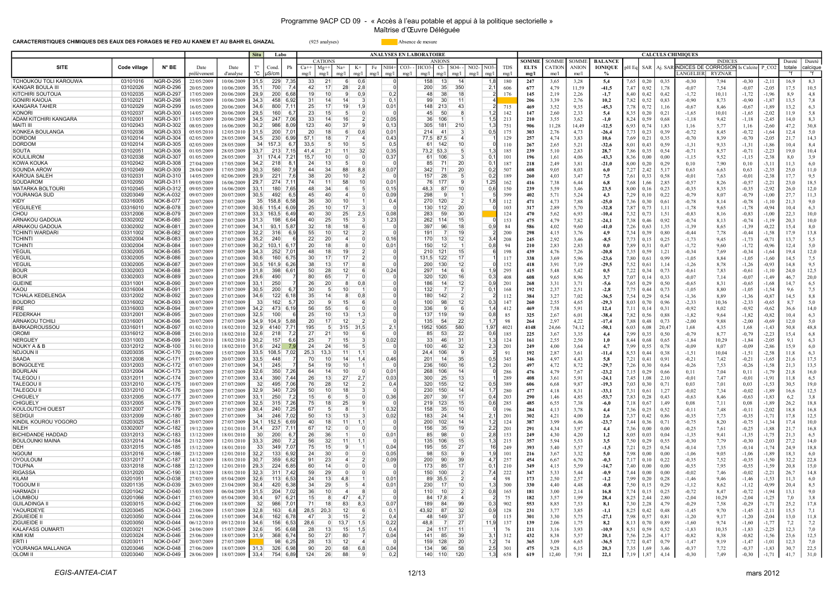#### CARACTERISTIQUES CHIMIQUES DES EAUX DES FORAGES 9E FED AU KANEM ET AU BAHR EL GHAZAL

Absence de mesure

|                          |              |                  |                          |             | Situ I | Labo                    |                         |                               |               | <b>ANALYSES EN LABORATOIRE</b>            |              |              |              |              |                |              |              | <b>CALCULS CHIMIOUES</b> |                                      |                 |                    |              |              |
|--------------------------|--------------|------------------|--------------------------|-------------|--------|-------------------------|-------------------------|-------------------------------|---------------|-------------------------------------------|--------------|--------------|--------------|--------------|----------------|--------------|--------------|--------------------------|--------------------------------------|-----------------|--------------------|--------------|--------------|
|                          |              |                  |                          |             |        |                         | <b>CATIONS</b>          |                               |               | <b>ANIONS</b>                             |              | <b>SOMME</b> | <b>SOMME</b> | <b>SOMME</b> | <b>BALANCE</b> |              |              |                          | <b>INDICES</b>                       |                 |                    | Dureté       | Dureté       |
| <b>SITE</b>              | Code village | $N^{\circ}$ BE   | <b>Date</b>              | <b>Date</b> |        | Cond.<br>Ph             | $Ca++$ $Mg++$ Na+       | $K+$                          |               | Fe   NH4+ CO3-- HCO3- CI- SO4-- NO2- NO3- | <b>TDS</b>   | <b>ELTS</b>  | CATION       | <b>ANION</b> | <b>IONIQUE</b> | pH Ec        | SAR          | Aj. SAR                  | NDICES DE CORROSION Is Calcite P CO2 |                 |                    | totale       | calcique     |
|                          |              |                  | rélèvemen                | d'analyse   |        | uS/cm                   | mg/l                    | mg/l<br>mg/l                  | me/l<br>me/l  | mg/l<br>me/l<br>me/l                      |              | mg/          | me/l         | me/l         | $\frac{0}{a}$  |              |              | LANGELIER                | <b>RYZNAR</b>                        |                 |                    | $^{\circ}$ f | $^{\circ}$ f |
| TCHOUKOU TOLI KAROUWA    | 03101016     | <b>NGR-D-295</b> | 22/05/2009               | 10/06/2009  | 31.5   | 229<br>7,35             | 33<br>21                | 6<br>0,6                      |               | 158<br>13<br>14                           | 180          | 247          | 3,65         | 3,28         | 5,4            | 7,65         | 0,20         | 0.35<br>$-0.30$          | 7.94                                 | $-0.30$         | $-2.11$            | 16.9         | 8,3          |
| KANGAR BOULA III         | 03102026     | <b>NGR-D-296</b> | 20/05/2009               | 10/06/2009  | 35,1   | 700<br>7,4              | 42<br>17                | 28<br>2,8                     |               | 200<br>35<br>350                          | 2,1<br>606   | 677          | 4,79         | 11,59        | $-41.5$        | 7,47         | 0,92         | 1,78<br>$-0.07$          | 7,54                                 | $-0.07$         | $-2,05$            | 17.5         | 10,5         |
| KITCHIRI SOUTOUA         | 03102035     | <b>NGR-D-297</b> | 17/05/2009               | 20/06/2009  | 29,9   | 200 6,68                | 10<br>19                | 9<br>0,9                      | 0,2           | 48<br>38<br>18                            | 176          | 145          | 2.19         | 2,26         | $-1.7$         | 8,40         | 0,42         | 0.42<br>$-1,72$          | 10,11                                | $-1,72$         | $-1,96$            | 8.9          | 4,8          |
| <b>GONIRI KAIOUA</b>     | 03102021     | <b>NGR-D-298</b> | 19/05/2009               | 10/06/2009  | 34.3   | 458 6.92                | 14<br>31                | 14<br>$\mathbf{3}$            | 0.1           | 99<br>-30<br>11                           |              | -206         | 339          | 2,76         | 10.2           | 7,82         | 0,52         | 0.83<br>$-0.90$          | 873                                  | $-0.90$         | $-1,87$            | 13.5         | 7,8          |
| KANGARA TAHEF            | 03102029     | <b>NGR-D-299</b> | 16/05/2009               | 20/06/2009  | 34.6   | $800$ 7.1               | 17<br>25                | 19<br>1,9                     |               | 148<br>213<br>43                          | 715          | 469          | 3,52         | 9,35         | $-45,3$        | 7,78         | 0,72         | 1 16<br>$-0.67$          | 8,46                                 | $-0.67$         | $-1,89$            | 13,2         | 6,3          |
|                          |              |                  |                          |             |        |                         |                         | 5                             | 0,01          | 45                                        | 1.2          |              |              |              |                |              |              |                          |                                      |                 |                    |              |              |
| KONORI                   | 03102037     | <b>NGR-D-300</b> | 14/05/2009               | 20/06/2009  | 29,5   | 160<br>6,7              | 15<br>23                | 0                             |               | 50                                        | 142          | 147          | 2,60         | 2,33         | 5,4            | 8,35         | 0,20         | 0,21<br>$-1.65$          | 10,01                                | $-1,65$         | $-2,02$            | 11.9         | 5,8          |
| ADAM KITCHIRI KANGARA    | 03102001     | <b>NGR-D-301</b> | 13/05/2009               | 20/06/2009  | 34.5   | 247 7,06                | 14<br>33 <sup>1</sup>   | 16<br>$\overline{2}$          | 0,05          | 36<br>106                                 | 1,5<br>213   | 210          | 3.55         | 3,62         | $-1.0$         | 8,24         | 0,59         | 0.68<br>$-1.18$          | 9,42                                 | $-1,18$         | $-2,45$            | 14.0         | 8,3          |
| MAITI III                | 03102043     | <b>NGR-D-302</b> | 08/05/2009               | 16/06/2009  | 30.2   | 986 8.09                | 40<br>123               | 37<br>9                       | 0, 13         | 305<br>181<br>210                         | 1.3<br>751   | 906          | 11,28        | 14.49        | $-12.5$        | 6,93         | 0.74         | 1.83<br>1 16             | 5,77                                 | 1.16            | $-2,60$            | 472          | 30,8         |
| KONKEA BOULANGA          | 03102036     | <b>NGR-D-303</b> | 05/05/2010               | 12/05/2010  | 31,5   | $200$ 7.0               | 20<br>18                | $6 \overline{6}$<br>0,6       | $0,0^{\circ}$ | 214<br>41                                 | 0,5<br>175   | 303          | 2,76         | 4,73         | $-26,4$        | 7,73         | 0,23         | 0.39<br>$-0.72$          | 8,45                                 | $-0,72$         | $-1,64$            | 12,4         | 5,0          |
| DORDOM                   | 03102014     | <b>NGR-D-304</b> | 02/05/2009               | 28/05/2009  | 34.5   | 230 6,99                | 57,1<br>18              | $\overline{4}$                | 0,43          | 77,5 87,5<br>$\overline{a}$               | 129          | 257          | 4,74         | 3,83         | 10,6           | 7,69         | 0,21         | 0,35<br>$-0,70$          | 8,39                                 | $-0,70$         | $-2,05$            | 21,7         | 14,3         |
| DORDOM                   | 03102014     | <b>NGR-D-305</b> | 02/05/2009               | 28/05/2009  |        | 34 157,3<br>6,7         | 33,5<br>5               | 10 <sup>1</sup><br>-5         | 0,5           | 61 142<br>10                              | 110          | 267          | 2.65         | 5,21         | $-32.6$        | 8,01         | 0.43         | 0,59<br>$-1.31$          | 9,33                                 | $-1, 31$        | $-1,86$            | 10.4         | 8,4          |
| SOUTA                    | 03102051     | <b>NGR-D-306</b> | 01/05/2009               | 28/05/2009  | 33.7   | 213 7.15                | 41.4<br>21              | 11<br>32                      | 0.35          | 73,2 53,3<br>$5^{\circ}$                  | 1,3<br>185   | 239          | 5.10         | 2,83         | 28.7           | 7,86         | 0.35         | 0.54<br>$-0.71$          | 8.57                                 | $-0,71$         | $-2.23$            | 190          | 10,4         |
| KOULILIRON               | 03102038     | <b>NGR-D-307</b> | 01/05/2009               | 28/05/2009  |        | 31 174,4 7,21           | 15,7<br>10 <sup>1</sup> | $\Omega$<br>$\Omega$          | 0,37          | 61 106                                    | 0,1<br>101   | 196          | 1,61         | 4,06         | $-43,3$        | 8,36         | 0,00         | 0.00<br>$-1,15$          | 9,52                                 | $-1,15$         | $-2,38$            | 80           | 3,9          |
| KOWA KOUKA               | 03102042     | <b>NGR-D-308</b> | 27/04/2009               | 17/05/2009  | 34,2   | 218<br>8,1              | 24<br>13                | 5<br>$\Omega$                 |               | 85<br>71<br>20                            | 0,1<br>187   | 218          | 2,49         | 3,81         | $-21,0$        | 8,00         | 0,20         | 0,29<br>0.10             | 7,90                                 | 0,10            | $-3, 11$           | 11,3         | 6,0          |
| SOUNDA AROW              | 03102049     | <b>NGR-D-309</b> | 28/04/2009               | 17/05/2009  | 30.3   | 580<br>7,9              | 44<br>34                | 88<br>8,8                     | 0,07          | 20<br>342<br>71                           | 0,2<br>507   | 608          | 9.05         | 8,03         | 6.0            | 7,27         | 2,42         | 5 1 7<br>0.63            | 6,63                                 | 0,63            | $-2,35$            | 25.0         | 11,0         |
| KAROUA SALEF             | 03102031     | <b>NGR-D-310</b> | 14/05/2009               | 02/06/2009  | 29,9   | 221<br>7,6              | 38<br>20 <sup>2</sup>   | 10<br>$\overline{2}$          |               | 157<br>28                                 | 0,2<br>189   | 260          | 4,03         | 3,47         | 7.5            | 7,61         | 0,33         | 0,58<br>$-0.01$          | 7,63                                 | $-0.01$         | $-2,38$            | 17,7         | 9,5          |
| SOUDAROM                 | 03102050     | <b>NGR-D-311</b> | 09/05/2009               | 16/06/2009  | 29,7   | 274<br>7,1'             | 74<br>11                | 58<br>10                      | 0,01          | 76<br>177<br>9                            | 1,25<br>162  | 416          | 7,38         | 6,44         | 6.8            | 7,68         | 1,66         | 2.85<br>$-0.57$          | 8,26                                 | $-0,57$         | $-2,21$            | 23.0         | 18,5         |
| MATARKA BOLTOURI         | 03102045     | <b>NGR-D-312</b> | 09/05/2009               | 16/06/2009  | 331    | 180 7,65                | 34<br>48                | $5\overline{5}$<br>6          | 0.15          | 48.3<br>87<br>10                          | 0,6<br>150   | 239          | 5,59         | 3,46         | 23,5           | 8,00         | 0, 16        | 0,23<br>$-0,35$          | 8,35                                 | $-0,35$         | $-2,92$            | 26,0         | 12,0         |
| YOURANGA SUD             | 03203049     | <b>NOK-A-032</b> | 09/07/2009               | 20/07/2009  | 30.5   | 492<br>6.               | 40<br>45                | $\overline{a}$<br>$\Omega$    | 0,09          | 298                                       | 399          | 402          | 5,71         | 5,24         | 4.3            | 7,29         | 0.10         | 0,22<br>$-0.79$          | 8,07                                 | $-0,79$         | $-1,00$            | 27,7         | 11,3         |
| KIDY                     | 03316005     | <b>NOK-B-077</b> | 20/07/2009               | 27/07/2009  |        | 35 158,8 6,58           | 30 <sup>°</sup><br>36   | 10                            | 0,4           | 270<br>120<br>$\overline{2}$              | 1,8<br>112   | 471          | 4,73         | 7,88         | $-25,0$        | 7,36         | 0,30         | 0.61<br>$-0.78$          | 8,14                                 | $-0.78$         | $-1,10$            | 21.3         | 9,0          |
| YEGUILEYE                | 03316010     | <b>NOK-B-078</b> | 20/07/2009               | 27/07/2009  |        | 30,6 115,4 6,09         | 10<br>25                | 17<br>3                       |               | 130<br>112<br>20                          | 103          | 317          | 2,89         | 5,70         | $-32.8$        | 7,87         | 0,73         | 1.11<br>$-1,78$          | 9.65                                 | $-1,78$         | $-0.94$            | 10.4         | 6,3          |
| CHOLL                    | 03312006     | <b>NOK-B-079</b> | 20/07/2009               | 27/07/2009  |        | 33,3 163,5 6,49         | 30<br>40                | 25<br>2,5                     | 0.08          | 59<br>30<br>283                           | 124          | 470          | 5,62         | 6,93         | $-10,4$        | 7,32         | 0,73         | 1.51<br>$-0,83$          | 8,16                                 | $-0,83$         | $-1,00$            | 22.3         | 10,0         |
| ARNAKOU GADOUA           | 03302002     | <b>NOK-B-080</b> | 20/07/2009               | 27/07/2009  | 31.3   | 198 6,64                | 40<br>25                | 15<br>$\overline{\mathbf{3}}$ | 1,23          | 262<br>15<br>114                          | 153          | 475          | 4,79         | 7,82         | $-24.1$        | 7,38         | 0.46         | 0,92<br>$-0.74$          | 8,13                                 | $-0,74$         | $-1,19$            | 20.3         | 10,0         |
| ARNAKOU GADOUA           | 03302002     | <b>NOK-B-081</b> | 20/07/2009               | 27/07/2009  | 34,1   | $93,1$ 5,87             | 18<br>32                | 18<br>6                       |               | 397<br>96<br>18                           | 0,9<br>84    | 586          | 4,02         | 9,60         | $-41.0$        | 7,26         | 0,63         | 1.35<br>$-1,39$          | 8,65                                 | $-1,39$         | $-0,22$            | 15.4         | 8,0          |
| TCHINTI WARDARI          | 03311002     | <b>NOK-B-082</b> | 08/07/2009               | 27/07/2009  | 32,2   | 316<br>6,9              | 10 <sup>1</sup><br>55   | 12<br>$\overline{2}$          |               | 191<br>19                                 | 200          | 298          | 4,15         | 3,76         | 4,9            | 7,34         | 0,39         | 0,80<br>$-0.44$          | 7,78                                 | $-0,44$         | $-1,58$            | 17,9         | 13,8         |
| <b>TCHINTI</b>           | 03302004     | <b>NOK-B-083</b> | 20/07/2009               | 27/07/2009  | 35.2   | 240                     | 22<br>20                | $\overline{4}$<br>$\Omega$    | 0.16          | 170<br>13<br>12                           | 3,4<br>208   | 245          | 2,92         | 3,46         | $-8.5$         | 7,73         | 0.15         | 0,25<br>$-1,73$          | 9,45                                 | $-1,73$         | $-0,71$            | 13.7         | 5,5          |
| <b>TCHINTI</b>           | 03302004     | <b>NOK-B-084</b> | 10/07/2009               | 27/07/2009  |        | 30,2 103,1 6,1          | 20<br>18                | 8<br>$\overline{0}$           | 0,01          | 150<br>12                                 | 0,8<br>94    | 210          | 2,83         | 2,83         | 0,0            | 7,89         | 0,31         | 0,47<br>$-1.72$          | 9,60                                 | $-1,72$         | $-0.96$            | 12.4         | 5,0          |
| YEGUIL                   | 03302005     | <b>NOK-B-085</b> | 20/07/2009               | 27/07/2009  | 34.3   | $252$ 7,0               | 18<br>48                | 19<br>$\overline{2}$          |               | 210<br>121<br>15                          | 198          | 439          | 4.76         | 7,26         | $-20.8$        | 7,35         | 0,59         | 1.21<br>$-0.34$          | 7,69                                 | $-0,34$         | $-1,64$            | 19.4         | 12,0         |
| YEGUIL                   | 03302005     | <b>NOK-B-086</b> | 20/07/2009               | 27/07/2009  | 30.6   | 160 6.75                | 30 <sup>°</sup><br>17   | 17<br>$\overline{2}$          |               | 131.5<br>122<br>17                        | 117          | 338          |              | 5,96         | $-23.6$        | 7,80         |              | 0.99                     | 8.84                                 |                 | $-1,60$            | 14.5         | 7,5          |
|                          | 03302005     | <b>NOK-B-087</b> | 20/07/2009               | 27/07/2009  |        | 30,5 161,9 6,26         | 38<br>13                | 17<br>$\mathbf{8}$            |               | 130<br>200<br>12                          |              | 418          | 3,69         |              | $-29.5$        |              | 0,61         | $-1,05$<br>1 1 4         | 8,78                                 | $-1,05$         |                    | 14.8         |              |
| YEGUIL                   |              |                  |                          |             |        |                         |                         |                               |               | 14<br>6                                   | 152          |              | 3,91         | 7,19         |                | 7,52         | 0,61         | $-1.26$                  |                                      | $-1,26$         | $-0,93$            |              | 9,5          |
| <b>BOUR</b>              | 03302003     | <b>NOK-B-088</b> | 20/07/2009               | 27/07/2009  | 31,8   | 398 6,61                | 50<br>28                | 12<br>6                       | 0,24          | 297                                       | 1.5<br>295   | 415          | 5,48         | 5,42         | 0,5            | 7,22         | 0,34         | 0,73<br>$-0.61$          | 7,83                                 | $-0.61$         | $-1,10$            | 24,0         | 12,5         |
| BOUR                     | 03302003     | <b>NOK-B-089</b> | 20/07/2009               | 27/07/2009  | 29,6   | 490                     | 80<br>65                | $\overline{0}$                |               | 320<br>16<br>120                          | 0,3<br>408   | 608          | 9.65         | 8,96         | 3,7            | 7,07         | 0,14         | 0.33<br>$-0.07$          | 7,14                                 | $-0.07$         | $-1,49$            | 46.7         | 20,0         |
| GUEINE                   | 03311001     | <b>NOK-B-090</b> | 20/07/2009               | 27/07/2009  | 33.1   | 250                     | 20<br>26                | 8<br>0,8                      |               | 186<br>14<br>12                           | 0,9<br>201   | 268          | 3,31         | 3,71         | $-5,6$         | 7,65         | 0,29         | 0.50<br>$-0.65$          | 8,31                                 | $-0,65$         | $-1,68$            | 14.7         | 6,5          |
| KAOU                     | 03316004     | <b>NOK-B-091</b> | 20/07/2009               | 27/07/2009  | 30.5   | 200<br>6.7              | 5<br>30                 | 10                            |               | 132<br>$\overline{7}$                     | 0,1<br>168   | 192          | 2.37         | 2,51         | $-2.8$         | 7,75         | 0,44         | 0.73<br>$-1.05$          | 8,80                                 | $-1,05$         | $-1,54$            | 96           | 7,5          |
| TCHALA KEDELENGA         | 03312002     | <b>NOK-B-092</b> | 20/07/2009               | 27/07/2009  | 34,6   | $122 \mid 6.18$         | 35<br>14                | 8<br>0,8                      |               | 180<br>142<br>$\overline{2}$              | 112          | 384          | 3,27         | 7,02         | $-36,5$        | 7,54         | 0,29         | 0.54<br>$-1.36$          | 8,89                                 | $-1,36$         | $-0.87$            | 14.5         | 8,8          |
| Boudro                   | 03316002     | <b>NOK-B-093</b> | 08/07/2009               | 27/07/2009  | 33     | 162<br>- 5.             | 9<br>20                 | 15<br>6                       |               | 12<br>100<br>98                           | 0,3<br>147   | 260          | 2.55         | 4,65         | $-29.3$        | 8,03         | 0,70         | 0,96<br>$-2.33$          | 10,36                                | $-2,33$         | $-0.65$            | 8.7          | 5,0          |
| FIRF                     | 03316003     | <b>NOK-B-094</b> | 20/07/2009               | 27/07/2009  | 34.2   | 473 6,19                | 56<br>55                | 6<br>$\mathbf 0$              |               | 336<br>6 <sup>1</sup><br>-9               | 1,<br>412    | 469          | 7.58         | 5,91         | 12,4           | 7,11         | 0,14         | 0.31<br>$-0,92$          | 8,02                                 | $-0,92$         | $-0,62$            | 36.6         | 14,0         |
| FEDERKAH                 | 03312001     | <b>NOK-B-095</b> | 20/07/2009               | 27/07/2009  | 32.5   | 100                     | 10 <sup>1</sup><br>25   | 13<br>1,3                     |               | 137<br>19<br>119                          | 0,8<br>85    | 325          | 2.67         | 6.01         | $-38.4$        | 7,82         | 0.56         | 0.88<br>$-1,82$          | 9,64                                 | $-1,82$         | $-0.82$            | 104          | 6,3          |
| ARNAKOU TCHILI           | 03316001     | <b>NOK-B-096</b> | 20/07/2009               | 27/07/2009  | 34.9   | 104,9 5,88              | 20<br>17                | 12                            |               | 135<br>54<br>22                           | 1.<br>98     | 264          | 2.97         | 4,22         | $-17,4$        | 7,88         | 0,48         | 0.73<br>$-2,00$          | 9,88                                 | $-2,00$         | $-0.69$            | 12,0         | 5,0          |
| BARKADROUSSOU            | 03316011     | <b>NOK-B-097</b> | 01/02/2010               | 18/02/2010  | 32,9   | 4140<br>7,71            | 5<br>195                | 315<br>31,5                   | 2,1           | 1952<br>580<br>1065                       | 1,97<br>4021 | 4148         | 24,66        | 74,12        | $-50,1$        | 6,03         | 6,08         | 20,47<br>1,68            | 4,35                                 | 1,68            | $-1,43$            | 50.8         | 48,8         |
| OROMI                    | 03316012     | <b>NOK-B-098</b> | 25/01/2010               | 18/02/2010  | 32.6   | 218<br>$\overline{7}$   | 27<br>21                | 10<br>6                       |               | 22<br>85<br>-53                           | 0,6<br>185   | 225          | 3,67         | 3,35         | 4,4            | 7,99         | 0,35         | 0.50<br>$-0.79$          | 8,77                                 | $-0,79$         | $-2,23$            | 15.4         | 6,8          |
| <b>NERGUEY</b>           | 03311003     | <b>NOK-B-099</b> | 24/01/2010               | 18/02/2010  | 30.2   | 157<br>6.6              | 25<br>7                 | 15<br>$\mathbf{3}$            | 0,02          | 33 <sup>1</sup><br>46<br>31               | 1,3<br>124   | 161          | 2.55         | 2,50         | 1.0            | 8,44         | 0.68         | 0.65<br>$-1.84$          | 10,29                                | $-1,84$         | $-2,05$            | 91           | 6,3          |
| NOUKY A & F              | 03312012     | <b>NOK-B-100</b> | 31/01/2010               | 18/02/2010  | 31.6   | 242 7.9                 | 24<br>24                | 16<br>5                       |               | 100<br>46<br>32                           | 2,3<br>201   | 249          | 4,00         | 3,64         | 4,7            | 7,99         | 0,55         | 0,78<br>$-0.09$          | 8,07                                 | $-0.09$         | $-2,86$            | 159          | 6,0          |
| NDJOUN II                | 03203035     | <b>NOK-C-170</b> | 21/06/2009               | 15/07/2009  |        | 33.5 108.5 7.02         | 25,3<br>13.3            | 11<br>1,1                     |               | 24.4<br>106                               | 91           | 192          | 2,87         | 3,61         | $-11,4$        | 8,53         | 0,44         | 0,38<br>$-1.51$          | 10,04                                | $-1,51$         | $-2,58$            | 11,8         | 6,3          |
| SAADA                    | 03312008     | <b>NOK-C-171</b> | 09/07/2009               | 20/07/2009  | 33.5   | 448                     | 70<br>10 <sup>1</sup>   | 14<br>1,4                     | 0.46          | 201<br>14<br>35                           | 0,5<br>345   | 346          | 4.97         | 4,43         | 5.8            | 7,21         | 0.41         | 0.91<br>$-0.21$          | 7,42                                 | $-0,21$         | $-1,65$            | 21.6         | 17,5         |
| BONGOLEYE                | 03312003     | <b>NOK-C-172</b> | 07/07/2009               | 27/07/2009  | 34,1   | 245                     | 54<br>19                | 10                            |               | 236<br>160<br>16                          | 1,2<br>201   | 497          | 4.72         | 8.72         | $-29.7$        | 7,26         | 0.30         | $-0.26$<br>0.64          | 7.53                                 | $-0.26$         | $-1,58$            | 213          | 13,5         |
| BOURLAN                  | 03312004     | <b>NOK-C-173</b> | 20/07/2009               | 27/07/2009  | 32,6   | 350 7,26                | 64<br>14                | 10<br>$\Omega$                | 0,01          | 268<br>106<br>14                          | 286          | 476          | 4,79         | 7,67         | $-23.2$        | 7,15         | 0,29         | 0.66<br>0.11             | 7,04                                 | 0,11            | $-1,79$            | 21.8         | 16,0         |
| TALEGOU I                | 03312011     | <b>NOK-C-174</b> | 20/07/2009               | 27/07/2009  | 33.4   | 390 7,44                | 13<br>26                | 27<br>2,7                     | 0,03          | 13<br>300<br>25                           | 289          | 408          | 3,61         | 5,91         | $-24,1$        | 7,45         | 1,08         | 2,10<br>$-0.01$          | 7,47                                 | $-0,01$         | $-1,91$            | 11.8         | 6,5          |
| TALEGOU I                | 03312010     | <b>NOK-C-175</b> | 10/07/2009               | 27/07/2009  | 32     | 495 7.06                | 76<br>28                | 12<br>$\overline{2}$          | 0,4           | 320<br>155<br>12                          | 0,5<br>389   | 606          | 6.68         | 9,87         | $-19.3$        | 7,03         | 0.30         | 0.71<br>0.03             | 7,01                                 | 0,03            | $-1,53$            | 30.5         | 19,0         |
| TALEGOU II               | 03312010     | <b>NOK-C-176</b> | 20/07/2009               | 27/07/2009  | 32.9   | 340 7,29                | 50 <sup>1</sup><br>10   | 18<br>3                       |               | 230<br>150<br>14                          | 1,7<br>280   | 477          | 4,18         | 831          | $-33,1$        | 7,31         | 0.61         | 1 27<br>$-0.02$          | 7,34                                 | $-0.02$         | $-1,89$            | 16.6         | 12,5         |
| CHIGUELY                 | 03312005     | <b>NOK-C-177</b> | 20/07/2009               | 27/07/2009  | 33,1   | 250<br>$\overline{7}$ : | 15<br>6                 | 5<br>$\mathbf 0$              | 0,36          | 207<br>39<br>17                           | 0,4<br>203   | 290          | 146          | 4,85         | $-53,7$        | 7,83         | 0,28         | 0.43<br>$-0.63$          | 846                                  | $-0.63$         | $-1,83$            | 62           | 3,8          |
| CHIGUEL Y                | 03312005     | <b>NOK-C-178</b> |                          | 27/07/2009  | 32.5   | 315 7,26                | 75<br>18                | 25<br>9                       |               | 219<br>123<br>15                          | 0,6          | 485          |              |              |                |              |              | 149                      |                                      |                 |                    |              | 18,8         |
| KOULOUTCHI OUFST         | 03312007     | <b>NOK-C-179</b> | 20/07/2009<br>20/07/2009 | 27/07/2009  | 30,4   | 240 7,25                | $\sqrt{5}$<br>67        | 8                             | 0,32          | 158<br>35<br>10                           | 285<br>196   | 284          | 6,55<br>4,13 | 7,38<br>3,78 | $-6,0$<br>4.4  | 7,18<br>7,36 | 0,67<br>0.25 | 0,08<br>0.52<br>$-0.11$  | 7,11<br>7,48                         | 0,08<br>$-0,11$ | $-1,89$<br>$-2,02$ | 26,2<br>188  | 16,8         |
| SEDIGUI                  | 03312009     | <b>NOK-C-180</b> | 20/07/2009               | 27/07/2009  | 34     | 246<br>7,02             | 50 <sup>1</sup><br>13   | 3<br>13                       | 0,02          | 183<br>24<br>14                           | 2,1<br>201   | 302          | 4,21         | 4,00         | 2.6            | 7,37         | 0,42         | 0.86<br>$-0.35$          | 7,73                                 | $-0,35$         | $-1,71$            | 178          | 12,5         |
| KINDIL KOUROU YOGORO     | 03203025     | <b>NOK-C-181</b> | 20/07/2009               | 27/07/2009  | 34,1   | 152,5 6,69              | 40<br>18                | 1,1<br>11                     |               | 200<br>102<br>14                          | 1,2<br>124   | 387          | 3,99         | 6,46         | $-23,7$        | 7,44         | 0,36         | 0.71<br>$-0,75$          | 8,20                                 | $-0,75$         |                    | 17,4         | 10,0         |
| NII FH                   | 03302007     | <b>NOK-C-182</b> | 19/12/2009               | 12/01/2010  | 31.4   | 237 7,1                 | 12<br>67                | $\Omega$<br>$\Omega$          |               | 156<br>19<br>35                           | 2,2<br>201   | 291          | 4,34         | 3,97         | 4,4            | 7,36         | 0.00         | 0.00<br>$-0,25$          | 7,61                                 | $-0,25$         | $-1,34$<br>$-1,88$ | 21,7         | 16,8         |
| <b>BICHIDANDE HADDAD</b> | 03312013     | <b>NOK-C-183</b> | 13/12/2009               | 18/01/2010  | 30     | 200<br>6,7              | 26<br>36                | $\overline{1}$<br>$\mathbf 0$ |               | 85<br>98<br>$\Omega$                      | 2,8<br>153   | 249          | 4,30         | 4,20         |                | 8,05         | 0,03         | 0,04<br>$-1.35$          | 9,41                                 | $-1,35$         | $-1,75$            | 21.3         | 6,5          |
|                          |              |                  |                          |             |        |                         |                         |                               | 0,01          |                                           |              |              |              |              | 1,2            |              |              |                          |                                      |                 |                    |              |              |
| BOULOUNKI MAINA          | 03312014     | <b>NOK-C-184</b> | 21/12/2009               | 12/01/2010  | 33.3   | 260<br>7.2              | 32<br>56                | 11<br>1,1                     |               | 135<br>106<br>15                          | 1,3<br>215   | 357          | 5,94         | 5,53         | 3,5            | 7,50         | 0,29         | 0.55<br>$-0.30$          | 7,79                                 | $-0,30$         | $-2,03$            | 27.2         | 14,0         |
| DEH                      | 03312015     | <b>NOK-C-185</b> | 15/12/2009               | 18/01/2010  | 33     | 349 7,07                | 75<br>15                | 9                             | 0,04          | 195<br>55<br>27                           | 16<br>249    | 393          | 5,40         | 5,57         | $-1,5$         | 7,21         | 0,25         | 0.54<br>$-0,14$          | 7,35                                 | $-0,14$         | $-1,74$            | 24.9         | 18,8         |
| NGOUM                    | 03312016     | <b>NOK-C-186</b> | 23/12/2009               | 12/01/2010  | 32,2   | 133 6,92                | 30 <sup>1</sup><br>24   | $\mathbf 0$<br>$\Omega$       | 0.05          | 98<br>53                                  | 1, 9<br>101  | 216          | 3,67         | 3,32         | 5.0            | 7,98         | 0,00         | 0,00<br>$-1.06$          | 9,05                                 | $-1,06$         | $-1,89$            | 18.3         | 6,0          |
| OYOULOUM                 | 03312017     | <b>NOK-C-187</b> | 14/12/2009               | 18/01/2010  | 30,7   | 359 6,82                | 91<br>23                | $\overline{2}$                | 0,09          | 200<br>90<br>39                           | 4,7<br>257   | 454          | 6,67         | 6,70         | $-0,3$         | 7,17         | 0,10         | 0,22<br>$-0.35$          | 7,52                                 | $-0.35$         | $-1,50$            | 32,2         | 22,8         |
| TOUFNA                   | 03312018     | <b>NOK-C-188</b> | 22/12/2009               | 12/01/2010  | 29,3   | 224 6,85                | 14<br>60                | $\mathbf 0$<br>0              |               | 173<br>85<br>17                           | 0.<br>210    | 349          | 4.15         | 5,59         | $-14.7$        | 7,40         | 0,00         | 0.00<br>$-0.55$          | 7,95                                 | $-0.55$         | $-1,59$            | 20.8         | 15,0         |
| RIGASSA                  | 03312020     | <b>NOK-C-190</b> | 18/12/2009               | 18/01/2010  | 32,3   | 311 7,42                | 29<br>59                | $\overline{0}$<br>$\mathbf 0$ |               | $\overline{2}$<br>150<br>100              | 7,4<br>222   | 347          | 5,33         | 5,44         | $-0.9$         | 7,44         | 0.00         | 0.00<br>$-0,02$          | 7,46                                 | $-0,02$         | $-2,21$            | 26,7         | 14,8         |
| KILAM.                   | 03201051     | <b>NOK-D-038</b> | 27/03/2009               | 05/04/2009  | 32.6   | 113 6,53                | 13<br>24                | 4,8                           | 0,01          | 89 35.5<br>$\overline{2}$                 | 98           | 173          | 2,50         | 2,57         | $-1.2$         | 7,99         | 0,20         | 0.28<br>$-1.46$          | 9,46                                 | $-1,46$         | $-1,53$            | 11.3         | 6,0          |
| <b>TOGOUM II</b>         | 03201135     | NOK-D-039        | 28/03/2009               | 23/04/2009  | 30,4   | 420 6,38                | 29<br>34                | 5<br>$\overline{4}$           | 0,01          | 230<br>17<br>10                           | 1,3<br>300   | 330          | 4,40         | 4,48         | $-0.8$         | 7,50         | 0, 15        | 0,29<br>$-1,12$          | 8,62                                 | $-1,12$         | $-0.99$            | 20.4         | 8,5          |
| HARMADI                  | 03201042     | <b>NOK-D-040</b> | 15/03/2009               | 06/04/2009  | 31,5   | 204 7.02                | 36<br>10                | 8<br>$\overline{4}$           |               | $\overline{2}$<br>110<br>10               | 0,8<br>165   | 181          | 3,00         | 2,14         | 16.8           | 7,74         | 0.15         | 0,25<br>$-0.72$          | 8,47                                 | $-0,72$         | $-1,94$            | 13.1         | 9,0          |
| LOUMBOL                  | 03201066     | <b>NOK-D-041</b> | 27/03/2009               | 05/04/2009  | 30,4   | $97 \quad 6,21$         | 15<br>8                 | 47<br>4.7                     |               | 84 17.8<br>$\overline{4}$                 | 75           | 182          | 3,57         | 1.99         | 28,4           | 8,25         | 2,44         | 2,80<br>$-2,04$          | 10,29                                | $-2,04$         | $-1,25$            | 7.0          | 3,8          |
| GUILADINGA I             | 03203015     | <b>NOK-D-042</b> | 27/06/2009               | 18/07/2009  | 32     | 986 7,01                | 18<br>71                | 83<br>8,3                     | 0,07          | 189<br>99<br>-84                          | 0,3<br>902   | 553          | 8,85         | 7,53         | 8.1            | 7,30         | 2,28         | 4 7 9<br>$-0.29$         | 7,58                                 | $-0.29$         | $-1,71$            | 25,2         | 17,8         |
| YAOURDEYE                | 03203045     | <b>NOK-D-043</b> | 23/06/2009               | 15/07/2009  | 32,8   | 163<br>6,8              | 28,5<br>20,3            | 12<br>6                       | 0,1           | 43,92<br>87<br>32                         | 0,9<br>128   | 231          | 3,77         | 3,85         | $-1,1$         | 8,25         | 0,42         | 0,48<br>$-1,45$          | 9,70                                 | $-1,45$         | $-2,11$            | 15,5         | 7,1          |
| ZIGUIEIDE II             | 03203050     | NOK-D-044        | 22/06/2009               | 15/07/2009  | 34,6   | 162 6,78                | 47                      | 15<br>$\overline{2}$          | 0,4           | 37<br>48<br>149                           | 115          | 301          | 3,30         | 5,75         | $-27,1$        | 7,98         | 0,57         | 0,81<br>$-1,20$          | 9,17                                 | $-1,20$         | $-2,04$            | 13,0         | 11,8         |
| ZIGUIFIDE II             | 03203050     | NOK-D-044        | 06/12/2010               | 09/12/2010  | 34.6   | 156 6,53                | 28.6<br>$\Omega$        | 13.7<br>1,5                   | 0,22          | 48.8<br>27                                | 11,9<br>137  | 139          | 2,06         | 1,75         | 8,2            | 8,13         | 0,70         | 0.89<br>$-1,60$          | 9,74                                 | $-1,60$         | $-1,77$            | 7.2          | 7,2          |
| KALAFASS OUMARTI         | 03203021     | <b>NOK-D-045</b> | 24/06/2009               | 15/07/2009  | 32,6   | 95 6,68                 | 28<br>13                | 15<br>1,5                     | 0,4           | 24<br>117<br>11                           | 76           | 211          | 3.16         | 3,93         | $-10.9$        | 8,51         | 0.59         | 0,52<br>$-1,83$          | 10,35                                | $-1,83$         | $-2,25$            | 12.3         | 7,0          |
| KIMI KIM                 | 03203024     | NOK-D-046        | 25/06/2009               | 18/07/2009  | 31,9   | 368 6,74                | 50<br>27                | 80<br>$\overline{7}$          | 0,04          | 141<br>85<br>39                           | 3,1<br>312   | 432          | 8,38         | 5,57         | 20,1           | 7,56         | 2,26         | 4,17<br>$-0.82$          | 8,38                                 | $-0.82$         | $-1,56$            | 23,6         | 12,5         |
| FRTI I                   | 03203011     | NOK-D-047        | 20/07/2009               | 27/07/2009  |        | 98 6,25                 | 28<br>13                | 12<br>$\overline{4}$          |               | 159<br>128<br>20                          | 1,2<br>74    | 365          | 3,09         | 6,65         | $-36,5$        | 7,72         | 0,47         | 0,79<br>$-1,47$          | 9,19                                 | $-1,47$         | $-1,01$            | 12,3         | 7,0          |
| YOURANGA MALLANGA        | 03203046     | NOK-D-048        | 27/06/2009               | 18/07/2009  | 31.3   | 326 6.98                | 20<br>90                | 68<br>6.8                     | 0,04          | 134<br>96<br>58                           | 2,5<br>301   | 475          | 9,28         | 6,15         | 20,3           | 7,35         | 1,69         | $-0.37$<br>3.46          | 7,72                                 | $-0,37$         | $-1,83$            | 30,7         | 22,5         |
| olomi II                 | 03203040     | <b>NOK-D-049</b> | 28/06/2009               | 18/07/2009  | 33.4   | 754 6,89                | 124<br>26               | 88                            | 0,2           | 140 110<br>120                            | 1,3<br>658   | 619          | 12,40        | 7.91         | 22,1           | 7,19         | 1,87         | $-0.30$<br>4 1 4         | 7.49                                 | $-0,30$         | $-1,71$            | 41,7         | 31,0         |
|                          |              |                  |                          |             |        |                         |                         |                               |               |                                           |              |              |              |              |                |              |              |                          |                                      |                 |                    |              |              |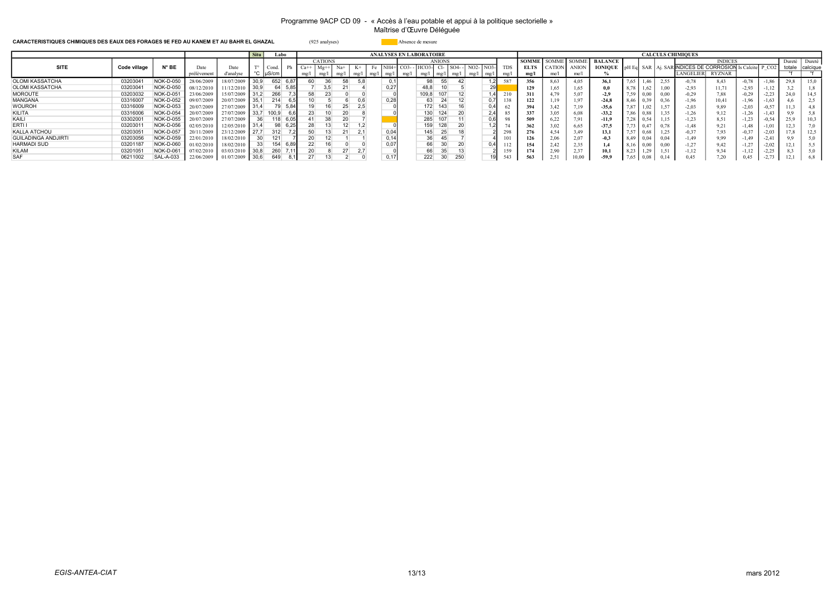**CARACTERISTIQUES CHIMIQUES DES EAUX DES FORAGES 9E FED AU KANEM ET AU BAHR EL GHAZAL** (925 analyses) Absence de mesure

**Situ** Labo **ANALYSES EN LABORATOIRE CALCULS CHIMIQUES**<br> **EXITIONS** ANIONS ANIONS AND ANIONS AND ANONS CATION AND ANIONS AND ANIONS CHIMIQUES CATIONS **Somme ANIONS AND ANIONS <b>SOMME** SOMME SOMME SOMME BALANCE I INDICES Dureté Dureté Dureté Dureté Dureté SITE Code village N° BE Date Date Date To Cond. Ph Ca++ Ma++ Na+ K+ Fe NH4+ CO3-- HCO3- HCO3- HCO3- NO3- NO3- TDS ELTS CATION ANION IONIQUE PHE SAR ALS ARE DISCUSSION IS Calcrite P\_CO2 totale Calcridue prélèvement d'analyse °C µS/cm mg/l mg/l mg/l mg/l mg/l mg/l mg/l mg/l mg/l mg/l mg/l mg/l mg/l **mg/l** me/l me/l **%** LANGELIER RYZNAR °f °f OLOMI KASSATCHA 03203041 NOK-D-050 28/06/2009 18/07/2009 30,9 652 6,87 60 36 58 5,8 0,1 98 55 42 1,2 587 **356** 8,63 4,05 **36,1** 7,65 1,46 2,55 -0,78 8,43 -0,78 -1,86 29,8 15,0 OLOMI KASSATCHA 03203041 NOK-D-050 08/12/2010 11/12/2010 30,9 64 5,85 7 3,5 21 4 0,27 48,8 10 5 29 **129** 1,65 1,65 **0,0** 8,78 1,62 1,00 -2,93 11,71 -2,93 -1,12 3,2 1,8 MOROUTE 03203032 NOK-D-051 23/06/2009 15/07/2009 31,2 266 7,3 58 23 0 0 0 109,8 107 12 1,4 210 **311** 4,79 5,07 **-2,9** 7,59 0,00 0,00 -0,29 7,88 -0,29 -2,23 24,0 14,5 MANGANA 03316007 NOK-D-052 09/07/2009 20/07/2009 35,1 214 6,5 10 5 6 0,6 0,28 63 24 12 0,7 138 **122** 1,19 1,97 **-24,8** 8,46 0,39 0,36 -1,96 10,41 -1,96 -1,63 4,6 2,5 WOUROH 03316009 NOK-D-053 20/07/2009 27/07/2009 31,4 79 5,84 19 16 25 2,5 0 172 143 16 0,4 62 **394** 3,42 7,19 **-35,6** 7,87 1,02 1,57 -2,03 9,89 -2,03 -0,57 11,3 4,8 KILITA 03316006 NOK-D-054 20/07/2009 27/07/2009 33,7 100,9 6,6 23 10 20 8 0 130 124 20 2,4 85 **337** 3,05 6,08 **-33,2** 7,86 0,88 1,35 -1,26 9,12 -1,26 -1,43 9,9 5,8 KAILI 03302001 NOK-D-055 20/07/2009 27/07/2009 36 118 6,05 41 38 20 7 285 107 11 0,6 98 **509** 6,22 7,91 **-11,9** 7,28 0,54 1,15 -1,23 8,51 -1,23 -0,54 25,9 10,3 ERTI I 03203011 NOK-D-056 02/05/2010 12/05/2010 31,4 98 6,25 28 13 12 1,2 0 159 128 20 1,2 74 **362** 3,02 6,65 **-37,5** 7,73 0,47 0,78 -1,48 9,21 -1,48 -1,01 12,3 7,0 KALLA ATCHOU 03203051 NOK-D-057 20/11/2009 23/12/2009 27,7 312 7,2 50 13 21 2,1 0,04 145 25 18 2 298 **276** 4,54 3,49 **13,1** 7,57 0,68 1,25 -0,37 7,93 -0,37 -2,03 17,8 12,5 GUILADINGA ANDJIRTI 03203056 NOK-D-059 22/01/2010 18/02/2010 30 121 7 20 12 1 1 0,14 36 45 7 4 101 **126** 2,06 2,07 **-0,3** 8,49 0,04 0,04 -1,49 9,99 -1,49 -2,41 9,9 5,0 HARMADI SUD 03201187 NOK-D-060 01/02/2010 18/02/2010 33 154 6,89 22 16 0 0 0,07 66 30 20 0,4 112 **154** 2,42 2,35 **1,4** 8,16 0,00 0,00 -1,27 9,42 -1,27 -2,02 12,1 5,5 KILAM 03201051 NOK-D-061 07/02/2010 03/03/2010 30,8 260 7,11 20 8 27 2,7 0 66 35 13 2 159 **174** 2,90 2,37 **10,1** 8,23 1,29 1,51 -1,12 9,34 -1,12 -2,25 8,3 5,0 SAF 06211002 SAL-A-033 22/06/2009 01/07/2009 30,6 649 8,1 27 13 2 0 0,17 222 30 250 19 543 **563** 2,51 10,00 **-59,9** 7,65 0,08 0,14 0,45 7,20 0,45 -2,73 12,1 6,8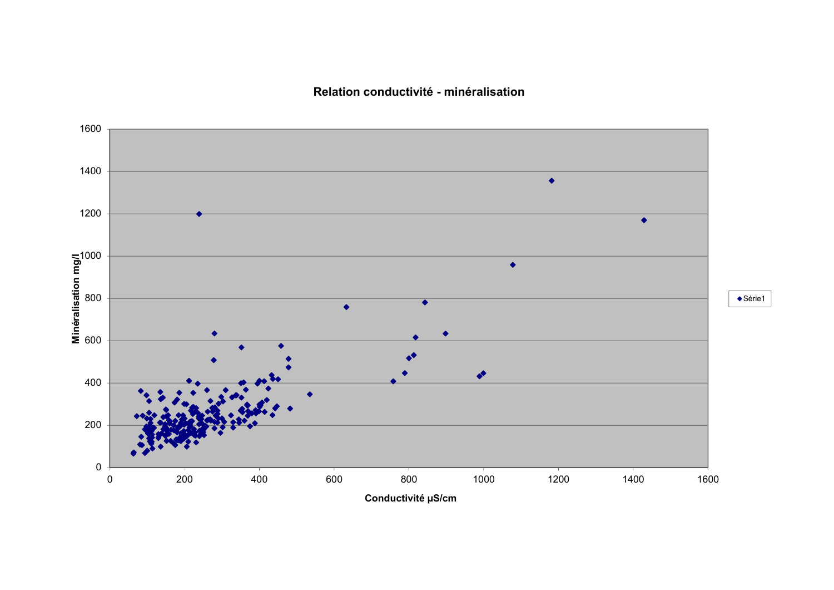**Relation conductivité - minéralisation**